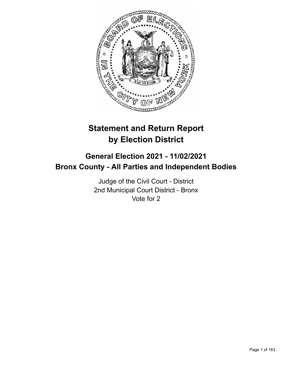

# **Statement and Return Report by Election District**

# **General Election 2021 - 11/02/2021 Bronx County - All Parties and Independent Bodies**

Judge of the Civil Court - District 2nd Municipal Court District - Bronx Vote for 2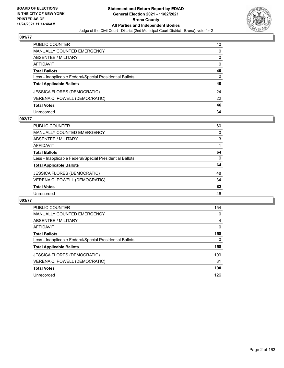

| PUBLIC COUNTER                                           | 40 |
|----------------------------------------------------------|----|
| <b>MANUALLY COUNTED EMERGENCY</b>                        | 0  |
| <b>ABSENTEE / MILITARY</b>                               | 0  |
| <b>AFFIDAVIT</b>                                         | 0  |
| <b>Total Ballots</b>                                     | 40 |
| Less - Inapplicable Federal/Special Presidential Ballots | 0  |
| <b>Total Applicable Ballots</b>                          | 40 |
| <b>JESSICA FLORES (DEMOCRATIC)</b>                       | 24 |
| VERENA C. POWELL (DEMOCRATIC)                            | 22 |
| <b>Total Votes</b>                                       | 46 |
| Unrecorded                                               | 34 |

## **002/77**

| <b>PUBLIC COUNTER</b>                                    | 60       |
|----------------------------------------------------------|----------|
| <b>MANUALLY COUNTED EMERGENCY</b>                        | 0        |
| ABSENTEE / MILITARY                                      | 3        |
| AFFIDAVIT                                                |          |
| <b>Total Ballots</b>                                     | 64       |
| Less - Inapplicable Federal/Special Presidential Ballots | $\Omega$ |
| <b>Total Applicable Ballots</b>                          | 64       |
| <b>JESSICA FLORES (DEMOCRATIC)</b>                       | 48       |
| VERENA C. POWELL (DEMOCRATIC)                            | 34       |
| <b>Total Votes</b>                                       | 82       |
| Unrecorded                                               | 46       |

| PUBLIC COUNTER                                           | 154      |
|----------------------------------------------------------|----------|
| <b>MANUALLY COUNTED EMERGENCY</b>                        | $\Omega$ |
| ABSENTEE / MILITARY                                      | 4        |
| AFFIDAVIT                                                | $\Omega$ |
| <b>Total Ballots</b>                                     | 158      |
| Less - Inapplicable Federal/Special Presidential Ballots | 0        |
| <b>Total Applicable Ballots</b>                          | 158      |
| <b>JESSICA FLORES (DEMOCRATIC)</b>                       | 109      |
| VERENA C. POWELL (DEMOCRATIC)                            | 81       |
| <b>Total Votes</b>                                       | 190      |
| Unrecorded                                               | 126      |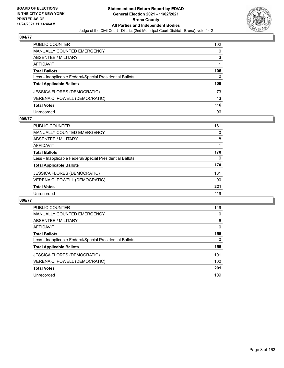

| PUBLIC COUNTER                                           | 102 |
|----------------------------------------------------------|-----|
| <b>MANUALLY COUNTED EMERGENCY</b>                        | 0   |
| <b>ABSENTEE / MILITARY</b>                               | 3   |
| <b>AFFIDAVIT</b>                                         |     |
| <b>Total Ballots</b>                                     | 106 |
| Less - Inapplicable Federal/Special Presidential Ballots | 0   |
| <b>Total Applicable Ballots</b>                          | 106 |
| <b>JESSICA FLORES (DEMOCRATIC)</b>                       | 73  |
| VERENA C. POWELL (DEMOCRATIC)                            | 43  |
| <b>Total Votes</b>                                       | 116 |
| Unrecorded                                               | 96  |

#### **005/77**

| PUBLIC COUNTER                                           | 161 |
|----------------------------------------------------------|-----|
| MANUALLY COUNTED EMERGENCY                               | 0   |
| ABSENTEE / MILITARY                                      | 8   |
| AFFIDAVIT                                                |     |
| <b>Total Ballots</b>                                     | 170 |
| Less - Inapplicable Federal/Special Presidential Ballots | 0   |
| <b>Total Applicable Ballots</b>                          | 170 |
| <b>JESSICA FLORES (DEMOCRATIC)</b>                       | 131 |
| VERENA C. POWELL (DEMOCRATIC)                            | 90  |
| <b>Total Votes</b>                                       | 221 |
| Unrecorded                                               | 119 |

| PUBLIC COUNTER                                           | 149      |
|----------------------------------------------------------|----------|
| <b>MANUALLY COUNTED EMERGENCY</b>                        | 0        |
| ABSENTEE / MILITARY                                      | 6        |
| <b>AFFIDAVIT</b>                                         | $\Omega$ |
| <b>Total Ballots</b>                                     | 155      |
| Less - Inapplicable Federal/Special Presidential Ballots | 0        |
| <b>Total Applicable Ballots</b>                          | 155      |
| JESSICA FLORES (DEMOCRATIC)                              | 101      |
| VERENA C. POWELL (DEMOCRATIC)                            | 100      |
| <b>Total Votes</b>                                       | 201      |
| Unrecorded                                               | 109      |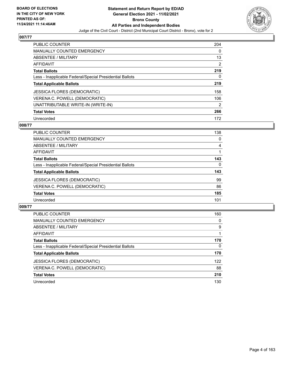

| <b>PUBLIC COUNTER</b>                                    | 204           |
|----------------------------------------------------------|---------------|
| <b>MANUALLY COUNTED EMERGENCY</b>                        | $\Omega$      |
| ABSENTEE / MILITARY                                      | 13            |
| AFFIDAVIT                                                | 2             |
| <b>Total Ballots</b>                                     | 219           |
| Less - Inapplicable Federal/Special Presidential Ballots | 0             |
| <b>Total Applicable Ballots</b>                          | 219           |
| <b>JESSICA FLORES (DEMOCRATIC)</b>                       | 158           |
| VERENA C. POWELL (DEMOCRATIC)                            | 106           |
| UNATTRIBUTABLE WRITE-IN (WRITE-IN)                       | $\mathcal{P}$ |
| <b>Total Votes</b>                                       | 266           |
| Unrecorded                                               | 172           |

## **008/77**

| <b>PUBLIC COUNTER</b>                                    | 138      |
|----------------------------------------------------------|----------|
| MANUALLY COUNTED EMERGENCY                               | 0        |
| ABSENTEE / MILITARY                                      | 4        |
| <b>AFFIDAVIT</b>                                         |          |
| <b>Total Ballots</b>                                     | 143      |
| Less - Inapplicable Federal/Special Presidential Ballots | $\Omega$ |
| <b>Total Applicable Ballots</b>                          | 143      |
| <b>JESSICA FLORES (DEMOCRATIC)</b>                       | 99       |
| VERENA C. POWELL (DEMOCRATIC)                            | 86       |
| <b>Total Votes</b>                                       | 185      |
| Unrecorded                                               | 101      |

| <b>PUBLIC COUNTER</b>                                    | 160      |
|----------------------------------------------------------|----------|
| <b>MANUALLY COUNTED EMERGENCY</b>                        | 0        |
| ABSENTEE / MILITARY                                      | 9        |
| AFFIDAVIT                                                |          |
| <b>Total Ballots</b>                                     | 170      |
| Less - Inapplicable Federal/Special Presidential Ballots | $\Omega$ |
| <b>Total Applicable Ballots</b>                          | 170      |
| <b>JESSICA FLORES (DEMOCRATIC)</b>                       | 122      |
| VERENA C. POWELL (DEMOCRATIC)                            | 88       |
| <b>Total Votes</b>                                       | 210      |
| Unrecorded                                               | 130      |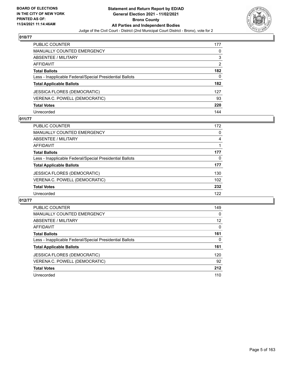

| PUBLIC COUNTER                                           | 177 |
|----------------------------------------------------------|-----|
| <b>MANUALLY COUNTED EMERGENCY</b>                        | 0   |
| <b>ABSENTEE / MILITARY</b>                               | 3   |
| AFFIDAVIT                                                | 2   |
| <b>Total Ballots</b>                                     | 182 |
| Less - Inapplicable Federal/Special Presidential Ballots | 0   |
| <b>Total Applicable Ballots</b>                          | 182 |
| JESSICA FLORES (DEMOCRATIC)                              | 127 |
| VERENA C. POWELL (DEMOCRATIC)                            | 93  |
| <b>Total Votes</b>                                       | 220 |
| Unrecorded                                               | 144 |

## **011/77**

| PUBLIC COUNTER                                           | 172 |
|----------------------------------------------------------|-----|
| MANUALLY COUNTED EMERGENCY                               | 0   |
| ABSENTEE / MILITARY                                      | 4   |
| AFFIDAVIT                                                |     |
| <b>Total Ballots</b>                                     | 177 |
| Less - Inapplicable Federal/Special Presidential Ballots | 0   |
| <b>Total Applicable Ballots</b>                          | 177 |
| <b>JESSICA FLORES (DEMOCRATIC)</b>                       | 130 |
| VERENA C. POWELL (DEMOCRATIC)                            | 102 |
| <b>Total Votes</b>                                       | 232 |
| Unrecorded                                               | 122 |

| <b>PUBLIC COUNTER</b>                                    | 149      |
|----------------------------------------------------------|----------|
| <b>MANUALLY COUNTED EMERGENCY</b>                        | $\Omega$ |
| ABSENTEE / MILITARY                                      | 12       |
| AFFIDAVIT                                                | $\Omega$ |
| <b>Total Ballots</b>                                     | 161      |
| Less - Inapplicable Federal/Special Presidential Ballots | 0        |
| <b>Total Applicable Ballots</b>                          | 161      |
| JESSICA FLORES (DEMOCRATIC)                              | 120      |
| VERENA C. POWELL (DEMOCRATIC)                            | 92       |
| <b>Total Votes</b>                                       | 212      |
| Unrecorded                                               | 110      |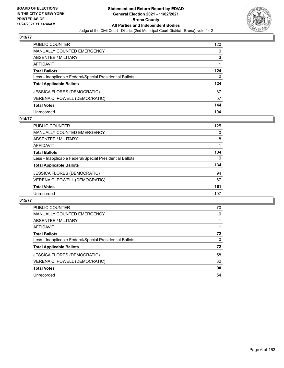

| PUBLIC COUNTER                                           | 120      |
|----------------------------------------------------------|----------|
| <b>MANUALLY COUNTED EMERGENCY</b>                        | 0        |
| <b>ABSENTEE / MILITARY</b>                               | 3        |
| <b>AFFIDAVIT</b>                                         |          |
| <b>Total Ballots</b>                                     | 124      |
| Less - Inapplicable Federal/Special Presidential Ballots | $\Omega$ |
| <b>Total Applicable Ballots</b>                          | 124      |
| <b>JESSICA FLORES (DEMOCRATIC)</b>                       | 87       |
| VERENA C. POWELL (DEMOCRATIC)                            | 57       |
| <b>Total Votes</b>                                       | 144      |
| Unrecorded                                               | 104      |

#### **014/77**

| <b>PUBLIC COUNTER</b>                                    | 125      |
|----------------------------------------------------------|----------|
| <b>MANUALLY COUNTED EMERGENCY</b>                        | 0        |
| ABSENTEE / MILITARY                                      | 8        |
| AFFIDAVIT                                                |          |
| <b>Total Ballots</b>                                     | 134      |
| Less - Inapplicable Federal/Special Presidential Ballots | $\Omega$ |
| <b>Total Applicable Ballots</b>                          | 134      |
| <b>JESSICA FLORES (DEMOCRATIC)</b>                       | 94       |
| VERENA C. POWELL (DEMOCRATIC)                            | 67       |
| <b>Total Votes</b>                                       | 161      |
| Unrecorded                                               | 107      |

| PUBLIC COUNTER                                           | 70       |
|----------------------------------------------------------|----------|
| <b>MANUALLY COUNTED EMERGENCY</b>                        | 0        |
| <b>ABSENTEE / MILITARY</b>                               |          |
| AFFIDAVIT                                                |          |
| <b>Total Ballots</b>                                     | 72       |
| Less - Inapplicable Federal/Special Presidential Ballots | $\Omega$ |
| <b>Total Applicable Ballots</b>                          | 72       |
| <b>JESSICA FLORES (DEMOCRATIC)</b>                       | 58       |
| VERENA C. POWELL (DEMOCRATIC)                            | 32       |
| <b>Total Votes</b>                                       | 90       |
| Unrecorded                                               | 54       |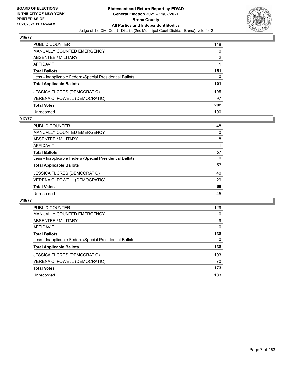

| PUBLIC COUNTER                                           | 148            |
|----------------------------------------------------------|----------------|
| <b>MANUALLY COUNTED EMERGENCY</b>                        | 0              |
| ABSENTEE / MILITARY                                      | $\overline{2}$ |
| <b>AFFIDAVIT</b>                                         |                |
| <b>Total Ballots</b>                                     | 151            |
| Less - Inapplicable Federal/Special Presidential Ballots | 0              |
| <b>Total Applicable Ballots</b>                          | 151            |
| <b>JESSICA FLORES (DEMOCRATIC)</b>                       | 105            |
| VERENA C. POWELL (DEMOCRATIC)                            | 97             |
| <b>Total Votes</b>                                       | 202            |
| Unrecorded                                               | 100            |

## **017/77**

| <b>PUBLIC COUNTER</b>                                    | 48       |
|----------------------------------------------------------|----------|
| <b>MANUALLY COUNTED EMERGENCY</b>                        | $\Omega$ |
| ABSENTEE / MILITARY                                      | 8        |
| AFFIDAVIT                                                |          |
| <b>Total Ballots</b>                                     | 57       |
| Less - Inapplicable Federal/Special Presidential Ballots | 0        |
| <b>Total Applicable Ballots</b>                          | 57       |
| <b>JESSICA FLORES (DEMOCRATIC)</b>                       | 40       |
| VERENA C. POWELL (DEMOCRATIC)                            | 29       |
| <b>Total Votes</b>                                       | 69       |
| Unrecorded                                               | 45       |

| PUBLIC COUNTER                                           | 129      |
|----------------------------------------------------------|----------|
| <b>MANUALLY COUNTED EMERGENCY</b>                        | 0        |
| ABSENTEE / MILITARY                                      | 9        |
| AFFIDAVIT                                                | $\Omega$ |
| <b>Total Ballots</b>                                     | 138      |
| Less - Inapplicable Federal/Special Presidential Ballots | $\Omega$ |
| <b>Total Applicable Ballots</b>                          | 138      |
| <b>JESSICA FLORES (DEMOCRATIC)</b>                       | 103      |
| VERENA C. POWELL (DEMOCRATIC)                            | 70       |
| <b>Total Votes</b>                                       | 173      |
| Unrecorded                                               | 103      |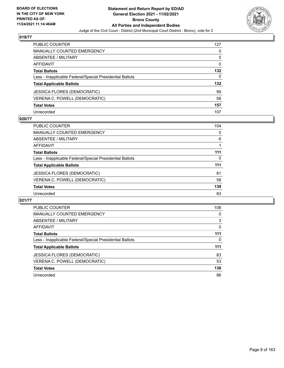

| PUBLIC COUNTER                                           | 127      |
|----------------------------------------------------------|----------|
| <b>MANUALLY COUNTED EMERGENCY</b>                        | 0        |
| ABSENTEE / MILITARY                                      | 5        |
| <b>AFFIDAVIT</b>                                         | $\Omega$ |
| <b>Total Ballots</b>                                     | 132      |
| Less - Inapplicable Federal/Special Presidential Ballots | 0        |
| <b>Total Applicable Ballots</b>                          | 132      |
| <b>JESSICA FLORES (DEMOCRATIC)</b>                       | 99       |
| VERENA C. POWELL (DEMOCRATIC)                            | 58       |
| <b>Total Votes</b>                                       | 157      |
| Unrecorded                                               | 107      |

## **020/77**

| PUBLIC COUNTER                                           | 104      |
|----------------------------------------------------------|----------|
| MANUALLY COUNTED EMERGENCY                               | $\Omega$ |
| ABSENTEE / MILITARY                                      | 6        |
| AFFIDAVIT                                                |          |
| <b>Total Ballots</b>                                     | 111      |
| Less - Inapplicable Federal/Special Presidential Ballots | 0        |
| <b>Total Applicable Ballots</b>                          | 111      |
| <b>JESSICA FLORES (DEMOCRATIC)</b>                       | 81       |
| VERENA C. POWELL (DEMOCRATIC)                            | 58       |
| <b>Total Votes</b>                                       | 139      |
| Unrecorded                                               | 83       |

| PUBLIC COUNTER                                           | 108      |
|----------------------------------------------------------|----------|
| <b>MANUALLY COUNTED EMERGENCY</b>                        | $\Omega$ |
| <b>ABSENTEE / MILITARY</b>                               | 3        |
| AFFIDAVIT                                                | 0        |
| <b>Total Ballots</b>                                     | 111      |
| Less - Inapplicable Federal/Special Presidential Ballots | 0        |
| <b>Total Applicable Ballots</b>                          | 111      |
| JESSICA FLORES (DEMOCRATIC)                              | 83       |
|                                                          |          |
| VERENA C. POWELL (DEMOCRATIC)                            | 53       |
| <b>Total Votes</b>                                       | 136      |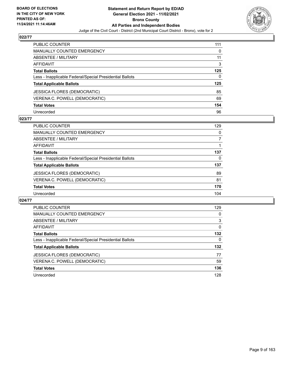

| PUBLIC COUNTER                                           | 111 |
|----------------------------------------------------------|-----|
| <b>MANUALLY COUNTED EMERGENCY</b>                        | 0   |
| <b>ABSENTEE / MILITARY</b>                               | 11  |
| AFFIDAVIT                                                | 3   |
| <b>Total Ballots</b>                                     | 125 |
| Less - Inapplicable Federal/Special Presidential Ballots | 0   |
| <b>Total Applicable Ballots</b>                          | 125 |
| <b>JESSICA FLORES (DEMOCRATIC)</b>                       | 85  |
| VERENA C. POWELL (DEMOCRATIC)                            | 69  |
| <b>Total Votes</b>                                       | 154 |
| Unrecorded                                               | 96  |

## **023/77**

| PUBLIC COUNTER                                           | 129 |
|----------------------------------------------------------|-----|
| MANUALLY COUNTED EMERGENCY                               | 0   |
| <b>ABSENTEE / MILITARY</b>                               |     |
| AFFIDAVIT                                                |     |
| <b>Total Ballots</b>                                     | 137 |
| Less - Inapplicable Federal/Special Presidential Ballots | 0   |
| <b>Total Applicable Ballots</b>                          | 137 |
| <b>JESSICA FLORES (DEMOCRATIC)</b>                       | 89  |
| VERENA C. POWELL (DEMOCRATIC)                            | 81  |
| <b>Total Votes</b>                                       | 170 |
| Unrecorded                                               | 104 |

| PUBLIC COUNTER                                           | 129      |
|----------------------------------------------------------|----------|
| <b>MANUALLY COUNTED EMERGENCY</b>                        | 0        |
| ABSENTEE / MILITARY                                      | 3        |
| AFFIDAVIT                                                | $\Omega$ |
| <b>Total Ballots</b>                                     | 132      |
| Less - Inapplicable Federal/Special Presidential Ballots | $\Omega$ |
| <b>Total Applicable Ballots</b>                          | 132      |
| JESSICA FLORES (DEMOCRATIC)                              | 77       |
| VERENA C. POWELL (DEMOCRATIC)                            | 59       |
| <b>Total Votes</b>                                       | 136      |
| Unrecorded                                               | 128      |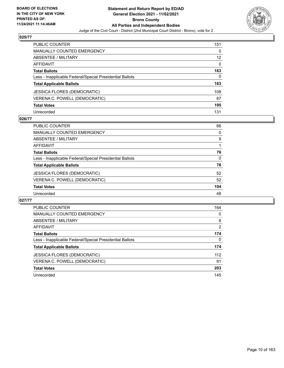

| PUBLIC COUNTER                                           | 151      |
|----------------------------------------------------------|----------|
| <b>MANUALLY COUNTED EMERGENCY</b>                        | $\Omega$ |
| <b>ABSENTEE / MILITARY</b>                               | 12       |
| <b>AFFIDAVIT</b>                                         | $\Omega$ |
| <b>Total Ballots</b>                                     | 163      |
| Less - Inapplicable Federal/Special Presidential Ballots | 0        |
| <b>Total Applicable Ballots</b>                          | 163      |
| JESSICA FLORES (DEMOCRATIC)                              | 108      |
| VERENA C. POWELL (DEMOCRATIC)                            | 87       |
| <b>Total Votes</b>                                       | 195      |
| Unrecorded                                               | 131      |

#### **026/77**

| PUBLIC COUNTER                                           | 66       |
|----------------------------------------------------------|----------|
| <b>MANUALLY COUNTED EMERGENCY</b>                        | $\Omega$ |
| ABSENTEE / MILITARY                                      | 9        |
| AFFIDAVIT                                                |          |
| <b>Total Ballots</b>                                     | 76       |
| Less - Inapplicable Federal/Special Presidential Ballots | $\Omega$ |
| <b>Total Applicable Ballots</b>                          | 76       |
| <b>JESSICA FLORES (DEMOCRATIC)</b>                       | 52       |
| VERENA C. POWELL (DEMOCRATIC)                            | 52       |
| <b>Total Votes</b>                                       | 104      |
| Unrecorded                                               | 48       |

| PUBLIC COUNTER                                           | 164            |
|----------------------------------------------------------|----------------|
| <b>MANUALLY COUNTED EMERGENCY</b>                        | $\Omega$       |
| <b>ABSENTEE / MILITARY</b>                               | 8              |
| AFFIDAVIT                                                | $\overline{2}$ |
| <b>Total Ballots</b>                                     | 174            |
| Less - Inapplicable Federal/Special Presidential Ballots | 0              |
| <b>Total Applicable Ballots</b>                          | 174            |
| JESSICA FLORES (DEMOCRATIC)                              | 112            |
| VERENA C. POWELL (DEMOCRATIC)                            | 91             |
| <b>Total Votes</b>                                       | 203            |
| Unrecorded                                               | 145            |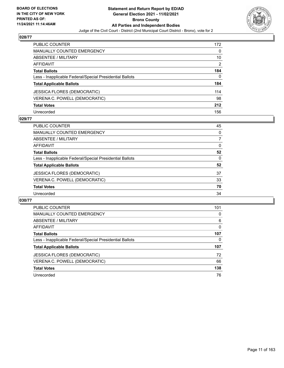

| PUBLIC COUNTER                                           | 172 |
|----------------------------------------------------------|-----|
| <b>MANUALLY COUNTED EMERGENCY</b>                        | 0   |
| ABSENTEE / MILITARY                                      | 10  |
| <b>AFFIDAVIT</b>                                         | 2   |
| <b>Total Ballots</b>                                     | 184 |
| Less - Inapplicable Federal/Special Presidential Ballots | 0   |
| <b>Total Applicable Ballots</b>                          | 184 |
| <b>JESSICA FLORES (DEMOCRATIC)</b>                       | 114 |
| VERENA C. POWELL (DEMOCRATIC)                            | 98  |
| <b>Total Votes</b>                                       | 212 |
| Unrecorded                                               | 156 |

## **029/77**

| <b>PUBLIC COUNTER</b>                                    | 45       |
|----------------------------------------------------------|----------|
| <b>MANUALLY COUNTED EMERGENCY</b>                        | $\Omega$ |
| ABSENTEE / MILITARY                                      |          |
| AFFIDAVIT                                                | $\Omega$ |
| <b>Total Ballots</b>                                     | 52       |
| Less - Inapplicable Federal/Special Presidential Ballots | $\Omega$ |
| <b>Total Applicable Ballots</b>                          | 52       |
| JESSICA FLORES (DEMOCRATIC)                              | 37       |
| VERENA C. POWELL (DEMOCRATIC)                            | 33       |
| <b>Total Votes</b>                                       | 70       |
| Unrecorded                                               | 34       |

| PUBLIC COUNTER                                           | 101      |
|----------------------------------------------------------|----------|
| <b>MANUALLY COUNTED EMERGENCY</b>                        | 0        |
| ABSENTEE / MILITARY                                      | 6        |
| <b>AFFIDAVIT</b>                                         | $\Omega$ |
| <b>Total Ballots</b>                                     | 107      |
| Less - Inapplicable Federal/Special Presidential Ballots | 0        |
| <b>Total Applicable Ballots</b>                          | 107      |
| <b>JESSICA FLORES (DEMOCRATIC)</b>                       | 72       |
| VERENA C. POWELL (DEMOCRATIC)                            | 66       |
| <b>Total Votes</b>                                       | 138      |
| Unrecorded                                               | 76       |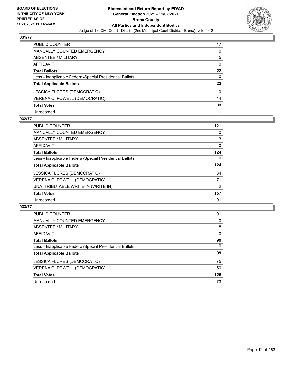

| PUBLIC COUNTER                                           | 17           |
|----------------------------------------------------------|--------------|
| MANUALLY COUNTED EMERGENCY                               | 0            |
| <b>ABSENTEE / MILITARY</b>                               | 5            |
| AFFIDAVIT                                                | $\mathbf{0}$ |
| <b>Total Ballots</b>                                     | $22 \,$      |
| Less - Inapplicable Federal/Special Presidential Ballots | $\mathbf{0}$ |
| <b>Total Applicable Ballots</b>                          | 22           |
| <b>JESSICA FLORES (DEMOCRATIC)</b>                       | 19           |
| VERENA C. POWELL (DEMOCRATIC)                            | 14           |
| <b>Total Votes</b>                                       | 33           |
| Unrecorded                                               | 11           |

## **032/77**

| <b>PUBLIC COUNTER</b>                                    | 121            |
|----------------------------------------------------------|----------------|
| MANUALLY COUNTED EMERGENCY                               | 0              |
| ABSENTEE / MILITARY                                      | 3              |
| <b>AFFIDAVIT</b>                                         | 0              |
| <b>Total Ballots</b>                                     | 124            |
| Less - Inapplicable Federal/Special Presidential Ballots | $\Omega$       |
| <b>Total Applicable Ballots</b>                          | 124            |
| <b>JESSICA FLORES (DEMOCRATIC)</b>                       | 84             |
| VERENA C. POWELL (DEMOCRATIC)                            | 71             |
| UNATTRIBUTABLE WRITE-IN (WRITE-IN)                       | $\overline{2}$ |
| <b>Total Votes</b>                                       | 157            |
| Unrecorded                                               | 91             |

| <b>PUBLIC COUNTER</b>                                    | 91       |
|----------------------------------------------------------|----------|
| <b>MANUALLY COUNTED EMERGENCY</b>                        | $\Omega$ |
| ABSENTEE / MILITARY                                      | 8        |
| AFFIDAVIT                                                | $\Omega$ |
| <b>Total Ballots</b>                                     | 99       |
| Less - Inapplicable Federal/Special Presidential Ballots | $\Omega$ |
| <b>Total Applicable Ballots</b>                          | 99       |
| <b>JESSICA FLORES (DEMOCRATIC)</b>                       | 75       |
| VERENA C. POWELL (DEMOCRATIC)                            | 50       |
| <b>Total Votes</b>                                       | 125      |
| Unrecorded                                               | 73       |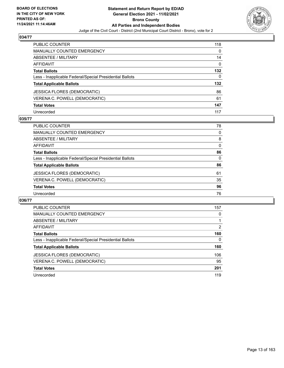

| PUBLIC COUNTER                                           | 118      |
|----------------------------------------------------------|----------|
| <b>MANUALLY COUNTED EMERGENCY</b>                        | 0        |
| <b>ABSENTEE / MILITARY</b>                               | 14       |
| AFFIDAVIT                                                | $\Omega$ |
| <b>Total Ballots</b>                                     | 132      |
| Less - Inapplicable Federal/Special Presidential Ballots | 0        |
| <b>Total Applicable Ballots</b>                          | 132      |
| JESSICA FLORES (DEMOCRATIC)                              | 86       |
| VERENA C. POWELL (DEMOCRATIC)                            | 61       |
| <b>Total Votes</b>                                       | 147      |
| Unrecorded                                               | 117      |

## **035/77**

| <b>PUBLIC COUNTER</b>                                    | 78       |
|----------------------------------------------------------|----------|
| MANUALLY COUNTED EMERGENCY                               | 0        |
| ABSENTEE / MILITARY                                      | 8        |
| AFFIDAVIT                                                | $\Omega$ |
| <b>Total Ballots</b>                                     | 86       |
| Less - Inapplicable Federal/Special Presidential Ballots | 0        |
| <b>Total Applicable Ballots</b>                          | 86       |
| <b>JESSICA FLORES (DEMOCRATIC)</b>                       | 61       |
| VERENA C. POWELL (DEMOCRATIC)                            | 35       |
| <b>Total Votes</b>                                       | 96       |
| Unrecorded                                               | 76       |

| <b>PUBLIC COUNTER</b>                                    | 157      |
|----------------------------------------------------------|----------|
| <b>MANUALLY COUNTED EMERGENCY</b>                        | 0        |
| ABSENTEE / MILITARY                                      |          |
| AFFIDAVIT                                                | 2        |
| <b>Total Ballots</b>                                     | 160      |
| Less - Inapplicable Federal/Special Presidential Ballots | $\Omega$ |
| <b>Total Applicable Ballots</b>                          | 160      |
| <b>JESSICA FLORES (DEMOCRATIC)</b>                       | 106      |
| VERENA C. POWELL (DEMOCRATIC)                            | 95       |
| <b>Total Votes</b>                                       | 201      |
| Unrecorded                                               | 119      |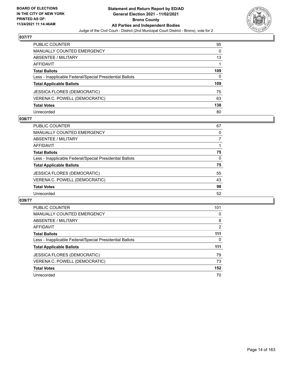

| PUBLIC COUNTER                                           | 95       |
|----------------------------------------------------------|----------|
| <b>MANUALLY COUNTED EMERGENCY</b>                        | $\Omega$ |
| <b>ABSENTEE / MILITARY</b>                               | 13       |
| <b>AFFIDAVIT</b>                                         |          |
| <b>Total Ballots</b>                                     | 109      |
| Less - Inapplicable Federal/Special Presidential Ballots | 0        |
| <b>Total Applicable Ballots</b>                          | 109      |
| <b>JESSICA FLORES (DEMOCRATIC)</b>                       | 75       |
| VERENA C. POWELL (DEMOCRATIC)                            | 63       |
| <b>Total Votes</b>                                       | 138      |
| Unrecorded                                               | 80       |

## **038/77**

| <b>PUBLIC COUNTER</b>                                    | 67       |
|----------------------------------------------------------|----------|
| <b>MANUALLY COUNTED EMERGENCY</b>                        | 0        |
| ABSENTEE / MILITARY                                      |          |
| AFFIDAVIT                                                |          |
| <b>Total Ballots</b>                                     | 75       |
| Less - Inapplicable Federal/Special Presidential Ballots | $\Omega$ |
| <b>Total Applicable Ballots</b>                          | 75       |
| <b>JESSICA FLORES (DEMOCRATIC)</b>                       | 55       |
| VERENA C. POWELL (DEMOCRATIC)                            | 43       |
| <b>Total Votes</b>                                       | 98       |
| Unrecorded                                               | 52       |

| <b>PUBLIC COUNTER</b>                                    | 101 |
|----------------------------------------------------------|-----|
| <b>MANUALLY COUNTED EMERGENCY</b>                        | 0   |
| ABSENTEE / MILITARY                                      | 8   |
| <b>AFFIDAVIT</b>                                         | 2   |
| <b>Total Ballots</b>                                     | 111 |
| Less - Inapplicable Federal/Special Presidential Ballots | 0   |
| <b>Total Applicable Ballots</b>                          | 111 |
| JESSICA FLORES (DEMOCRATIC)                              | 79  |
| VERENA C. POWELL (DEMOCRATIC)                            | 73  |
| <b>Total Votes</b>                                       | 152 |
| Unrecorded                                               | 70  |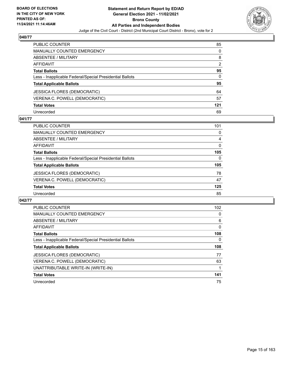

| PUBLIC COUNTER                                           | 85            |
|----------------------------------------------------------|---------------|
| <b>MANUALLY COUNTED EMERGENCY</b>                        | $\Omega$      |
| <b>ABSENTEE / MILITARY</b>                               | 8             |
| AFFIDAVIT                                                | $\mathcal{P}$ |
| <b>Total Ballots</b>                                     | 95            |
| Less - Inapplicable Federal/Special Presidential Ballots | 0             |
| <b>Total Applicable Ballots</b>                          | 95            |
| <b>JESSICA FLORES (DEMOCRATIC)</b>                       | 64            |
| VERENA C. POWELL (DEMOCRATIC)                            | 57            |
| <b>Total Votes</b>                                       | 121           |
| Unrecorded                                               | 69            |

## **041/77**

| PUBLIC COUNTER                                           | 101      |
|----------------------------------------------------------|----------|
| MANUALLY COUNTED EMERGENCY                               | 0        |
| ABSENTEE / MILITARY                                      | 4        |
| AFFIDAVIT                                                | $\Omega$ |
| <b>Total Ballots</b>                                     | 105      |
| Less - Inapplicable Federal/Special Presidential Ballots | $\Omega$ |
| <b>Total Applicable Ballots</b>                          | 105      |
| <b>JESSICA FLORES (DEMOCRATIC)</b>                       | 78       |
| VERENA C. POWELL (DEMOCRATIC)                            | 47       |
| <b>Total Votes</b>                                       | 125      |
| Unrecorded                                               | 85       |

| <b>PUBLIC COUNTER</b>                                    | 102      |
|----------------------------------------------------------|----------|
| <b>MANUALLY COUNTED EMERGENCY</b>                        | 0        |
| ABSENTEE / MILITARY                                      | 6        |
| AFFIDAVIT                                                | $\Omega$ |
| <b>Total Ballots</b>                                     | 108      |
| Less - Inapplicable Federal/Special Presidential Ballots | 0        |
|                                                          |          |
| <b>Total Applicable Ballots</b>                          | 108      |
| <b>JESSICA FLORES (DEMOCRATIC)</b>                       | 77       |
| VERENA C. POWELL (DEMOCRATIC)                            | 63       |
| UNATTRIBUTABLE WRITE-IN (WRITE-IN)                       |          |
| <b>Total Votes</b>                                       | 141      |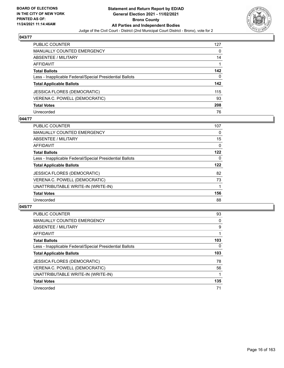

| PUBLIC COUNTER                                           | 127 |
|----------------------------------------------------------|-----|
| <b>MANUALLY COUNTED EMERGENCY</b>                        | 0   |
| <b>ABSENTEE / MILITARY</b>                               | 14  |
| <b>AFFIDAVIT</b>                                         |     |
| <b>Total Ballots</b>                                     | 142 |
| Less - Inapplicable Federal/Special Presidential Ballots | 0   |
| <b>Total Applicable Ballots</b>                          | 142 |
| <b>JESSICA FLORES (DEMOCRATIC)</b>                       | 115 |
| VERENA C. POWELL (DEMOCRATIC)                            | 93  |
| <b>Total Votes</b>                                       | 208 |
| Unrecorded                                               | 76  |

## **044/77**

| <b>PUBLIC COUNTER</b>                                    | 107      |
|----------------------------------------------------------|----------|
| MANUALLY COUNTED EMERGENCY                               | 0        |
| ABSENTEE / MILITARY                                      | 15       |
| <b>AFFIDAVIT</b>                                         | 0        |
| <b>Total Ballots</b>                                     | 122      |
| Less - Inapplicable Federal/Special Presidential Ballots | $\Omega$ |
| <b>Total Applicable Ballots</b>                          | 122      |
| <b>JESSICA FLORES (DEMOCRATIC)</b>                       | 82       |
| VERENA C. POWELL (DEMOCRATIC)                            | 73       |
| UNATTRIBUTABLE WRITE-IN (WRITE-IN)                       |          |
| <b>Total Votes</b>                                       | 156      |
| Unrecorded                                               | 88       |

| <b>PUBLIC COUNTER</b>                                    | 93  |
|----------------------------------------------------------|-----|
| <b>MANUALLY COUNTED EMERGENCY</b>                        | 0   |
| ABSENTEE / MILITARY                                      | 9   |
| <b>AFFIDAVIT</b>                                         |     |
| <b>Total Ballots</b>                                     | 103 |
| Less - Inapplicable Federal/Special Presidential Ballots | 0   |
| <b>Total Applicable Ballots</b>                          | 103 |
| <b>JESSICA FLORES (DEMOCRATIC)</b>                       | 78  |
| VERENA C. POWELL (DEMOCRATIC)                            | 56  |
| UNATTRIBUTABLE WRITE-IN (WRITE-IN)                       |     |
| <b>Total Votes</b>                                       | 135 |
| Unrecorded                                               | 71  |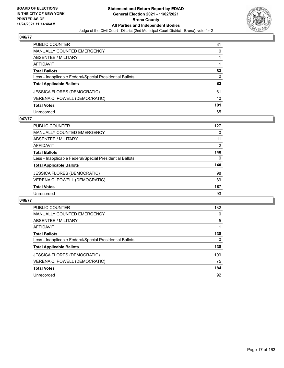

| PUBLIC COUNTER                                           | 81  |
|----------------------------------------------------------|-----|
| <b>MANUALLY COUNTED EMERGENCY</b>                        | 0   |
| <b>ABSENTEE / MILITARY</b>                               |     |
| <b>AFFIDAVIT</b>                                         |     |
| <b>Total Ballots</b>                                     | 83  |
| Less - Inapplicable Federal/Special Presidential Ballots | 0   |
| <b>Total Applicable Ballots</b>                          | 83  |
| <b>JESSICA FLORES (DEMOCRATIC)</b>                       | 61  |
| VERENA C. POWELL (DEMOCRATIC)                            | 40  |
| <b>Total Votes</b>                                       | 101 |
| Unrecorded                                               | 65  |

## **047/77**

| PUBLIC COUNTER                                           | 127      |
|----------------------------------------------------------|----------|
| MANUALLY COUNTED EMERGENCY                               | 0        |
| ABSENTEE / MILITARY                                      | 11       |
| AFFIDAVIT                                                | 2        |
| <b>Total Ballots</b>                                     | 140      |
| Less - Inapplicable Federal/Special Presidential Ballots | $\Omega$ |
| <b>Total Applicable Ballots</b>                          | 140      |
| <b>JESSICA FLORES (DEMOCRATIC)</b>                       | 98       |
| VERENA C. POWELL (DEMOCRATIC)                            | 89       |
| <b>Total Votes</b>                                       | 187      |
| Unrecorded                                               | 93       |

| <b>PUBLIC COUNTER</b>                                    | 132 |
|----------------------------------------------------------|-----|
| <b>MANUALLY COUNTED EMERGENCY</b>                        | 0   |
| ABSENTEE / MILITARY                                      | 5   |
| AFFIDAVIT                                                |     |
| <b>Total Ballots</b>                                     | 138 |
| Less - Inapplicable Federal/Special Presidential Ballots | 0   |
| <b>Total Applicable Ballots</b>                          | 138 |
| <b>JESSICA FLORES (DEMOCRATIC)</b>                       | 109 |
| VERENA C. POWELL (DEMOCRATIC)                            | 75  |
| <b>Total Votes</b>                                       | 184 |
| Unrecorded                                               | 92  |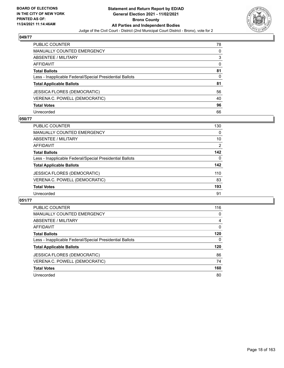

| PUBLIC COUNTER                                           | 78       |
|----------------------------------------------------------|----------|
| <b>MANUALLY COUNTED EMERGENCY</b>                        | 0        |
| <b>ABSENTEE / MILITARY</b>                               | 3        |
| AFFIDAVIT                                                | $\Omega$ |
| <b>Total Ballots</b>                                     | 81       |
| Less - Inapplicable Federal/Special Presidential Ballots | 0        |
| <b>Total Applicable Ballots</b>                          | 81       |
| <b>JESSICA FLORES (DEMOCRATIC)</b>                       | 56       |
| VERENA C. POWELL (DEMOCRATIC)                            | 40       |
| <b>Total Votes</b>                                       | 96       |
| Unrecorded                                               | 66       |

## **050/77**

| <b>PUBLIC COUNTER</b>                                    | 130      |
|----------------------------------------------------------|----------|
| <b>MANUALLY COUNTED EMERGENCY</b>                        | 0        |
| ABSENTEE / MILITARY                                      | 10       |
| AFFIDAVIT                                                | 2        |
| <b>Total Ballots</b>                                     | 142      |
| Less - Inapplicable Federal/Special Presidential Ballots | $\Omega$ |
| <b>Total Applicable Ballots</b>                          | 142      |
| <b>JESSICA FLORES (DEMOCRATIC)</b>                       | 110      |
| VERENA C. POWELL (DEMOCRATIC)                            | 83       |
| <b>Total Votes</b>                                       | 193      |
| Unrecorded                                               | 91       |

| <b>PUBLIC COUNTER</b>                                    | 116 |
|----------------------------------------------------------|-----|
| <b>MANUALLY COUNTED EMERGENCY</b>                        | 0   |
| <b>ABSENTEE / MILITARY</b>                               | 4   |
| AFFIDAVIT                                                | 0   |
| <b>Total Ballots</b>                                     | 120 |
| Less - Inapplicable Federal/Special Presidential Ballots | 0   |
| <b>Total Applicable Ballots</b>                          | 120 |
| JESSICA FLORES (DEMOCRATIC)                              | 86  |
| VERENA C. POWELL (DEMOCRATIC)                            | 74  |
| <b>Total Votes</b>                                       | 160 |
|                                                          |     |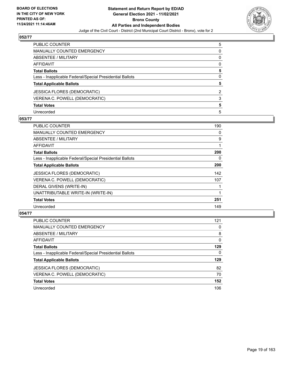

| PUBLIC COUNTER                                           | 5        |
|----------------------------------------------------------|----------|
| <b>MANUALLY COUNTED EMERGENCY</b>                        | 0        |
| <b>ABSENTEE / MILITARY</b>                               | 0        |
| <b>AFFIDAVIT</b>                                         | 0        |
| <b>Total Ballots</b>                                     | 5        |
| Less - Inapplicable Federal/Special Presidential Ballots | $\Omega$ |
| <b>Total Applicable Ballots</b>                          | 5        |
| <b>JESSICA FLORES (DEMOCRATIC)</b>                       | 2        |
| VERENA C. POWELL (DEMOCRATIC)                            | 3        |
| <b>Total Votes</b>                                       | 5        |
| Unrecorded                                               | 5        |

#### **053/77**

| PUBLIC COUNTER                                           | 190 |
|----------------------------------------------------------|-----|
| <b>MANUALLY COUNTED EMERGENCY</b>                        | 0   |
| ABSENTEE / MILITARY                                      | 9   |
| <b>AFFIDAVIT</b>                                         |     |
| <b>Total Ballots</b>                                     | 200 |
| Less - Inapplicable Federal/Special Presidential Ballots | 0   |
| <b>Total Applicable Ballots</b>                          | 200 |
| <b>JESSICA FLORES (DEMOCRATIC)</b>                       | 142 |
| VERENA C. POWELL (DEMOCRATIC)                            | 107 |
| DERAL GIVENS (WRITE-IN)                                  |     |
| UNATTRIBUTABLE WRITE-IN (WRITE-IN)                       |     |
| <b>Total Votes</b>                                       | 251 |
| Unrecorded                                               | 149 |

| <b>PUBLIC COUNTER</b>                                    | 121      |
|----------------------------------------------------------|----------|
| MANUALLY COUNTED EMERGENCY                               | 0        |
| ABSENTEE / MILITARY                                      | 8        |
| AFFIDAVIT                                                | $\Omega$ |
| <b>Total Ballots</b>                                     | 129      |
| Less - Inapplicable Federal/Special Presidential Ballots | $\Omega$ |
| <b>Total Applicable Ballots</b>                          | 129      |
| <b>JESSICA FLORES (DEMOCRATIC)</b>                       | 82       |
| VERENA C. POWELL (DEMOCRATIC)                            | 70       |
| <b>Total Votes</b>                                       | 152      |
| Unrecorded                                               | 106      |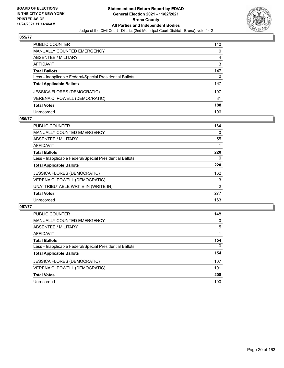

| PUBLIC COUNTER                                           | 140 |
|----------------------------------------------------------|-----|
| <b>MANUALLY COUNTED EMERGENCY</b>                        | 0   |
| <b>ABSENTEE / MILITARY</b>                               | 4   |
| <b>AFFIDAVIT</b>                                         | 3   |
| <b>Total Ballots</b>                                     | 147 |
| Less - Inapplicable Federal/Special Presidential Ballots | 0   |
| <b>Total Applicable Ballots</b>                          | 147 |
| <b>JESSICA FLORES (DEMOCRATIC)</b>                       | 107 |
| VERENA C. POWELL (DEMOCRATIC)                            | 81  |
| <b>Total Votes</b>                                       | 188 |
| Unrecorded                                               | 106 |

## **056/77**

| <b>PUBLIC COUNTER</b>                                    | 164            |
|----------------------------------------------------------|----------------|
| <b>MANUALLY COUNTED EMERGENCY</b>                        | $\Omega$       |
| ABSENTEE / MILITARY                                      | 55             |
| AFFIDAVIT                                                |                |
| <b>Total Ballots</b>                                     | 220            |
| Less - Inapplicable Federal/Special Presidential Ballots | 0              |
| <b>Total Applicable Ballots</b>                          | 220            |
| <b>JESSICA FLORES (DEMOCRATIC)</b>                       | 162            |
| VERENA C. POWELL (DEMOCRATIC)                            | 113            |
| UNATTRIBUTABLE WRITE-IN (WRITE-IN)                       | $\overline{2}$ |
| <b>Total Votes</b>                                       | 277            |
| Unrecorded                                               | 163            |

| <b>PUBLIC COUNTER</b>                                    | 148      |
|----------------------------------------------------------|----------|
| <b>MANUALLY COUNTED EMERGENCY</b>                        | 0        |
| ABSENTEE / MILITARY                                      | 5        |
| AFFIDAVIT                                                |          |
| <b>Total Ballots</b>                                     | 154      |
| Less - Inapplicable Federal/Special Presidential Ballots | $\Omega$ |
| <b>Total Applicable Ballots</b>                          | 154      |
| <b>JESSICA FLORES (DEMOCRATIC)</b>                       | 107      |
| VERENA C. POWELL (DEMOCRATIC)                            | 101      |
| <b>Total Votes</b>                                       | 208      |
| Unrecorded                                               | 100      |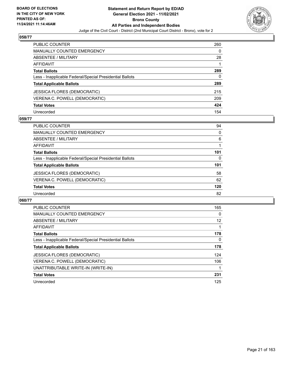

| <b>PUBLIC COUNTER</b>                                    | 260 |
|----------------------------------------------------------|-----|
| <b>MANUALLY COUNTED EMERGENCY</b>                        | 0   |
| ABSENTEE / MILITARY                                      | 28  |
| AFFIDAVIT                                                |     |
| <b>Total Ballots</b>                                     | 289 |
| Less - Inapplicable Federal/Special Presidential Ballots | 0   |
| <b>Total Applicable Ballots</b>                          | 289 |
| <b>JESSICA FLORES (DEMOCRATIC)</b>                       | 215 |
| VERENA C. POWELL (DEMOCRATIC)                            | 209 |
| <b>Total Votes</b>                                       | 424 |
| Unrecorded                                               | 154 |

## **059/77**

| PUBLIC COUNTER                                           | 94       |
|----------------------------------------------------------|----------|
| <b>MANUALLY COUNTED EMERGENCY</b>                        | 0        |
| ABSENTEE / MILITARY                                      | 6        |
| AFFIDAVIT                                                |          |
| <b>Total Ballots</b>                                     | 101      |
| Less - Inapplicable Federal/Special Presidential Ballots | $\Omega$ |
| <b>Total Applicable Ballots</b>                          | 101      |
| <b>JESSICA FLORES (DEMOCRATIC)</b>                       | 58       |
| VERENA C. POWELL (DEMOCRATIC)                            | 62       |
| <b>Total Votes</b>                                       | 120      |
| Unrecorded                                               | 82       |

| <b>PUBLIC COUNTER</b>                                    | 165 |
|----------------------------------------------------------|-----|
| <b>MANUALLY COUNTED EMERGENCY</b>                        | 0   |
| ABSENTEE / MILITARY                                      | 12  |
| AFFIDAVIT                                                |     |
| <b>Total Ballots</b>                                     | 178 |
| Less - Inapplicable Federal/Special Presidential Ballots | 0   |
| <b>Total Applicable Ballots</b>                          | 178 |
| <b>JESSICA FLORES (DEMOCRATIC)</b>                       | 124 |
| VERENA C. POWELL (DEMOCRATIC)                            | 106 |
| UNATTRIBUTABLE WRITE-IN (WRITE-IN)                       |     |
| <b>Total Votes</b>                                       | 231 |
| Unrecorded                                               | 125 |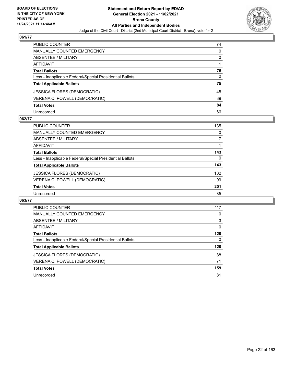

| <b>PUBLIC COUNTER</b>                                    | 74       |
|----------------------------------------------------------|----------|
| MANUALLY COUNTED EMERGENCY                               | 0        |
| ABSENTEE / MILITARY                                      | 0        |
| <b>AFFIDAVIT</b>                                         |          |
| <b>Total Ballots</b>                                     | 75       |
| Less - Inapplicable Federal/Special Presidential Ballots | $\Omega$ |
| <b>Total Applicable Ballots</b>                          | 75       |
| <b>JESSICA FLORES (DEMOCRATIC)</b>                       | 45       |
| VERENA C. POWELL (DEMOCRATIC)                            | 39       |
| <b>Total Votes</b>                                       | 84       |
| Unrecorded                                               | 66       |

#### **062/77**

| <b>PUBLIC COUNTER</b>                                    | 135 |
|----------------------------------------------------------|-----|
| <b>MANUALLY COUNTED EMERGENCY</b>                        | 0   |
| ABSENTEE / MILITARY                                      |     |
| AFFIDAVIT                                                |     |
| <b>Total Ballots</b>                                     | 143 |
| Less - Inapplicable Federal/Special Presidential Ballots | 0   |
| <b>Total Applicable Ballots</b>                          | 143 |
| <b>JESSICA FLORES (DEMOCRATIC)</b>                       | 102 |
| VERENA C. POWELL (DEMOCRATIC)                            | 99  |
| <b>Total Votes</b>                                       | 201 |
| Unrecorded                                               | 85  |

| <b>PUBLIC COUNTER</b>                                    | 117      |
|----------------------------------------------------------|----------|
| <b>MANUALLY COUNTED EMERGENCY</b>                        | 0        |
| ABSENTEE / MILITARY                                      | 3        |
| AFFIDAVIT                                                | $\Omega$ |
| <b>Total Ballots</b>                                     | 120      |
| Less - Inapplicable Federal/Special Presidential Ballots | 0        |
| <b>Total Applicable Ballots</b>                          | 120      |
| <b>JESSICA FLORES (DEMOCRATIC)</b>                       | 88       |
| VERENA C. POWELL (DEMOCRATIC)                            | 71       |
|                                                          |          |
| <b>Total Votes</b>                                       | 159      |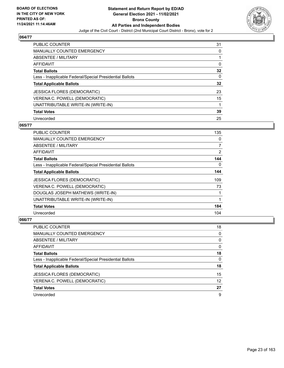

| <b>PUBLIC COUNTER</b>                                    | 31 |
|----------------------------------------------------------|----|
| MANUALLY COUNTED EMERGENCY                               | 0  |
| ABSENTEE / MILITARY                                      |    |
| AFFIDAVIT                                                | 0  |
| <b>Total Ballots</b>                                     | 32 |
| Less - Inapplicable Federal/Special Presidential Ballots | 0  |
| <b>Total Applicable Ballots</b>                          | 32 |
| <b>JESSICA FLORES (DEMOCRATIC)</b>                       | 23 |
| VERENA C. POWELL (DEMOCRATIC)                            | 15 |
| UNATTRIBUTABLE WRITE-IN (WRITE-IN)                       |    |
| <b>Total Votes</b>                                       | 39 |
| Unrecorded                                               | 25 |

## **065/77**

| <b>PUBLIC COUNTER</b>                                    | 135            |
|----------------------------------------------------------|----------------|
| MANUALLY COUNTED EMERGENCY                               | $\Omega$       |
| ABSENTEE / MILITARY                                      | $\overline{7}$ |
| AFFIDAVIT                                                | 2              |
| <b>Total Ballots</b>                                     | 144            |
| Less - Inapplicable Federal/Special Presidential Ballots | $\Omega$       |
| <b>Total Applicable Ballots</b>                          | 144            |
| <b>JESSICA FLORES (DEMOCRATIC)</b>                       | 109            |
| VERENA C. POWELL (DEMOCRATIC)                            | 73             |
| DOUGLAS JOSEPH MATHEWS (WRITE-IN)                        |                |
| UNATTRIBUTABLE WRITE-IN (WRITE-IN)                       |                |
| <b>Total Votes</b>                                       | 184            |
| Unrecorded                                               | 104            |

| PUBLIC COUNTER                                           | 18       |
|----------------------------------------------------------|----------|
| <b>MANUALLY COUNTED EMERGENCY</b>                        | $\Omega$ |
| ABSENTEE / MILITARY                                      | $\Omega$ |
| AFFIDAVIT                                                | $\Omega$ |
| <b>Total Ballots</b>                                     | 18       |
| Less - Inapplicable Federal/Special Presidential Ballots | $\Omega$ |
| <b>Total Applicable Ballots</b>                          | 18       |
| <b>JESSICA FLORES (DEMOCRATIC)</b>                       | 15       |
| VERENA C. POWELL (DEMOCRATIC)                            | 12       |
| <b>Total Votes</b>                                       | 27       |
| Unrecorded                                               | 9        |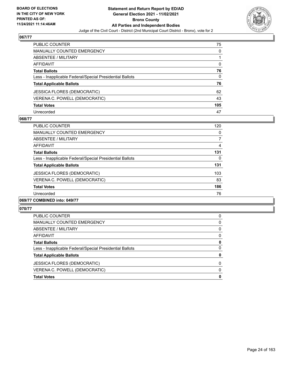

| PUBLIC COUNTER                                           | 75  |
|----------------------------------------------------------|-----|
| <b>MANUALLY COUNTED EMERGENCY</b>                        | 0   |
| <b>ABSENTEE / MILITARY</b>                               |     |
| AFFIDAVIT                                                | 0   |
| <b>Total Ballots</b>                                     | 76  |
| Less - Inapplicable Federal/Special Presidential Ballots | 0   |
| <b>Total Applicable Ballots</b>                          | 76  |
| <b>JESSICA FLORES (DEMOCRATIC)</b>                       | 62  |
| VERENA C. POWELL (DEMOCRATIC)                            | 43  |
| <b>Total Votes</b>                                       | 105 |
| Unrecorded                                               | 47  |

#### **068/77**

| <b>PUBLIC COUNTER</b>                                    | 120 |
|----------------------------------------------------------|-----|
| <b>MANUALLY COUNTED EMERGENCY</b>                        | 0   |
| ABSENTEE / MILITARY                                      | 7   |
| <b>AFFIDAVIT</b>                                         | 4   |
| <b>Total Ballots</b>                                     | 131 |
| Less - Inapplicable Federal/Special Presidential Ballots | 0   |
| <b>Total Applicable Ballots</b>                          | 131 |
| <b>JESSICA FLORES (DEMOCRATIC)</b>                       | 103 |
| VERENA C. POWELL (DEMOCRATIC)                            | 83  |
| <b>Total Votes</b>                                       | 186 |
| Unrecorded                                               | 76  |
|                                                          |     |

#### **069/77 COMBINED into: 049/77**

| 0        |
|----------|
| 0        |
| 0        |
| 0        |
| 0        |
| 0        |
| 0        |
| $\Omega$ |
| $\Omega$ |
| 0        |
|          |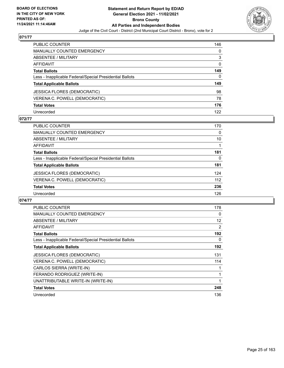

| PUBLIC COUNTER                                           | 146          |
|----------------------------------------------------------|--------------|
| <b>MANUALLY COUNTED EMERGENCY</b>                        | 0            |
| <b>ABSENTEE / MILITARY</b>                               | 3            |
| <b>AFFIDAVIT</b>                                         | 0            |
| <b>Total Ballots</b>                                     | 149          |
| Less - Inapplicable Federal/Special Presidential Ballots | $\mathbf{0}$ |
| <b>Total Applicable Ballots</b>                          | 149          |
| <b>JESSICA FLORES (DEMOCRATIC)</b>                       | 98           |
| VERENA C. POWELL (DEMOCRATIC)                            | 78           |
| <b>Total Votes</b>                                       | 176          |
| Unrecorded                                               | 122          |

## **072/77**

| PUBLIC COUNTER                                           | 170 |
|----------------------------------------------------------|-----|
| MANUALLY COUNTED EMERGENCY                               | 0   |
| ABSENTEE / MILITARY                                      | 10  |
| AFFIDAVIT                                                |     |
| <b>Total Ballots</b>                                     | 181 |
| Less - Inapplicable Federal/Special Presidential Ballots | 0   |
| <b>Total Applicable Ballots</b>                          | 181 |
| <b>JESSICA FLORES (DEMOCRATIC)</b>                       | 124 |
| VERENA C. POWELL (DEMOCRATIC)                            | 112 |
| <b>Total Votes</b>                                       | 236 |
| Unrecorded                                               | 126 |

| PUBLIC COUNTER                                           | 178 |
|----------------------------------------------------------|-----|
| MANUALLY COUNTED EMERGENCY                               | 0   |
| <b>ABSENTEE / MILITARY</b>                               | 12  |
| <b>AFFIDAVIT</b>                                         | 2   |
| <b>Total Ballots</b>                                     | 192 |
| Less - Inapplicable Federal/Special Presidential Ballots | 0   |
| <b>Total Applicable Ballots</b>                          | 192 |
| <b>JESSICA FLORES (DEMOCRATIC)</b>                       | 131 |
| VERENA C. POWELL (DEMOCRATIC)                            | 114 |
| CARLOS SIERRA (WRITE-IN)                                 |     |
| FERANDO RODRIGUEZ (WRITE-IN)                             |     |
| UNATTRIBUTABLE WRITE-IN (WRITE-IN)                       |     |
| <b>Total Votes</b>                                       | 248 |
| Unrecorded                                               | 136 |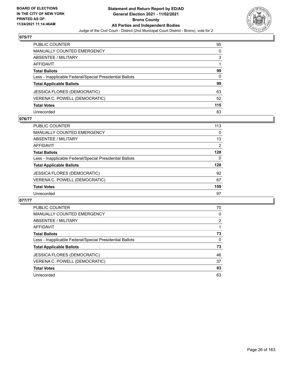

| PUBLIC COUNTER                                           | 95       |
|----------------------------------------------------------|----------|
| <b>MANUALLY COUNTED EMERGENCY</b>                        | $\Omega$ |
| <b>ABSENTEE / MILITARY</b>                               | 3        |
| AFFIDAVIT                                                |          |
| <b>Total Ballots</b>                                     | 99       |
| Less - Inapplicable Federal/Special Presidential Ballots | 0        |
| <b>Total Applicable Ballots</b>                          | 99       |
| <b>JESSICA FLORES (DEMOCRATIC)</b>                       | 63       |
| VERENA C. POWELL (DEMOCRATIC)                            | 52       |
| <b>Total Votes</b>                                       | 115      |
| Unrecorded                                               | 83       |

## **076/77**

| <b>PUBLIC COUNTER</b>                                    | 113      |
|----------------------------------------------------------|----------|
| <b>MANUALLY COUNTED EMERGENCY</b>                        | $\Omega$ |
| ABSENTEE / MILITARY                                      | 13       |
| AFFIDAVIT                                                | 2        |
| <b>Total Ballots</b>                                     | 128      |
| Less - Inapplicable Federal/Special Presidential Ballots | 0        |
| <b>Total Applicable Ballots</b>                          | 128      |
| <b>JESSICA FLORES (DEMOCRATIC)</b>                       | 92       |
| VERENA C. POWELL (DEMOCRATIC)                            | 67       |
| <b>Total Votes</b>                                       | 159      |
| Unrecorded                                               | 97       |

| PUBLIC COUNTER                                           | 70             |
|----------------------------------------------------------|----------------|
| <b>MANUALLY COUNTED EMERGENCY</b>                        | 0              |
| ABSENTEE / MILITARY                                      | $\overline{2}$ |
| AFFIDAVIT                                                |                |
| <b>Total Ballots</b>                                     | 73             |
| Less - Inapplicable Federal/Special Presidential Ballots | 0              |
| <b>Total Applicable Ballots</b>                          | 73             |
| JESSICA FLORES (DEMOCRATIC)                              | 46             |
| VERENA C. POWELL (DEMOCRATIC)                            | 37             |
| <b>Total Votes</b>                                       | 83             |
| Unrecorded                                               | 63             |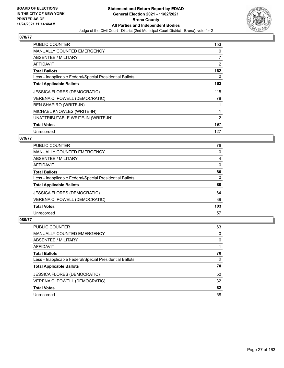

| <b>PUBLIC COUNTER</b>                                    | 153 |
|----------------------------------------------------------|-----|
| <b>MANUALLY COUNTED EMERGENCY</b>                        | 0   |
| <b>ABSENTEE / MILITARY</b>                               | 7   |
| <b>AFFIDAVIT</b>                                         | 2   |
| <b>Total Ballots</b>                                     | 162 |
| Less - Inapplicable Federal/Special Presidential Ballots | 0   |
| <b>Total Applicable Ballots</b>                          | 162 |
| <b>JESSICA FLORES (DEMOCRATIC)</b>                       | 115 |
| VERENA C. POWELL (DEMOCRATIC)                            | 78  |
| <b>BEN SHAPIRO (WRITE-IN)</b>                            |     |
| MICHAEL KNOWLES (WRITE-IN)                               |     |
| UNATTRIBUTABLE WRITE-IN (WRITE-IN)                       | 2   |
| <b>Total Votes</b>                                       | 197 |
| Unrecorded                                               | 127 |

## **079/77**

| <b>PUBLIC COUNTER</b>                                    | 76       |
|----------------------------------------------------------|----------|
| MANUALLY COUNTED EMERGENCY                               | $\Omega$ |
| ABSENTEE / MILITARY                                      | 4        |
| AFFIDAVIT                                                | $\Omega$ |
| <b>Total Ballots</b>                                     | 80       |
| Less - Inapplicable Federal/Special Presidential Ballots | $\Omega$ |
| <b>Total Applicable Ballots</b>                          | 80       |
| <b>JESSICA FLORES (DEMOCRATIC)</b>                       | 64       |
| VERENA C. POWELL (DEMOCRATIC)                            | 39       |
| <b>Total Votes</b>                                       | 103      |
| Unrecorded                                               | 57       |

| PUBLIC COUNTER                                           | 63       |
|----------------------------------------------------------|----------|
| MANUALLY COUNTED EMERGENCY                               | $\Omega$ |
| ABSENTEE / MILITARY                                      | 6        |
| AFFIDAVIT                                                |          |
| <b>Total Ballots</b>                                     | 70       |
| Less - Inapplicable Federal/Special Presidential Ballots | $\Omega$ |
| <b>Total Applicable Ballots</b>                          | 70       |
| <b>JESSICA FLORES (DEMOCRATIC)</b>                       | 50       |
| VERENA C. POWELL (DEMOCRATIC)                            | 32       |
| <b>Total Votes</b>                                       | 82       |
| Unrecorded                                               | 58       |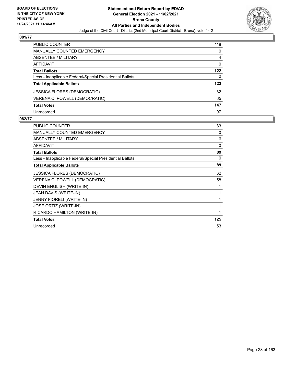

| <b>PUBLIC COUNTER</b>                                    | 118 |
|----------------------------------------------------------|-----|
| <b>MANUALLY COUNTED EMERGENCY</b>                        | 0   |
| ABSENTEE / MILITARY                                      | 4   |
| <b>AFFIDAVIT</b>                                         | 0   |
| <b>Total Ballots</b>                                     | 122 |
| Less - Inapplicable Federal/Special Presidential Ballots | 0   |
| <b>Total Applicable Ballots</b>                          | 122 |
| <b>JESSICA FLORES (DEMOCRATIC)</b>                       | 82  |
| VERENA C. POWELL (DEMOCRATIC)                            | 65  |
| <b>Total Votes</b>                                       | 147 |
| Unrecorded                                               | 97  |

| <b>PUBLIC COUNTER</b>                                    | 83           |
|----------------------------------------------------------|--------------|
| <b>MANUALLY COUNTED EMERGENCY</b>                        | $\mathbf{0}$ |
| ABSENTEE / MILITARY                                      | 6            |
| <b>AFFIDAVIT</b>                                         | 0            |
| <b>Total Ballots</b>                                     | 89           |
| Less - Inapplicable Federal/Special Presidential Ballots | 0            |
| <b>Total Applicable Ballots</b>                          | 89           |
| <b>JESSICA FLORES (DEMOCRATIC)</b>                       | 62           |
| VERENA C. POWELL (DEMOCRATIC)                            | 58           |
| DEVIN ENGLISH (WRITE-IN)                                 | 1            |
| JEAN DAVIS (WRITE-IN)                                    | 1            |
| JENNY FIORELI (WRITE-IN)                                 | 1            |
| JOSE ORTIZ (WRITE-IN)                                    | 1            |
| RICARDO HAMILTON (WRITE-IN)                              | 1            |
| <b>Total Votes</b>                                       | 125          |
| Unrecorded                                               | 53           |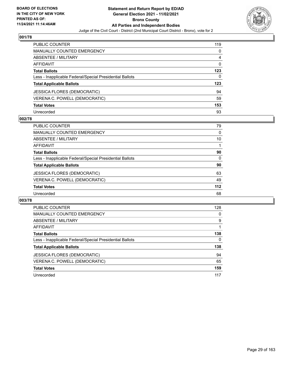

| <b>PUBLIC COUNTER</b>                                    | 119      |
|----------------------------------------------------------|----------|
| <b>MANUALLY COUNTED EMERGENCY</b>                        | 0        |
| <b>ABSENTEE / MILITARY</b>                               | 4        |
| AFFIDAVIT                                                | $\Omega$ |
| <b>Total Ballots</b>                                     | 123      |
| Less - Inapplicable Federal/Special Presidential Ballots | 0        |
| <b>Total Applicable Ballots</b>                          | 123      |
| JESSICA FLORES (DEMOCRATIC)                              | 94       |
| VERENA C. POWELL (DEMOCRATIC)                            | 59       |
| <b>Total Votes</b>                                       | 153      |
| Unrecorded                                               | 93       |

## **002/78**

| <b>PUBLIC COUNTER</b>                                    | 79       |
|----------------------------------------------------------|----------|
| <b>MANUALLY COUNTED EMERGENCY</b>                        | 0        |
| ABSENTEE / MILITARY                                      | 10       |
| AFFIDAVIT                                                |          |
| <b>Total Ballots</b>                                     | 90       |
| Less - Inapplicable Federal/Special Presidential Ballots | $\Omega$ |
| <b>Total Applicable Ballots</b>                          | 90       |
| <b>JESSICA FLORES (DEMOCRATIC)</b>                       | 63       |
| VERENA C. POWELL (DEMOCRATIC)                            | 49       |
| <b>Total Votes</b>                                       | 112      |
| Unrecorded                                               | 68       |

| <b>PUBLIC COUNTER</b>                                    | 128 |
|----------------------------------------------------------|-----|
| <b>MANUALLY COUNTED EMERGENCY</b>                        | 0   |
| <b>ABSENTEE / MILITARY</b>                               | 9   |
| <b>AFFIDAVIT</b>                                         |     |
| <b>Total Ballots</b>                                     | 138 |
| Less - Inapplicable Federal/Special Presidential Ballots | 0   |
| <b>Total Applicable Ballots</b>                          | 138 |
| JESSICA FLORES (DEMOCRATIC)                              | 94  |
| VERENA C. POWELL (DEMOCRATIC)                            | 65  |
| <b>Total Votes</b>                                       | 159 |
|                                                          |     |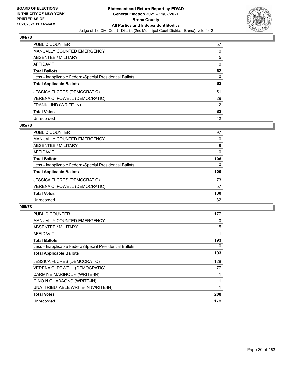

| <b>PUBLIC COUNTER</b>                                    | 57       |
|----------------------------------------------------------|----------|
| <b>MANUALLY COUNTED EMERGENCY</b>                        | $\Omega$ |
| ABSENTEE / MILITARY                                      | 5        |
| AFFIDAVIT                                                | $\Omega$ |
| <b>Total Ballots</b>                                     | 62       |
| Less - Inapplicable Federal/Special Presidential Ballots | 0        |
| <b>Total Applicable Ballots</b>                          | 62       |
| <b>JESSICA FLORES (DEMOCRATIC)</b>                       | 51       |
| VERENA C. POWELL (DEMOCRATIC)                            | 29       |
| FRANK LIND (WRITE-IN)                                    | 2        |
| <b>Total Votes</b>                                       | 82       |
| Unrecorded                                               | 42       |

#### **005/78**

| <b>PUBLIC COUNTER</b>                                    | 97       |
|----------------------------------------------------------|----------|
| MANUALLY COUNTED EMERGENCY                               | 0        |
| ABSENTEE / MILITARY                                      | 9        |
| AFFIDAVIT                                                | $\Omega$ |
| <b>Total Ballots</b>                                     | 106      |
| Less - Inapplicable Federal/Special Presidential Ballots | $\Omega$ |
| <b>Total Applicable Ballots</b>                          | 106      |
| JESSICA FLORES (DEMOCRATIC)                              | 73       |
| VERENA C. POWELL (DEMOCRATIC)                            | 57       |
| <b>Total Votes</b>                                       | 130      |
| Unrecorded                                               | 82       |

| <b>PUBLIC COUNTER</b>                                    | 177 |
|----------------------------------------------------------|-----|
| <b>MANUALLY COUNTED EMERGENCY</b>                        | 0   |
| ABSENTEE / MILITARY                                      | 15  |
| AFFIDAVIT                                                |     |
| <b>Total Ballots</b>                                     | 193 |
| Less - Inapplicable Federal/Special Presidential Ballots | 0   |
| <b>Total Applicable Ballots</b>                          | 193 |
| <b>JESSICA FLORES (DEMOCRATIC)</b>                       | 128 |
| VERENA C. POWELL (DEMOCRATIC)                            | 77  |
| CARMINE MARINO JR (WRITE-IN)                             |     |
| GINO N GUADAGNO (WRITE-IN)                               |     |
| UNATTRIBUTABLE WRITE-IN (WRITE-IN)                       |     |
| <b>Total Votes</b>                                       | 208 |
| Unrecorded                                               | 178 |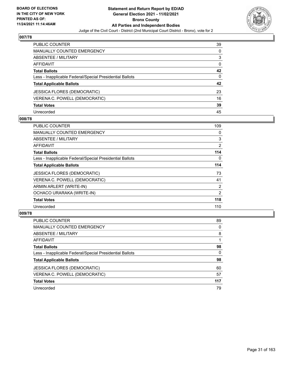

| <b>PUBLIC COUNTER</b>                                    | 39       |
|----------------------------------------------------------|----------|
| <b>MANUALLY COUNTED EMERGENCY</b>                        | 0        |
| ABSENTEE / MILITARY                                      | 3        |
| <b>AFFIDAVIT</b>                                         | $\Omega$ |
| <b>Total Ballots</b>                                     | 42       |
| Less - Inapplicable Federal/Special Presidential Ballots | $\Omega$ |
| <b>Total Applicable Ballots</b>                          | 42       |
| JESSICA FLORES (DEMOCRATIC)                              | 23       |
| VERENA C. POWELL (DEMOCRATIC)                            | 16       |
| <b>Total Votes</b>                                       | 39       |
| Unrecorded                                               | 45       |

## **008/78**

| <b>PUBLIC COUNTER</b>                                    | 109            |
|----------------------------------------------------------|----------------|
| <b>MANUALLY COUNTED EMERGENCY</b>                        | 0              |
| ABSENTEE / MILITARY                                      | 3              |
| AFFIDAVIT                                                | $\overline{2}$ |
| <b>Total Ballots</b>                                     | 114            |
| Less - Inapplicable Federal/Special Presidential Ballots | 0              |
| <b>Total Applicable Ballots</b>                          | 114            |
| <b>JESSICA FLORES (DEMOCRATIC)</b>                       | 73             |
| VERENA C. POWELL (DEMOCRATIC)                            | 41             |
| ARMIN ARLERT (WRITE-IN)                                  | 2              |
| OCHACO URARAKA (WRITE-IN)                                | $\overline{2}$ |
| <b>Total Votes</b>                                       | 118            |
| Unrecorded                                               | 110            |

| <b>PUBLIC COUNTER</b>                                    | 89       |
|----------------------------------------------------------|----------|
| MANUALLY COUNTED EMERGENCY                               | 0        |
| ABSENTEE / MILITARY                                      | 8        |
| AFFIDAVIT                                                |          |
| <b>Total Ballots</b>                                     | 98       |
| Less - Inapplicable Federal/Special Presidential Ballots | $\Omega$ |
| <b>Total Applicable Ballots</b>                          | 98       |
| <b>JESSICA FLORES (DEMOCRATIC)</b>                       | 60       |
| VERENA C. POWELL (DEMOCRATIC)                            | 57       |
| <b>Total Votes</b>                                       | 117      |
| Unrecorded                                               | 79       |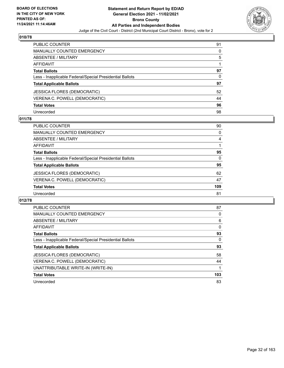

| PUBLIC COUNTER                                           | 91 |
|----------------------------------------------------------|----|
| <b>MANUALLY COUNTED EMERGENCY</b>                        | 0  |
| <b>ABSENTEE / MILITARY</b>                               | 5  |
| AFFIDAVIT                                                |    |
| <b>Total Ballots</b>                                     | 97 |
| Less - Inapplicable Federal/Special Presidential Ballots | 0  |
| <b>Total Applicable Ballots</b>                          | 97 |
| <b>JESSICA FLORES (DEMOCRATIC)</b>                       | 52 |
| VERENA C. POWELL (DEMOCRATIC)                            | 44 |
| <b>Total Votes</b>                                       | 96 |
| Unrecorded                                               | 98 |

## **011/78**

| <b>PUBLIC COUNTER</b>                                    | 90       |
|----------------------------------------------------------|----------|
| <b>MANUALLY COUNTED EMERGENCY</b>                        | $\Omega$ |
| ABSENTEE / MILITARY                                      | 4        |
| AFFIDAVIT                                                |          |
| <b>Total Ballots</b>                                     | 95       |
| Less - Inapplicable Federal/Special Presidential Ballots | $\Omega$ |
| <b>Total Applicable Ballots</b>                          | 95       |
| <b>JESSICA FLORES (DEMOCRATIC)</b>                       | 62       |
| VERENA C. POWELL (DEMOCRATIC)                            | 47       |
| <b>Total Votes</b>                                       | 109      |
| Unrecorded                                               | 81       |

| <b>PUBLIC COUNTER</b>                                    | 87  |
|----------------------------------------------------------|-----|
| <b>MANUALLY COUNTED EMERGENCY</b>                        | 0   |
| ABSENTEE / MILITARY                                      | 6   |
| AFFIDAVIT                                                | 0   |
| <b>Total Ballots</b>                                     | 93  |
| Less - Inapplicable Federal/Special Presidential Ballots | 0   |
| <b>Total Applicable Ballots</b>                          | 93  |
| <b>JESSICA FLORES (DEMOCRATIC)</b>                       | 58  |
| VERENA C. POWELL (DEMOCRATIC)                            | 44  |
| UNATTRIBUTABLE WRITE-IN (WRITE-IN)                       |     |
| <b>Total Votes</b>                                       | 103 |
| Unrecorded                                               | 83  |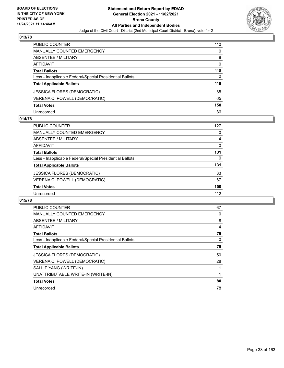

| PUBLIC COUNTER                                           | 110      |
|----------------------------------------------------------|----------|
| <b>MANUALLY COUNTED EMERGENCY</b>                        | 0        |
| <b>ABSENTEE / MILITARY</b>                               | 8        |
| <b>AFFIDAVIT</b>                                         | $\Omega$ |
| <b>Total Ballots</b>                                     | 118      |
| Less - Inapplicable Federal/Special Presidential Ballots | 0        |
| <b>Total Applicable Ballots</b>                          | 118      |
| <b>JESSICA FLORES (DEMOCRATIC)</b>                       | 85       |
| VERENA C. POWELL (DEMOCRATIC)                            | 65       |
| <b>Total Votes</b>                                       | 150      |
| Unrecorded                                               | 86       |

#### **014/78**

| PUBLIC COUNTER                                           | 127      |
|----------------------------------------------------------|----------|
| MANUALLY COUNTED EMERGENCY                               | 0        |
| ABSENTEE / MILITARY                                      | 4        |
| AFFIDAVIT                                                | 0        |
| <b>Total Ballots</b>                                     | 131      |
| Less - Inapplicable Federal/Special Presidential Ballots | $\Omega$ |
| <b>Total Applicable Ballots</b>                          | 131      |
| <b>JESSICA FLORES (DEMOCRATIC)</b>                       | 83       |
| VERENA C. POWELL (DEMOCRATIC)                            | 67       |
| <b>Total Votes</b>                                       | 150      |
| Unrecorded                                               | 112      |

| PUBLIC COUNTER                                           | 67 |
|----------------------------------------------------------|----|
| <b>MANUALLY COUNTED EMERGENCY</b>                        | 0  |
| ABSENTEE / MILITARY                                      | 8  |
| <b>AFFIDAVIT</b>                                         | 4  |
| <b>Total Ballots</b>                                     | 79 |
| Less - Inapplicable Federal/Special Presidential Ballots | 0  |
| <b>Total Applicable Ballots</b>                          | 79 |
| <b>JESSICA FLORES (DEMOCRATIC)</b>                       | 50 |
| VERENA C. POWELL (DEMOCRATIC)                            | 28 |
| SALLIE YANG (WRITE-IN)                                   | 1  |
| UNATTRIBUTABLE WRITE-IN (WRITE-IN)                       | 1  |
| <b>Total Votes</b>                                       | 80 |
| Unrecorded                                               | 78 |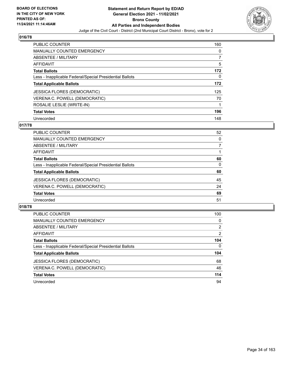

| <b>PUBLIC COUNTER</b>                                    | 160      |
|----------------------------------------------------------|----------|
| <b>MANUALLY COUNTED EMERGENCY</b>                        | $\Omega$ |
| ABSENTEE / MILITARY                                      |          |
| AFFIDAVIT                                                | 5        |
| <b>Total Ballots</b>                                     | 172      |
| Less - Inapplicable Federal/Special Presidential Ballots | 0        |
| <b>Total Applicable Ballots</b>                          | 172      |
| <b>JESSICA FLORES (DEMOCRATIC)</b>                       | 125      |
| VERENA C. POWELL (DEMOCRATIC)                            | 70       |
| ROSALIE LESLIE (WRITE-IN)                                | 1        |
| <b>Total Votes</b>                                       | 196      |
| Unrecorded                                               | 148      |

#### **017/78**

| <b>PUBLIC COUNTER</b>                                    | 52       |
|----------------------------------------------------------|----------|
| MANUALLY COUNTED EMERGENCY                               | $\Omega$ |
| ABSENTEE / MILITARY                                      |          |
| AFFIDAVIT                                                |          |
| <b>Total Ballots</b>                                     | 60       |
| Less - Inapplicable Federal/Special Presidential Ballots | $\Omega$ |
| <b>Total Applicable Ballots</b>                          | 60       |
| JESSICA FLORES (DEMOCRATIC)                              | 45       |
| VERENA C. POWELL (DEMOCRATIC)                            | 24       |
| <b>Total Votes</b>                                       | 69       |
| Unrecorded                                               | 51       |

| <b>PUBLIC COUNTER</b>                                    | 100            |
|----------------------------------------------------------|----------------|
| <b>MANUALLY COUNTED EMERGENCY</b>                        | 0              |
| ABSENTEE / MILITARY                                      | 2              |
| AFFIDAVIT                                                | $\overline{2}$ |
| <b>Total Ballots</b>                                     | 104            |
| Less - Inapplicable Federal/Special Presidential Ballots | $\mathbf{0}$   |
| <b>Total Applicable Ballots</b>                          | 104            |
| <b>JESSICA FLORES (DEMOCRATIC)</b>                       | 68             |
| VERENA C. POWELL (DEMOCRATIC)                            | 46             |
| <b>Total Votes</b>                                       | 114            |
| Unrecorded                                               | 94             |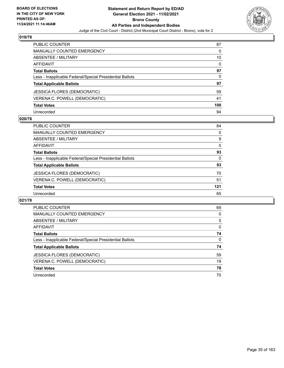

| <b>PUBLIC COUNTER</b>                                    | 87       |
|----------------------------------------------------------|----------|
| <b>MANUALLY COUNTED EMERGENCY</b>                        | 0        |
| ABSENTEE / MILITARY                                      | 10       |
| <b>AFFIDAVIT</b>                                         | $\Omega$ |
| <b>Total Ballots</b>                                     | 97       |
| Less - Inapplicable Federal/Special Presidential Ballots | 0        |
| <b>Total Applicable Ballots</b>                          | 97       |
| <b>JESSICA FLORES (DEMOCRATIC)</b>                       | 59       |
| VERENA C. POWELL (DEMOCRATIC)                            | 41       |
| <b>Total Votes</b>                                       | 100      |
| Unrecorded                                               | 94       |

#### **020/78**

| <b>PUBLIC COUNTER</b>                                    | 84       |
|----------------------------------------------------------|----------|
| MANUALLY COUNTED EMERGENCY                               | 0        |
| ABSENTEE / MILITARY                                      | 9        |
| AFFIDAVIT                                                | $\Omega$ |
| <b>Total Ballots</b>                                     | 93       |
| Less - Inapplicable Federal/Special Presidential Ballots | 0        |
| <b>Total Applicable Ballots</b>                          | 93       |
| <b>JESSICA FLORES (DEMOCRATIC)</b>                       | 70       |
| VERENA C. POWELL (DEMOCRATIC)                            | 51       |
| <b>Total Votes</b>                                       | 121      |
| Unrecorded                                               | 65       |

| <b>PUBLIC COUNTER</b>                                    | 69       |
|----------------------------------------------------------|----------|
| <b>MANUALLY COUNTED EMERGENCY</b>                        | 0        |
| ABSENTEE / MILITARY                                      | 5        |
| AFFIDAVIT                                                | $\Omega$ |
| <b>Total Ballots</b>                                     | 74       |
| Less - Inapplicable Federal/Special Presidential Ballots | $\Omega$ |
| <b>Total Applicable Ballots</b>                          | 74       |
| JESSICA FLORES (DEMOCRATIC)                              | 59       |
| VERENA C. POWELL (DEMOCRATIC)                            | 19       |
| <b>Total Votes</b>                                       | 78       |
| Unrecorded                                               | 70       |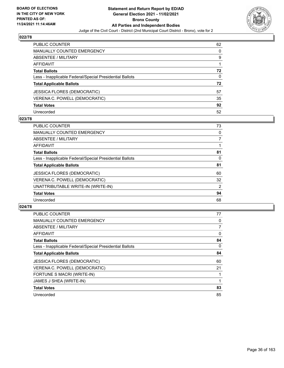

| PUBLIC COUNTER                                           | 62 |
|----------------------------------------------------------|----|
| <b>MANUALLY COUNTED EMERGENCY</b>                        | 0  |
| ABSENTEE / MILITARY                                      | 9  |
| AFFIDAVIT                                                |    |
| <b>Total Ballots</b>                                     | 72 |
| Less - Inapplicable Federal/Special Presidential Ballots | 0  |
| <b>Total Applicable Ballots</b>                          | 72 |
| <b>JESSICA FLORES (DEMOCRATIC)</b>                       | 57 |
| VERENA C. POWELL (DEMOCRATIC)                            | 35 |
| <b>Total Votes</b>                                       | 92 |
| Unrecorded                                               | 52 |

#### **023/78**

| <b>PUBLIC COUNTER</b>                                    | 73 |
|----------------------------------------------------------|----|
| <b>MANUALLY COUNTED EMERGENCY</b>                        | 0  |
| ABSENTEE / MILITARY                                      | 7  |
| AFFIDAVIT                                                |    |
| <b>Total Ballots</b>                                     | 81 |
| Less - Inapplicable Federal/Special Presidential Ballots | 0  |
| <b>Total Applicable Ballots</b>                          | 81 |
| <b>JESSICA FLORES (DEMOCRATIC)</b>                       | 60 |
| VERENA C. POWELL (DEMOCRATIC)                            | 32 |
| UNATTRIBUTABLE WRITE-IN (WRITE-IN)                       | 2  |
| <b>Total Votes</b>                                       | 94 |
| Unrecorded                                               | 68 |

| <b>PUBLIC COUNTER</b>                                    | 77 |
|----------------------------------------------------------|----|
| <b>MANUALLY COUNTED EMERGENCY</b>                        | 0  |
| ABSENTEE / MILITARY                                      | 7  |
| <b>AFFIDAVIT</b>                                         | 0  |
| <b>Total Ballots</b>                                     | 84 |
| Less - Inapplicable Federal/Special Presidential Ballots | 0  |
| <b>Total Applicable Ballots</b>                          | 84 |
| <b>JESSICA FLORES (DEMOCRATIC)</b>                       | 60 |
| VERENA C. POWELL (DEMOCRATIC)                            | 21 |
| FORTUNE S MACRI (WRITE-IN)                               |    |
| JAMES J SHEA (WRITE-IN)                                  |    |
| <b>Total Votes</b>                                       | 83 |
| Unrecorded                                               | 85 |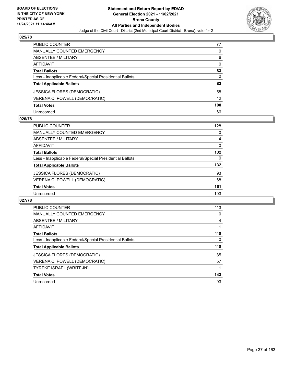

| <b>PUBLIC COUNTER</b>                                    | 77       |
|----------------------------------------------------------|----------|
| <b>MANUALLY COUNTED EMERGENCY</b>                        | 0        |
| ABSENTEE / MILITARY                                      | 6        |
| AFFIDAVIT                                                | $\Omega$ |
| <b>Total Ballots</b>                                     | 83       |
| Less - Inapplicable Federal/Special Presidential Ballots | 0        |
| <b>Total Applicable Ballots</b>                          | 83       |
| <b>JESSICA FLORES (DEMOCRATIC)</b>                       | 58       |
| VERENA C. POWELL (DEMOCRATIC)                            | 42       |
| <b>Total Votes</b>                                       | 100      |
| Unrecorded                                               | 66       |

## **026/78**

| PUBLIC COUNTER                                           | 128      |
|----------------------------------------------------------|----------|
| MANUALLY COUNTED EMERGENCY                               | 0        |
| ABSENTEE / MILITARY                                      | 4        |
| AFFIDAVIT                                                | $\Omega$ |
| <b>Total Ballots</b>                                     | 132      |
| Less - Inapplicable Federal/Special Presidential Ballots | 0        |
| <b>Total Applicable Ballots</b>                          | 132      |
| <b>JESSICA FLORES (DEMOCRATIC)</b>                       | 93       |
| VERENA C. POWELL (DEMOCRATIC)                            | 68       |
| <b>Total Votes</b>                                       | 161      |
| Unrecorded                                               | 103      |

| <b>PUBLIC COUNTER</b>                                    | 113 |
|----------------------------------------------------------|-----|
| <b>MANUALLY COUNTED EMERGENCY</b>                        | 0   |
| ABSENTEE / MILITARY                                      | 4   |
| AFFIDAVIT                                                |     |
| <b>Total Ballots</b>                                     | 118 |
| Less - Inapplicable Federal/Special Presidential Ballots | 0   |
| <b>Total Applicable Ballots</b>                          | 118 |
| <b>JESSICA FLORES (DEMOCRATIC)</b>                       | 85  |
| VERENA C. POWELL (DEMOCRATIC)                            | 57  |
| TYREKE ISRAEL (WRITE-IN)                                 |     |
|                                                          |     |
| <b>Total Votes</b>                                       | 143 |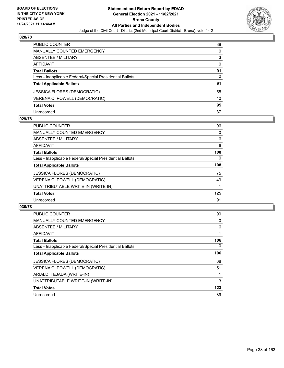

| PUBLIC COUNTER                                           | 88       |
|----------------------------------------------------------|----------|
| <b>MANUALLY COUNTED EMERGENCY</b>                        | 0        |
| <b>ABSENTEE / MILITARY</b>                               | 3        |
| AFFIDAVIT                                                | $\Omega$ |
| <b>Total Ballots</b>                                     | 91       |
| Less - Inapplicable Federal/Special Presidential Ballots | 0        |
| <b>Total Applicable Ballots</b>                          | 91       |
| <b>JESSICA FLORES (DEMOCRATIC)</b>                       | 55       |
| VERENA C. POWELL (DEMOCRATIC)                            | 40       |
| <b>Total Votes</b>                                       | 95       |
| Unrecorded                                               | 87       |

### **029/78**

| PUBLIC COUNTER                                           | 96       |
|----------------------------------------------------------|----------|
| <b>MANUALLY COUNTED EMERGENCY</b>                        | 0        |
| ABSENTEE / MILITARY                                      | 6        |
| <b>AFFIDAVIT</b>                                         | 6        |
| <b>Total Ballots</b>                                     | 108      |
| Less - Inapplicable Federal/Special Presidential Ballots | $\Omega$ |
| <b>Total Applicable Ballots</b>                          | 108      |
| <b>JESSICA FLORES (DEMOCRATIC)</b>                       | 75       |
| VERENA C. POWELL (DEMOCRATIC)                            | 49       |
| UNATTRIBUTABLE WRITE-IN (WRITE-IN)                       |          |
| <b>Total Votes</b>                                       | 125      |
| Unrecorded                                               | 91       |

| <b>PUBLIC COUNTER</b>                                    | 99  |
|----------------------------------------------------------|-----|
| <b>MANUALLY COUNTED EMERGENCY</b>                        | 0   |
| ABSENTEE / MILITARY                                      | 6   |
| <b>AFFIDAVIT</b>                                         |     |
| <b>Total Ballots</b>                                     | 106 |
| Less - Inapplicable Federal/Special Presidential Ballots | 0   |
| <b>Total Applicable Ballots</b>                          | 106 |
| <b>JESSICA FLORES (DEMOCRATIC)</b>                       | 68  |
| VERENA C. POWELL (DEMOCRATIC)                            | 51  |
| ARIALDI TEJADA (WRITE-IN)                                |     |
| UNATTRIBUTABLE WRITE-IN (WRITE-IN)                       | 3   |
| <b>Total Votes</b>                                       | 123 |
| Unrecorded                                               | 89  |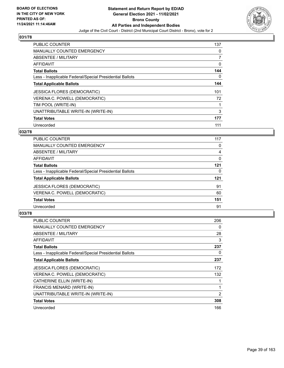

| PUBLIC COUNTER                                           | 137 |
|----------------------------------------------------------|-----|
| <b>MANUALLY COUNTED EMERGENCY</b>                        | 0   |
| ABSENTEE / MILITARY                                      | 7   |
| <b>AFFIDAVIT</b>                                         | 0   |
| <b>Total Ballots</b>                                     | 144 |
| Less - Inapplicable Federal/Special Presidential Ballots | 0   |
| <b>Total Applicable Ballots</b>                          | 144 |
| <b>JESSICA FLORES (DEMOCRATIC)</b>                       | 101 |
| VERENA C. POWELL (DEMOCRATIC)                            | 72  |
| TIM POOL (WRITE-IN)                                      | 1   |
| UNATTRIBUTABLE WRITE-IN (WRITE-IN)                       | 3   |
| <b>Total Votes</b>                                       | 177 |
| Unrecorded                                               | 111 |

# **032/78**

| <b>PUBLIC COUNTER</b>                                    | 117 |
|----------------------------------------------------------|-----|
| MANUALLY COUNTED EMERGENCY                               | 0   |
| ABSENTEE / MILITARY                                      | 4   |
| <b>AFFIDAVIT</b>                                         | 0   |
| <b>Total Ballots</b>                                     | 121 |
| Less - Inapplicable Federal/Special Presidential Ballots | 0   |
| <b>Total Applicable Ballots</b>                          | 121 |
| <b>JESSICA FLORES (DEMOCRATIC)</b>                       | 91  |
| VERENA C. POWELL (DEMOCRATIC)                            | 60  |
| <b>Total Votes</b>                                       | 151 |
| Unrecorded                                               | 91  |
|                                                          |     |

| PUBLIC COUNTER                                           | 206 |
|----------------------------------------------------------|-----|
| <b>MANUALLY COUNTED EMERGENCY</b>                        | 0   |
| ABSENTEE / MILITARY                                      | 28  |
| AFFIDAVIT                                                | 3   |
| <b>Total Ballots</b>                                     | 237 |
| Less - Inapplicable Federal/Special Presidential Ballots | 0   |
| <b>Total Applicable Ballots</b>                          | 237 |
| <b>JESSICA FLORES (DEMOCRATIC)</b>                       | 172 |
| VERENA C. POWELL (DEMOCRATIC)                            | 132 |
| CATHERINE ELLIN (WRITE-IN)                               |     |
| FRANCIS MENARD (WRITE-IN)                                | 1   |
| UNATTRIBUTABLE WRITE-IN (WRITE-IN)                       | 2   |
| <b>Total Votes</b>                                       | 308 |
| Unrecorded                                               | 166 |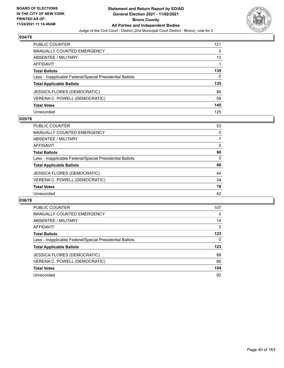

| <b>PUBLIC COUNTER</b>                                    | 121 |
|----------------------------------------------------------|-----|
| <b>MANUALLY COUNTED EMERGENCY</b>                        | 0   |
| ABSENTEE / MILITARY                                      | 13  |
| AFFIDAVIT                                                |     |
| <b>Total Ballots</b>                                     | 135 |
| Less - Inapplicable Federal/Special Presidential Ballots | 0   |
| <b>Total Applicable Ballots</b>                          | 135 |
| <b>JESSICA FLORES (DEMOCRATIC)</b>                       | 86  |
| VERENA C. POWELL (DEMOCRATIC)                            | 59  |
| <b>Total Votes</b>                                       | 145 |
| Unrecorded                                               | 125 |

## **035/78**

| <b>PUBLIC COUNTER</b>                                    | 53       |
|----------------------------------------------------------|----------|
| MANUALLY COUNTED EMERGENCY                               | $\Omega$ |
| ABSENTEE / MILITARY                                      |          |
| AFFIDAVIT                                                | $\Omega$ |
| <b>Total Ballots</b>                                     | 60       |
| Less - Inapplicable Federal/Special Presidential Ballots | $\Omega$ |
| <b>Total Applicable Ballots</b>                          | 60       |
| <b>JESSICA FLORES (DEMOCRATIC)</b>                       | 44       |
| VERENA C. POWELL (DEMOCRATIC)                            | 34       |
| <b>Total Votes</b>                                       | 78       |
| Unrecorded                                               | 42       |

| <b>PUBLIC COUNTER</b>                                    | 107 |
|----------------------------------------------------------|-----|
| <b>MANUALLY COUNTED EMERGENCY</b>                        | 0   |
| ABSENTEE / MILITARY                                      | 14  |
| <b>AFFIDAVIT</b>                                         | 2   |
| <b>Total Ballots</b>                                     | 123 |
| Less - Inapplicable Federal/Special Presidential Ballots | 0   |
| <b>Total Applicable Ballots</b>                          | 123 |
| JESSICA FLORES (DEMOCRATIC)                              | 88  |
| VERENA C. POWELL (DEMOCRATIC)                            | 66  |
| <b>Total Votes</b>                                       | 154 |
| Unrecorded                                               | 92  |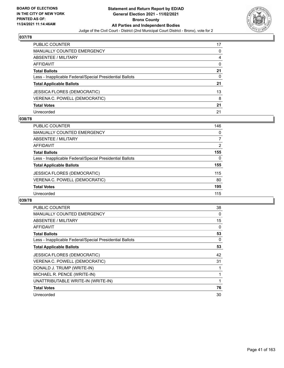

| PUBLIC COUNTER                                           | 17       |
|----------------------------------------------------------|----------|
| <b>MANUALLY COUNTED EMERGENCY</b>                        | 0        |
| <b>ABSENTEE / MILITARY</b>                               | 4        |
| AFFIDAVIT                                                | $\Omega$ |
| <b>Total Ballots</b>                                     | 21       |
| Less - Inapplicable Federal/Special Presidential Ballots | 0        |
| <b>Total Applicable Ballots</b>                          | 21       |
| <b>JESSICA FLORES (DEMOCRATIC)</b>                       | 13       |
| VERENA C. POWELL (DEMOCRATIC)                            | 8        |
| <b>Total Votes</b>                                       | 21       |
| Unrecorded                                               | 21       |

## **038/78**

| <b>PUBLIC COUNTER</b>                                    | 146            |
|----------------------------------------------------------|----------------|
| <b>MANUALLY COUNTED EMERGENCY</b>                        | 0              |
| ABSENTEE / MILITARY                                      | 7              |
| AFFIDAVIT                                                | $\overline{2}$ |
| <b>Total Ballots</b>                                     | 155            |
| Less - Inapplicable Federal/Special Presidential Ballots | 0              |
| <b>Total Applicable Ballots</b>                          | 155            |
| <b>JESSICA FLORES (DEMOCRATIC)</b>                       | 115            |
| VERENA C. POWELL (DEMOCRATIC)                            | 80             |
| <b>Total Votes</b>                                       | 195            |
| Unrecorded                                               | 115            |

| <b>PUBLIC COUNTER</b>                                    | 38 |
|----------------------------------------------------------|----|
| <b>MANUALLY COUNTED EMERGENCY</b>                        | 0  |
| ABSENTEE / MILITARY                                      | 15 |
| AFFIDAVIT                                                | 0  |
| <b>Total Ballots</b>                                     | 53 |
| Less - Inapplicable Federal/Special Presidential Ballots | 0  |
| <b>Total Applicable Ballots</b>                          | 53 |
| <b>JESSICA FLORES (DEMOCRATIC)</b>                       | 42 |
| VERENA C. POWELL (DEMOCRATIC)                            | 31 |
| DONALD J. TRUMP (WRITE-IN)                               |    |
|                                                          |    |
| MICHAEL R. PENCE (WRITE-IN)                              |    |
| UNATTRIBUTABLE WRITE-IN (WRITE-IN)                       |    |
| <b>Total Votes</b>                                       | 76 |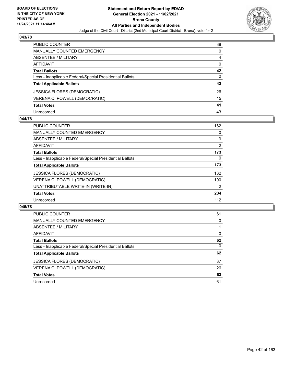

| PUBLIC COUNTER                                           | 38 |
|----------------------------------------------------------|----|
| MANUALLY COUNTED EMERGENCY                               | 0  |
| <b>ABSENTEE / MILITARY</b>                               | 4  |
| AFFIDAVIT                                                | 0  |
| <b>Total Ballots</b>                                     | 42 |
| Less - Inapplicable Federal/Special Presidential Ballots | 0  |
| <b>Total Applicable Ballots</b>                          | 42 |
| <b>JESSICA FLORES (DEMOCRATIC)</b>                       | 26 |
| VERENA C. POWELL (DEMOCRATIC)                            | 15 |
| <b>Total Votes</b>                                       | 41 |
| Unrecorded                                               | 43 |

## **044/78**

| <b>PUBLIC COUNTER</b>                                    | 162            |
|----------------------------------------------------------|----------------|
| <b>MANUALLY COUNTED EMERGENCY</b>                        | 0              |
| ABSENTEE / MILITARY                                      | 9              |
| <b>AFFIDAVIT</b>                                         | $\overline{2}$ |
| <b>Total Ballots</b>                                     | 173            |
| Less - Inapplicable Federal/Special Presidential Ballots | $\Omega$       |
| <b>Total Applicable Ballots</b>                          | 173            |
| <b>JESSICA FLORES (DEMOCRATIC)</b>                       | 132            |
| VERENA C. POWELL (DEMOCRATIC)                            | 100            |
| UNATTRIBUTABLE WRITE-IN (WRITE-IN)                       | 2              |
| <b>Total Votes</b>                                       | 234            |
| Unrecorded                                               | 112            |

| <b>PUBLIC COUNTER</b>                                    | 61 |
|----------------------------------------------------------|----|
| MANUALLY COUNTED EMERGENCY                               | 0  |
| ABSENTEE / MILITARY                                      |    |
| AFFIDAVIT                                                | 0  |
| <b>Total Ballots</b>                                     | 62 |
| Less - Inapplicable Federal/Special Presidential Ballots | 0  |
| <b>Total Applicable Ballots</b>                          | 62 |
| <b>JESSICA FLORES (DEMOCRATIC)</b>                       | 37 |
| VERENA C. POWELL (DEMOCRATIC)                            | 26 |
| <b>Total Votes</b>                                       | 63 |
| Unrecorded                                               | 61 |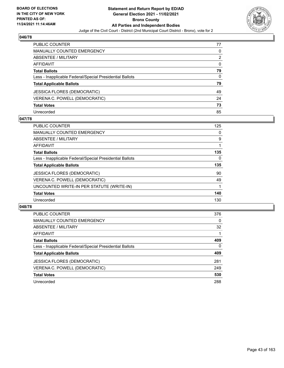

| PUBLIC COUNTER                                           | 77       |
|----------------------------------------------------------|----------|
| <b>MANUALLY COUNTED EMERGENCY</b>                        | 0        |
| <b>ABSENTEE / MILITARY</b>                               | 2        |
| AFFIDAVIT                                                | $\Omega$ |
| <b>Total Ballots</b>                                     | 79       |
| Less - Inapplicable Federal/Special Presidential Ballots | $\Omega$ |
| <b>Total Applicable Ballots</b>                          | 79       |
| JESSICA FLORES (DEMOCRATIC)                              | 49       |
| VERENA C. POWELL (DEMOCRATIC)                            | 24       |
| <b>Total Votes</b>                                       | 73       |
| Unrecorded                                               | 85       |

### **047/78**

| <b>PUBLIC COUNTER</b>                                    | 125 |
|----------------------------------------------------------|-----|
| <b>MANUALLY COUNTED EMERGENCY</b>                        | 0   |
| ABSENTEE / MILITARY                                      | 9   |
| AFFIDAVIT                                                |     |
| <b>Total Ballots</b>                                     | 135 |
| Less - Inapplicable Federal/Special Presidential Ballots | 0   |
| <b>Total Applicable Ballots</b>                          | 135 |
| <b>JESSICA FLORES (DEMOCRATIC)</b>                       | 90  |
| VERENA C. POWELL (DEMOCRATIC)                            | 49  |
| UNCOUNTED WRITE-IN PER STATUTE (WRITE-IN)                |     |
| <b>Total Votes</b>                                       | 140 |
| Unrecorded                                               | 130 |

| <b>PUBLIC COUNTER</b>                                    | 376      |
|----------------------------------------------------------|----------|
| MANUALLY COUNTED EMERGENCY                               | $\Omega$ |
| ABSENTEE / MILITARY                                      | 32       |
| AFFIDAVIT                                                |          |
| <b>Total Ballots</b>                                     | 409      |
| Less - Inapplicable Federal/Special Presidential Ballots | $\Omega$ |
| <b>Total Applicable Ballots</b>                          | 409      |
| <b>JESSICA FLORES (DEMOCRATIC)</b>                       | 281      |
| VERENA C. POWELL (DEMOCRATIC)                            | 249      |
| <b>Total Votes</b>                                       | 530      |
| Unrecorded                                               | 288      |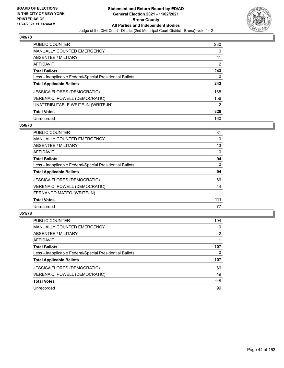

| <b>PUBLIC COUNTER</b>                                    | 230            |
|----------------------------------------------------------|----------------|
| <b>MANUALLY COUNTED EMERGENCY</b>                        | 0              |
| ABSENTEE / MILITARY                                      | 11             |
| <b>AFFIDAVIT</b>                                         | 2              |
| <b>Total Ballots</b>                                     | 243            |
| Less - Inapplicable Federal/Special Presidential Ballots | 0              |
| <b>Total Applicable Ballots</b>                          | 243            |
| JESSICA FLORES (DEMOCRATIC)                              | 168            |
| VERENA C. POWELL (DEMOCRATIC)                            | 156            |
| UNATTRIBUTABLE WRITE-IN (WRITE-IN)                       | $\overline{2}$ |
| <b>Total Votes</b>                                       | 326            |
| Unrecorded                                               | 160            |

#### **050/78**

| <b>PUBLIC COUNTER</b>                                    | 81       |
|----------------------------------------------------------|----------|
| <b>MANUALLY COUNTED EMERGENCY</b>                        | 0        |
| ABSENTEE / MILITARY                                      | 13       |
| <b>AFFIDAVIT</b>                                         | $\Omega$ |
| <b>Total Ballots</b>                                     | 94       |
| Less - Inapplicable Federal/Special Presidential Ballots | $\Omega$ |
| <b>Total Applicable Ballots</b>                          | 94       |
| <b>JESSICA FLORES (DEMOCRATIC)</b>                       | 66       |
| VERENA C. POWELL (DEMOCRATIC)                            | 44       |
| FERNANDO MATEO (WRITE-IN)                                |          |
| <b>Total Votes</b>                                       | 111      |
| Unrecorded                                               | 77       |

| <b>PUBLIC COUNTER</b>                                    | 104            |
|----------------------------------------------------------|----------------|
| <b>MANUALLY COUNTED EMERGENCY</b>                        | 0              |
| ABSENTEE / MILITARY                                      | $\overline{2}$ |
| AFFIDAVIT                                                |                |
| <b>Total Ballots</b>                                     | 107            |
| Less - Inapplicable Federal/Special Presidential Ballots | 0              |
| <b>Total Applicable Ballots</b>                          | 107            |
| <b>JESSICA FLORES (DEMOCRATIC)</b>                       | 66             |
| VERENA C. POWELL (DEMOCRATIC)                            | 49             |
| <b>Total Votes</b>                                       | 115            |
| Unrecorded                                               | 99             |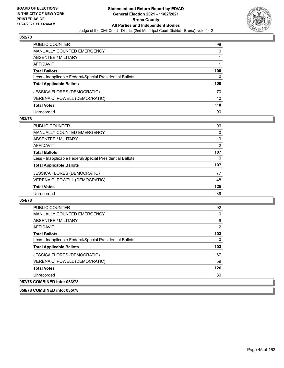

| PUBLIC COUNTER                                           | 98  |
|----------------------------------------------------------|-----|
| <b>MANUALLY COUNTED EMERGENCY</b>                        | 0   |
| ABSENTEE / MILITARY                                      |     |
| <b>AFFIDAVIT</b>                                         |     |
| <b>Total Ballots</b>                                     | 100 |
| Less - Inapplicable Federal/Special Presidential Ballots | 0   |
| <b>Total Applicable Ballots</b>                          | 100 |
| <b>JESSICA FLORES (DEMOCRATIC)</b>                       | 70  |
| VERENA C. POWELL (DEMOCRATIC)                            | 40  |
| <b>Total Votes</b>                                       | 110 |
| Unrecorded                                               | 90  |

### **053/78**

| <b>PUBLIC COUNTER</b>                                    | 96  |
|----------------------------------------------------------|-----|
| <b>MANUALLY COUNTED EMERGENCY</b>                        | 0   |
| ABSENTEE / MILITARY                                      | 9   |
| AFFIDAVIT                                                | 2   |
| <b>Total Ballots</b>                                     | 107 |
| Less - Inapplicable Federal/Special Presidential Ballots | 0   |
| <b>Total Applicable Ballots</b>                          | 107 |
| <b>JESSICA FLORES (DEMOCRATIC)</b>                       | 77  |
| VERENA C. POWELL (DEMOCRATIC)                            | 48  |
| <b>Total Votes</b>                                       | 125 |
| Unrecorded                                               | 89  |

#### **054/78**

| <b>PUBLIC COUNTER</b>                                    | 92       |
|----------------------------------------------------------|----------|
| <b>MANUALLY COUNTED EMERGENCY</b>                        | $\Omega$ |
| ABSENTEE / MILITARY                                      | 9        |
| AFFIDAVIT                                                | 2        |
| <b>Total Ballots</b>                                     | 103      |
| Less - Inapplicable Federal/Special Presidential Ballots | 0        |
| <b>Total Applicable Ballots</b>                          | 103      |
| <b>JESSICA FLORES (DEMOCRATIC)</b>                       | 67       |
| VERENA C. POWELL (DEMOCRATIC)                            | 59       |
| <b>Total Votes</b>                                       | 126      |
| Unrecorded                                               | 80       |
|                                                          |          |

**058/78 COMBINED into: 035/78**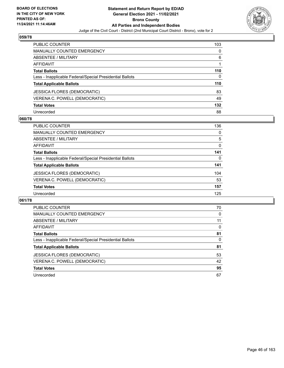

| PUBLIC COUNTER                                           | 103 |
|----------------------------------------------------------|-----|
| <b>MANUALLY COUNTED EMERGENCY</b>                        | 0   |
| ABSENTEE / MILITARY                                      | 6   |
| <b>AFFIDAVIT</b>                                         |     |
| <b>Total Ballots</b>                                     | 110 |
| Less - Inapplicable Federal/Special Presidential Ballots | 0   |
| <b>Total Applicable Ballots</b>                          | 110 |
| <b>JESSICA FLORES (DEMOCRATIC)</b>                       | 83  |
| VERENA C. POWELL (DEMOCRATIC)                            | 49  |
| <b>Total Votes</b>                                       | 132 |
| Unrecorded                                               | 88  |

## **060/78**

| PUBLIC COUNTER                                           | 136      |
|----------------------------------------------------------|----------|
| MANUALLY COUNTED EMERGENCY                               | 0        |
| ABSENTEE / MILITARY                                      | 5        |
| AFFIDAVIT                                                | $\Omega$ |
| <b>Total Ballots</b>                                     | 141      |
| Less - Inapplicable Federal/Special Presidential Ballots | $\Omega$ |
| <b>Total Applicable Ballots</b>                          | 141      |
| <b>JESSICA FLORES (DEMOCRATIC)</b>                       | 104      |
| VERENA C. POWELL (DEMOCRATIC)                            | 53       |
| <b>Total Votes</b>                                       | 157      |
| Unrecorded                                               | 125      |

| PUBLIC COUNTER                                           | 70       |
|----------------------------------------------------------|----------|
| <b>MANUALLY COUNTED EMERGENCY</b>                        | $\Omega$ |
| <b>ABSENTEE / MILITARY</b>                               | 11       |
| AFFIDAVIT                                                | 0        |
| <b>Total Ballots</b>                                     | 81       |
| Less - Inapplicable Federal/Special Presidential Ballots | 0        |
| <b>Total Applicable Ballots</b>                          | 81       |
| <b>JESSICA FLORES (DEMOCRATIC)</b>                       | 53       |
| VERENA C. POWELL (DEMOCRATIC)                            | 42       |
| <b>Total Votes</b>                                       | 95       |
| Unrecorded                                               | 67       |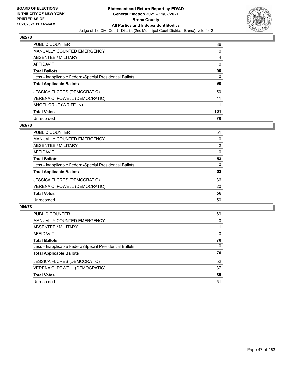

| <b>PUBLIC COUNTER</b>                                    | 86  |
|----------------------------------------------------------|-----|
| <b>MANUALLY COUNTED EMERGENCY</b>                        | 0   |
| ABSENTEE / MILITARY                                      | 4   |
| <b>AFFIDAVIT</b>                                         | 0   |
| <b>Total Ballots</b>                                     | 90  |
| Less - Inapplicable Federal/Special Presidential Ballots | 0   |
| <b>Total Applicable Ballots</b>                          | 90  |
| <b>JESSICA FLORES (DEMOCRATIC)</b>                       | 59  |
| VERENA C. POWELL (DEMOCRATIC)                            | 41  |
| ANGEL CRUZ (WRITE-IN)                                    | 1   |
| <b>Total Votes</b>                                       | 101 |
| Unrecorded                                               | 79  |

#### **063/78**

| PUBLIC COUNTER                                           | 51       |
|----------------------------------------------------------|----------|
| <b>MANUALLY COUNTED EMERGENCY</b>                        | 0        |
| ABSENTEE / MILITARY                                      | 2        |
| AFFIDAVIT                                                | $\Omega$ |
| <b>Total Ballots</b>                                     | 53       |
| Less - Inapplicable Federal/Special Presidential Ballots | 0        |
| <b>Total Applicable Ballots</b>                          | 53       |
| <b>JESSICA FLORES (DEMOCRATIC)</b>                       | 36       |
| VERENA C. POWELL (DEMOCRATIC)                            | 20       |
| <b>Total Votes</b>                                       | 56       |
| Unrecorded                                               | 50       |

| <b>PUBLIC COUNTER</b>                                    | 69       |
|----------------------------------------------------------|----------|
| <b>MANUALLY COUNTED EMERGENCY</b>                        | 0        |
| <b>ABSENTEE / MILITARY</b>                               |          |
| AFFIDAVIT                                                | 0        |
| <b>Total Ballots</b>                                     | 70       |
| Less - Inapplicable Federal/Special Presidential Ballots | $\Omega$ |
| <b>Total Applicable Ballots</b>                          | 70       |
| <b>JESSICA FLORES (DEMOCRATIC)</b>                       | 52       |
| VERENA C. POWELL (DEMOCRATIC)                            | 37       |
| <b>Total Votes</b>                                       | 89       |
| Unrecorded                                               | 51       |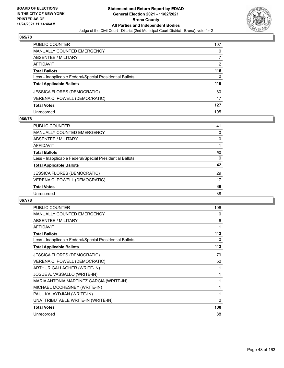

| PUBLIC COUNTER                                           | 107 |
|----------------------------------------------------------|-----|
| <b>MANUALLY COUNTED EMERGENCY</b>                        | 0   |
| <b>ABSENTEE / MILITARY</b>                               |     |
| AFFIDAVIT                                                | 2   |
| <b>Total Ballots</b>                                     | 116 |
| Less - Inapplicable Federal/Special Presidential Ballots | 0   |
| <b>Total Applicable Ballots</b>                          | 116 |
| <b>JESSICA FLORES (DEMOCRATIC)</b>                       | 80  |
| VERENA C. POWELL (DEMOCRATIC)                            | 47  |
| <b>Total Votes</b>                                       | 127 |
| Unrecorded                                               | 105 |

## **066/78**

| PUBLIC COUNTER                                           | 41       |
|----------------------------------------------------------|----------|
| <b>MANUALLY COUNTED EMERGENCY</b>                        | 0        |
| ABSENTEE / MILITARY                                      | 0        |
| AFFIDAVIT                                                |          |
| <b>Total Ballots</b>                                     | 42       |
| Less - Inapplicable Federal/Special Presidential Ballots | $\Omega$ |
| <b>Total Applicable Ballots</b>                          | 42       |
| <b>JESSICA FLORES (DEMOCRATIC)</b>                       | 29       |
| VERENA C. POWELL (DEMOCRATIC)                            | 17       |
| <b>Total Votes</b>                                       | 46       |
| Unrecorded                                               | 38       |

| <b>PUBLIC COUNTER</b>                                    | 106            |
|----------------------------------------------------------|----------------|
| <b>MANUALLY COUNTED EMERGENCY</b>                        | 0              |
| ABSENTEE / MILITARY                                      | 6              |
| <b>AFFIDAVIT</b>                                         | 1              |
| <b>Total Ballots</b>                                     | 113            |
| Less - Inapplicable Federal/Special Presidential Ballots | 0              |
| <b>Total Applicable Ballots</b>                          | 113            |
| <b>JESSICA FLORES (DEMOCRATIC)</b>                       | 79             |
| VERENA C. POWELL (DEMOCRATIC)                            | 52             |
| ARTHUR GALLAGHER (WRITE-IN)                              | 1              |
| JOSUE A. VASSALLO (WRITE-IN)                             | 1              |
| MARIA ANTONIA MARTINEZ GARCIA (WRITE-IN)                 | 1              |
| MICHAEL MCCHESNEY (WRITE-IN)                             | 1              |
| PAUL KALAYDJIAN (WRITE-IN)                               | 1              |
| UNATTRIBUTABLE WRITE-IN (WRITE-IN)                       | $\overline{2}$ |
| <b>Total Votes</b>                                       | 138            |
| Unrecorded                                               | 88             |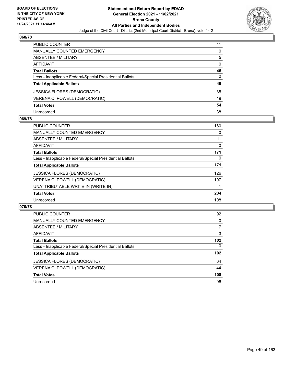

| PUBLIC COUNTER                                           | 41       |
|----------------------------------------------------------|----------|
| <b>MANUALLY COUNTED EMERGENCY</b>                        | $\Omega$ |
| ABSENTEE / MILITARY                                      | 5        |
| <b>AFFIDAVIT</b>                                         | 0        |
| <b>Total Ballots</b>                                     | 46       |
| Less - Inapplicable Federal/Special Presidential Ballots | $\Omega$ |
| <b>Total Applicable Ballots</b>                          | 46       |
| JESSICA FLORES (DEMOCRATIC)                              | 35       |
| VERENA C. POWELL (DEMOCRATIC)                            | 19       |
| <b>Total Votes</b>                                       | 54       |
| Unrecorded                                               | 38       |

### **069/78**

| <b>PUBLIC COUNTER</b>                                    | 160 |
|----------------------------------------------------------|-----|
| MANUALLY COUNTED EMERGENCY                               | 0   |
| ABSENTEE / MILITARY                                      | 11  |
| <b>AFFIDAVIT</b>                                         | 0   |
| <b>Total Ballots</b>                                     | 171 |
| Less - Inapplicable Federal/Special Presidential Ballots | 0   |
| <b>Total Applicable Ballots</b>                          | 171 |
| <b>JESSICA FLORES (DEMOCRATIC)</b>                       | 126 |
| VERENA C. POWELL (DEMOCRATIC)                            | 107 |
| UNATTRIBUTABLE WRITE-IN (WRITE-IN)                       |     |
| <b>Total Votes</b>                                       | 234 |
| Unrecorded                                               | 108 |

| <b>PUBLIC COUNTER</b>                                    | 92           |
|----------------------------------------------------------|--------------|
| MANUALLY COUNTED EMERGENCY                               | $\Omega$     |
| ABSENTEE / MILITARY                                      | 7            |
| AFFIDAVIT                                                | 3            |
| <b>Total Ballots</b>                                     | 102          |
| Less - Inapplicable Federal/Special Presidential Ballots | $\mathbf{0}$ |
| <b>Total Applicable Ballots</b>                          | 102          |
| <b>JESSICA FLORES (DEMOCRATIC)</b>                       | 64           |
| VERENA C. POWELL (DEMOCRATIC)                            | 44           |
| <b>Total Votes</b>                                       | 108          |
| Unrecorded                                               | 96           |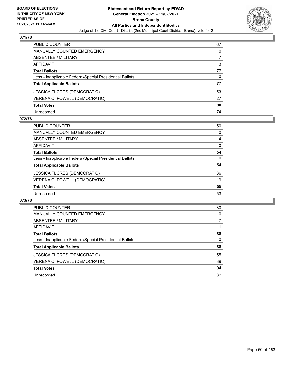

| PUBLIC COUNTER                                           | 67 |
|----------------------------------------------------------|----|
| <b>MANUALLY COUNTED EMERGENCY</b>                        | 0  |
| <b>ABSENTEE / MILITARY</b>                               |    |
| <b>AFFIDAVIT</b>                                         | 3  |
| <b>Total Ballots</b>                                     | 77 |
| Less - Inapplicable Federal/Special Presidential Ballots | 0  |
| <b>Total Applicable Ballots</b>                          | 77 |
| <b>JESSICA FLORES (DEMOCRATIC)</b>                       | 53 |
| VERENA C. POWELL (DEMOCRATIC)                            | 27 |
| <b>Total Votes</b>                                       | 80 |
| Unrecorded                                               | 74 |

### **072/78**

| <b>PUBLIC COUNTER</b>                                    | 50       |
|----------------------------------------------------------|----------|
| <b>MANUALLY COUNTED EMERGENCY</b>                        | 0        |
| ABSENTEE / MILITARY                                      | 4        |
| AFFIDAVIT                                                | $\Omega$ |
| <b>Total Ballots</b>                                     | 54       |
| Less - Inapplicable Federal/Special Presidential Ballots | $\Omega$ |
| <b>Total Applicable Ballots</b>                          | 54       |
| JESSICA FLORES (DEMOCRATIC)                              | 36       |
| VERENA C. POWELL (DEMOCRATIC)                            | 19       |
| <b>Total Votes</b>                                       | 55       |
| Unrecorded                                               | 53       |

| PUBLIC COUNTER                                           | 80       |
|----------------------------------------------------------|----------|
| <b>MANUALLY COUNTED EMERGENCY</b>                        | 0        |
| ABSENTEE / MILITARY                                      |          |
| AFFIDAVIT                                                |          |
| <b>Total Ballots</b>                                     | 88       |
| Less - Inapplicable Federal/Special Presidential Ballots | $\Omega$ |
| <b>Total Applicable Ballots</b>                          | 88       |
| <b>JESSICA FLORES (DEMOCRATIC)</b>                       | 55       |
| VERENA C. POWELL (DEMOCRATIC)                            | 39       |
| <b>Total Votes</b>                                       | 94       |
| Unrecorded                                               | 82       |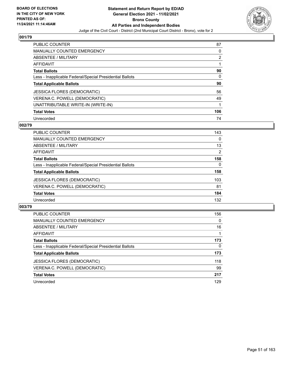

| <b>PUBLIC COUNTER</b>                                    | 87             |
|----------------------------------------------------------|----------------|
| <b>MANUALLY COUNTED EMERGENCY</b>                        | 0              |
| ABSENTEE / MILITARY                                      | $\overline{2}$ |
| AFFIDAVIT                                                |                |
| <b>Total Ballots</b>                                     | 90             |
| Less - Inapplicable Federal/Special Presidential Ballots | 0              |
| <b>Total Applicable Ballots</b>                          | 90             |
| <b>JESSICA FLORES (DEMOCRATIC)</b>                       | 56             |
| VERENA C. POWELL (DEMOCRATIC)                            | 49             |
| UNATTRIBUTABLE WRITE-IN (WRITE-IN)                       |                |
| <b>Total Votes</b>                                       | 106            |
| Unrecorded                                               | 74             |

#### **002/79**

| <b>PUBLIC COUNTER</b>                                    | 143            |
|----------------------------------------------------------|----------------|
| MANUALLY COUNTED EMERGENCY                               | $\Omega$       |
| ABSENTEE / MILITARY                                      | 13             |
| <b>AFFIDAVIT</b>                                         | $\overline{2}$ |
| <b>Total Ballots</b>                                     | 158            |
| Less - Inapplicable Federal/Special Presidential Ballots | $\Omega$       |
| <b>Total Applicable Ballots</b>                          | 158            |
| <b>JESSICA FLORES (DEMOCRATIC)</b>                       | 103            |
| VERENA C. POWELL (DEMOCRATIC)                            | 81             |
| <b>Total Votes</b>                                       | 184            |
| Unrecorded                                               | 132            |

| <b>PUBLIC COUNTER</b>                                    | 156      |
|----------------------------------------------------------|----------|
| <b>MANUALLY COUNTED EMERGENCY</b>                        | $\Omega$ |
| ABSENTEE / MILITARY                                      | 16       |
| AFFIDAVIT                                                |          |
| <b>Total Ballots</b>                                     | 173      |
| Less - Inapplicable Federal/Special Presidential Ballots | $\Omega$ |
| <b>Total Applicable Ballots</b>                          | 173      |
| <b>JESSICA FLORES (DEMOCRATIC)</b>                       | 118      |
| VERENA C. POWELL (DEMOCRATIC)                            | 99       |
| <b>Total Votes</b>                                       | 217      |
| Unrecorded                                               | 129      |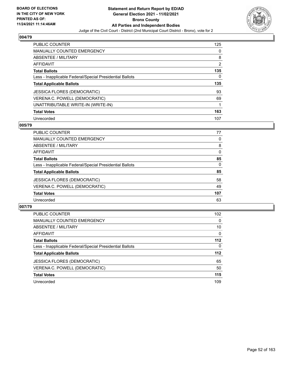

| <b>PUBLIC COUNTER</b>                                    | 125 |
|----------------------------------------------------------|-----|
| <b>MANUALLY COUNTED EMERGENCY</b>                        | 0   |
| <b>ABSENTEE / MILITARY</b>                               | 8   |
| AFFIDAVIT                                                | 2   |
| <b>Total Ballots</b>                                     | 135 |
| Less - Inapplicable Federal/Special Presidential Ballots | 0   |
| <b>Total Applicable Ballots</b>                          | 135 |
| <b>JESSICA FLORES (DEMOCRATIC)</b>                       | 93  |
|                                                          |     |
| VERENA C. POWELL (DEMOCRATIC)                            | 69  |
| UNATTRIBUTABLE WRITE-IN (WRITE-IN)                       |     |
| <b>Total Votes</b>                                       | 163 |

#### **005/79**

| <b>PUBLIC COUNTER</b>                                    | 77       |
|----------------------------------------------------------|----------|
| <b>MANUALLY COUNTED EMERGENCY</b>                        | 0        |
| ABSENTEE / MILITARY                                      | 8        |
| <b>AFFIDAVIT</b>                                         | $\Omega$ |
| <b>Total Ballots</b>                                     | 85       |
| Less - Inapplicable Federal/Special Presidential Ballots | $\Omega$ |
| <b>Total Applicable Ballots</b>                          | 85       |
| <b>JESSICA FLORES (DEMOCRATIC)</b>                       | 58       |
| VERENA C. POWELL (DEMOCRATIC)                            | 49       |
| <b>Total Votes</b>                                       | 107      |
| Unrecorded                                               | 63       |

| <b>PUBLIC COUNTER</b>                                    | 102 <sub>2</sub> |
|----------------------------------------------------------|------------------|
| <b>MANUALLY COUNTED EMERGENCY</b>                        | $\Omega$         |
| ABSENTEE / MILITARY                                      | 10               |
| AFFIDAVIT                                                | 0                |
| <b>Total Ballots</b>                                     | 112              |
| Less - Inapplicable Federal/Special Presidential Ballots | $\Omega$         |
| <b>Total Applicable Ballots</b>                          | $112$            |
| <b>JESSICA FLORES (DEMOCRATIC)</b>                       | 65               |
| VERENA C. POWELL (DEMOCRATIC)                            | 50               |
| <b>Total Votes</b>                                       | 115              |
| Unrecorded                                               | 109              |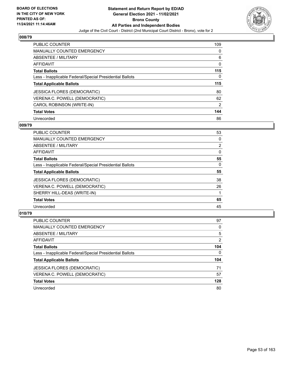

| <b>PUBLIC COUNTER</b>                                    | 109 |
|----------------------------------------------------------|-----|
| <b>MANUALLY COUNTED EMERGENCY</b>                        | 0   |
| <b>ABSENTEE / MILITARY</b>                               | 6   |
| AFFIDAVIT                                                | 0   |
| <b>Total Ballots</b>                                     | 115 |
| Less - Inapplicable Federal/Special Presidential Ballots | 0   |
| <b>Total Applicable Ballots</b>                          | 115 |
| <b>JESSICA FLORES (DEMOCRATIC)</b>                       | 80  |
| VERENA C. POWELL (DEMOCRATIC)                            | 62  |
| CAROL ROBINSON (WRITE-IN)                                | 2   |
| <b>Total Votes</b>                                       | 144 |
| Unrecorded                                               | 86  |

#### **009/79**

| <b>PUBLIC COUNTER</b>                                    | 53             |
|----------------------------------------------------------|----------------|
| MANUALLY COUNTED EMERGENCY                               | 0              |
| ABSENTEE / MILITARY                                      | $\overline{2}$ |
| <b>AFFIDAVIT</b>                                         | $\Omega$       |
| <b>Total Ballots</b>                                     | 55             |
| Less - Inapplicable Federal/Special Presidential Ballots | $\Omega$       |
| <b>Total Applicable Ballots</b>                          | 55             |
| <b>JESSICA FLORES (DEMOCRATIC)</b>                       | 38             |
| VERENA C. POWELL (DEMOCRATIC)                            | 26             |
| SHERRY HILL-DEAS (WRITE-IN)                              |                |
| <b>Total Votes</b>                                       | 65             |
| Unrecorded                                               | 45             |

| <b>PUBLIC COUNTER</b>                                    | 97  |
|----------------------------------------------------------|-----|
| <b>MANUALLY COUNTED EMERGENCY</b>                        | 0   |
| ABSENTEE / MILITARY                                      | 5   |
| AFFIDAVIT                                                | 2   |
| <b>Total Ballots</b>                                     | 104 |
| Less - Inapplicable Federal/Special Presidential Ballots | 0   |
| <b>Total Applicable Ballots</b>                          | 104 |
| <b>JESSICA FLORES (DEMOCRATIC)</b>                       | 71  |
| VERENA C. POWELL (DEMOCRATIC)                            | 57  |
| <b>Total Votes</b>                                       | 128 |
| Unrecorded                                               | 80  |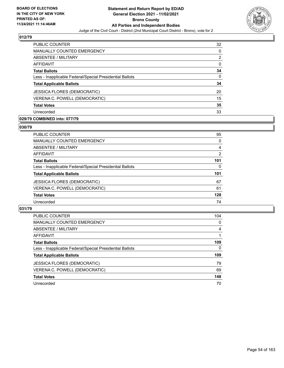

| <b>PUBLIC COUNTER</b>                                    | 32       |
|----------------------------------------------------------|----------|
| <b>MANUALLY COUNTED EMERGENCY</b>                        | 0        |
| ABSENTEE / MILITARY                                      | 2        |
| AFFIDAVIT                                                | $\Omega$ |
| <b>Total Ballots</b>                                     | 34       |
| Less - Inapplicable Federal/Special Presidential Ballots | 0        |
| <b>Total Applicable Ballots</b>                          | 34       |
| <b>JESSICA FLORES (DEMOCRATIC)</b>                       | 20       |
| VERENA C. POWELL (DEMOCRATIC)                            | 15       |
| <b>Total Votes</b>                                       | 35       |
| Unrecorded                                               | 33       |

## **029/79 COMBINED into: 077/79**

#### **030/79**

| PUBLIC COUNTER                                           | 95       |
|----------------------------------------------------------|----------|
| <b>MANUALLY COUNTED EMERGENCY</b>                        | 0        |
| <b>ABSENTEE / MILITARY</b>                               | 4        |
| <b>AFFIDAVIT</b>                                         | 2        |
| <b>Total Ballots</b>                                     | 101      |
| Less - Inapplicable Federal/Special Presidential Ballots | $\Omega$ |
| <b>Total Applicable Ballots</b>                          | 101      |
| <b>JESSICA FLORES (DEMOCRATIC)</b>                       | 67       |
| VERENA C. POWELL (DEMOCRATIC)                            | 61       |
| <b>Total Votes</b>                                       | 128      |
| Unrecorded                                               | 74       |
|                                                          |          |

| <b>PUBLIC COUNTER</b>                                    | 104      |
|----------------------------------------------------------|----------|
| <b>MANUALLY COUNTED EMERGENCY</b>                        | $\Omega$ |
| ABSENTEE / MILITARY                                      | 4        |
| AFFIDAVIT                                                |          |
| <b>Total Ballots</b>                                     | 109      |
| Less - Inapplicable Federal/Special Presidential Ballots | 0        |
| <b>Total Applicable Ballots</b>                          | 109      |
| <b>JESSICA FLORES (DEMOCRATIC)</b>                       | 79       |
| VERENA C. POWELL (DEMOCRATIC)                            | 69       |
| <b>Total Votes</b>                                       | 148      |
| Unrecorded                                               | 70       |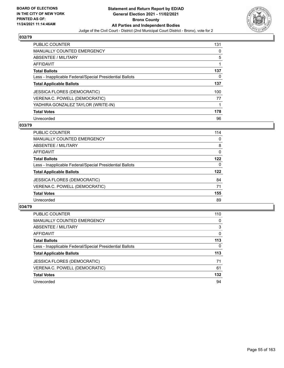

| <b>PUBLIC COUNTER</b>                                    | 131 |
|----------------------------------------------------------|-----|
| <b>MANUALLY COUNTED EMERGENCY</b>                        | 0   |
| ABSENTEE / MILITARY                                      | 5   |
| AFFIDAVIT                                                |     |
| <b>Total Ballots</b>                                     | 137 |
| Less - Inapplicable Federal/Special Presidential Ballots | 0   |
| <b>Total Applicable Ballots</b>                          | 137 |
| <b>JESSICA FLORES (DEMOCRATIC)</b>                       | 100 |
| VERENA C. POWELL (DEMOCRATIC)                            | 77  |
| YADHIRA GONZALEZ TAYLOR (WRITE-IN)                       |     |
| <b>Total Votes</b>                                       | 178 |
| Unrecorded                                               | 96  |

#### **033/79**

| <b>PUBLIC COUNTER</b>                                    | 114      |
|----------------------------------------------------------|----------|
| <b>MANUALLY COUNTED EMERGENCY</b>                        | 0        |
| ABSENTEE / MILITARY                                      | 8        |
| AFFIDAVIT                                                | 0        |
| <b>Total Ballots</b>                                     | 122      |
| Less - Inapplicable Federal/Special Presidential Ballots | $\Omega$ |
| <b>Total Applicable Ballots</b>                          | 122      |
| <b>JESSICA FLORES (DEMOCRATIC)</b>                       | 84       |
| VERENA C. POWELL (DEMOCRATIC)                            | 71       |
| <b>Total Votes</b>                                       | 155      |
| Unrecorded                                               | 89       |

| <b>PUBLIC COUNTER</b>                                    | 110      |
|----------------------------------------------------------|----------|
| <b>MANUALLY COUNTED EMERGENCY</b>                        | 0        |
| <b>ABSENTEE / MILITARY</b>                               | 3        |
| AFFIDAVIT                                                | $\Omega$ |
| <b>Total Ballots</b>                                     | 113      |
| Less - Inapplicable Federal/Special Presidential Ballots | $\Omega$ |
| <b>Total Applicable Ballots</b>                          | 113      |
| <b>JESSICA FLORES (DEMOCRATIC)</b>                       | 71       |
| VERENA C. POWELL (DEMOCRATIC)                            | 61       |
| <b>Total Votes</b>                                       | 132      |
| Unrecorded                                               | 94       |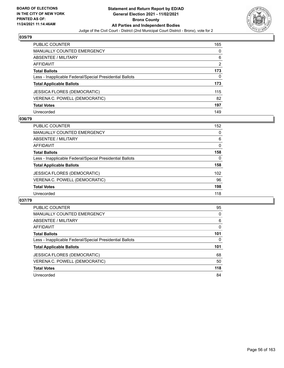

| PUBLIC COUNTER                                           | 165 |
|----------------------------------------------------------|-----|
| <b>MANUALLY COUNTED EMERGENCY</b>                        | 0   |
| <b>ABSENTEE / MILITARY</b>                               | 6   |
| AFFIDAVIT                                                | 2   |
| <b>Total Ballots</b>                                     | 173 |
| Less - Inapplicable Federal/Special Presidential Ballots | 0   |
| <b>Total Applicable Ballots</b>                          | 173 |
| JESSICA FLORES (DEMOCRATIC)                              | 115 |
| VERENA C. POWELL (DEMOCRATIC)                            | 82  |
| <b>Total Votes</b>                                       | 197 |
| Unrecorded                                               | 149 |

### **036/79**

| PUBLIC COUNTER                                           | 152      |
|----------------------------------------------------------|----------|
| MANUALLY COUNTED EMERGENCY                               | 0        |
| ABSENTEE / MILITARY                                      | 6        |
| AFFIDAVIT                                                | $\Omega$ |
| <b>Total Ballots</b>                                     | 158      |
| Less - Inapplicable Federal/Special Presidential Ballots | 0        |
| <b>Total Applicable Ballots</b>                          | 158      |
| <b>JESSICA FLORES (DEMOCRATIC)</b>                       | 102      |
| VERENA C. POWELL (DEMOCRATIC)                            | 96       |
| <b>Total Votes</b>                                       | 198      |
| Unrecorded                                               | 118      |

| PUBLIC COUNTER                                           | 95       |
|----------------------------------------------------------|----------|
| <b>MANUALLY COUNTED EMERGENCY</b>                        | $\Omega$ |
| ABSENTEE / MILITARY                                      | 6        |
| <b>AFFIDAVIT</b>                                         | $\Omega$ |
| <b>Total Ballots</b>                                     | 101      |
| Less - Inapplicable Federal/Special Presidential Ballots | 0        |
| <b>Total Applicable Ballots</b>                          | 101      |
|                                                          |          |
| <b>JESSICA FLORES (DEMOCRATIC)</b>                       | 68       |
| VERENA C. POWELL (DEMOCRATIC)                            | 50       |
| <b>Total Votes</b>                                       | 118      |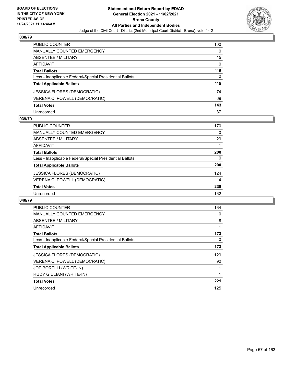

| PUBLIC COUNTER                                           | 100      |
|----------------------------------------------------------|----------|
| <b>MANUALLY COUNTED EMERGENCY</b>                        | 0        |
| ABSENTEE / MILITARY                                      | 15       |
| <b>AFFIDAVIT</b>                                         | $\Omega$ |
| <b>Total Ballots</b>                                     | 115      |
| Less - Inapplicable Federal/Special Presidential Ballots | 0        |
| <b>Total Applicable Ballots</b>                          | 115      |
| <b>JESSICA FLORES (DEMOCRATIC)</b>                       | 74       |
| VERENA C. POWELL (DEMOCRATIC)                            | 69       |
| <b>Total Votes</b>                                       | 143      |
| Unrecorded                                               | 87       |

### **039/79**

| PUBLIC COUNTER                                           | 170 |
|----------------------------------------------------------|-----|
| MANUALLY COUNTED EMERGENCY                               | 0   |
| ABSENTEE / MILITARY                                      | 29  |
| AFFIDAVIT                                                |     |
| <b>Total Ballots</b>                                     | 200 |
| Less - Inapplicable Federal/Special Presidential Ballots | 0   |
| <b>Total Applicable Ballots</b>                          | 200 |
| <b>JESSICA FLORES (DEMOCRATIC)</b>                       | 124 |
| VERENA C. POWELL (DEMOCRATIC)                            | 114 |
| <b>Total Votes</b>                                       | 238 |
| Unrecorded                                               | 162 |

| PUBLIC COUNTER                                           | 164 |
|----------------------------------------------------------|-----|
| <b>MANUALLY COUNTED EMERGENCY</b>                        | 0   |
| ABSENTEE / MILITARY                                      | 8   |
| AFFIDAVIT                                                |     |
| <b>Total Ballots</b>                                     | 173 |
| Less - Inapplicable Federal/Special Presidential Ballots | 0   |
| <b>Total Applicable Ballots</b>                          | 173 |
| <b>JESSICA FLORES (DEMOCRATIC)</b>                       | 129 |
| VERENA C. POWELL (DEMOCRATIC)                            | 90  |
| JOE BORELLI (WRITE-IN)                                   |     |
| RUDY GIULIANI (WRITE-IN)                                 |     |
| <b>Total Votes</b>                                       | 221 |
| Unrecorded                                               | 125 |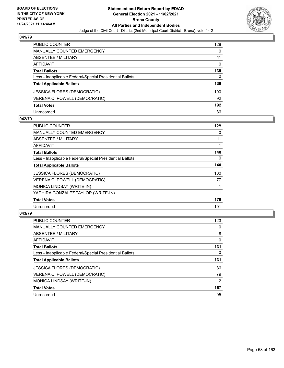

| PUBLIC COUNTER                                           | 128      |
|----------------------------------------------------------|----------|
| <b>MANUALLY COUNTED EMERGENCY</b>                        | 0        |
| ABSENTEE / MILITARY                                      | 11       |
| AFFIDAVIT                                                | $\Omega$ |
| <b>Total Ballots</b>                                     | 139      |
| Less - Inapplicable Federal/Special Presidential Ballots | 0        |
| <b>Total Applicable Ballots</b>                          | 139      |
| JESSICA FLORES (DEMOCRATIC)                              | 100      |
| VERENA C. POWELL (DEMOCRATIC)                            | 92       |
| <b>Total Votes</b>                                       | 192      |
| Unrecorded                                               | 86       |

## **042/79**

| PUBLIC COUNTER                                           | 128 |
|----------------------------------------------------------|-----|
| <b>MANUALLY COUNTED EMERGENCY</b>                        | 0   |
| ABSENTEE / MILITARY                                      | 11  |
| AFFIDAVIT                                                |     |
| <b>Total Ballots</b>                                     | 140 |
| Less - Inapplicable Federal/Special Presidential Ballots | 0   |
| <b>Total Applicable Ballots</b>                          | 140 |
| <b>JESSICA FLORES (DEMOCRATIC)</b>                       | 100 |
| VERENA C. POWELL (DEMOCRATIC)                            | 77  |
| MONICA LINDSAY (WRITE-IN)                                |     |
| YADHIRA GONZALEZ TAYLOR (WRITE-IN)                       |     |
| <b>Total Votes</b>                                       | 179 |
| Unrecorded                                               | 101 |

| <b>PUBLIC COUNTER</b>                                    | 123      |
|----------------------------------------------------------|----------|
| <b>MANUALLY COUNTED EMERGENCY</b>                        | 0        |
| ABSENTEE / MILITARY                                      | 8        |
| <b>AFFIDAVIT</b>                                         | $\Omega$ |
| <b>Total Ballots</b>                                     | 131      |
| Less - Inapplicable Federal/Special Presidential Ballots | 0        |
| <b>Total Applicable Ballots</b>                          | 131      |
| <b>JESSICA FLORES (DEMOCRATIC)</b>                       | 86       |
| VERENA C. POWELL (DEMOCRATIC)                            | 79       |
| MONICA LINDSAY (WRITE-IN)                                | 2        |
| <b>Total Votes</b>                                       | 167      |
| Unrecorded                                               | 95       |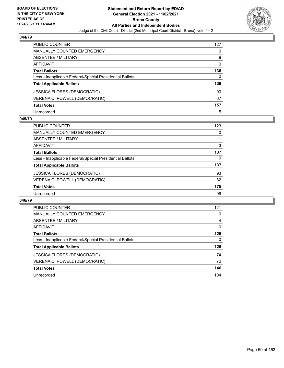

| PUBLIC COUNTER                                           | 127 |
|----------------------------------------------------------|-----|
| <b>MANUALLY COUNTED EMERGENCY</b>                        | 0   |
| ABSENTEE / MILITARY                                      | 9   |
| <b>AFFIDAVIT</b>                                         | 0   |
| <b>Total Ballots</b>                                     | 136 |
| Less - Inapplicable Federal/Special Presidential Ballots | 0   |
| <b>Total Applicable Ballots</b>                          | 136 |
| <b>JESSICA FLORES (DEMOCRATIC)</b>                       | 90  |
| VERENA C. POWELL (DEMOCRATIC)                            | 67  |
| <b>Total Votes</b>                                       | 157 |
| Unrecorded                                               | 115 |

## **045/79**

| <b>PUBLIC COUNTER</b>                                    | 123 |
|----------------------------------------------------------|-----|
| <b>MANUALLY COUNTED EMERGENCY</b>                        | 0   |
| ABSENTEE / MILITARY                                      | 11  |
| AFFIDAVIT                                                | 3   |
| <b>Total Ballots</b>                                     | 137 |
| Less - Inapplicable Federal/Special Presidential Ballots | 0   |
| <b>Total Applicable Ballots</b>                          | 137 |
| <b>JESSICA FLORES (DEMOCRATIC)</b>                       | 93  |
| VERENA C. POWELL (DEMOCRATIC)                            | 82  |
| <b>Total Votes</b>                                       | 175 |
| Unrecorded                                               | 99  |

| PUBLIC COUNTER                                           | 121      |
|----------------------------------------------------------|----------|
| <b>MANUALLY COUNTED EMERGENCY</b>                        | 0        |
| ABSENTEE / MILITARY                                      | 4        |
| <b>AFFIDAVIT</b>                                         | $\Omega$ |
| <b>Total Ballots</b>                                     | 125      |
| Less - Inapplicable Federal/Special Presidential Ballots | 0        |
| <b>Total Applicable Ballots</b>                          | 125      |
| <b>JESSICA FLORES (DEMOCRATIC)</b>                       | 74       |
| VERENA C. POWELL (DEMOCRATIC)                            | 72       |
| <b>Total Votes</b>                                       | 146      |
| Unrecorded                                               | 104      |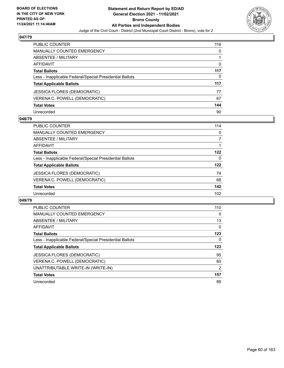

| PUBLIC COUNTER                                           | 116 |
|----------------------------------------------------------|-----|
| <b>MANUALLY COUNTED EMERGENCY</b>                        | 0   |
| ABSENTEE / MILITARY                                      |     |
| <b>AFFIDAVIT</b>                                         | 0   |
| <b>Total Ballots</b>                                     | 117 |
| Less - Inapplicable Federal/Special Presidential Ballots | 0   |
| <b>Total Applicable Ballots</b>                          | 117 |
| <b>JESSICA FLORES (DEMOCRATIC)</b>                       | 77  |
| VERENA C. POWELL (DEMOCRATIC)                            | 67  |
| <b>Total Votes</b>                                       | 144 |
| Unrecorded                                               | 90  |

## **048/79**

| <b>PUBLIC COUNTER</b>                                    | 114 |
|----------------------------------------------------------|-----|
| MANUALLY COUNTED EMERGENCY                               | 0   |
| ABSENTEE / MILITARY                                      |     |
| AFFIDAVIT                                                |     |
| <b>Total Ballots</b>                                     | 122 |
| Less - Inapplicable Federal/Special Presidential Ballots | 0   |
| <b>Total Applicable Ballots</b>                          | 122 |
| <b>JESSICA FLORES (DEMOCRATIC)</b>                       | 74  |
| VERENA C. POWELL (DEMOCRATIC)                            | 68  |
| <b>Total Votes</b>                                       | 142 |
| Unrecorded                                               | 102 |

| <b>PUBLIC COUNTER</b>                                    | 110            |
|----------------------------------------------------------|----------------|
| <b>MANUALLY COUNTED EMERGENCY</b>                        | 0              |
| ABSENTEE / MILITARY                                      | 13             |
| AFFIDAVIT                                                | 0              |
| <b>Total Ballots</b>                                     | 123            |
| Less - Inapplicable Federal/Special Presidential Ballots | 0              |
|                                                          |                |
| <b>Total Applicable Ballots</b>                          | 123            |
| <b>JESSICA FLORES (DEMOCRATIC)</b>                       | 95             |
| VERENA C. POWELL (DEMOCRATIC)                            | 60             |
| UNATTRIBUTABLE WRITE-IN (WRITE-IN)                       | $\overline{2}$ |
| <b>Total Votes</b>                                       | 157            |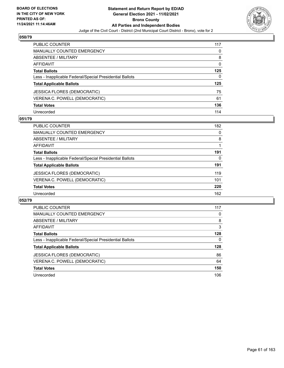

| <b>PUBLIC COUNTER</b>                                    | 117      |
|----------------------------------------------------------|----------|
| <b>MANUALLY COUNTED EMERGENCY</b>                        | 0        |
| <b>ABSENTEE / MILITARY</b>                               | 8        |
| AFFIDAVIT                                                | $\Omega$ |
| <b>Total Ballots</b>                                     | 125      |
| Less - Inapplicable Federal/Special Presidential Ballots | 0        |
| <b>Total Applicable Ballots</b>                          | 125      |
| JESSICA FLORES (DEMOCRATIC)                              | 75       |
| VERENA C. POWELL (DEMOCRATIC)                            | 61       |
| <b>Total Votes</b>                                       | 136      |
| Unrecorded                                               | 114      |

### **051/79**

| <b>PUBLIC COUNTER</b>                                    | 182 |
|----------------------------------------------------------|-----|
| MANUALLY COUNTED EMERGENCY                               | 0   |
| ABSENTEE / MILITARY                                      | 8   |
| <b>AFFIDAVIT</b>                                         |     |
| <b>Total Ballots</b>                                     | 191 |
| Less - Inapplicable Federal/Special Presidential Ballots | 0   |
| <b>Total Applicable Ballots</b>                          | 191 |
| <b>JESSICA FLORES (DEMOCRATIC)</b>                       | 119 |
| VERENA C. POWELL (DEMOCRATIC)                            | 101 |
| <b>Total Votes</b>                                       | 220 |
| Unrecorded                                               | 162 |

| <b>PUBLIC COUNTER</b>                                    | 117 |
|----------------------------------------------------------|-----|
| <b>MANUALLY COUNTED EMERGENCY</b>                        | 0   |
| ABSENTEE / MILITARY                                      | 8   |
| <b>AFFIDAVIT</b>                                         | 3   |
| <b>Total Ballots</b>                                     | 128 |
| Less - Inapplicable Federal/Special Presidential Ballots | 0   |
| <b>Total Applicable Ballots</b>                          | 128 |
| JESSICA FLORES (DEMOCRATIC)                              | 86  |
| VERENA C. POWELL (DEMOCRATIC)                            | 64  |
| <b>Total Votes</b>                                       | 150 |
| Unrecorded                                               | 106 |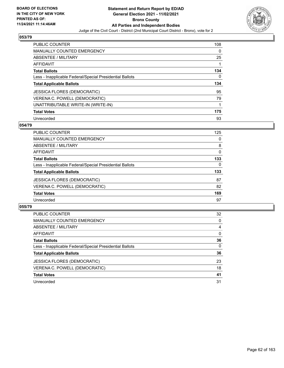

| <b>PUBLIC COUNTER</b>                                    | 108 |
|----------------------------------------------------------|-----|
| <b>MANUALLY COUNTED EMERGENCY</b>                        | 0   |
| ABSENTEE / MILITARY                                      | 25  |
| <b>AFFIDAVIT</b>                                         |     |
| <b>Total Ballots</b>                                     | 134 |
| Less - Inapplicable Federal/Special Presidential Ballots | 0   |
| <b>Total Applicable Ballots</b>                          | 134 |
| JESSICA FLORES (DEMOCRATIC)                              | 95  |
| VERENA C. POWELL (DEMOCRATIC)                            | 79  |
| UNATTRIBUTABLE WRITE-IN (WRITE-IN)                       | 1   |
| <b>Total Votes</b>                                       | 175 |
| Unrecorded                                               | 93  |

#### **054/79**

| <b>PUBLIC COUNTER</b>                                    | 125      |
|----------------------------------------------------------|----------|
| MANUALLY COUNTED EMERGENCY                               | 0        |
| ABSENTEE / MILITARY                                      | 8        |
| <b>AFFIDAVIT</b>                                         | 0        |
| <b>Total Ballots</b>                                     | 133      |
| Less - Inapplicable Federal/Special Presidential Ballots | $\Omega$ |
| <b>Total Applicable Ballots</b>                          | 133      |
| <b>JESSICA FLORES (DEMOCRATIC)</b>                       | 87       |
| VERENA C. POWELL (DEMOCRATIC)                            | 82       |
| <b>Total Votes</b>                                       | 169      |
| Unrecorded                                               | 97       |

| <b>PUBLIC COUNTER</b>                                    | 32       |
|----------------------------------------------------------|----------|
| <b>MANUALLY COUNTED EMERGENCY</b>                        | $\Omega$ |
| <b>ABSENTEE / MILITARY</b>                               | 4        |
| AFFIDAVIT                                                | $\Omega$ |
| <b>Total Ballots</b>                                     | 36       |
| Less - Inapplicable Federal/Special Presidential Ballots | $\Omega$ |
| <b>Total Applicable Ballots</b>                          | 36       |
| <b>JESSICA FLORES (DEMOCRATIC)</b>                       | 23       |
| VERENA C. POWELL (DEMOCRATIC)                            | 18       |
| <b>Total Votes</b>                                       | 41       |
| Unrecorded                                               | 31       |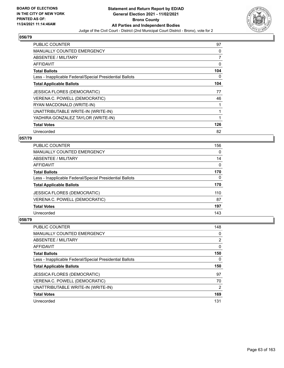

| <b>PUBLIC COUNTER</b>                                    | 97  |
|----------------------------------------------------------|-----|
| <b>MANUALLY COUNTED EMERGENCY</b>                        | 0   |
| <b>ABSENTEE / MILITARY</b>                               | 7   |
| <b>AFFIDAVIT</b>                                         | 0   |
| <b>Total Ballots</b>                                     | 104 |
| Less - Inapplicable Federal/Special Presidential Ballots | 0   |
| <b>Total Applicable Ballots</b>                          | 104 |
| <b>JESSICA FLORES (DEMOCRATIC)</b>                       | 77  |
| VERENA C. POWELL (DEMOCRATIC)                            | 46  |
| RYAN MACDONALD (WRITE-IN)                                |     |
| UNATTRIBUTABLE WRITE-IN (WRITE-IN)                       | 1   |
| YADHIRA GONZALEZ TAYLOR (WRITE-IN)                       | 1   |
| <b>Total Votes</b>                                       | 126 |
| Unrecorded                                               | 82  |

# **057/79**

| <b>PUBLIC COUNTER</b>                                    | 156      |
|----------------------------------------------------------|----------|
| MANUALLY COUNTED EMERGENCY                               | $\Omega$ |
| ABSENTEE / MILITARY                                      | 14       |
| <b>AFFIDAVIT</b>                                         | 0        |
| <b>Total Ballots</b>                                     | 170      |
| Less - Inapplicable Federal/Special Presidential Ballots | $\Omega$ |
| <b>Total Applicable Ballots</b>                          | 170      |
| <b>JESSICA FLORES (DEMOCRATIC)</b>                       | 110      |
| VERENA C. POWELL (DEMOCRATIC)                            | 87       |
| <b>Total Votes</b>                                       | 197      |
| Unrecorded                                               | 143      |

| <b>PUBLIC COUNTER</b>                                    | 148           |
|----------------------------------------------------------|---------------|
| <b>MANUALLY COUNTED EMERGENCY</b>                        | 0             |
| ABSENTEE / MILITARY                                      | 2             |
| AFFIDAVIT                                                | 0             |
| <b>Total Ballots</b>                                     | 150           |
| Less - Inapplicable Federal/Special Presidential Ballots | 0             |
|                                                          |               |
| <b>Total Applicable Ballots</b>                          | 150           |
| <b>JESSICA FLORES (DEMOCRATIC)</b>                       | 97            |
| VERENA C. POWELL (DEMOCRATIC)                            | 70            |
| UNATTRIBUTABLE WRITE-IN (WRITE-IN)                       | $\mathcal{P}$ |
| <b>Total Votes</b>                                       | 169           |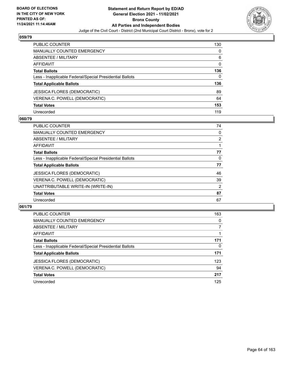

| <b>PUBLIC COUNTER</b>                                    | 130      |
|----------------------------------------------------------|----------|
| <b>MANUALLY COUNTED EMERGENCY</b>                        | 0        |
| ABSENTEE / MILITARY                                      | 6        |
| <b>AFFIDAVIT</b>                                         | $\Omega$ |
| <b>Total Ballots</b>                                     | 136      |
| Less - Inapplicable Federal/Special Presidential Ballots | 0        |
| <b>Total Applicable Ballots</b>                          | 136      |
| <b>JESSICA FLORES (DEMOCRATIC)</b>                       | 89       |
| VERENA C. POWELL (DEMOCRATIC)                            | 64       |
| <b>Total Votes</b>                                       | 153      |
| Unrecorded                                               | 119      |

## **060/79**

| <b>PUBLIC COUNTER</b>                                    | 74             |
|----------------------------------------------------------|----------------|
| <b>MANUALLY COUNTED EMERGENCY</b>                        | 0              |
| ABSENTEE / MILITARY                                      | $\overline{2}$ |
| AFFIDAVIT                                                |                |
| <b>Total Ballots</b>                                     | 77             |
| Less - Inapplicable Federal/Special Presidential Ballots | 0              |
| <b>Total Applicable Ballots</b>                          | 77             |
| <b>JESSICA FLORES (DEMOCRATIC)</b>                       | 46             |
| VERENA C. POWELL (DEMOCRATIC)                            | 39             |
| UNATTRIBUTABLE WRITE-IN (WRITE-IN)                       | $\overline{2}$ |
| <b>Total Votes</b>                                       | 87             |
| Unrecorded                                               | 67             |

| <b>PUBLIC COUNTER</b>                                    | 163      |
|----------------------------------------------------------|----------|
| MANUALLY COUNTED EMERGENCY                               | 0        |
| ABSENTEE / MILITARY                                      | 7        |
| AFFIDAVIT                                                |          |
| <b>Total Ballots</b>                                     | 171      |
| Less - Inapplicable Federal/Special Presidential Ballots | $\Omega$ |
| <b>Total Applicable Ballots</b>                          | 171      |
| <b>JESSICA FLORES (DEMOCRATIC)</b>                       | 123      |
| VERENA C. POWELL (DEMOCRATIC)                            | 94       |
| <b>Total Votes</b>                                       | 217      |
| Unrecorded                                               | 125      |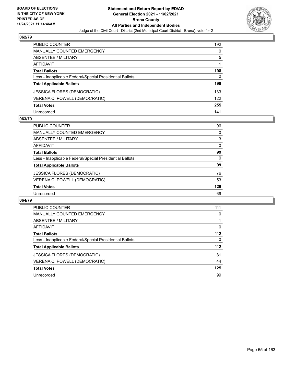

| <b>PUBLIC COUNTER</b>                                    | 192 |
|----------------------------------------------------------|-----|
| <b>MANUALLY COUNTED EMERGENCY</b>                        | 0   |
| ABSENTEE / MILITARY                                      | 5   |
| AFFIDAVIT                                                |     |
| <b>Total Ballots</b>                                     | 198 |
| Less - Inapplicable Federal/Special Presidential Ballots | 0   |
| <b>Total Applicable Ballots</b>                          | 198 |
| <b>JESSICA FLORES (DEMOCRATIC)</b>                       | 133 |
| VERENA C. POWELL (DEMOCRATIC)                            | 122 |
| <b>Total Votes</b>                                       | 255 |
| Unrecorded                                               | 141 |

## **063/79**

| <b>PUBLIC COUNTER</b>                                    | 96       |
|----------------------------------------------------------|----------|
| MANUALLY COUNTED EMERGENCY                               | 0        |
| ABSENTEE / MILITARY                                      | 3        |
| AFFIDAVIT                                                | $\Omega$ |
| <b>Total Ballots</b>                                     | 99       |
| Less - Inapplicable Federal/Special Presidential Ballots | $\Omega$ |
| <b>Total Applicable Ballots</b>                          | 99       |
| <b>JESSICA FLORES (DEMOCRATIC)</b>                       | 76       |
| VERENA C. POWELL (DEMOCRATIC)                            | 53       |
| <b>Total Votes</b>                                       | 129      |
| Unrecorded                                               | 69       |

| <b>PUBLIC COUNTER</b>                                    | 111      |
|----------------------------------------------------------|----------|
| <b>MANUALLY COUNTED EMERGENCY</b>                        | 0        |
| ABSENTEE / MILITARY                                      |          |
| <b>AFFIDAVIT</b>                                         | $\Omega$ |
| <b>Total Ballots</b>                                     | $112$    |
| Less - Inapplicable Federal/Special Presidential Ballots | 0        |
| <b>Total Applicable Ballots</b>                          | $112$    |
| JESSICA FLORES (DEMOCRATIC)                              | 81       |
| VERENA C. POWELL (DEMOCRATIC)                            | 44       |
| <b>Total Votes</b>                                       | 125      |
| Unrecorded                                               | 99       |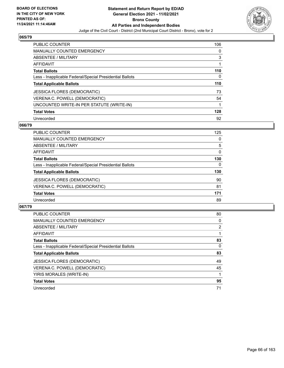

| <b>PUBLIC COUNTER</b>                                    | 106 |
|----------------------------------------------------------|-----|
| <b>MANUALLY COUNTED EMERGENCY</b>                        | 0   |
| ABSENTEE / MILITARY                                      | 3   |
| AFFIDAVIT                                                | 1   |
| <b>Total Ballots</b>                                     | 110 |
| Less - Inapplicable Federal/Special Presidential Ballots | 0   |
| <b>Total Applicable Ballots</b>                          | 110 |
| <b>JESSICA FLORES (DEMOCRATIC)</b>                       | 73  |
|                                                          |     |
| VERENA C. POWELL (DEMOCRATIC)                            | 54  |
| UNCOUNTED WRITE-IN PER STATUTE (WRITE-IN)                |     |
| <b>Total Votes</b>                                       | 128 |

#### **066/79**

| <b>PUBLIC COUNTER</b>                                    | 125      |
|----------------------------------------------------------|----------|
| MANUALLY COUNTED EMERGENCY                               | 0        |
| ABSENTEE / MILITARY                                      | 5        |
| <b>AFFIDAVIT</b>                                         | 0        |
| <b>Total Ballots</b>                                     | 130      |
| Less - Inapplicable Federal/Special Presidential Ballots | $\Omega$ |
| <b>Total Applicable Ballots</b>                          | 130      |
| <b>JESSICA FLORES (DEMOCRATIC)</b>                       | 90       |
| VERENA C. POWELL (DEMOCRATIC)                            | 81       |
| <b>Total Votes</b>                                       | 171      |
| Unrecorded                                               | 89       |

| <b>PUBLIC COUNTER</b>                                    | 80             |
|----------------------------------------------------------|----------------|
| <b>MANUALLY COUNTED EMERGENCY</b>                        | 0              |
| ABSENTEE / MILITARY                                      | $\overline{2}$ |
| AFFIDAVIT                                                |                |
| <b>Total Ballots</b>                                     | 83             |
| Less - Inapplicable Federal/Special Presidential Ballots | $\Omega$       |
| <b>Total Applicable Ballots</b>                          | 83             |
| <b>JESSICA FLORES (DEMOCRATIC)</b>                       | 49             |
| VERENA C. POWELL (DEMOCRATIC)                            | 45             |
| YIRIS MORALES (WRITE-IN)                                 |                |
| <b>Total Votes</b>                                       | 95             |
| Unrecorded                                               | 71             |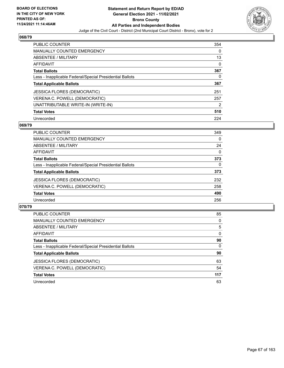

| <b>PUBLIC COUNTER</b>                                    | 354 |
|----------------------------------------------------------|-----|
| <b>MANUALLY COUNTED EMERGENCY</b>                        | 0   |
| ABSENTEE / MILITARY                                      | 13  |
| AFFIDAVIT                                                | 0   |
| <b>Total Ballots</b>                                     | 367 |
| Less - Inapplicable Federal/Special Presidential Ballots | 0   |
| <b>Total Applicable Ballots</b>                          | 367 |
| JESSICA FLORES (DEMOCRATIC)                              | 251 |
| VERENA C. POWELL (DEMOCRATIC)                            | 257 |
| UNATTRIBUTABLE WRITE-IN (WRITE-IN)                       | 2   |
| <b>Total Votes</b>                                       | 510 |
| Unrecorded                                               | 224 |

#### **069/79**

| <b>PUBLIC COUNTER</b>                                    | 349      |
|----------------------------------------------------------|----------|
| <b>MANUALLY COUNTED EMERGENCY</b>                        | 0        |
| ABSENTEE / MILITARY                                      | 24       |
| AFFIDAVIT                                                | $\Omega$ |
| <b>Total Ballots</b>                                     | 373      |
| Less - Inapplicable Federal/Special Presidential Ballots | 0        |
| <b>Total Applicable Ballots</b>                          | 373      |
| <b>JESSICA FLORES (DEMOCRATIC)</b>                       | 232      |
| VERENA C. POWELL (DEMOCRATIC)                            | 258      |
| <b>Total Votes</b>                                       | 490      |
| Unrecorded                                               | 256      |

| <b>PUBLIC COUNTER</b>                                    | 85       |
|----------------------------------------------------------|----------|
| <b>MANUALLY COUNTED EMERGENCY</b>                        | $\Omega$ |
| <b>ABSENTEE / MILITARY</b>                               | 5        |
| AFFIDAVIT                                                | $\Omega$ |
| <b>Total Ballots</b>                                     | 90       |
| Less - Inapplicable Federal/Special Presidential Ballots | $\Omega$ |
| <b>Total Applicable Ballots</b>                          | 90       |
| <b>JESSICA FLORES (DEMOCRATIC)</b>                       | 63       |
| VERENA C. POWELL (DEMOCRATIC)                            | 54       |
| <b>Total Votes</b>                                       | 117      |
| Unrecorded                                               | 63       |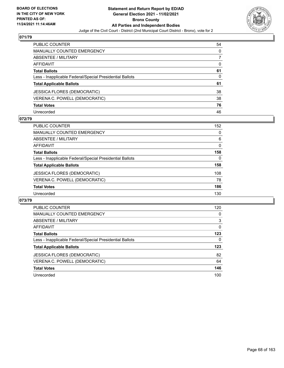

| PUBLIC COUNTER                                           | 54       |
|----------------------------------------------------------|----------|
| <b>MANUALLY COUNTED EMERGENCY</b>                        | 0        |
| <b>ABSENTEE / MILITARY</b>                               |          |
| <b>AFFIDAVIT</b>                                         | $\Omega$ |
| <b>Total Ballots</b>                                     | 61       |
| Less - Inapplicable Federal/Special Presidential Ballots | 0        |
| <b>Total Applicable Ballots</b>                          | 61       |
| <b>JESSICA FLORES (DEMOCRATIC)</b>                       | 38       |
| VERENA C. POWELL (DEMOCRATIC)                            | 38       |
| <b>Total Votes</b>                                       | 76       |
| Unrecorded                                               | 46       |

### **072/79**

| <b>PUBLIC COUNTER</b>                                    | 152 |
|----------------------------------------------------------|-----|
| MANUALLY COUNTED EMERGENCY                               | 0   |
| ABSENTEE / MILITARY                                      | 6   |
| AFFIDAVIT                                                | 0   |
| <b>Total Ballots</b>                                     | 158 |
| Less - Inapplicable Federal/Special Presidential Ballots | 0   |
| <b>Total Applicable Ballots</b>                          | 158 |
| <b>JESSICA FLORES (DEMOCRATIC)</b>                       | 108 |
| VERENA C. POWELL (DEMOCRATIC)                            | 78  |
| <b>Total Votes</b>                                       | 186 |
| Unrecorded                                               | 130 |

| PUBLIC COUNTER                                           | 120      |
|----------------------------------------------------------|----------|
| <b>MANUALLY COUNTED EMERGENCY</b>                        | 0        |
| ABSENTEE / MILITARY                                      | 3        |
| <b>AFFIDAVIT</b>                                         | $\Omega$ |
| <b>Total Ballots</b>                                     | 123      |
| Less - Inapplicable Federal/Special Presidential Ballots | 0        |
| <b>Total Applicable Ballots</b>                          | 123      |
| <b>JESSICA FLORES (DEMOCRATIC)</b>                       | 82       |
| VERENA C. POWELL (DEMOCRATIC)                            | 64       |
| <b>Total Votes</b>                                       | 146      |
| Unrecorded                                               | 100      |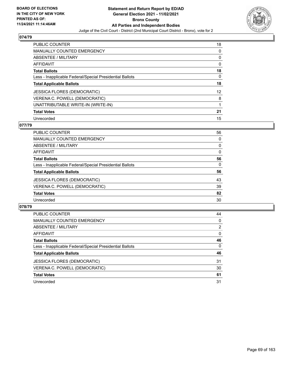

| <b>PUBLIC COUNTER</b>                                    | 18                |
|----------------------------------------------------------|-------------------|
| <b>MANUALLY COUNTED EMERGENCY</b>                        | $\Omega$          |
| ABSENTEE / MILITARY                                      | 0                 |
| AFFIDAVIT                                                | 0                 |
| <b>Total Ballots</b>                                     | 18                |
| Less - Inapplicable Federal/Special Presidential Ballots | 0                 |
| <b>Total Applicable Ballots</b>                          | 18                |
| JESSICA FLORES (DEMOCRATIC)                              | $12 \overline{ }$ |
| VERENA C. POWELL (DEMOCRATIC)                            | 8                 |
| UNATTRIBUTABLE WRITE-IN (WRITE-IN)                       |                   |
| <b>Total Votes</b>                                       | 21                |
| Unrecorded                                               | 15                |

## **077/79**

| PUBLIC COUNTER                                           | 56       |
|----------------------------------------------------------|----------|
| MANUALLY COUNTED EMERGENCY                               | 0        |
| ABSENTEE / MILITARY                                      | $\Omega$ |
| AFFIDAVIT                                                | $\Omega$ |
| <b>Total Ballots</b>                                     | 56       |
| Less - Inapplicable Federal/Special Presidential Ballots | $\Omega$ |
| <b>Total Applicable Ballots</b>                          | 56       |
| <b>JESSICA FLORES (DEMOCRATIC)</b>                       | 43       |
| VERENA C. POWELL (DEMOCRATIC)                            | 39       |
| <b>Total Votes</b>                                       | 82       |
| Unrecorded                                               | 30       |

| <b>PUBLIC COUNTER</b>                                    | 44       |
|----------------------------------------------------------|----------|
| <b>MANUALLY COUNTED EMERGENCY</b>                        | 0        |
| ABSENTEE / MILITARY                                      | 2        |
| AFFIDAVIT                                                | $\Omega$ |
| <b>Total Ballots</b>                                     | 46       |
| Less - Inapplicable Federal/Special Presidential Ballots | 0        |
| <b>Total Applicable Ballots</b>                          | 46       |
| <b>JESSICA FLORES (DEMOCRATIC)</b>                       | 31       |
| VERENA C. POWELL (DEMOCRATIC)                            | 30       |
| <b>Total Votes</b>                                       | 61       |
| Unrecorded                                               | 31       |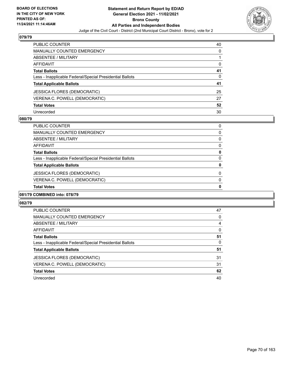

| PUBLIC COUNTER                                           | 40       |
|----------------------------------------------------------|----------|
| <b>MANUALLY COUNTED EMERGENCY</b>                        | 0        |
| <b>ABSENTEE / MILITARY</b>                               |          |
| <b>AFFIDAVIT</b>                                         | $\Omega$ |
| <b>Total Ballots</b>                                     | 41       |
| Less - Inapplicable Federal/Special Presidential Ballots | 0        |
| <b>Total Applicable Ballots</b>                          | 41       |
| <b>JESSICA FLORES (DEMOCRATIC)</b>                       | 25       |
| VERENA C. POWELL (DEMOCRATIC)                            | 27       |
| <b>Total Votes</b>                                       | 52       |
| Unrecorded                                               | 30       |

#### **080/79**

| <b>Total Votes</b>                                       |          |
|----------------------------------------------------------|----------|
|                                                          | 0        |
| VERENA C. POWELL (DEMOCRATIC)                            | $\Omega$ |
| <b>JESSICA FLORES (DEMOCRATIC)</b>                       | $\Omega$ |
| <b>Total Applicable Ballots</b>                          | 0        |
| Less - Inapplicable Federal/Special Presidential Ballots | $\Omega$ |
| <b>Total Ballots</b>                                     | 0        |
| AFFIDAVIT                                                | 0        |
| ABSENTEE / MILITARY                                      | 0        |
| <b>MANUALLY COUNTED EMERGENCY</b>                        | 0        |
| PUBLIC COUNTER                                           | 0        |

# **081/79 COMBINED into: 078/79**

| <b>PUBLIC COUNTER</b>                                    | 47       |
|----------------------------------------------------------|----------|
| <b>MANUALLY COUNTED EMERGENCY</b>                        | 0        |
| ABSENTEE / MILITARY                                      | 4        |
| AFFIDAVIT                                                | $\Omega$ |
| <b>Total Ballots</b>                                     | 51       |
| Less - Inapplicable Federal/Special Presidential Ballots | 0        |
| <b>Total Applicable Ballots</b>                          | 51       |
| <b>JESSICA FLORES (DEMOCRATIC)</b>                       | 31       |
| VERENA C. POWELL (DEMOCRATIC)                            | 31       |
| <b>Total Votes</b>                                       | 62       |
| Unrecorded                                               | 40       |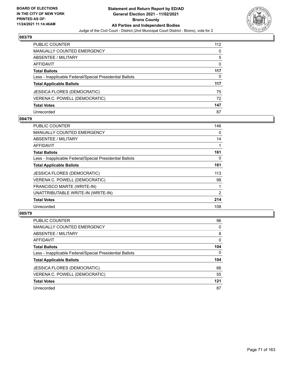

| <b>PUBLIC COUNTER</b>                                    | 112 |
|----------------------------------------------------------|-----|
| <b>MANUALLY COUNTED EMERGENCY</b>                        | 0   |
| ABSENTEE / MILITARY                                      | 5   |
| <b>AFFIDAVIT</b>                                         | 0   |
| <b>Total Ballots</b>                                     | 117 |
| Less - Inapplicable Federal/Special Presidential Ballots | 0   |
| <b>Total Applicable Ballots</b>                          | 117 |
| <b>JESSICA FLORES (DEMOCRATIC)</b>                       | 75  |
| VERENA C. POWELL (DEMOCRATIC)                            | 72  |
| <b>Total Votes</b>                                       | 147 |
| Unrecorded                                               | 87  |

### **084/79**

| <b>PUBLIC COUNTER</b>                                    | 146            |
|----------------------------------------------------------|----------------|
| <b>MANUALLY COUNTED EMERGENCY</b>                        | $\Omega$       |
| <b>ABSENTEE / MILITARY</b>                               | 14             |
| AFFIDAVIT                                                |                |
| <b>Total Ballots</b>                                     | 161            |
| Less - Inapplicable Federal/Special Presidential Ballots | 0              |
| <b>Total Applicable Ballots</b>                          | 161            |
| <b>JESSICA FLORES (DEMOCRATIC)</b>                       | 113            |
| VERENA C. POWELL (DEMOCRATIC)                            | 98             |
| FRANCISCO MARTE (WRITE-IN)                               |                |
| UNATTRIBUTABLE WRITE-IN (WRITE-IN)                       | $\overline{2}$ |
| <b>Total Votes</b>                                       | 214            |
| Unrecorded                                               | 108            |

| <b>PUBLIC COUNTER</b>                                    | 96       |
|----------------------------------------------------------|----------|
| MANUALLY COUNTED EMERGENCY                               | $\Omega$ |
| ABSENTEE / MILITARY                                      | 8        |
| AFFIDAVIT                                                | $\Omega$ |
| <b>Total Ballots</b>                                     | 104      |
| Less - Inapplicable Federal/Special Presidential Ballots | $\Omega$ |
| <b>Total Applicable Ballots</b>                          | 104      |
| <b>JESSICA FLORES (DEMOCRATIC)</b>                       | 66       |
| VERENA C. POWELL (DEMOCRATIC)                            | 55       |
| <b>Total Votes</b>                                       | 121      |
|                                                          |          |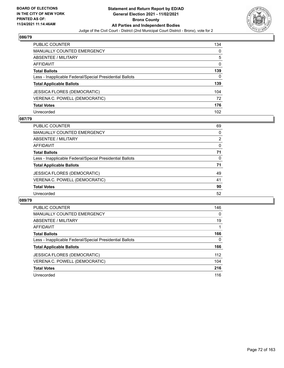

| <b>PUBLIC COUNTER</b>                                    | 134 |
|----------------------------------------------------------|-----|
| <b>MANUALLY COUNTED EMERGENCY</b>                        | 0   |
| ABSENTEE / MILITARY                                      | 5   |
| AFFIDAVIT                                                | 0   |
| <b>Total Ballots</b>                                     | 139 |
| Less - Inapplicable Federal/Special Presidential Ballots | 0   |
| <b>Total Applicable Ballots</b>                          | 139 |
| JESSICA FLORES (DEMOCRATIC)                              | 104 |
| VERENA C. POWELL (DEMOCRATIC)                            | 72  |
| <b>Total Votes</b>                                       | 176 |
| Unrecorded                                               | 102 |

## **087/79**

| PUBLIC COUNTER                                           | 69       |
|----------------------------------------------------------|----------|
| <b>MANUALLY COUNTED EMERGENCY</b>                        | $\Omega$ |
| ABSENTEE / MILITARY                                      | 2        |
| AFFIDAVIT                                                | $\Omega$ |
| <b>Total Ballots</b>                                     | 71       |
| Less - Inapplicable Federal/Special Presidential Ballots | $\Omega$ |
| <b>Total Applicable Ballots</b>                          | 71       |
| <b>JESSICA FLORES (DEMOCRATIC)</b>                       | 49       |
| VERENA C. POWELL (DEMOCRATIC)                            | 41       |
| <b>Total Votes</b>                                       | 90       |
| Unrecorded                                               | 52       |

| <b>PUBLIC COUNTER</b>                                    | 146 |
|----------------------------------------------------------|-----|
| <b>MANUALLY COUNTED EMERGENCY</b>                        | 0   |
| ABSENTEE / MILITARY                                      | 19  |
| <b>AFFIDAVIT</b>                                         |     |
| <b>Total Ballots</b>                                     | 166 |
| Less - Inapplicable Federal/Special Presidential Ballots | 0   |
| <b>Total Applicable Ballots</b>                          | 166 |
| JESSICA FLORES (DEMOCRATIC)                              | 112 |
| VERENA C. POWELL (DEMOCRATIC)                            | 104 |
| <b>Total Votes</b>                                       | 216 |
| Unrecorded                                               | 116 |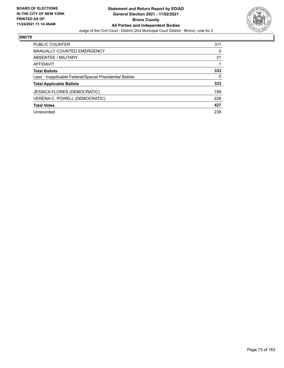

| PUBLIC COUNTER                                           | 311 |
|----------------------------------------------------------|-----|
| <b>MANUALLY COUNTED EMERGENCY</b>                        | 0   |
| ABSENTEE / MILITARY                                      | 21  |
| AFFIDAVIT                                                |     |
| <b>Total Ballots</b>                                     | 333 |
| Less - Inapplicable Federal/Special Presidential Ballots | 0   |
| <b>Total Applicable Ballots</b>                          | 333 |
| <b>JESSICA FLORES (DEMOCRATIC)</b>                       | 199 |
| VERENA C. POWELL (DEMOCRATIC)                            | 228 |
| <b>Total Votes</b>                                       | 427 |
| Unrecorded                                               | 239 |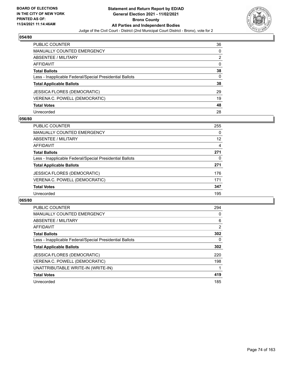

| PUBLIC COUNTER                                           | 36       |
|----------------------------------------------------------|----------|
| <b>MANUALLY COUNTED EMERGENCY</b>                        | 0        |
| ABSENTEE / MILITARY                                      | 2        |
| AFFIDAVIT                                                | $\Omega$ |
| <b>Total Ballots</b>                                     | 38       |
| Less - Inapplicable Federal/Special Presidential Ballots | 0        |
| <b>Total Applicable Ballots</b>                          | 38       |
| JESSICA FLORES (DEMOCRATIC)                              | 29       |
| VERENA C. POWELL (DEMOCRATIC)                            | 19       |
| <b>Total Votes</b>                                       | 48       |
| Unrecorded                                               | 28       |

#### **056/80**

| PUBLIC COUNTER                                           | 255 |
|----------------------------------------------------------|-----|
| <b>MANUALLY COUNTED EMERGENCY</b>                        | 0   |
| ABSENTEE / MILITARY                                      | 12  |
| AFFIDAVIT                                                | 4   |
| <b>Total Ballots</b>                                     | 271 |
| Less - Inapplicable Federal/Special Presidential Ballots | 0   |
| <b>Total Applicable Ballots</b>                          | 271 |
| JESSICA FLORES (DEMOCRATIC)                              | 176 |
| VERENA C. POWELL (DEMOCRATIC)                            | 171 |
| <b>Total Votes</b>                                       | 347 |
| Unrecorded                                               | 195 |

| <b>PUBLIC COUNTER</b>                                    | 294 |
|----------------------------------------------------------|-----|
| <b>MANUALLY COUNTED EMERGENCY</b>                        | 0   |
| ABSENTEE / MILITARY                                      | 6   |
| AFFIDAVIT                                                | 2   |
| <b>Total Ballots</b>                                     | 302 |
| Less - Inapplicable Federal/Special Presidential Ballots | 0   |
| <b>Total Applicable Ballots</b>                          | 302 |
| <b>JESSICA FLORES (DEMOCRATIC)</b>                       | 220 |
| VERENA C. POWELL (DEMOCRATIC)                            | 198 |
| UNATTRIBUTABLE WRITE-IN (WRITE-IN)                       |     |
| <b>Total Votes</b>                                       | 419 |
| Unrecorded                                               | 185 |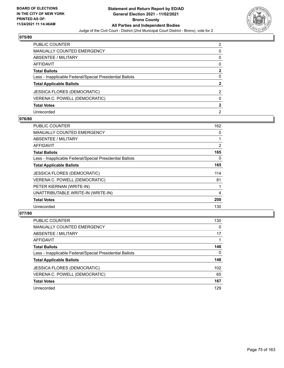

| PUBLIC COUNTER                                           | $\mathcal{P}$ |
|----------------------------------------------------------|---------------|
| <b>MANUALLY COUNTED EMERGENCY</b>                        | 0             |
| <b>ABSENTEE / MILITARY</b>                               | 0             |
| <b>AFFIDAVIT</b>                                         | 0             |
| <b>Total Ballots</b>                                     | $\mathbf{2}$  |
| Less - Inapplicable Federal/Special Presidential Ballots | 0             |
| <b>Total Applicable Ballots</b>                          | 2             |
| <b>JESSICA FLORES (DEMOCRATIC)</b>                       | $\mathcal{P}$ |
| VERENA C. POWELL (DEMOCRATIC)                            | $\Omega$      |
| <b>Total Votes</b>                                       | 2             |
| Unrecorded                                               | 2             |

#### **076/80**

| <b>PUBLIC COUNTER</b>                                    | 162 |
|----------------------------------------------------------|-----|
| <b>MANUALLY COUNTED EMERGENCY</b>                        | 0   |
| ABSENTEE / MILITARY                                      |     |
| AFFIDAVIT                                                | 2   |
| <b>Total Ballots</b>                                     | 165 |
| Less - Inapplicable Federal/Special Presidential Ballots | 0   |
| <b>Total Applicable Ballots</b>                          | 165 |
| <b>JESSICA FLORES (DEMOCRATIC)</b>                       | 114 |
| VERENA C. POWELL (DEMOCRATIC)                            | 81  |
| PETER KIERNAN (WRITE-IN)                                 |     |
| UNATTRIBUTABLE WRITE-IN (WRITE-IN)                       | 4   |
| <b>Total Votes</b>                                       | 200 |
| Unrecorded                                               | 130 |

| <b>PUBLIC COUNTER</b>                                    | 130      |
|----------------------------------------------------------|----------|
| MANUALLY COUNTED EMERGENCY                               | $\Omega$ |
| ABSENTEE / MILITARY                                      | 17       |
| AFFIDAVIT                                                |          |
| <b>Total Ballots</b>                                     | 148      |
| Less - Inapplicable Federal/Special Presidential Ballots | $\Omega$ |
| <b>Total Applicable Ballots</b>                          | 148      |
| <b>JESSICA FLORES (DEMOCRATIC)</b>                       | 102      |
| VERENA C. POWELL (DEMOCRATIC)                            | 65       |
| <b>Total Votes</b>                                       | 167      |
| Unrecorded                                               | 129      |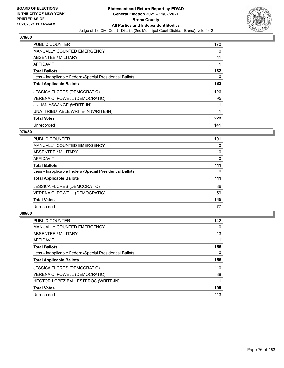

| PUBLIC COUNTER                                           | 170 |
|----------------------------------------------------------|-----|
| <b>MANUALLY COUNTED EMERGENCY</b>                        | 0   |
| ABSENTEE / MILITARY                                      | 11  |
| <b>AFFIDAVIT</b>                                         |     |
| <b>Total Ballots</b>                                     | 182 |
| Less - Inapplicable Federal/Special Presidential Ballots | 0   |
| <b>Total Applicable Ballots</b>                          | 182 |
| <b>JESSICA FLORES (DEMOCRATIC)</b>                       | 126 |
| VERENA C. POWELL (DEMOCRATIC)                            | 95  |
| <b>JULIAN ASSANGE (WRITE-IN)</b>                         |     |
| UNATTRIBUTABLE WRITE-IN (WRITE-IN)                       |     |
| <b>Total Votes</b>                                       | 223 |
| Unrecorded                                               | 141 |

## **079/80**

| <b>PUBLIC COUNTER</b>                                    | 101      |
|----------------------------------------------------------|----------|
| MANUALLY COUNTED EMERGENCY                               | 0        |
| ABSENTEE / MILITARY                                      | 10       |
| <b>AFFIDAVIT</b>                                         | 0        |
| <b>Total Ballots</b>                                     | 111      |
| Less - Inapplicable Federal/Special Presidential Ballots | $\Omega$ |
| <b>Total Applicable Ballots</b>                          | 111      |
| <b>JESSICA FLORES (DEMOCRATIC)</b>                       | 86       |
| VERENA C. POWELL (DEMOCRATIC)                            | 59       |
| <b>Total Votes</b>                                       | 145      |
| Unrecorded                                               | 77       |

| <b>PUBLIC COUNTER</b>                                    | 142      |
|----------------------------------------------------------|----------|
| <b>MANUALLY COUNTED EMERGENCY</b>                        | $\Omega$ |
| ABSENTEE / MILITARY                                      | 13       |
| AFFIDAVIT                                                |          |
| <b>Total Ballots</b>                                     | 156      |
| Less - Inapplicable Federal/Special Presidential Ballots | 0        |
| <b>Total Applicable Ballots</b>                          | 156      |
| <b>JESSICA FLORES (DEMOCRATIC)</b>                       | 110      |
| VERENA C. POWELL (DEMOCRATIC)                            | 88       |
| HECTOR LOPEZ BALLESTEROS (WRITE-IN)                      |          |
| <b>Total Votes</b>                                       | 199      |
| Unrecorded                                               | 113      |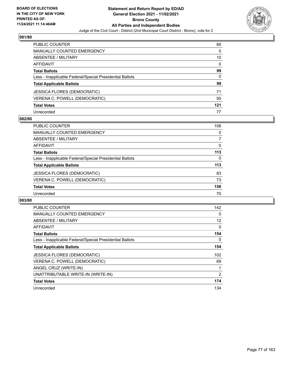

| PUBLIC COUNTER                                           | 89       |
|----------------------------------------------------------|----------|
| <b>MANUALLY COUNTED EMERGENCY</b>                        | 0        |
| ABSENTEE / MILITARY                                      | 10       |
| <b>AFFIDAVIT</b>                                         | $\Omega$ |
| <b>Total Ballots</b>                                     | 99       |
| Less - Inapplicable Federal/Special Presidential Ballots | 0        |
| <b>Total Applicable Ballots</b>                          | 99       |
| <b>JESSICA FLORES (DEMOCRATIC)</b>                       | 71       |
| VERENA C. POWELL (DEMOCRATIC)                            | 50       |
| <b>Total Votes</b>                                       | 121      |
| Unrecorded                                               | 77       |

#### **082/80**

| PUBLIC COUNTER                                           | 106      |
|----------------------------------------------------------|----------|
| MANUALLY COUNTED EMERGENCY                               | $\Omega$ |
| ABSENTEE / MILITARY                                      |          |
| AFFIDAVIT                                                | $\Omega$ |
| <b>Total Ballots</b>                                     | 113      |
| Less - Inapplicable Federal/Special Presidential Ballots | $\Omega$ |
| <b>Total Applicable Ballots</b>                          | 113      |
| <b>JESSICA FLORES (DEMOCRATIC)</b>                       | 83       |
| VERENA C. POWELL (DEMOCRATIC)                            | 73       |
| <b>Total Votes</b>                                       | 156      |
| Unrecorded                                               | 70       |

| <b>PUBLIC COUNTER</b>                                    | 142      |
|----------------------------------------------------------|----------|
| <b>MANUALLY COUNTED EMERGENCY</b>                        | $\Omega$ |
| ABSENTEE / MILITARY                                      | 12       |
| <b>AFFIDAVIT</b>                                         | 0        |
| <b>Total Ballots</b>                                     | 154      |
| Less - Inapplicable Federal/Special Presidential Ballots | 0        |
| <b>Total Applicable Ballots</b>                          | 154      |
| <b>JESSICA FLORES (DEMOCRATIC)</b>                       | 102      |
| VERENA C. POWELL (DEMOCRATIC)                            | 69       |
| ANGEL CRUZ (WRITE-IN)                                    |          |
| UNATTRIBUTABLE WRITE-IN (WRITE-IN)                       | 2        |
| <b>Total Votes</b>                                       | 174      |
| Unrecorded                                               | 134      |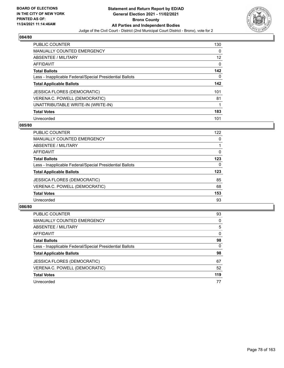

| <b>PUBLIC COUNTER</b>                                    | 130 |
|----------------------------------------------------------|-----|
| <b>MANUALLY COUNTED EMERGENCY</b>                        | 0   |
| ABSENTEE / MILITARY                                      | 12  |
| <b>AFFIDAVIT</b>                                         | 0   |
| <b>Total Ballots</b>                                     | 142 |
| Less - Inapplicable Federal/Special Presidential Ballots | 0   |
| <b>Total Applicable Ballots</b>                          | 142 |
| <b>JESSICA FLORES (DEMOCRATIC)</b>                       | 101 |
| VERENA C. POWELL (DEMOCRATIC)                            | 81  |
| UNATTRIBUTABLE WRITE-IN (WRITE-IN)                       |     |
| <b>Total Votes</b>                                       | 183 |
| Unrecorded                                               | 101 |

#### **085/80**

| <b>PUBLIC COUNTER</b>                                    | 122      |
|----------------------------------------------------------|----------|
| MANUALLY COUNTED EMERGENCY                               | 0        |
| ABSENTEE / MILITARY                                      |          |
| AFFIDAVIT                                                | 0        |
| <b>Total Ballots</b>                                     | 123      |
| Less - Inapplicable Federal/Special Presidential Ballots | $\Omega$ |
| <b>Total Applicable Ballots</b>                          | 123      |
| <b>JESSICA FLORES (DEMOCRATIC)</b>                       | 85       |
| VERENA C. POWELL (DEMOCRATIC)                            | 68       |
| <b>Total Votes</b>                                       | 153      |
| Unrecorded                                               | 93       |

| <b>PUBLIC COUNTER</b>                                    | 93       |
|----------------------------------------------------------|----------|
| <b>MANUALLY COUNTED EMERGENCY</b>                        | $\Omega$ |
| ABSENTEE / MILITARY                                      | 5        |
| AFFIDAVIT                                                | 0        |
| <b>Total Ballots</b>                                     | 98       |
| Less - Inapplicable Federal/Special Presidential Ballots | $\Omega$ |
| <b>Total Applicable Ballots</b>                          | 98       |
| <b>JESSICA FLORES (DEMOCRATIC)</b>                       | 67       |
| VERENA C. POWELL (DEMOCRATIC)                            | 52       |
| <b>Total Votes</b>                                       | 119      |
| Unrecorded                                               | 77       |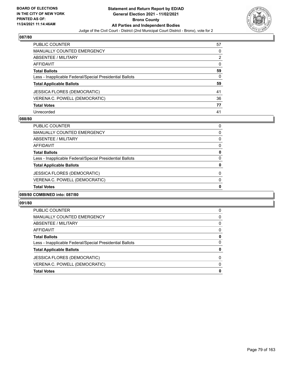

| PUBLIC COUNTER                                           | 57       |
|----------------------------------------------------------|----------|
| <b>MANUALLY COUNTED EMERGENCY</b>                        | 0        |
| ABSENTEE / MILITARY                                      | 2        |
| <b>AFFIDAVIT</b>                                         | $\Omega$ |
| <b>Total Ballots</b>                                     | 59       |
| Less - Inapplicable Federal/Special Presidential Ballots | 0        |
| <b>Total Applicable Ballots</b>                          | 59       |
| JESSICA FLORES (DEMOCRATIC)                              | 41       |
| VERENA C. POWELL (DEMOCRATIC)                            | 36       |
| <b>Total Votes</b>                                       | 77       |
| Unrecorded                                               | 41       |

#### **088/80**

| <b>Total Votes</b>                                       | 0        |
|----------------------------------------------------------|----------|
| VERENA C. POWELL (DEMOCRATIC)                            | 0        |
| JESSICA FLORES (DEMOCRATIC)                              | 0        |
| <b>Total Applicable Ballots</b>                          | 0        |
| Less - Inapplicable Federal/Special Presidential Ballots | $\Omega$ |
| <b>Total Ballots</b>                                     | 0        |
| AFFIDAVIT                                                | 0        |
| ABSENTEE / MILITARY                                      | 0        |
| MANUALLY COUNTED EMERGENCY                               | 0        |
| <b>PUBLIC COUNTER</b>                                    | 0        |

# **089/80 COMBINED into: 087/80**

| <b>Total Votes</b>                                       | 0        |
|----------------------------------------------------------|----------|
| VERENA C. POWELL (DEMOCRATIC)                            | 0        |
| <b>JESSICA FLORES (DEMOCRATIC)</b>                       | 0        |
| <b>Total Applicable Ballots</b>                          | 0        |
| Less - Inapplicable Federal/Special Presidential Ballots | 0        |
| <b>Total Ballots</b>                                     | 0        |
| AFFIDAVIT                                                | $\Omega$ |
| ABSENTEE / MILITARY                                      | $\Omega$ |
| MANUALLY COUNTED EMERGENCY                               | 0        |
| <b>PUBLIC COUNTER</b>                                    | 0        |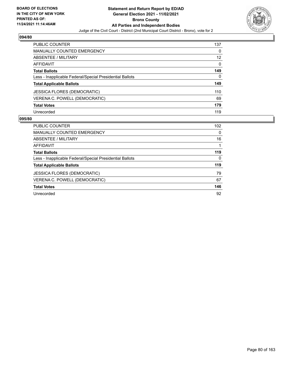

| <b>PUBLIC COUNTER</b>                                    | 137               |
|----------------------------------------------------------|-------------------|
| <b>MANUALLY COUNTED EMERGENCY</b>                        | 0                 |
| ABSENTEE / MILITARY                                      | $12 \overline{ }$ |
| AFFIDAVIT                                                | $\Omega$          |
| <b>Total Ballots</b>                                     | 149               |
| Less - Inapplicable Federal/Special Presidential Ballots | 0                 |
| <b>Total Applicable Ballots</b>                          | 149               |
| <b>JESSICA FLORES (DEMOCRATIC)</b>                       | 110               |
| VERENA C. POWELL (DEMOCRATIC)                            | 69                |
| <b>Total Votes</b>                                       | 179               |
| Unrecorded                                               | 119               |

| <b>PUBLIC COUNTER</b>                                    | 102 <sub>2</sub> |
|----------------------------------------------------------|------------------|
| <b>MANUALLY COUNTED EMERGENCY</b>                        | 0                |
| ABSENTEE / MILITARY                                      | 16               |
| AFFIDAVIT                                                |                  |
| <b>Total Ballots</b>                                     | 119              |
| Less - Inapplicable Federal/Special Presidential Ballots | 0                |
| <b>Total Applicable Ballots</b>                          | 119              |
| <b>JESSICA FLORES (DEMOCRATIC)</b>                       | 79               |
| VERENA C. POWELL (DEMOCRATIC)                            | 67               |
| <b>Total Votes</b>                                       | 146              |
| Unrecorded                                               | 92               |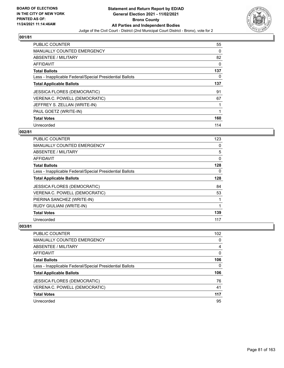

| <b>PUBLIC COUNTER</b>                                    | 55       |
|----------------------------------------------------------|----------|
| <b>MANUALLY COUNTED EMERGENCY</b>                        | $\Omega$ |
| ABSENTEE / MILITARY                                      | 82       |
| <b>AFFIDAVIT</b>                                         | 0        |
| <b>Total Ballots</b>                                     | 137      |
| Less - Inapplicable Federal/Special Presidential Ballots | $\Omega$ |
| <b>Total Applicable Ballots</b>                          | 137      |
| <b>JESSICA FLORES (DEMOCRATIC)</b>                       | 91       |
| VERENA C. POWELL (DEMOCRATIC)                            | 67       |
| JEFFREY S. ZELLAN (WRITE-IN)                             | 1        |
| PAUL GOETZ (WRITE-IN)                                    | 1        |
| <b>Total Votes</b>                                       | 160      |
| Unrecorded                                               | 114      |

## **002/81**

| PUBLIC COUNTER                                           | 123 |
|----------------------------------------------------------|-----|
| MANUALLY COUNTED EMERGENCY                               | 0   |
| ABSENTEE / MILITARY                                      | 5   |
| AFFIDAVIT                                                | 0   |
| <b>Total Ballots</b>                                     | 128 |
| Less - Inapplicable Federal/Special Presidential Ballots | 0   |
| <b>Total Applicable Ballots</b>                          | 128 |
| <b>JESSICA FLORES (DEMOCRATIC)</b>                       | 84  |
| VERENA C. POWELL (DEMOCRATIC)                            | 53  |
| PIERINA SANCHEZ (WRITE-IN)                               |     |
| RUDY GIULIANI (WRITE-IN)                                 | 1   |
| <b>Total Votes</b>                                       | 139 |
| Unrecorded                                               | 117 |

| <b>PUBLIC COUNTER</b>                                    | 102 |
|----------------------------------------------------------|-----|
| MANUALLY COUNTED EMERGENCY                               | 0   |
| ABSENTEE / MILITARY                                      | 4   |
| AFFIDAVIT                                                | 0   |
| <b>Total Ballots</b>                                     | 106 |
| Less - Inapplicable Federal/Special Presidential Ballots | 0   |
| <b>Total Applicable Ballots</b>                          | 106 |
| <b>JESSICA FLORES (DEMOCRATIC)</b>                       | 76  |
| VERENA C. POWELL (DEMOCRATIC)                            | 41  |
| <b>Total Votes</b>                                       | 117 |
| Unrecorded                                               | 95  |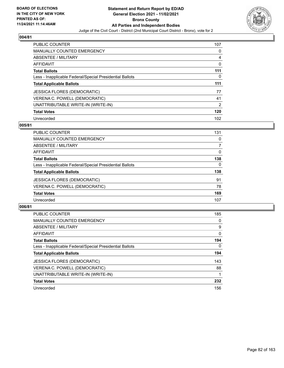

| <b>PUBLIC COUNTER</b>                                    | 107            |
|----------------------------------------------------------|----------------|
| <b>MANUALLY COUNTED EMERGENCY</b>                        | 0              |
| ABSENTEE / MILITARY                                      | 4              |
| <b>AFFIDAVIT</b>                                         | 0              |
| <b>Total Ballots</b>                                     | 111            |
| Less - Inapplicable Federal/Special Presidential Ballots | 0              |
| <b>Total Applicable Ballots</b>                          | 111            |
| <b>JESSICA FLORES (DEMOCRATIC)</b>                       | 77             |
| VERENA C. POWELL (DEMOCRATIC)                            | 41             |
| UNATTRIBUTABLE WRITE-IN (WRITE-IN)                       | $\overline{2}$ |
| <b>Total Votes</b>                                       | 120            |
|                                                          |                |

#### **005/81**

| PUBLIC COUNTER                                           | 131      |
|----------------------------------------------------------|----------|
| <b>MANUALLY COUNTED EMERGENCY</b>                        | 0        |
| ABSENTEE / MILITARY                                      |          |
| AFFIDAVIT                                                | $\Omega$ |
| <b>Total Ballots</b>                                     | 138      |
| Less - Inapplicable Federal/Special Presidential Ballots | 0        |
| <b>Total Applicable Ballots</b>                          | 138      |
| <b>JESSICA FLORES (DEMOCRATIC)</b>                       | 91       |
| VERENA C. POWELL (DEMOCRATIC)                            | 78       |
| <b>Total Votes</b>                                       | 169      |
| Unrecorded                                               | 107      |

| <b>PUBLIC COUNTER</b>                                    | 185          |
|----------------------------------------------------------|--------------|
| <b>MANUALLY COUNTED EMERGENCY</b>                        | 0            |
| ABSENTEE / MILITARY                                      | 9            |
| AFFIDAVIT                                                | $\mathbf{0}$ |
| <b>Total Ballots</b>                                     | 194          |
| Less - Inapplicable Federal/Special Presidential Ballots | $\Omega$     |
| <b>Total Applicable Ballots</b>                          | 194          |
| <b>JESSICA FLORES (DEMOCRATIC)</b>                       | 143          |
| VERENA C. POWELL (DEMOCRATIC)                            | 88           |
| UNATTRIBUTABLE WRITE-IN (WRITE-IN)                       |              |
| <b>Total Votes</b>                                       | 232          |
| Unrecorded                                               | 156          |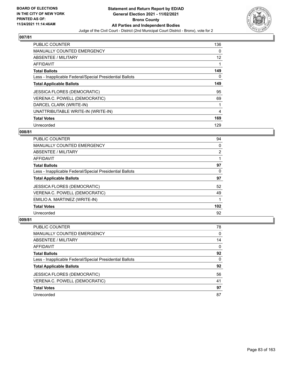

| <b>PUBLIC COUNTER</b>                                    | 136 |
|----------------------------------------------------------|-----|
| <b>MANUALLY COUNTED EMERGENCY</b>                        | 0   |
| ABSENTEE / MILITARY                                      | 12  |
| <b>AFFIDAVIT</b>                                         |     |
| <b>Total Ballots</b>                                     | 149 |
| Less - Inapplicable Federal/Special Presidential Ballots | 0   |
| <b>Total Applicable Ballots</b>                          | 149 |
| <b>JESSICA FLORES (DEMOCRATIC)</b>                       | 95  |
| VERENA C. POWELL (DEMOCRATIC)                            | 69  |
| DARCEL CLARK (WRITE-IN)                                  |     |
| UNATTRIBUTABLE WRITE-IN (WRITE-IN)                       | 4   |
| <b>Total Votes</b>                                       | 169 |
| Unrecorded                                               | 129 |

## **008/81**

| PUBLIC COUNTER                                           | 94             |
|----------------------------------------------------------|----------------|
| <b>MANUALLY COUNTED EMERGENCY</b>                        | 0              |
| ABSENTEE / MILITARY                                      | $\overline{2}$ |
| AFFIDAVIT                                                |                |
| <b>Total Ballots</b>                                     | 97             |
| Less - Inapplicable Federal/Special Presidential Ballots | 0              |
| <b>Total Applicable Ballots</b>                          | 97             |
| <b>JESSICA FLORES (DEMOCRATIC)</b>                       | 52             |
| VERENA C. POWELL (DEMOCRATIC)                            | 49             |
| EMILIO A. MARTINEZ (WRITE-IN)                            |                |
| <b>Total Votes</b>                                       | 102            |
| Unrecorded                                               | 92             |

| <b>PUBLIC COUNTER</b>                                    | 78       |
|----------------------------------------------------------|----------|
| MANUALLY COUNTED EMERGENCY                               | $\Omega$ |
| <b>ABSENTEE / MILITARY</b>                               | 14       |
| AFFIDAVIT                                                | $\Omega$ |
| <b>Total Ballots</b>                                     | 92       |
| Less - Inapplicable Federal/Special Presidential Ballots | $\Omega$ |
| <b>Total Applicable Ballots</b>                          | 92       |
| <b>JESSICA FLORES (DEMOCRATIC)</b>                       | 56       |
| VERENA C. POWELL (DEMOCRATIC)                            | 41       |
| <b>Total Votes</b>                                       | 97       |
| Unrecorded                                               | 87       |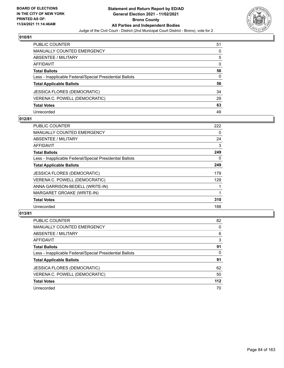

| PUBLIC COUNTER                                           | 51 |
|----------------------------------------------------------|----|
| <b>MANUALLY COUNTED EMERGENCY</b>                        | 0  |
| <b>ABSENTEE / MILITARY</b>                               | 5  |
| <b>AFFIDAVIT</b>                                         | 0  |
| <b>Total Ballots</b>                                     | 56 |
| Less - Inapplicable Federal/Special Presidential Ballots | 0  |
| <b>Total Applicable Ballots</b>                          | 56 |
| <b>JESSICA FLORES (DEMOCRATIC)</b>                       | 34 |
| VERENA C. POWELL (DEMOCRATIC)                            | 29 |
| <b>Total Votes</b>                                       | 63 |
| Unrecorded                                               | 49 |

### **012/81**

| PUBLIC COUNTER                                           | 222      |
|----------------------------------------------------------|----------|
| <b>MANUALLY COUNTED EMERGENCY</b>                        | $\Omega$ |
| ABSENTEE / MILITARY                                      | 24       |
| AFFIDAVIT                                                | 3        |
| <b>Total Ballots</b>                                     | 249      |
| Less - Inapplicable Federal/Special Presidential Ballots | 0        |
| <b>Total Applicable Ballots</b>                          | 249      |
| <b>JESSICA FLORES (DEMOCRATIC)</b>                       | 179      |
| VERENA C. POWELL (DEMOCRATIC)                            | 129      |
| ANNA GARRISON-BEDELL (WRITE-IN)                          |          |
| MARGARET GROAKE (WRITE-IN)                               |          |
| <b>Total Votes</b>                                       | 310      |
| Unrecorded                                               | 188      |

| <b>PUBLIC COUNTER</b>                                    | 82       |
|----------------------------------------------------------|----------|
| MANUALLY COUNTED EMERGENCY                               | $\Omega$ |
| ABSENTEE / MILITARY                                      | 6        |
| AFFIDAVIT                                                | 3        |
| <b>Total Ballots</b>                                     | 91       |
| Less - Inapplicable Federal/Special Presidential Ballots | $\Omega$ |
| <b>Total Applicable Ballots</b>                          | 91       |
| <b>JESSICA FLORES (DEMOCRATIC)</b>                       | 62       |
| VERENA C. POWELL (DEMOCRATIC)                            | 50       |
| <b>Total Votes</b>                                       | 112      |
| Unrecorded                                               | 70       |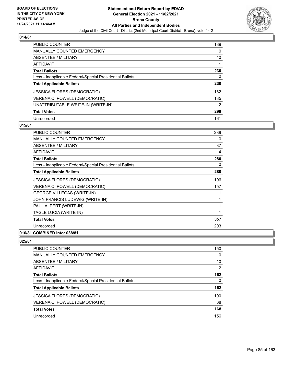

| <b>PUBLIC COUNTER</b>                                    | 189            |
|----------------------------------------------------------|----------------|
| MANUALLY COUNTED EMERGENCY                               | 0              |
| ABSENTEE / MILITARY                                      | 40             |
| AFFIDAVIT                                                |                |
| <b>Total Ballots</b>                                     | 230            |
| Less - Inapplicable Federal/Special Presidential Ballots | 0              |
| <b>Total Applicable Ballots</b>                          | 230            |
| <b>JESSICA FLORES (DEMOCRATIC)</b>                       | 162            |
| VERENA C. POWELL (DEMOCRATIC)                            | 135            |
| UNATTRIBUTABLE WRITE-IN (WRITE-IN)                       | $\overline{2}$ |
| <b>Total Votes</b>                                       | 299            |
| Unrecorded                                               | 161            |

#### **015/81**

| <b>PUBLIC COUNTER</b>                                    | 239 |
|----------------------------------------------------------|-----|
| <b>MANUALLY COUNTED EMERGENCY</b>                        | 0   |
| ABSENTEE / MILITARY                                      | 37  |
| <b>AFFIDAVIT</b>                                         | 4   |
| <b>Total Ballots</b>                                     | 280 |
| Less - Inapplicable Federal/Special Presidential Ballots | 0   |
| <b>Total Applicable Ballots</b>                          | 280 |
| <b>JESSICA FLORES (DEMOCRATIC)</b>                       | 196 |
| VERENA C. POWELL (DEMOCRATIC)                            | 157 |
| <b>GEORGE VILLEGAS (WRITE-IN)</b>                        | 1   |
| JOHN FRANCIS LUDEWIG (WRITE-IN)                          | 1   |
| PAUL ALPERT (WRITE-IN)                                   | 1   |
| TAGLE LUCIA (WRITE-IN)                                   | 1   |
| <b>Total Votes</b>                                       | 357 |
| Unrecorded                                               | 203 |
|                                                          |     |

## **016/81 COMBINED into: 038/81**

| <b>PUBLIC COUNTER</b>                                    | 150            |
|----------------------------------------------------------|----------------|
| MANUALLY COUNTED EMERGENCY                               | 0              |
| ABSENTEE / MILITARY                                      | 10             |
| AFFIDAVIT                                                | $\overline{2}$ |
| <b>Total Ballots</b>                                     | 162            |
| Less - Inapplicable Federal/Special Presidential Ballots | 0              |
| <b>Total Applicable Ballots</b>                          | 162            |
| <b>JESSICA FLORES (DEMOCRATIC)</b>                       | 100            |
| VERENA C. POWELL (DEMOCRATIC)                            | 68             |
| <b>Total Votes</b>                                       | 168            |
| Unrecorded                                               | 156            |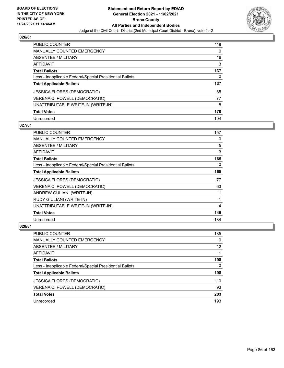

| <b>PUBLIC COUNTER</b>                                    | 118 |
|----------------------------------------------------------|-----|
| <b>MANUALLY COUNTED EMERGENCY</b>                        | 0   |
| ABSENTEE / MILITARY                                      | 16  |
| AFFIDAVIT                                                | 3   |
| <b>Total Ballots</b>                                     | 137 |
| Less - Inapplicable Federal/Special Presidential Ballots | 0   |
| <b>Total Applicable Ballots</b>                          | 137 |
| <b>JESSICA FLORES (DEMOCRATIC)</b>                       | 85  |
|                                                          |     |
| VERENA C. POWELL (DEMOCRATIC)                            | 77  |
| UNATTRIBUTABLE WRITE-IN (WRITE-IN)                       | 8   |
| <b>Total Votes</b>                                       | 170 |

#### **027/81**

| <b>PUBLIC COUNTER</b>                                    | 157 |
|----------------------------------------------------------|-----|
| MANUALLY COUNTED EMERGENCY                               | 0   |
| ABSENTEE / MILITARY                                      | 5   |
| AFFIDAVIT                                                | 3   |
| <b>Total Ballots</b>                                     | 165 |
| Less - Inapplicable Federal/Special Presidential Ballots | 0   |
| <b>Total Applicable Ballots</b>                          | 165 |
| <b>JESSICA FLORES (DEMOCRATIC)</b>                       | 77  |
| VERENA C. POWELL (DEMOCRATIC)                            | 63  |
| ANDREW GULIANI (WRITE-IN)                                | 1   |
| RUDY GIULIANI (WRITE-IN)                                 | 1   |
| UNATTRIBUTABLE WRITE-IN (WRITE-IN)                       | 4   |
| <b>Total Votes</b>                                       | 146 |
| Unrecorded                                               | 184 |

| <b>PUBLIC COUNTER</b>                                    | 185 |
|----------------------------------------------------------|-----|
| <b>MANUALLY COUNTED EMERGENCY</b>                        | 0   |
| ABSENTEE / MILITARY                                      | 12  |
| AFFIDAVIT                                                |     |
| <b>Total Ballots</b>                                     | 198 |
| Less - Inapplicable Federal/Special Presidential Ballots | 0   |
| <b>Total Applicable Ballots</b>                          | 198 |
| <b>JESSICA FLORES (DEMOCRATIC)</b>                       | 110 |
| VERENA C. POWELL (DEMOCRATIC)                            | 93  |
| <b>Total Votes</b>                                       | 203 |
| Unrecorded                                               | 193 |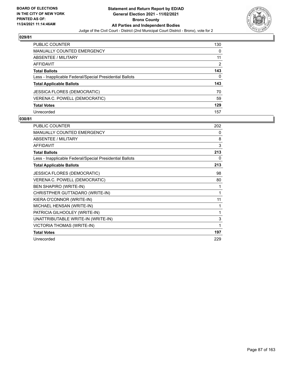

| <b>PUBLIC COUNTER</b>                                    | 130            |
|----------------------------------------------------------|----------------|
| <b>MANUALLY COUNTED EMERGENCY</b>                        | 0              |
| ABSENTEE / MILITARY                                      | 11             |
| AFFIDAVIT                                                | $\overline{2}$ |
| <b>Total Ballots</b>                                     | 143            |
| Less - Inapplicable Federal/Special Presidential Ballots | 0              |
| <b>Total Applicable Ballots</b>                          | 143            |
| <b>JESSICA FLORES (DEMOCRATIC)</b>                       | 70             |
| VERENA C. POWELL (DEMOCRATIC)                            | 59             |
| <b>Total Votes</b>                                       | 129            |
| Unrecorded                                               | 157            |

| <b>PUBLIC COUNTER</b>                                    | 202 |
|----------------------------------------------------------|-----|
| <b>MANUALLY COUNTED EMERGENCY</b>                        | 0   |
| <b>ABSENTEE / MILITARY</b>                               | 8   |
| <b>AFFIDAVIT</b>                                         | 3   |
| <b>Total Ballots</b>                                     | 213 |
| Less - Inapplicable Federal/Special Presidential Ballots | 0   |
| <b>Total Applicable Ballots</b>                          | 213 |
| <b>JESSICA FLORES (DEMOCRATIC)</b>                       | 98  |
| VERENA C. POWELL (DEMOCRATIC)                            | 80  |
| <b>BEN SHAPIRO (WRITE-IN)</b>                            | 1   |
| CHRISTPHER GUTTADARO (WRITE-IN)                          | 1   |
| KIERA O'CONNOR (WRITE-IN)                                | 11  |
| MICHAEL HENSAN (WRITE-IN)                                | 1   |
| PATRICIA GILHOOLEY (WRITE-IN)                            | 1   |
| UNATTRIBUTABLE WRITE-IN (WRITE-IN)                       | 3   |
| VICTORIA THOMAS (WRITE-IN)                               | 1   |
| <b>Total Votes</b>                                       | 197 |
| Unrecorded                                               | 229 |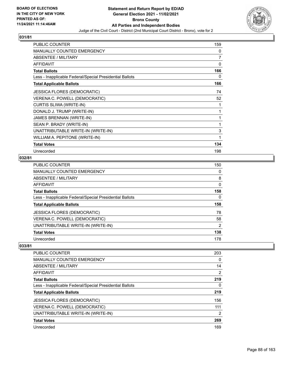

| <b>PUBLIC COUNTER</b>                                    | 159 |
|----------------------------------------------------------|-----|
| <b>MANUALLY COUNTED EMERGENCY</b>                        | 0   |
| ABSENTEE / MILITARY                                      | 7   |
| <b>AFFIDAVIT</b>                                         | 0   |
| <b>Total Ballots</b>                                     | 166 |
| Less - Inapplicable Federal/Special Presidential Ballots | 0   |
| <b>Total Applicable Ballots</b>                          | 166 |
| <b>JESSICA FLORES (DEMOCRATIC)</b>                       | 74  |
| VERENA C. POWELL (DEMOCRATIC)                            | 52  |
| CURTIS SLIWA (WRITE-IN)                                  | 1   |
| DONALD J. TRUMP (WRITE-IN)                               | 1   |
| JAMES BRENNAN (WRITE-IN)                                 | 1   |
| SEAN P. BRADY (WRITE-IN)                                 | 1   |
| UNATTRIBUTABLE WRITE-IN (WRITE-IN)                       | 3   |
| WILLIAM A. PEPITONE (WRITE-IN)                           | 1   |
| <b>Total Votes</b>                                       | 134 |
| Unrecorded                                               | 198 |

## **032/81**

| PUBLIC COUNTER                                           | 150            |
|----------------------------------------------------------|----------------|
| MANUALLY COUNTED EMERGENCY                               | 0              |
| ABSENTEE / MILITARY                                      | 8              |
| AFFIDAVIT                                                | 0              |
| <b>Total Ballots</b>                                     | 158            |
| Less - Inapplicable Federal/Special Presidential Ballots | 0              |
| <b>Total Applicable Ballots</b>                          | 158            |
|                                                          |                |
| <b>JESSICA FLORES (DEMOCRATIC)</b>                       | 78             |
| VERENA C. POWELL (DEMOCRATIC)                            | 58             |
| UNATTRIBUTABLE WRITE-IN (WRITE-IN)                       | $\overline{2}$ |
| <b>Total Votes</b>                                       | 138            |

| PUBLIC COUNTER                                           | 203 |
|----------------------------------------------------------|-----|
| MANUALLY COUNTED EMERGENCY                               | 0   |
| ABSENTEE / MILITARY                                      | 14  |
| AFFIDAVIT                                                | 2   |
| <b>Total Ballots</b>                                     | 219 |
| Less - Inapplicable Federal/Special Presidential Ballots | 0   |
| <b>Total Applicable Ballots</b>                          | 219 |
| <b>JESSICA FLORES (DEMOCRATIC)</b>                       | 156 |
| VERENA C. POWELL (DEMOCRATIC)                            | 111 |
| UNATTRIBUTABLE WRITE-IN (WRITE-IN)                       | 2   |
| <b>Total Votes</b>                                       | 269 |
| Unrecorded                                               | 169 |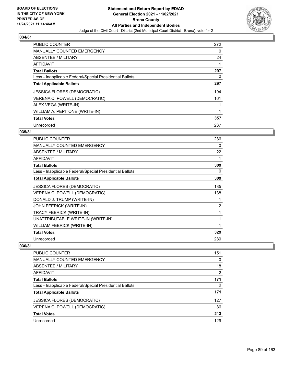

| <b>PUBLIC COUNTER</b>                                    | 272 |
|----------------------------------------------------------|-----|
| <b>MANUALLY COUNTED EMERGENCY</b>                        | 0   |
| ABSENTEE / MILITARY                                      | 24  |
| <b>AFFIDAVIT</b>                                         |     |
| <b>Total Ballots</b>                                     | 297 |
| Less - Inapplicable Federal/Special Presidential Ballots | 0   |
| <b>Total Applicable Ballots</b>                          | 297 |
| <b>JESSICA FLORES (DEMOCRATIC)</b>                       | 194 |
| VERENA C. POWELL (DEMOCRATIC)                            | 161 |
| ALEX VEGA (WRITE-IN)                                     |     |
| WILLIAM A. PEPITONE (WRITE-IN)                           |     |
| <b>Total Votes</b>                                       | 357 |
| Unrecorded                                               | 237 |

## **035/81**

| <b>PUBLIC COUNTER</b>                                    | 286            |
|----------------------------------------------------------|----------------|
| <b>MANUALLY COUNTED EMERGENCY</b>                        | 0              |
| ABSENTEE / MILITARY                                      | 22             |
| <b>AFFIDAVIT</b>                                         | 1              |
| <b>Total Ballots</b>                                     | 309            |
| Less - Inapplicable Federal/Special Presidential Ballots | 0              |
| <b>Total Applicable Ballots</b>                          | 309            |
| <b>JESSICA FLORES (DEMOCRATIC)</b>                       | 185            |
| VERENA C. POWELL (DEMOCRATIC)                            | 138            |
| DONALD J. TRUMP (WRITE-IN)                               |                |
| <b>JOHN FEERICK (WRITE-IN)</b>                           | $\overline{c}$ |
| TRACY FEERICK (WRITE-IN)                                 | 1              |
| UNATTRIBUTABLE WRITE-IN (WRITE-IN)                       | 1              |
| <b>WILLIAM FEERICK (WRITE-IN)</b>                        | 1              |
| <b>Total Votes</b>                                       | 329            |
| Unrecorded                                               | 289            |

| 151<br>0<br>171 |                                                          |          |
|-----------------|----------------------------------------------------------|----------|
|                 | PUBLIC COUNTER                                           |          |
|                 | MANUALLY COUNTED EMERGENCY                               |          |
|                 | ABSENTEE / MILITARY                                      | 18       |
|                 | AFFIDAVIT                                                | 2        |
|                 | <b>Total Ballots</b>                                     |          |
|                 | Less - Inapplicable Federal/Special Presidential Ballots | $\Omega$ |
|                 | <b>Total Applicable Ballots</b>                          | 171      |
|                 | JESSICA FLORES (DEMOCRATIC)                              | 127      |
|                 | VERENA C. POWELL (DEMOCRATIC)                            | 86       |
|                 | <b>Total Votes</b>                                       | 213      |
|                 | Unrecorded                                               | 129      |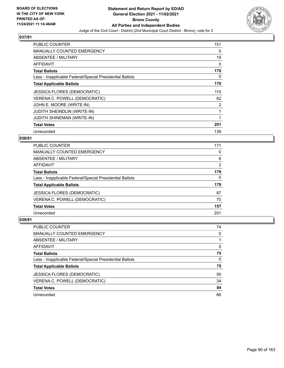

| <b>PUBLIC COUNTER</b>                                    | 151 |
|----------------------------------------------------------|-----|
| <b>MANUALLY COUNTED EMERGENCY</b>                        | 0   |
| <b>ABSENTEE / MILITARY</b>                               | 19  |
| AFFIDAVIT                                                | 0   |
| <b>Total Ballots</b>                                     | 170 |
| Less - Inapplicable Federal/Special Presidential Ballots | 0   |
| <b>Total Applicable Ballots</b>                          | 170 |
| <b>JESSICA FLORES (DEMOCRATIC)</b>                       | 115 |
| VERENA C. POWELL (DEMOCRATIC)                            | 82  |
| JOHN E. MOORE (WRITE-IN)                                 | 2   |
| <b>JUDITH SHEINDLIN (WRITE-IN)</b>                       | 1   |
| <b>JUDITH SHINEMAN (WRITE-IN)</b>                        |     |
| <b>Total Votes</b>                                       | 201 |
| Unrecorded                                               | 139 |

## **038/81**

| <b>PUBLIC COUNTER</b>                                    | 171 |
|----------------------------------------------------------|-----|
| MANUALLY COUNTED EMERGENCY                               | 0   |
| ABSENTEE / MILITARY                                      | 6   |
| AFFIDAVIT                                                | 2   |
| <b>Total Ballots</b>                                     | 179 |
| Less - Inapplicable Federal/Special Presidential Ballots | 0   |
| <b>Total Applicable Ballots</b>                          | 179 |
| <b>JESSICA FLORES (DEMOCRATIC)</b>                       | 87  |
| VERENA C. POWELL (DEMOCRATIC)                            | 70  |
| <b>Total Votes</b>                                       | 157 |
| Unrecorded                                               | 201 |

| <b>PUBLIC COUNTER</b>                                    | 74       |
|----------------------------------------------------------|----------|
| <b>MANUALLY COUNTED EMERGENCY</b>                        | $\Omega$ |
| ABSENTEE / MILITARY                                      |          |
| AFFIDAVIT                                                | $\Omega$ |
| <b>Total Ballots</b>                                     | 75       |
| Less - Inapplicable Federal/Special Presidential Ballots | $\Omega$ |
| <b>Total Applicable Ballots</b>                          | 75       |
| <b>JESSICA FLORES (DEMOCRATIC)</b>                       | 50       |
| VERENA C. POWELL (DEMOCRATIC)                            | 34       |
| <b>Total Votes</b>                                       | 84       |
| Unrecorded                                               | 66       |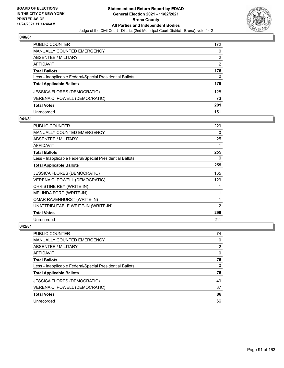

| <b>PUBLIC COUNTER</b>                                    | 172            |
|----------------------------------------------------------|----------------|
| <b>MANUALLY COUNTED EMERGENCY</b>                        | 0              |
| <b>ABSENTEE / MILITARY</b>                               | $\overline{2}$ |
| <b>AFFIDAVIT</b>                                         | $\mathcal{P}$  |
| <b>Total Ballots</b>                                     | 176            |
| Less - Inapplicable Federal/Special Presidential Ballots | 0              |
| <b>Total Applicable Ballots</b>                          | 176            |
| <b>JESSICA FLORES (DEMOCRATIC)</b>                       | 128            |
| VERENA C. POWELL (DEMOCRATIC)                            | 73             |
| <b>Total Votes</b>                                       | 201            |
| Unrecorded                                               | 151            |

#### **041/81**

| <b>PUBLIC COUNTER</b>                                    | 229            |
|----------------------------------------------------------|----------------|
| <b>MANUALLY COUNTED EMERGENCY</b>                        | 0              |
| ABSENTEE / MILITARY                                      | 25             |
| AFFIDAVIT                                                |                |
| <b>Total Ballots</b>                                     | 255            |
| Less - Inapplicable Federal/Special Presidential Ballots | 0              |
| <b>Total Applicable Ballots</b>                          | 255            |
| <b>JESSICA FLORES (DEMOCRATIC)</b>                       | 165            |
| VERENA C. POWELL (DEMOCRATIC)                            | 129            |
| CHRISTINE REY (WRITE-IN)                                 |                |
| MELINDA FORD (WRITE-IN)                                  |                |
| <b>OMAR RAVENHURST (WRITE-IN)</b>                        |                |
| UNATTRIBUTABLE WRITE-IN (WRITE-IN)                       | $\overline{2}$ |
| <b>Total Votes</b>                                       | 299            |
| Unrecorded                                               | 211            |

| <b>PUBLIC COUNTER</b>                                    | 74 |
|----------------------------------------------------------|----|
| MANUALLY COUNTED EMERGENCY                               | 0  |
| ABSENTEE / MILITARY                                      | 2  |
| AFFIDAVIT                                                | 0  |
| <b>Total Ballots</b>                                     | 76 |
| Less - Inapplicable Federal/Special Presidential Ballots | 0  |
| <b>Total Applicable Ballots</b>                          | 76 |
| <b>JESSICA FLORES (DEMOCRATIC)</b>                       | 49 |
| VERENA C. POWELL (DEMOCRATIC)                            | 37 |
| <b>Total Votes</b>                                       | 86 |
| Unrecorded                                               | 66 |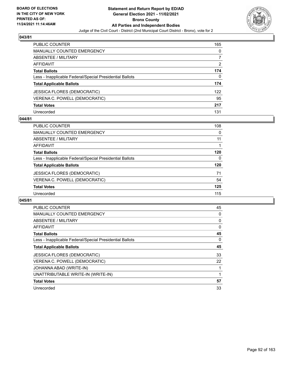

| PUBLIC COUNTER                                           | 165           |
|----------------------------------------------------------|---------------|
| <b>MANUALLY COUNTED EMERGENCY</b>                        | 0             |
| <b>ABSENTEE / MILITARY</b>                               |               |
| AFFIDAVIT                                                | $\mathcal{P}$ |
| <b>Total Ballots</b>                                     | 174           |
| Less - Inapplicable Federal/Special Presidential Ballots | 0             |
| <b>Total Applicable Ballots</b>                          | 174           |
| JESSICA FLORES (DEMOCRATIC)                              | 122           |
| VERENA C. POWELL (DEMOCRATIC)                            | 95            |
| <b>Total Votes</b>                                       | 217           |
| Unrecorded                                               | 131           |

## **044/81**

| <b>PUBLIC COUNTER</b>                                    | 108      |
|----------------------------------------------------------|----------|
| MANUALLY COUNTED EMERGENCY                               | $\Omega$ |
| ABSENTEE / MILITARY                                      | 11       |
| AFFIDAVIT                                                |          |
| <b>Total Ballots</b>                                     | 120      |
| Less - Inapplicable Federal/Special Presidential Ballots | $\Omega$ |
| <b>Total Applicable Ballots</b>                          | 120      |
| <b>JESSICA FLORES (DEMOCRATIC)</b>                       | 71       |
| VERENA C. POWELL (DEMOCRATIC)                            | 54       |
| <b>Total Votes</b>                                       | 125      |
| Unrecorded                                               | 115      |

| PUBLIC COUNTER                                           | 45 |
|----------------------------------------------------------|----|
| <b>MANUALLY COUNTED EMERGENCY</b>                        | 0  |
| <b>ABSENTEE / MILITARY</b>                               | 0  |
| AFFIDAVIT                                                | 0  |
| <b>Total Ballots</b>                                     | 45 |
| Less - Inapplicable Federal/Special Presidential Ballots | 0  |
| <b>Total Applicable Ballots</b>                          | 45 |
| <b>JESSICA FLORES (DEMOCRATIC)</b>                       | 33 |
| VERENA C. POWELL (DEMOCRATIC)                            | 22 |
| JOHANNA ABAD (WRITE-IN)                                  |    |
| UNATTRIBUTABLE WRITE-IN (WRITE-IN)                       | 1  |
| <b>Total Votes</b>                                       | 57 |
| Unrecorded                                               | 33 |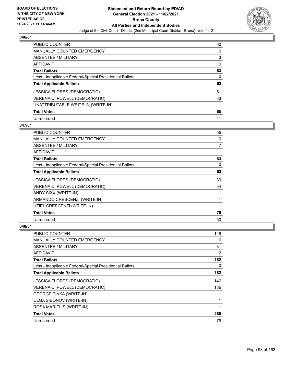

| <b>PUBLIC COUNTER</b>                                    | 60 |
|----------------------------------------------------------|----|
| <b>MANUALLY COUNTED EMERGENCY</b>                        | 0  |
| ABSENTEE / MILITARY                                      | 3  |
| AFFIDAVIT                                                | 0  |
| <b>Total Ballots</b>                                     | 63 |
| Less - Inapplicable Federal/Special Presidential Ballots | 0  |
| <b>Total Applicable Ballots</b>                          | 63 |
| <b>JESSICA FLORES (DEMOCRATIC)</b>                       | 51 |
| VERENA C. POWELL (DEMOCRATIC)                            | 33 |
| UNATTRIBUTABLE WRITE-IN (WRITE-IN)                       |    |
| <b>Total Votes</b>                                       | 85 |
| Unrecorded                                               | 41 |

#### **047/81**

| PUBLIC COUNTER                                           | 55 |
|----------------------------------------------------------|----|
| MANUALLY COUNTED EMERGENCY                               | 0  |
| ABSENTEE / MILITARY                                      | 7  |
| <b>AFFIDAVIT</b>                                         | 1  |
| <b>Total Ballots</b>                                     | 63 |
| Less - Inapplicable Federal/Special Presidential Ballots | 0  |
| <b>Total Applicable Ballots</b>                          | 63 |
| <b>JESSICA FLORES (DEMOCRATIC)</b>                       | 39 |
| VERENA C. POWELL (DEMOCRATIC)                            | 34 |
| ANDY SIXX (WRITE-IN)                                     | 1  |
| ARMANDO CRESCENZI (WRITE-IN)                             | 1  |
| UZIEL CRESCENZI (WRITE-IN)                               | 1  |
| <b>Total Votes</b>                                       | 76 |
| Unrecorded                                               | 50 |

| <b>PUBLIC COUNTER</b>                                    | 149 |
|----------------------------------------------------------|-----|
| <b>MANUALLY COUNTED EMERGENCY</b>                        | 0   |
| ABSENTEE / MILITARY                                      | 31  |
| AFFIDAVIT                                                | 2   |
| <b>Total Ballots</b>                                     | 182 |
| Less - Inapplicable Federal/Special Presidential Ballots | 0   |
| <b>Total Applicable Ballots</b>                          | 182 |
| <b>JESSICA FLORES (DEMOCRATIC)</b>                       | 146 |
| VERENA C. POWELL (DEMOCRATIC)                            | 136 |
| <b>GEORGE TINKA (WRITE-IN)</b>                           | 1   |
| OLGA SIBONOV (WRITE-IN)                                  | 1   |
| ROSA MARIELIS (WRITE-IN)                                 | 1   |
| <b>Total Votes</b>                                       | 285 |
| Unrecorded                                               | 79  |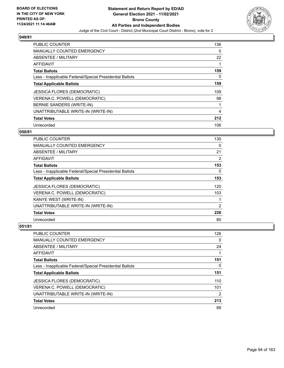

| <b>PUBLIC COUNTER</b>                                    | 136 |
|----------------------------------------------------------|-----|
| <b>MANUALLY COUNTED EMERGENCY</b>                        | 0   |
| ABSENTEE / MILITARY                                      | 22  |
| <b>AFFIDAVIT</b>                                         | 1   |
| <b>Total Ballots</b>                                     | 159 |
| Less - Inapplicable Federal/Special Presidential Ballots | 0   |
| <b>Total Applicable Ballots</b>                          | 159 |
| <b>JESSICA FLORES (DEMOCRATIC)</b>                       | 109 |
| VERENA C. POWELL (DEMOCRATIC)                            | 98  |
| BERNIE SANDERS (WRITE-IN)                                |     |
| UNATTRIBUTABLE WRITE-IN (WRITE-IN)                       | 4   |
| <b>Total Votes</b>                                       | 212 |
| Unrecorded                                               | 106 |

### **050/81**

| <b>PUBLIC COUNTER</b>                                    | 130 |
|----------------------------------------------------------|-----|
| MANUALLY COUNTED EMERGENCY                               | 0   |
| ABSENTEE / MILITARY                                      | 21  |
| AFFIDAVIT                                                | 2   |
| <b>Total Ballots</b>                                     | 153 |
| Less - Inapplicable Federal/Special Presidential Ballots | 0   |
| <b>Total Applicable Ballots</b>                          | 153 |
| <b>JESSICA FLORES (DEMOCRATIC)</b>                       | 120 |
| VERENA C. POWELL (DEMOCRATIC)                            | 103 |
| KANYE WEST (WRITE-IN)                                    |     |
| UNATTRIBUTABLE WRITE-IN (WRITE-IN)                       | 2   |
| <b>Total Votes</b>                                       | 226 |
| Unrecorded                                               | 80  |

| <b>PUBLIC COUNTER</b>                                    | 126 |
|----------------------------------------------------------|-----|
| <b>MANUALLY COUNTED EMERGENCY</b>                        | 0   |
| ABSENTEE / MILITARY                                      | 24  |
| AFFIDAVIT                                                |     |
| <b>Total Ballots</b>                                     | 151 |
| Less - Inapplicable Federal/Special Presidential Ballots | 0   |
| <b>Total Applicable Ballots</b>                          | 151 |
| <b>JESSICA FLORES (DEMOCRATIC)</b>                       | 110 |
| VERENA C. POWELL (DEMOCRATIC)                            | 101 |
| UNATTRIBUTABLE WRITE-IN (WRITE-IN)                       | 2   |
| <b>Total Votes</b>                                       | 213 |
| Unrecorded                                               | 89  |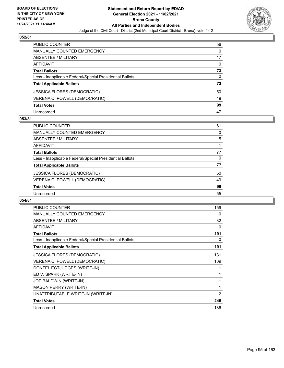

| PUBLIC COUNTER                                           | 56       |
|----------------------------------------------------------|----------|
| <b>MANUALLY COUNTED EMERGENCY</b>                        | $\Omega$ |
| <b>ABSENTEE / MILITARY</b>                               | 17       |
| AFFIDAVIT                                                | $\Omega$ |
| <b>Total Ballots</b>                                     | 73       |
| Less - Inapplicable Federal/Special Presidential Ballots | 0        |
| <b>Total Applicable Ballots</b>                          | 73       |
| <b>JESSICA FLORES (DEMOCRATIC)</b>                       | 50       |
| VERENA C. POWELL (DEMOCRATIC)                            | 49       |
| <b>Total Votes</b>                                       | 99       |
| Unrecorded                                               | 47       |

### **053/81**

| PUBLIC COUNTER                                           | 61 |
|----------------------------------------------------------|----|
| <b>MANUALLY COUNTED EMERGENCY</b>                        | 0  |
| ABSENTEE / MILITARY                                      | 15 |
| AFFIDAVIT                                                |    |
| <b>Total Ballots</b>                                     | 77 |
| Less - Inapplicable Federal/Special Presidential Ballots | 0  |
| <b>Total Applicable Ballots</b>                          | 77 |
| <b>JESSICA FLORES (DEMOCRATIC)</b>                       | 50 |
| VERENA C. POWELL (DEMOCRATIC)                            | 49 |
| <b>Total Votes</b>                                       | 99 |
| Unrecorded                                               | 55 |

| PUBLIC COUNTER                                           | 159            |
|----------------------------------------------------------|----------------|
| <b>MANUALLY COUNTED EMERGENCY</b>                        | 0              |
| <b>ABSENTEE / MILITARY</b>                               | 32             |
| <b>AFFIDAVIT</b>                                         | 0              |
| <b>Total Ballots</b>                                     | 191            |
| Less - Inapplicable Federal/Special Presidential Ballots | 0              |
| <b>Total Applicable Ballots</b>                          | 191            |
| <b>JESSICA FLORES (DEMOCRATIC)</b>                       | 131            |
| VERENA C. POWELL (DEMOCRATIC)                            | 109            |
| DONTEL ECTJUDGES (WRITE-IN)                              | 1              |
| ED V. SPARK (WRITE-IN)                                   | 1              |
| JOE BALDWIN (WRITE-IN)                                   | 1              |
| <b>MASON PERRY (WRITE-IN)</b>                            | 1              |
| UNATTRIBUTABLE WRITE-IN (WRITE-IN)                       | $\overline{2}$ |
| <b>Total Votes</b>                                       | 246            |
| Unrecorded                                               | 136            |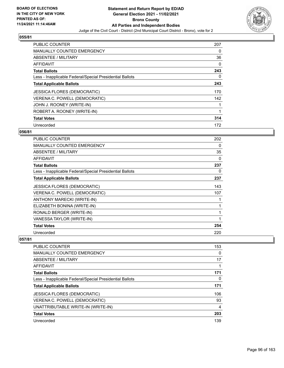

| <b>PUBLIC COUNTER</b>                                    | 207 |
|----------------------------------------------------------|-----|
| <b>MANUALLY COUNTED EMERGENCY</b>                        | 0   |
| ABSENTEE / MILITARY                                      | 36  |
| <b>AFFIDAVIT</b>                                         | 0   |
| <b>Total Ballots</b>                                     | 243 |
| Less - Inapplicable Federal/Special Presidential Ballots | 0   |
| <b>Total Applicable Ballots</b>                          | 243 |
| <b>JESSICA FLORES (DEMOCRATIC)</b>                       | 170 |
| VERENA C. POWELL (DEMOCRATIC)                            | 142 |
| JOHN J. ROONEY (WRITE-IN)                                |     |
| ROBERT A. ROONEY (WRITE-IN)                              |     |
| <b>Total Votes</b>                                       | 314 |
| Unrecorded                                               | 172 |

## **056/81**

| <b>PUBLIC COUNTER</b>                                    | 202 |
|----------------------------------------------------------|-----|
| <b>MANUALLY COUNTED EMERGENCY</b>                        | 0   |
| <b>ABSENTEE / MILITARY</b>                               | 35  |
| AFFIDAVIT                                                | 0   |
| <b>Total Ballots</b>                                     | 237 |
| Less - Inapplicable Federal/Special Presidential Ballots | 0   |
| <b>Total Applicable Ballots</b>                          | 237 |
| <b>JESSICA FLORES (DEMOCRATIC)</b>                       | 143 |
| VERENA C. POWELL (DEMOCRATIC)                            | 107 |
| ANTHONY MARECKI (WRITE-IN)                               |     |
| ELIZABETH BONINA (WRITE-IN)                              |     |
| RONALD BERGER (WRITE-IN)                                 |     |
| VANESSA TAYLOR (WRITE-IN)                                | 1   |
| <b>Total Votes</b>                                       | 254 |
| Unrecorded                                               | 220 |

| <b>PUBLIC COUNTER</b>                                    | 153 |
|----------------------------------------------------------|-----|
| MANUALLY COUNTED EMERGENCY                               | 0   |
| ABSENTEE / MILITARY                                      | 17  |
| AFFIDAVIT                                                |     |
| <b>Total Ballots</b>                                     | 171 |
| Less - Inapplicable Federal/Special Presidential Ballots | 0   |
| <b>Total Applicable Ballots</b>                          | 171 |
| <b>JESSICA FLORES (DEMOCRATIC)</b>                       | 106 |
| VERENA C. POWELL (DEMOCRATIC)                            | 93  |
| UNATTRIBUTABLE WRITE-IN (WRITE-IN)                       | 4   |
| <b>Total Votes</b>                                       | 203 |
| Unrecorded                                               | 139 |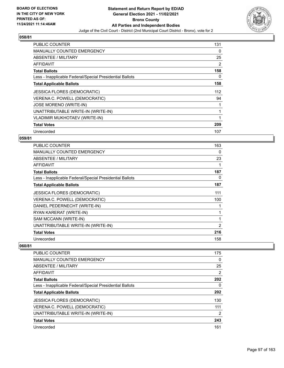

| <b>PUBLIC COUNTER</b>                                    | 131 |
|----------------------------------------------------------|-----|
| <b>MANUALLY COUNTED EMERGENCY</b>                        | 0   |
| <b>ABSENTEE / MILITARY</b>                               | 25  |
| <b>AFFIDAVIT</b>                                         | 2   |
| <b>Total Ballots</b>                                     | 158 |
| Less - Inapplicable Federal/Special Presidential Ballots | 0   |
| <b>Total Applicable Ballots</b>                          | 158 |
| <b>JESSICA FLORES (DEMOCRATIC)</b>                       | 112 |
| VERENA C. POWELL (DEMOCRATIC)                            | 94  |
| JOSE MORENO (WRITE-IN)                                   |     |
| UNATTRIBUTABLE WRITE-IN (WRITE-IN)                       |     |
| <b>VLADIMIR MUKHOTAEV (WRITE-IN)</b>                     |     |
| <b>Total Votes</b>                                       | 209 |
| Unrecorded                                               | 107 |

## **059/81**

| <b>PUBLIC COUNTER</b>                                    | 163            |
|----------------------------------------------------------|----------------|
| <b>MANUALLY COUNTED EMERGENCY</b>                        | 0              |
| ABSENTEE / MILITARY                                      | 23             |
| AFFIDAVIT                                                |                |
| <b>Total Ballots</b>                                     | 187            |
| Less - Inapplicable Federal/Special Presidential Ballots | 0              |
| <b>Total Applicable Ballots</b>                          | 187            |
| <b>JESSICA FLORES (DEMOCRATIC)</b>                       | 111            |
| VERENA C. POWELL (DEMOCRATIC)                            | 100            |
| DANIEL PEDERNECHT (WRITE-IN)                             |                |
| RYAN KARERAT (WRITE-IN)                                  |                |
| SAM MCCANN (WRITE-IN)                                    |                |
| UNATTRIBUTABLE WRITE-IN (WRITE-IN)                       | $\overline{2}$ |
| <b>Total Votes</b>                                       | 216            |
| Unrecorded                                               | 158            |

| <b>PUBLIC COUNTER</b>                                    | 175 |
|----------------------------------------------------------|-----|
| MANUALLY COUNTED EMERGENCY                               | 0   |
| ABSENTEE / MILITARY                                      | 25  |
| AFFIDAVIT                                                | 2   |
| <b>Total Ballots</b>                                     | 202 |
| Less - Inapplicable Federal/Special Presidential Ballots | 0   |
| <b>Total Applicable Ballots</b>                          | 202 |
| <b>JESSICA FLORES (DEMOCRATIC)</b>                       | 130 |
| VERENA C. POWELL (DEMOCRATIC)                            | 111 |
| UNATTRIBUTABLE WRITE-IN (WRITE-IN)                       | 2   |
| <b>Total Votes</b>                                       | 243 |
| Unrecorded                                               | 161 |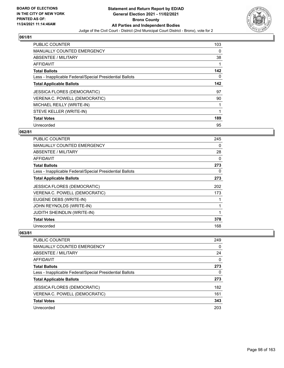

| <b>PUBLIC COUNTER</b>                                    | 103         |
|----------------------------------------------------------|-------------|
| <b>MANUALLY COUNTED EMERGENCY</b>                        | $\Omega$    |
| ABSENTEE / MILITARY                                      | 38          |
| <b>AFFIDAVIT</b>                                         |             |
| <b>Total Ballots</b>                                     | 142         |
| Less - Inapplicable Federal/Special Presidential Ballots | $\Omega$    |
| <b>Total Applicable Ballots</b>                          | 142         |
| <b>JESSICA FLORES (DEMOCRATIC)</b>                       | 97          |
| VERENA C. POWELL (DEMOCRATIC)                            | 90          |
| MICHAEL REILLY (WRITE-IN)                                | 1           |
| STEVE KELLER (WRITE-IN)                                  | $\mathbf 1$ |
| <b>Total Votes</b>                                       | 189         |
| Unrecorded                                               | 95          |

## **062/81**

| <b>PUBLIC COUNTER</b>                                    | 245      |
|----------------------------------------------------------|----------|
| <b>MANUALLY COUNTED EMERGENCY</b>                        | 0        |
| ABSENTEE / MILITARY                                      | 28       |
| <b>AFFIDAVIT</b>                                         | $\Omega$ |
| <b>Total Ballots</b>                                     | 273      |
| Less - Inapplicable Federal/Special Presidential Ballots | 0        |
| <b>Total Applicable Ballots</b>                          | 273      |
| <b>JESSICA FLORES (DEMOCRATIC)</b>                       | 202      |
| VERENA C. POWELL (DEMOCRATIC)                            | 173      |
| EUGENE DEBS (WRITE-IN)                                   |          |
| JOHN REYNOLDS (WRITE-IN)                                 | 1        |
| <b>JUDITH SHEINDLIN (WRITE-IN)</b>                       | 1        |
| <b>Total Votes</b>                                       | 378      |
| Unrecorded                                               | 168      |

| PUBLIC COUNTER                                           | 249      |
|----------------------------------------------------------|----------|
| MANUALLY COUNTED EMERGENCY                               | $\Omega$ |
| ABSENTEE / MILITARY                                      | 24       |
| AFFIDAVIT                                                | 0        |
| <b>Total Ballots</b>                                     | 273      |
| Less - Inapplicable Federal/Special Presidential Ballots | 0        |
| <b>Total Applicable Ballots</b>                          | 273      |
| <b>JESSICA FLORES (DEMOCRATIC)</b>                       | 182      |
| VERENA C. POWELL (DEMOCRATIC)                            | 161      |
| <b>Total Votes</b>                                       | 343      |
| Unrecorded                                               | 203      |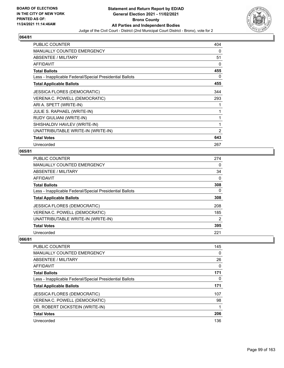

| <b>PUBLIC COUNTER</b>                                    | 404            |
|----------------------------------------------------------|----------------|
| <b>MANUALLY COUNTED EMERGENCY</b>                        | 0              |
| ABSENTEE / MILITARY                                      | 51             |
| <b>AFFIDAVIT</b>                                         | 0              |
| <b>Total Ballots</b>                                     | 455            |
| Less - Inapplicable Federal/Special Presidential Ballots | 0              |
| <b>Total Applicable Ballots</b>                          | 455            |
| <b>JESSICA FLORES (DEMOCRATIC)</b>                       | 344            |
| VERENA C. POWELL (DEMOCRATIC)                            | 293            |
| ARI A. SPETT (WRITE-IN)                                  |                |
| JULIE S. RAPHAEL (WRITE-IN)                              | 1              |
| RUDY GIULIANI (WRITE-IN)                                 | 1              |
| SHISHALDIV HAVLEV (WRITE-IN)                             | 1              |
| UNATTRIBUTABLE WRITE-IN (WRITE-IN)                       | $\overline{2}$ |
| <b>Total Votes</b>                                       | 643            |
| Unrecorded                                               | 267            |

## **065/81**

| <b>PUBLIC COUNTER</b>                                    | 274      |
|----------------------------------------------------------|----------|
| <b>MANUALLY COUNTED EMERGENCY</b>                        | 0        |
| <b>ABSENTEE / MILITARY</b>                               | 34       |
| AFFIDAVIT                                                | $\Omega$ |
| <b>Total Ballots</b>                                     | 308      |
| Less - Inapplicable Federal/Special Presidential Ballots | 0        |
| <b>Total Applicable Ballots</b>                          | 308      |
| <b>JESSICA FLORES (DEMOCRATIC)</b>                       | 208      |
| VERENA C. POWELL (DEMOCRATIC)                            | 185      |
| UNATTRIBUTABLE WRITE-IN (WRITE-IN)                       | 2        |
| <b>Total Votes</b>                                       | 395      |
| Unrecorded                                               | 221      |

| <b>PUBLIC COUNTER</b>                                    | 145      |
|----------------------------------------------------------|----------|
| <b>MANUALLY COUNTED EMERGENCY</b>                        | 0        |
| ABSENTEE / MILITARY                                      | 26       |
| AFFIDAVIT                                                | $\Omega$ |
| <b>Total Ballots</b>                                     | 171      |
| Less - Inapplicable Federal/Special Presidential Ballots | 0        |
| <b>Total Applicable Ballots</b>                          | 171      |
| <b>JESSICA FLORES (DEMOCRATIC)</b>                       | 107      |
| VERENA C. POWELL (DEMOCRATIC)                            | 98       |
| DR. ROBERT DICKSTEIN (WRITE-IN)                          |          |
| <b>Total Votes</b>                                       | 206      |
| Unrecorded                                               | 136      |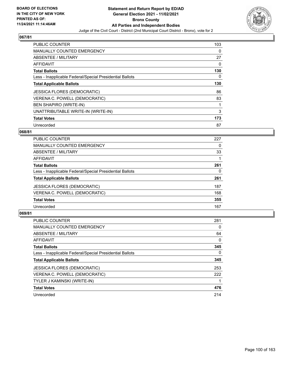

| <b>PUBLIC COUNTER</b>                                    | 103 |
|----------------------------------------------------------|-----|
| <b>MANUALLY COUNTED EMERGENCY</b>                        | 0   |
| ABSENTEE / MILITARY                                      | 27  |
| <b>AFFIDAVIT</b>                                         | 0   |
| <b>Total Ballots</b>                                     | 130 |
| Less - Inapplicable Federal/Special Presidential Ballots | 0   |
| <b>Total Applicable Ballots</b>                          | 130 |
| <b>JESSICA FLORES (DEMOCRATIC)</b>                       | 86  |
| VERENA C. POWELL (DEMOCRATIC)                            | 83  |
| <b>BEN SHAPIRO (WRITE-IN)</b>                            |     |
| UNATTRIBUTABLE WRITE-IN (WRITE-IN)                       | 3   |
| <b>Total Votes</b>                                       | 173 |
| Unrecorded                                               | 87  |

## **068/81**

| 227 |
|-----|
| 0   |
| 33  |
|     |
| 261 |
| 0   |
| 261 |
| 187 |
| 168 |
| 355 |
| 167 |
|     |

| <b>PUBLIC COUNTER</b>                                    | 281      |
|----------------------------------------------------------|----------|
| <b>MANUALLY COUNTED EMERGENCY</b>                        | 0        |
| ABSENTEE / MILITARY                                      | 64       |
| AFFIDAVIT                                                | $\Omega$ |
| <b>Total Ballots</b>                                     | 345      |
| Less - Inapplicable Federal/Special Presidential Ballots | $\Omega$ |
| <b>Total Applicable Ballots</b>                          | 345      |
| <b>JESSICA FLORES (DEMOCRATIC)</b>                       | 253      |
| VERENA C. POWELL (DEMOCRATIC)                            | 222      |
| TYLER J KAMINSKI (WRITE-IN)                              |          |
| <b>Total Votes</b>                                       | 476      |
| Unrecorded                                               | 214      |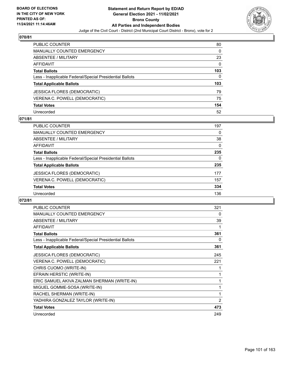

| <b>PUBLIC COUNTER</b>                                    | 80       |
|----------------------------------------------------------|----------|
| <b>MANUALLY COUNTED EMERGENCY</b>                        | $\Omega$ |
| ABSENTEE / MILITARY                                      | 23       |
| <b>AFFIDAVIT</b>                                         | $\Omega$ |
| <b>Total Ballots</b>                                     | 103      |
| Less - Inapplicable Federal/Special Presidential Ballots | 0        |
| <b>Total Applicable Ballots</b>                          | 103      |
| <b>JESSICA FLORES (DEMOCRATIC)</b>                       | 79       |
| VERENA C. POWELL (DEMOCRATIC)                            | 75       |
| <b>Total Votes</b>                                       | 154      |
| Unrecorded                                               | 52       |

## **071/81**

| PUBLIC COUNTER                                           | 197 |
|----------------------------------------------------------|-----|
| MANUALLY COUNTED EMERGENCY                               | 0   |
| ABSENTEE / MILITARY                                      | 38  |
| AFFIDAVIT                                                | 0   |
| <b>Total Ballots</b>                                     | 235 |
| Less - Inapplicable Federal/Special Presidential Ballots | 0   |
| <b>Total Applicable Ballots</b>                          | 235 |
| <b>JESSICA FLORES (DEMOCRATIC)</b>                       | 177 |
| VERENA C. POWELL (DEMOCRATIC)                            | 157 |
| <b>Total Votes</b>                                       | 334 |
| Unrecorded                                               | 136 |

| <b>PUBLIC COUNTER</b>                                    | 321            |
|----------------------------------------------------------|----------------|
| <b>MANUALLY COUNTED EMERGENCY</b>                        | 0              |
| ABSENTEE / MILITARY                                      | 39             |
| <b>AFFIDAVIT</b>                                         | 1              |
| <b>Total Ballots</b>                                     | 361            |
| Less - Inapplicable Federal/Special Presidential Ballots | 0              |
| <b>Total Applicable Ballots</b>                          | 361            |
| <b>JESSICA FLORES (DEMOCRATIC)</b>                       | 245            |
| VERENA C. POWELL (DEMOCRATIC)                            | 221            |
| CHRIS CUOMO (WRITE-IN)                                   | 1              |
| EFRAIN HERSTIC (WRITE-IN)                                | 1              |
| ERIC SAMUEL AKIVA ZALMAN SHERMAN (WRITE-IN)              | 1              |
| MIGUEL GOMME-SOSA (WRITE-IN)                             | 1              |
| RACHEL SHERMAN (WRITE-IN)                                | 1              |
| YADHIRA GONZALEZ TAYLOR (WRITE-IN)                       | $\overline{2}$ |
| <b>Total Votes</b>                                       | 473            |
| Unrecorded                                               | 249            |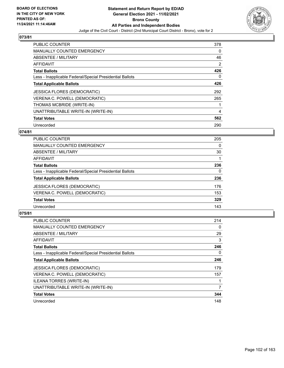

| <b>PUBLIC COUNTER</b>                                    | 378 |
|----------------------------------------------------------|-----|
| <b>MANUALLY COUNTED EMERGENCY</b>                        | 0   |
| ABSENTEE / MILITARY                                      | 46  |
| <b>AFFIDAVIT</b>                                         | 2   |
| <b>Total Ballots</b>                                     | 426 |
| Less - Inapplicable Federal/Special Presidential Ballots | 0   |
| <b>Total Applicable Ballots</b>                          | 426 |
| <b>JESSICA FLORES (DEMOCRATIC)</b>                       | 292 |
| VERENA C. POWELL (DEMOCRATIC)                            | 265 |
| THOMAS MCBRIDE (WRITE-IN)                                |     |
| UNATTRIBUTABLE WRITE-IN (WRITE-IN)                       | 4   |
| <b>Total Votes</b>                                       | 562 |
| Unrecorded                                               | 290 |

## **074/81**

| 205      |
|----------|
| 0        |
| 30       |
|          |
| 236      |
| $\Omega$ |
| 236      |
| 176      |
| 153      |
| 329      |
| 143      |
|          |

| <b>PUBLIC COUNTER</b>                                    | 214      |
|----------------------------------------------------------|----------|
| <b>MANUALLY COUNTED EMERGENCY</b>                        | 0        |
| ABSENTEE / MILITARY                                      | 29       |
| <b>AFFIDAVIT</b>                                         | 3        |
| <b>Total Ballots</b>                                     | 246      |
| Less - Inapplicable Federal/Special Presidential Ballots | $\Omega$ |
| <b>Total Applicable Ballots</b>                          | 246      |
| <b>JESSICA FLORES (DEMOCRATIC)</b>                       | 179      |
| VERENA C. POWELL (DEMOCRATIC)                            | 157      |
| <b>ILEANA TORRES (WRITE-IN)</b>                          |          |
| UNATTRIBUTABLE WRITE-IN (WRITE-IN)                       | 7        |
| <b>Total Votes</b>                                       | 344      |
| Unrecorded                                               | 148      |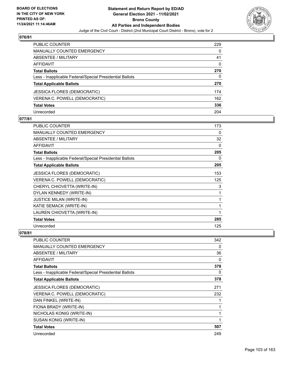

| <b>PUBLIC COUNTER</b>                                    | 229 |
|----------------------------------------------------------|-----|
| <b>MANUALLY COUNTED EMERGENCY</b>                        | 0   |
| ABSENTEE / MILITARY                                      | 41  |
| <b>AFFIDAVIT</b>                                         | 0   |
| <b>Total Ballots</b>                                     | 270 |
| Less - Inapplicable Federal/Special Presidential Ballots | 0   |
| <b>Total Applicable Ballots</b>                          | 270 |
| JESSICA FLORES (DEMOCRATIC)                              | 174 |
| VERENA C. POWELL (DEMOCRATIC)                            | 162 |
| <b>Total Votes</b>                                       | 336 |
| Unrecorded                                               | 204 |

## **077/81**

| <b>PUBLIC COUNTER</b>                                    | 173 |
|----------------------------------------------------------|-----|
| <b>MANUALLY COUNTED EMERGENCY</b>                        | 0   |
| ABSENTEE / MILITARY                                      | 32  |
| <b>AFFIDAVIT</b>                                         | 0   |
| <b>Total Ballots</b>                                     | 205 |
| Less - Inapplicable Federal/Special Presidential Ballots | 0   |
| <b>Total Applicable Ballots</b>                          | 205 |
| <b>JESSICA FLORES (DEMOCRATIC)</b>                       | 153 |
| VERENA C. POWELL (DEMOCRATIC)                            | 125 |
| CHERYL CHIOVETTA (WRITE-IN)                              | 3   |
| DYLAN KENNEDY (WRITE-IN)                                 | 1   |
| <b>JUSTICE MILAN (WRITE-IN)</b>                          | 1   |
| KATIE SEMACK (WRITE-IN)                                  | 1   |
| LAUREN CHIOVETTA (WRITE-IN)                              | 1   |
| <b>Total Votes</b>                                       | 285 |
| Unrecorded                                               | 125 |

| <b>PUBLIC COUNTER</b>                                    | 342 |
|----------------------------------------------------------|-----|
| <b>MANUALLY COUNTED EMERGENCY</b>                        | 0   |
| ABSENTEE / MILITARY                                      | 36  |
| AFFIDAVIT                                                | 0   |
| <b>Total Ballots</b>                                     | 378 |
| Less - Inapplicable Federal/Special Presidential Ballots | 0   |
| <b>Total Applicable Ballots</b>                          | 378 |
| <b>JESSICA FLORES (DEMOCRATIC)</b>                       | 271 |
| VERENA C. POWELL (DEMOCRATIC)                            | 232 |
| DAN FINKEL (WRITE-IN)                                    |     |
| FIONA BRADY (WRITE-IN)                                   |     |
| NICHOLAS KONIG (WRITE-IN)                                |     |
| SUSAN KONIG (WRITE-IN)                                   | 1   |
| <b>Total Votes</b>                                       | 507 |
| Unrecorded                                               | 249 |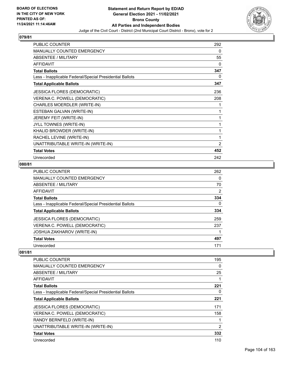

| <b>PUBLIC COUNTER</b>                                    | 292      |
|----------------------------------------------------------|----------|
| MANUALLY COUNTED EMERGENCY                               | $\Omega$ |
| ABSENTEE / MILITARY                                      | 55       |
| <b>AFFIDAVIT</b>                                         | $\Omega$ |
| <b>Total Ballots</b>                                     | 347      |
| Less - Inapplicable Federal/Special Presidential Ballots | $\Omega$ |
| <b>Total Applicable Ballots</b>                          | 347      |
| <b>JESSICA FLORES (DEMOCRATIC)</b>                       | 236      |
| VERENA C. POWELL (DEMOCRATIC)                            | 208      |
| CHARLES MOERDLER (WRITE-IN)                              | 1        |
| ESTEBAN GALVAN (WRITE-IN)                                |          |
| JEREMY FEIT (WRITE-IN)                                   |          |
| JYLL TOWNES (WRITE-IN)                                   | 1        |
| KHALID BROWDER (WRITE-IN)                                | 1        |
| RACHEL LEVINE (WRITE-IN)                                 | 1        |
| UNATTRIBUTABLE WRITE-IN (WRITE-IN)                       | 2        |
| <b>Total Votes</b>                                       | 452      |
| Unrecorded                                               | 242      |

## **080/81**

| PUBLIC COUNTER                                           | 262 |
|----------------------------------------------------------|-----|
| <b>MANUALLY COUNTED EMERGENCY</b>                        | 0   |
| ABSENTEE / MILITARY                                      | 70  |
| AFFIDAVIT                                                | 2   |
| <b>Total Ballots</b>                                     | 334 |
| Less - Inapplicable Federal/Special Presidential Ballots | 0   |
| <b>Total Applicable Ballots</b>                          | 334 |
| <b>JESSICA FLORES (DEMOCRATIC)</b>                       | 259 |
| VERENA C. POWELL (DEMOCRATIC)                            | 237 |
| <b>JOSHUA ZAKHAROV (WRITE-IN)</b>                        |     |
| <b>Total Votes</b>                                       | 497 |
| Unrecorded                                               | 171 |

| PUBLIC COUNTER                                           | 195 |
|----------------------------------------------------------|-----|
| <b>MANUALLY COUNTED EMERGENCY</b>                        | 0   |
| ABSENTEE / MILITARY                                      | 25  |
| <b>AFFIDAVIT</b>                                         |     |
| <b>Total Ballots</b>                                     | 221 |
| Less - Inapplicable Federal/Special Presidential Ballots | 0   |
| <b>Total Applicable Ballots</b>                          | 221 |
| <b>JESSICA FLORES (DEMOCRATIC)</b>                       | 171 |
| VERENA C. POWELL (DEMOCRATIC)                            | 158 |
| RANDY BERNFELD (WRITE-IN)                                |     |
| UNATTRIBUTABLE WRITE-IN (WRITE-IN)                       | 2   |
| <b>Total Votes</b>                                       | 332 |
| Unrecorded                                               | 110 |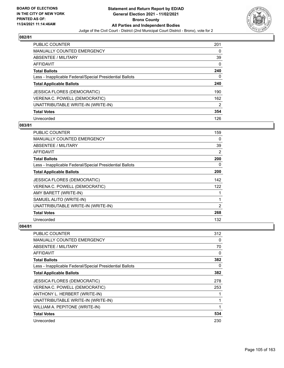

| <b>PUBLIC COUNTER</b>                                    | 201           |
|----------------------------------------------------------|---------------|
| <b>MANUALLY COUNTED EMERGENCY</b>                        | $\Omega$      |
| ABSENTEE / MILITARY                                      | 39            |
| AFFIDAVIT                                                | $\Omega$      |
| <b>Total Ballots</b>                                     | 240           |
| Less - Inapplicable Federal/Special Presidential Ballots | 0             |
| <b>Total Applicable Ballots</b>                          | 240           |
| <b>JESSICA FLORES (DEMOCRATIC)</b>                       | 190           |
| VERENA C. POWELL (DEMOCRATIC)                            | 162           |
| UNATTRIBUTABLE WRITE-IN (WRITE-IN)                       | $\mathcal{P}$ |
| <b>Total Votes</b>                                       | 354           |
| Unrecorded                                               | 126           |

#### **083/81**

| <b>PUBLIC COUNTER</b>                                    | 159 |
|----------------------------------------------------------|-----|
| <b>MANUALLY COUNTED EMERGENCY</b>                        | 0   |
| ABSENTEE / MILITARY                                      | 39  |
| <b>AFFIDAVIT</b>                                         | 2   |
| <b>Total Ballots</b>                                     | 200 |
| Less - Inapplicable Federal/Special Presidential Ballots | 0   |
| <b>Total Applicable Ballots</b>                          | 200 |
| <b>JESSICA FLORES (DEMOCRATIC)</b>                       | 142 |
| VERENA C. POWELL (DEMOCRATIC)                            | 122 |
| AMY BARETT (WRITE-IN)                                    | 1   |
| SAMUEL ALITO (WRITE-IN)                                  | 1   |
| UNATTRIBUTABLE WRITE-IN (WRITE-IN)                       | 2   |
| <b>Total Votes</b>                                       | 268 |
| Unrecorded                                               | 132 |

| PUBLIC COUNTER                                           | 312      |
|----------------------------------------------------------|----------|
| MANUALLY COUNTED EMERGENCY                               | 0        |
| ABSENTEE / MILITARY                                      | 70       |
| AFFIDAVIT                                                | 0        |
| <b>Total Ballots</b>                                     | 382      |
| Less - Inapplicable Federal/Special Presidential Ballots | $\Omega$ |
| <b>Total Applicable Ballots</b>                          | 382      |
| <b>JESSICA FLORES (DEMOCRATIC)</b>                       | 278      |
| VERENA C. POWELL (DEMOCRATIC)                            | 253      |
| ANTHONY L. HERBERT (WRITE-IN)                            | 1        |
| UNATTRIBUTABLE WRITE-IN (WRITE-IN)                       | 1        |
| WILLIAM A. PEPITONE (WRITE-IN)                           | 1        |
| <b>Total Votes</b>                                       | 534      |
| Unrecorded                                               | 230      |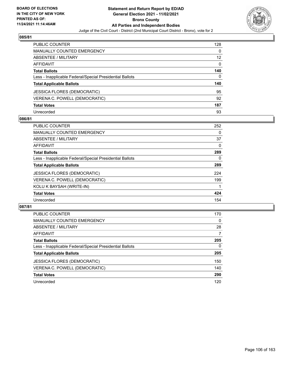

| <b>PUBLIC COUNTER</b>                                    | 128      |
|----------------------------------------------------------|----------|
| <b>MANUALLY COUNTED EMERGENCY</b>                        | $\Omega$ |
| <b>ABSENTEE / MILITARY</b>                               | 12       |
| AFFIDAVIT                                                | $\Omega$ |
| <b>Total Ballots</b>                                     | 140      |
| Less - Inapplicable Federal/Special Presidential Ballots | 0        |
| <b>Total Applicable Ballots</b>                          | 140      |
| <b>JESSICA FLORES (DEMOCRATIC)</b>                       | 95       |
| VERENA C. POWELL (DEMOCRATIC)                            | 92       |
| <b>Total Votes</b>                                       | 187      |
| Unrecorded                                               | 93       |

### **086/81**

| <b>PUBLIC COUNTER</b>                                    | 252 |
|----------------------------------------------------------|-----|
| <b>MANUALLY COUNTED EMERGENCY</b>                        | 0   |
| ABSENTEE / MILITARY                                      | 37  |
| <b>AFFIDAVIT</b>                                         | 0   |
| <b>Total Ballots</b>                                     | 289 |
| Less - Inapplicable Federal/Special Presidential Ballots | 0   |
| <b>Total Applicable Ballots</b>                          | 289 |
| <b>JESSICA FLORES (DEMOCRATIC)</b>                       | 224 |
| VERENA C. POWELL (DEMOCRATIC)                            | 199 |
| KOLU K BAYSAH (WRITE-IN)                                 |     |
| <b>Total Votes</b>                                       | 424 |
| Unrecorded                                               | 154 |

| <b>PUBLIC COUNTER</b>                                    | 170      |
|----------------------------------------------------------|----------|
| <b>MANUALLY COUNTED EMERGENCY</b>                        | $\Omega$ |
| ABSENTEE / MILITARY                                      | 28       |
| AFFIDAVIT                                                | 7        |
| <b>Total Ballots</b>                                     | 205      |
| Less - Inapplicable Federal/Special Presidential Ballots | $\Omega$ |
| <b>Total Applicable Ballots</b>                          | 205      |
| <b>JESSICA FLORES (DEMOCRATIC)</b>                       | 150      |
| VERENA C. POWELL (DEMOCRATIC)                            | 140      |
| <b>Total Votes</b>                                       | 290      |
| Unrecorded                                               | 120      |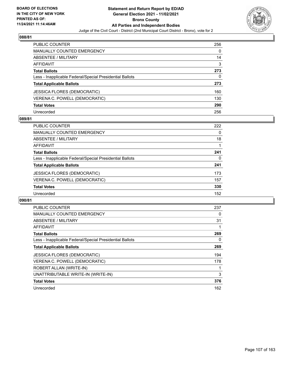

| <b>PUBLIC COUNTER</b>                                    | 256 |
|----------------------------------------------------------|-----|
| <b>MANUALLY COUNTED EMERGENCY</b>                        | 0   |
| ABSENTEE / MILITARY                                      | 14  |
| <b>AFFIDAVIT</b>                                         | 3   |
| <b>Total Ballots</b>                                     | 273 |
| Less - Inapplicable Federal/Special Presidential Ballots | 0   |
| <b>Total Applicable Ballots</b>                          | 273 |
| <b>JESSICA FLORES (DEMOCRATIC)</b>                       | 160 |
| VERENA C. POWELL (DEMOCRATIC)                            | 130 |
| <b>Total Votes</b>                                       | 290 |
| Unrecorded                                               | 256 |

#### **089/81**

| <b>PUBLIC COUNTER</b>                                    | 222 |
|----------------------------------------------------------|-----|
| <b>MANUALLY COUNTED EMERGENCY</b>                        | 0   |
| ABSENTEE / MILITARY                                      | 18  |
| AFFIDAVIT                                                |     |
| <b>Total Ballots</b>                                     | 241 |
| Less - Inapplicable Federal/Special Presidential Ballots | 0   |
| <b>Total Applicable Ballots</b>                          | 241 |
| JESSICA FLORES (DEMOCRATIC)                              | 173 |
| VERENA C. POWELL (DEMOCRATIC)                            | 157 |
| <b>Total Votes</b>                                       | 330 |
| Unrecorded                                               | 152 |

| PUBLIC COUNTER                                           | 237 |
|----------------------------------------------------------|-----|
| <b>MANUALLY COUNTED EMERGENCY</b>                        | 0   |
| ABSENTEE / MILITARY                                      | 31  |
| <b>AFFIDAVIT</b>                                         |     |
| <b>Total Ballots</b>                                     | 269 |
| Less - Inapplicable Federal/Special Presidential Ballots | 0   |
| <b>Total Applicable Ballots</b>                          | 269 |
| <b>JESSICA FLORES (DEMOCRATIC)</b>                       | 194 |
| VERENA C. POWELL (DEMOCRATIC)                            | 178 |
| ROBERT ALLAN (WRITE-IN)                                  |     |
| UNATTRIBUTABLE WRITE-IN (WRITE-IN)                       | 3   |
| <b>Total Votes</b>                                       | 376 |
| Unrecorded                                               | 162 |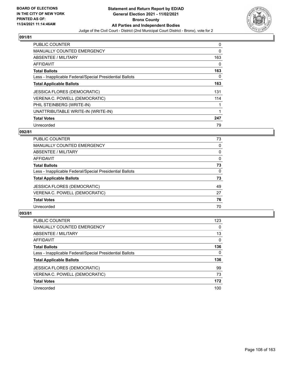

| <b>PUBLIC COUNTER</b>                                    | 0        |
|----------------------------------------------------------|----------|
| <b>MANUALLY COUNTED EMERGENCY</b>                        | 0        |
| ABSENTEE / MILITARY                                      | 163      |
| <b>AFFIDAVIT</b>                                         | 0        |
| <b>Total Ballots</b>                                     | 163      |
| Less - Inapplicable Federal/Special Presidential Ballots | $\Omega$ |
| <b>Total Applicable Ballots</b>                          | 163      |
| <b>JESSICA FLORES (DEMOCRATIC)</b>                       | 131      |
| VERENA C. POWELL (DEMOCRATIC)                            | 114      |
| PHIL STEINBERG (WRITE-IN)                                | 1        |
| UNATTRIBUTABLE WRITE-IN (WRITE-IN)                       |          |
| <b>Total Votes</b>                                       | 247      |
| Unrecorded                                               | 79       |

## **092/81**

| <b>PUBLIC COUNTER</b>                                    | 73       |
|----------------------------------------------------------|----------|
| MANUALLY COUNTED EMERGENCY                               | 0        |
| ABSENTEE / MILITARY                                      | 0        |
| AFFIDAVIT                                                | $\Omega$ |
| <b>Total Ballots</b>                                     | 73       |
| Less - Inapplicable Federal/Special Presidential Ballots | 0        |
| <b>Total Applicable Ballots</b>                          | 73       |
| <b>JESSICA FLORES (DEMOCRATIC)</b>                       | 49       |
| VERENA C. POWELL (DEMOCRATIC)                            | 27       |
| <b>Total Votes</b>                                       | 76       |
| Unrecorded                                               | 70       |
|                                                          |          |

| <b>PUBLIC COUNTER</b>                                    | 123      |
|----------------------------------------------------------|----------|
| MANUALLY COUNTED EMERGENCY                               | $\Omega$ |
| ABSENTEE / MILITARY                                      | 13       |
| AFFIDAVIT                                                | $\Omega$ |
| <b>Total Ballots</b>                                     | 136      |
| Less - Inapplicable Federal/Special Presidential Ballots | $\Omega$ |
| <b>Total Applicable Ballots</b>                          | 136      |
| <b>JESSICA FLORES (DEMOCRATIC)</b>                       | 99       |
| VERENA C. POWELL (DEMOCRATIC)                            | 73       |
| <b>Total Votes</b>                                       | 172      |
| Unrecorded                                               | 100      |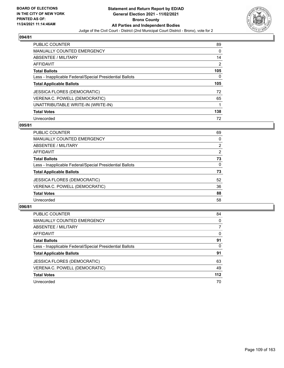

| <b>PUBLIC COUNTER</b>                                    | 89  |
|----------------------------------------------------------|-----|
| MANUALLY COUNTED EMERGENCY                               | 0   |
| ABSENTEE / MILITARY                                      | 14  |
| AFFIDAVIT                                                | 2   |
| <b>Total Ballots</b>                                     | 105 |
| Less - Inapplicable Federal/Special Presidential Ballots | 0   |
| <b>Total Applicable Ballots</b>                          | 105 |
|                                                          |     |
| <b>JESSICA FLORES (DEMOCRATIC)</b>                       | 72  |
| VERENA C. POWELL (DEMOCRATIC)                            | 65  |
| UNATTRIBUTABLE WRITE-IN (WRITE-IN)                       | 1   |
| <b>Total Votes</b>                                       | 138 |

### **095/81**

| <b>PUBLIC COUNTER</b>                                    | 69             |
|----------------------------------------------------------|----------------|
| <b>MANUALLY COUNTED EMERGENCY</b>                        | 0              |
| ABSENTEE / MILITARY                                      | $\overline{2}$ |
| AFFIDAVIT                                                | $\overline{2}$ |
| <b>Total Ballots</b>                                     | 73             |
| Less - Inapplicable Federal/Special Presidential Ballots | 0              |
| <b>Total Applicable Ballots</b>                          | 73             |
| <b>JESSICA FLORES (DEMOCRATIC)</b>                       | 52             |
| VERENA C. POWELL (DEMOCRATIC)                            | 36             |
| <b>Total Votes</b>                                       | 88             |
| Unrecorded                                               | 58             |

| <b>PUBLIC COUNTER</b>                                    | 84       |
|----------------------------------------------------------|----------|
| <b>MANUALLY COUNTED EMERGENCY</b>                        | $\Omega$ |
| <b>ABSENTEE / MILITARY</b>                               | 7        |
| AFFIDAVIT                                                | $\Omega$ |
| <b>Total Ballots</b>                                     | 91       |
| Less - Inapplicable Federal/Special Presidential Ballots | $\Omega$ |
| <b>Total Applicable Ballots</b>                          | 91       |
| <b>JESSICA FLORES (DEMOCRATIC)</b>                       | 63       |
| VERENA C. POWELL (DEMOCRATIC)                            | 49       |
| <b>Total Votes</b>                                       | $112$    |
| Unrecorded                                               | 70       |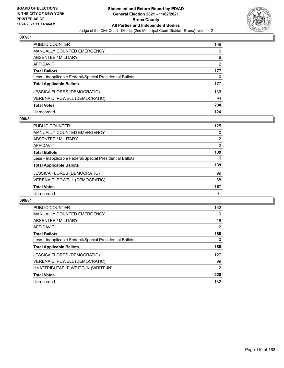

| <b>PUBLIC COUNTER</b>                                    | 169 |
|----------------------------------------------------------|-----|
| <b>MANUALLY COUNTED EMERGENCY</b>                        | 0   |
| ABSENTEE / MILITARY                                      | 6   |
| <b>AFFIDAVIT</b>                                         | 2   |
| <b>Total Ballots</b>                                     | 177 |
| Less - Inapplicable Federal/Special Presidential Ballots | 0   |
| <b>Total Applicable Ballots</b>                          | 177 |
| <b>JESSICA FLORES (DEMOCRATIC)</b>                       | 136 |
| VERENA C. POWELL (DEMOCRATIC)                            | 94  |
| <b>Total Votes</b>                                       | 230 |
| Unrecorded                                               | 124 |

# **098/81**

| <b>PUBLIC COUNTER</b>                                    | 125 |
|----------------------------------------------------------|-----|
| <b>MANUALLY COUNTED EMERGENCY</b>                        | 0   |
| ABSENTEE / MILITARY                                      | 12  |
| AFFIDAVIT                                                | 2   |
| <b>Total Ballots</b>                                     | 139 |
| Less - Inapplicable Federal/Special Presidential Ballots | 0   |
| <b>Total Applicable Ballots</b>                          | 139 |
| <b>JESSICA FLORES (DEMOCRATIC)</b>                       | 99  |
| VERENA C. POWELL (DEMOCRATIC)                            | 88  |
| <b>Total Votes</b>                                       | 187 |
| Unrecorded                                               | 91  |

| <b>PUBLIC COUNTER</b>                                    | 162            |
|----------------------------------------------------------|----------------|
| <b>MANUALLY COUNTED EMERGENCY</b>                        | 0              |
| ABSENTEE / MILITARY                                      | 16             |
| AFFIDAVIT                                                | 2              |
| <b>Total Ballots</b>                                     | 180            |
| Less - Inapplicable Federal/Special Presidential Ballots | 0              |
| <b>Total Applicable Ballots</b>                          | 180            |
| <b>JESSICA FLORES (DEMOCRATIC)</b>                       | 127            |
| VERENA C. POWELL (DEMOCRATIC)                            | 99             |
| UNATTRIBUTABLE WRITE-IN (WRITE-IN)                       | $\overline{2}$ |
| <b>Total Votes</b>                                       | 228            |
| Unrecorded                                               | 132            |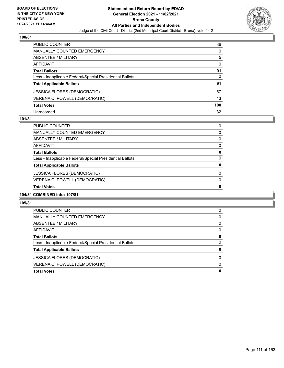

| <b>PUBLIC COUNTER</b>                                    | 86       |
|----------------------------------------------------------|----------|
| <b>MANUALLY COUNTED EMERGENCY</b>                        | 0        |
| ABSENTEE / MILITARY                                      | 5        |
| <b>AFFIDAVIT</b>                                         | $\Omega$ |
| <b>Total Ballots</b>                                     | 91       |
| Less - Inapplicable Federal/Special Presidential Ballots | 0        |
| <b>Total Applicable Ballots</b>                          | 91       |
| JESSICA FLORES (DEMOCRATIC)                              | 57       |
| VERENA C. POWELL (DEMOCRATIC)                            | 43       |
| <b>Total Votes</b>                                       | 100      |
| Unrecorded                                               | 82       |

# **101/81**

| <b>Total Votes</b>                                       | 0        |
|----------------------------------------------------------|----------|
| VERENA C. POWELL (DEMOCRATIC)                            | $\Omega$ |
| <b>JESSICA FLORES (DEMOCRATIC)</b>                       | 0        |
| <b>Total Applicable Ballots</b>                          | 0        |
| Less - Inapplicable Federal/Special Presidential Ballots | 0        |
| <b>Total Ballots</b>                                     | 0        |
| AFFIDAVIT                                                | 0        |
| ABSENTEE / MILITARY                                      | 0        |
| <b>MANUALLY COUNTED EMERGENCY</b>                        | 0        |
| <b>PUBLIC COUNTER</b>                                    | 0        |

# **104/81 COMBINED into: 107/81**

| <b>Total Votes</b>                                       | 0        |
|----------------------------------------------------------|----------|
| VERENA C. POWELL (DEMOCRATIC)                            | 0        |
| <b>JESSICA FLORES (DEMOCRATIC)</b>                       | $\Omega$ |
| <b>Total Applicable Ballots</b>                          | 0        |
| Less - Inapplicable Federal/Special Presidential Ballots | 0        |
| <b>Total Ballots</b>                                     | 0        |
| AFFIDAVIT                                                | $\Omega$ |
| ABSENTEE / MILITARY                                      | $\Omega$ |
| MANUALLY COUNTED EMERGENCY                               | 0        |
| PUBLIC COUNTER                                           | 0        |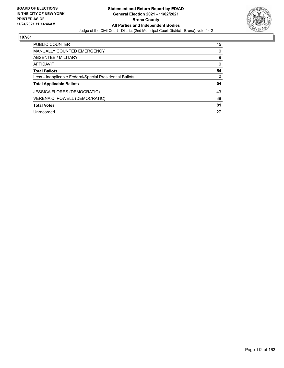

| <b>PUBLIC COUNTER</b>                                    | 45 |
|----------------------------------------------------------|----|
| <b>MANUALLY COUNTED EMERGENCY</b>                        | 0  |
| ABSENTEE / MILITARY                                      | 9  |
| AFFIDAVIT                                                | 0  |
| <b>Total Ballots</b>                                     | 54 |
| Less - Inapplicable Federal/Special Presidential Ballots | 0  |
| <b>Total Applicable Ballots</b>                          | 54 |
| <b>JESSICA FLORES (DEMOCRATIC)</b>                       | 43 |
| VERENA C. POWELL (DEMOCRATIC)                            | 38 |
| <b>Total Votes</b>                                       | 81 |
| Unrecorded                                               | 27 |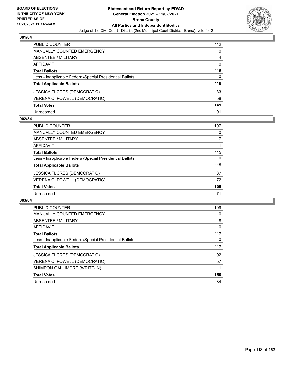

| <b>PUBLIC COUNTER</b>                                    | 112      |
|----------------------------------------------------------|----------|
| <b>MANUALLY COUNTED EMERGENCY</b>                        | 0        |
| ABSENTEE / MILITARY                                      | 4        |
| AFFIDAVIT                                                | $\Omega$ |
| <b>Total Ballots</b>                                     | 116      |
| Less - Inapplicable Federal/Special Presidential Ballots | 0        |
| <b>Total Applicable Ballots</b>                          | 116      |
| JESSICA FLORES (DEMOCRATIC)                              | 83       |
| VERENA C. POWELL (DEMOCRATIC)                            | 58       |
| <b>Total Votes</b>                                       | 141      |
| Unrecorded                                               | 91       |

# **002/84**

| <b>PUBLIC COUNTER</b>                                    | 107      |
|----------------------------------------------------------|----------|
| MANUALLY COUNTED EMERGENCY                               | 0        |
| ABSENTEE / MILITARY                                      |          |
| <b>AFFIDAVIT</b>                                         |          |
| <b>Total Ballots</b>                                     | 115      |
| Less - Inapplicable Federal/Special Presidential Ballots | $\Omega$ |
| <b>Total Applicable Ballots</b>                          | 115      |
| <b>JESSICA FLORES (DEMOCRATIC)</b>                       | 87       |
| VERENA C. POWELL (DEMOCRATIC)                            | 72       |
| <b>Total Votes</b>                                       | 159      |
| Unrecorded                                               | 71       |

| <b>PUBLIC COUNTER</b>                                    | 109 |
|----------------------------------------------------------|-----|
| <b>MANUALLY COUNTED EMERGENCY</b>                        | 0   |
| ABSENTEE / MILITARY                                      | 8   |
| AFFIDAVIT                                                | 0   |
| <b>Total Ballots</b>                                     | 117 |
| Less - Inapplicable Federal/Special Presidential Ballots | 0   |
|                                                          |     |
| <b>Total Applicable Ballots</b>                          | 117 |
| <b>JESSICA FLORES (DEMOCRATIC)</b>                       | 92  |
| VERENA C. POWELL (DEMOCRATIC)                            | 57  |
| SHIMRON GALLIMORE (WRITE-IN)                             |     |
| <b>Total Votes</b>                                       | 150 |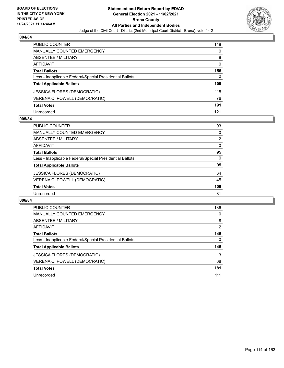

| <b>PUBLIC COUNTER</b>                                    | 148      |
|----------------------------------------------------------|----------|
| <b>MANUALLY COUNTED EMERGENCY</b>                        | 0        |
| ABSENTEE / MILITARY                                      | 8        |
| AFFIDAVIT                                                | $\Omega$ |
| <b>Total Ballots</b>                                     | 156      |
| Less - Inapplicable Federal/Special Presidential Ballots | 0        |
| <b>Total Applicable Ballots</b>                          | 156      |
| <b>JESSICA FLORES (DEMOCRATIC)</b>                       | 115      |
| VERENA C. POWELL (DEMOCRATIC)                            | 76       |
| <b>Total Votes</b>                                       | 191      |
| Unrecorded                                               | 121      |

# **005/84**

| <b>PUBLIC COUNTER</b>                                    | 93             |
|----------------------------------------------------------|----------------|
| <b>MANUALLY COUNTED EMERGENCY</b>                        | 0              |
| ABSENTEE / MILITARY                                      | $\overline{2}$ |
| AFFIDAVIT                                                | $\Omega$       |
| <b>Total Ballots</b>                                     | 95             |
| Less - Inapplicable Federal/Special Presidential Ballots | $\Omega$       |
| <b>Total Applicable Ballots</b>                          | 95             |
| <b>JESSICA FLORES (DEMOCRATIC)</b>                       | 64             |
| VERENA C. POWELL (DEMOCRATIC)                            | 45             |
| <b>Total Votes</b>                                       | 109            |
| Unrecorded                                               | 81             |

| <b>PUBLIC COUNTER</b>                                    | 136      |
|----------------------------------------------------------|----------|
| <b>MANUALLY COUNTED EMERGENCY</b>                        | $\Omega$ |
| <b>ABSENTEE / MILITARY</b>                               | 8        |
| AFFIDAVIT                                                | 2        |
| <b>Total Ballots</b>                                     | 146      |
| Less - Inapplicable Federal/Special Presidential Ballots | 0        |
| <b>Total Applicable Ballots</b>                          | 146      |
| <b>JESSICA FLORES (DEMOCRATIC)</b>                       | 113      |
| VERENA C. POWELL (DEMOCRATIC)                            | 68       |
| <b>Total Votes</b>                                       | 181      |
| Unrecorded                                               | 111      |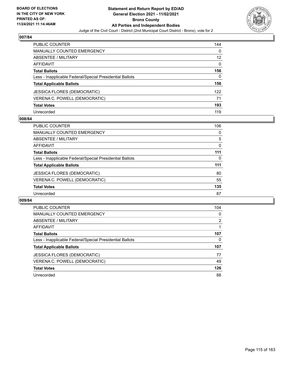

| <b>PUBLIC COUNTER</b>                                    | 144 |
|----------------------------------------------------------|-----|
| <b>MANUALLY COUNTED EMERGENCY</b>                        | 0   |
| ABSENTEE / MILITARY                                      | 12  |
| AFFIDAVIT                                                | 0   |
| <b>Total Ballots</b>                                     | 156 |
| Less - Inapplicable Federal/Special Presidential Ballots | 0   |
| <b>Total Applicable Ballots</b>                          | 156 |
| JESSICA FLORES (DEMOCRATIC)                              | 122 |
| VERENA C. POWELL (DEMOCRATIC)                            | 71  |
| <b>Total Votes</b>                                       | 193 |
| Unrecorded                                               | 119 |

# **008/84**

| <b>PUBLIC COUNTER</b>                                    | 106      |
|----------------------------------------------------------|----------|
| <b>MANUALLY COUNTED EMERGENCY</b>                        | $\Omega$ |
| ABSENTEE / MILITARY                                      | 5        |
| AFFIDAVIT                                                | 0        |
| <b>Total Ballots</b>                                     | 111      |
| Less - Inapplicable Federal/Special Presidential Ballots | $\Omega$ |
| <b>Total Applicable Ballots</b>                          | 111      |
| <b>JESSICA FLORES (DEMOCRATIC)</b>                       | 80       |
| VERENA C. POWELL (DEMOCRATIC)                            | 55       |
| <b>Total Votes</b>                                       | 135      |
| Unrecorded                                               | 87       |

| <b>PUBLIC COUNTER</b>                                    | 104      |
|----------------------------------------------------------|----------|
| <b>MANUALLY COUNTED EMERGENCY</b>                        | $\Omega$ |
| ABSENTEE / MILITARY                                      | 2        |
| <b>AFFIDAVIT</b>                                         |          |
| <b>Total Ballots</b>                                     | 107      |
| Less - Inapplicable Federal/Special Presidential Ballots | 0        |
| <b>Total Applicable Ballots</b>                          | 107      |
| <b>JESSICA FLORES (DEMOCRATIC)</b>                       | 77       |
| VERENA C. POWELL (DEMOCRATIC)                            | 49       |
| <b>Total Votes</b>                                       | 126      |
| Unrecorded                                               | 88       |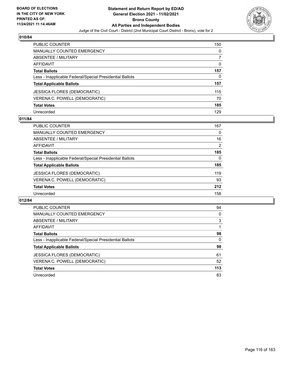

| <b>PUBLIC COUNTER</b>                                    | 150      |
|----------------------------------------------------------|----------|
| <b>MANUALLY COUNTED EMERGENCY</b>                        | 0        |
| <b>ABSENTEE / MILITARY</b>                               |          |
| <b>AFFIDAVIT</b>                                         | $\Omega$ |
| <b>Total Ballots</b>                                     | 157      |
| Less - Inapplicable Federal/Special Presidential Ballots | 0        |
| <b>Total Applicable Ballots</b>                          | 157      |
| <b>JESSICA FLORES (DEMOCRATIC)</b>                       | 115      |
| VERENA C. POWELL (DEMOCRATIC)                            | 70       |
| <b>Total Votes</b>                                       | 185      |
| Unrecorded                                               | 129      |

# **011/84**

| PUBLIC COUNTER                                           | 167 |
|----------------------------------------------------------|-----|
| MANUALLY COUNTED EMERGENCY                               | 0   |
| ABSENTEE / MILITARY                                      | 16  |
| AFFIDAVIT                                                | 2   |
| <b>Total Ballots</b>                                     | 185 |
| Less - Inapplicable Federal/Special Presidential Ballots | 0   |
| <b>Total Applicable Ballots</b>                          | 185 |
| <b>JESSICA FLORES (DEMOCRATIC)</b>                       | 119 |
| VERENA C. POWELL (DEMOCRATIC)                            | 93  |
| <b>Total Votes</b>                                       | 212 |
| Unrecorded                                               | 158 |

| <b>PUBLIC COUNTER</b>                                    | 94       |
|----------------------------------------------------------|----------|
| <b>MANUALLY COUNTED EMERGENCY</b>                        | $\Omega$ |
| ABSENTEE / MILITARY                                      | 3        |
| AFFIDAVIT                                                |          |
| <b>Total Ballots</b>                                     | 98       |
| Less - Inapplicable Federal/Special Presidential Ballots | $\Omega$ |
| <b>Total Applicable Ballots</b>                          | 98       |
| <b>JESSICA FLORES (DEMOCRATIC)</b>                       | 61       |
| VERENA C. POWELL (DEMOCRATIC)                            | 52       |
| <b>Total Votes</b>                                       | 113      |
| Unrecorded                                               | 83       |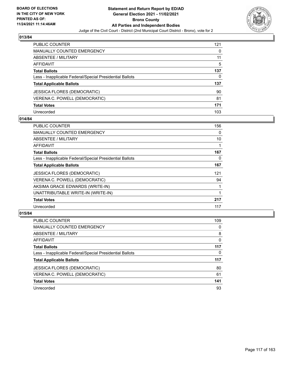

| PUBLIC COUNTER                                           | 121 |
|----------------------------------------------------------|-----|
| <b>MANUALLY COUNTED EMERGENCY</b>                        | 0   |
| <b>ABSENTEE / MILITARY</b>                               | 11  |
| <b>AFFIDAVIT</b>                                         | 5   |
| <b>Total Ballots</b>                                     | 137 |
| Less - Inapplicable Federal/Special Presidential Ballots | 0   |
| <b>Total Applicable Ballots</b>                          | 137 |
| <b>JESSICA FLORES (DEMOCRATIC)</b>                       | 90  |
| VERENA C. POWELL (DEMOCRATIC)                            | 81  |
| <b>Total Votes</b>                                       | 171 |
| Unrecorded                                               | 103 |

# **014/84**

| PUBLIC COUNTER                                           | 156      |
|----------------------------------------------------------|----------|
| <b>MANUALLY COUNTED EMERGENCY</b>                        | $\Omega$ |
| ABSENTEE / MILITARY                                      | 10       |
| AFFIDAVIT                                                |          |
| <b>Total Ballots</b>                                     | 167      |
| Less - Inapplicable Federal/Special Presidential Ballots | 0        |
| <b>Total Applicable Ballots</b>                          | 167      |
| <b>JESSICA FLORES (DEMOCRATIC)</b>                       | 121      |
| VERENA C. POWELL (DEMOCRATIC)                            | 94       |
| AKSIMA GRACE EDWARDS (WRITE-IN)                          |          |
| UNATTRIBUTABLE WRITE-IN (WRITE-IN)                       |          |
| <b>Total Votes</b>                                       | 217      |
| Unrecorded                                               | 117      |

| <b>PUBLIC COUNTER</b>                                    | 109 |
|----------------------------------------------------------|-----|
| <b>MANUALLY COUNTED EMERGENCY</b>                        | 0   |
| ABSENTEE / MILITARY                                      | 8   |
| AFFIDAVIT                                                | 0   |
| <b>Total Ballots</b>                                     | 117 |
| Less - Inapplicable Federal/Special Presidential Ballots | 0   |
| <b>Total Applicable Ballots</b>                          | 117 |
| <b>JESSICA FLORES (DEMOCRATIC)</b>                       | 80  |
| VERENA C. POWELL (DEMOCRATIC)                            | 61  |
| <b>Total Votes</b>                                       | 141 |
| Unrecorded                                               | 93  |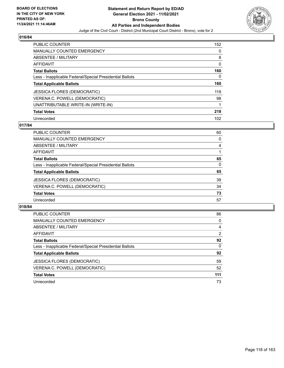

| <b>PUBLIC COUNTER</b>                                    | 152      |
|----------------------------------------------------------|----------|
| <b>MANUALLY COUNTED EMERGENCY</b>                        | $\Omega$ |
| ABSENTEE / MILITARY                                      | 8        |
| <b>AFFIDAVIT</b>                                         | 0        |
| <b>Total Ballots</b>                                     | 160      |
| Less - Inapplicable Federal/Special Presidential Ballots | 0        |
| <b>Total Applicable Ballots</b>                          | 160      |
| <b>JESSICA FLORES (DEMOCRATIC)</b>                       | 119      |
| VERENA C. POWELL (DEMOCRATIC)                            | 98       |
| UNATTRIBUTABLE WRITE-IN (WRITE-IN)                       | 1        |
| <b>Total Votes</b>                                       | 218      |
| Unrecorded                                               | 102      |

## **017/84**

| PUBLIC COUNTER                                           | 60       |
|----------------------------------------------------------|----------|
| <b>MANUALLY COUNTED EMERGENCY</b>                        | 0        |
| ABSENTEE / MILITARY                                      | 4        |
| AFFIDAVIT                                                |          |
| <b>Total Ballots</b>                                     | 65       |
| Less - Inapplicable Federal/Special Presidential Ballots | $\Omega$ |
| <b>Total Applicable Ballots</b>                          | 65       |
| <b>JESSICA FLORES (DEMOCRATIC)</b>                       | 39       |
| VERENA C. POWELL (DEMOCRATIC)                            | 34       |
| <b>Total Votes</b>                                       | 73       |
| Unrecorded                                               | 57       |

| <b>PUBLIC COUNTER</b>                                    | 86       |
|----------------------------------------------------------|----------|
| MANUALLY COUNTED EMERGENCY                               | 0        |
| ABSENTEE / MILITARY                                      | 4        |
| AFFIDAVIT                                                | 2        |
| <b>Total Ballots</b>                                     | 92       |
| Less - Inapplicable Federal/Special Presidential Ballots | $\Omega$ |
| <b>Total Applicable Ballots</b>                          | 92       |
| <b>JESSICA FLORES (DEMOCRATIC)</b>                       | 59       |
| VERENA C. POWELL (DEMOCRATIC)                            | 52       |
| <b>Total Votes</b>                                       | 111      |
| Unrecorded                                               | 73       |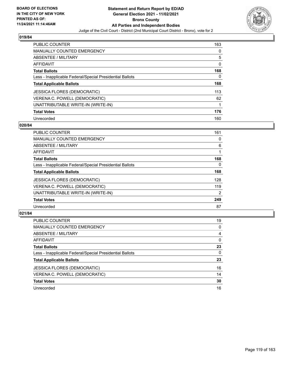

| <b>PUBLIC COUNTER</b>                                    | 163 |
|----------------------------------------------------------|-----|
| MANUALLY COUNTED EMERGENCY                               | 0   |
| ABSENTEE / MILITARY                                      | 5   |
| AFFIDAVIT                                                | 0   |
| <b>Total Ballots</b>                                     | 168 |
| Less - Inapplicable Federal/Special Presidential Ballots | 0   |
| <b>Total Applicable Ballots</b>                          | 168 |
| <b>JESSICA FLORES (DEMOCRATIC)</b>                       | 113 |
| VERENA C. POWELL (DEMOCRATIC)                            | 62  |
| UNATTRIBUTABLE WRITE-IN (WRITE-IN)                       | 1   |
| <b>Total Votes</b>                                       | 176 |
| Unrecorded                                               | 160 |

### **020/84**

| <b>PUBLIC COUNTER</b>                                    | 161            |
|----------------------------------------------------------|----------------|
| <b>MANUALLY COUNTED EMERGENCY</b>                        | 0              |
| ABSENTEE / MILITARY                                      | 6              |
| <b>AFFIDAVIT</b>                                         |                |
| <b>Total Ballots</b>                                     | 168            |
| Less - Inapplicable Federal/Special Presidential Ballots | $\Omega$       |
| <b>Total Applicable Ballots</b>                          | 168            |
| <b>JESSICA FLORES (DEMOCRATIC)</b>                       | 128            |
| VERENA C. POWELL (DEMOCRATIC)                            | 119            |
| UNATTRIBUTABLE WRITE-IN (WRITE-IN)                       | $\overline{2}$ |
| <b>Total Votes</b>                                       | 249            |
| Unrecorded                                               | 87             |

| <b>PUBLIC COUNTER</b>                                    | 19       |
|----------------------------------------------------------|----------|
| <b>MANUALLY COUNTED EMERGENCY</b>                        | 0        |
| ABSENTEE / MILITARY                                      | 4        |
| AFFIDAVIT                                                | $\Omega$ |
| <b>Total Ballots</b>                                     | 23       |
| Less - Inapplicable Federal/Special Presidential Ballots | 0        |
| <b>Total Applicable Ballots</b>                          | 23       |
| <b>JESSICA FLORES (DEMOCRATIC)</b>                       | 16       |
| VERENA C. POWELL (DEMOCRATIC)                            | 14       |
| <b>Total Votes</b>                                       | 30       |
| Unrecorded                                               | 16       |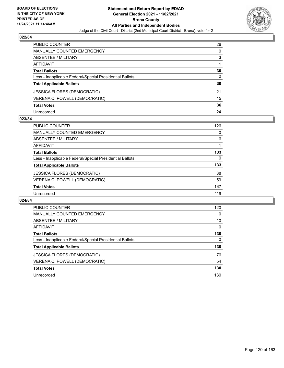

| PUBLIC COUNTER                                           | 26 |
|----------------------------------------------------------|----|
| <b>MANUALLY COUNTED EMERGENCY</b>                        | 0  |
| <b>ABSENTEE / MILITARY</b>                               | 3  |
| AFFIDAVIT                                                |    |
| <b>Total Ballots</b>                                     | 30 |
| Less - Inapplicable Federal/Special Presidential Ballots | 0  |
| <b>Total Applicable Ballots</b>                          | 30 |
| <b>JESSICA FLORES (DEMOCRATIC)</b>                       | 21 |
| VERENA C. POWELL (DEMOCRATIC)                            | 15 |
| <b>Total Votes</b>                                       | 36 |
| Unrecorded                                               | 24 |

### **023/84**

| <b>PUBLIC COUNTER</b>                                    | 126 |
|----------------------------------------------------------|-----|
| <b>MANUALLY COUNTED EMERGENCY</b>                        | 0   |
| ABSENTEE / MILITARY                                      | 6   |
| AFFIDAVIT                                                |     |
| <b>Total Ballots</b>                                     | 133 |
| Less - Inapplicable Federal/Special Presidential Ballots | 0   |
| <b>Total Applicable Ballots</b>                          | 133 |
| <b>JESSICA FLORES (DEMOCRATIC)</b>                       | 88  |
| VERENA C. POWELL (DEMOCRATIC)                            | 59  |
| <b>Total Votes</b>                                       | 147 |
| Unrecorded                                               | 119 |

| <b>PUBLIC COUNTER</b>                                    | 120      |
|----------------------------------------------------------|----------|
| <b>MANUALLY COUNTED EMERGENCY</b>                        | 0        |
| ABSENTEE / MILITARY                                      | 10       |
| <b>AFFIDAVIT</b>                                         | $\Omega$ |
| <b>Total Ballots</b>                                     | 130      |
| Less - Inapplicable Federal/Special Presidential Ballots | 0        |
| <b>Total Applicable Ballots</b>                          | 130      |
| JESSICA FLORES (DEMOCRATIC)                              | 76       |
| VERENA C. POWELL (DEMOCRATIC)                            | 54       |
| <b>Total Votes</b>                                       | 130      |
| Unrecorded                                               | 130      |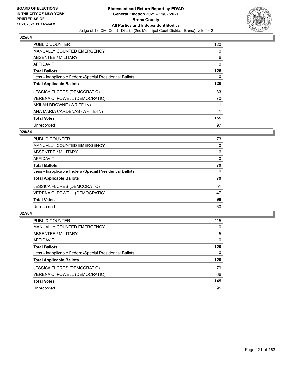

| <b>PUBLIC COUNTER</b>                                    | 120      |
|----------------------------------------------------------|----------|
| <b>MANUALLY COUNTED EMERGENCY</b>                        | 0        |
| ABSENTEE / MILITARY                                      | 6        |
| <b>AFFIDAVIT</b>                                         | 0        |
| <b>Total Ballots</b>                                     | 126      |
| Less - Inapplicable Federal/Special Presidential Ballots | $\Omega$ |
| <b>Total Applicable Ballots</b>                          | 126      |
| <b>JESSICA FLORES (DEMOCRATIC)</b>                       | 83       |
| VERENA C. POWELL (DEMOCRATIC)                            | 70       |
| AKILAH BROWNE (WRITE-IN)                                 | 1        |
| ANA MARIA CARDENAS (WRITE-IN)                            | 1        |
| <b>Total Votes</b>                                       | 155      |
| Unrecorded                                               | 97       |

# **026/84**

| <b>PUBLIC COUNTER</b>                                    | 73       |
|----------------------------------------------------------|----------|
| MANUALLY COUNTED EMERGENCY                               | 0        |
| ABSENTEE / MILITARY                                      | 6        |
| AFFIDAVIT                                                | $\Omega$ |
| <b>Total Ballots</b>                                     | 79       |
| Less - Inapplicable Federal/Special Presidential Ballots | 0        |
| <b>Total Applicable Ballots</b>                          | 79       |
| JESSICA FLORES (DEMOCRATIC)                              | 51       |
| VERENA C. POWELL (DEMOCRATIC)                            | 47       |
| <b>Total Votes</b>                                       | 98       |
| Unrecorded                                               | 60       |
|                                                          |          |

| <b>PUBLIC COUNTER</b>                                    | 115 |
|----------------------------------------------------------|-----|
| MANUALLY COUNTED EMERGENCY                               | 0   |
| ABSENTEE / MILITARY                                      | 5   |
| AFFIDAVIT                                                | 0   |
| <b>Total Ballots</b>                                     | 120 |
| Less - Inapplicable Federal/Special Presidential Ballots | 0   |
| <b>Total Applicable Ballots</b>                          | 120 |
| <b>JESSICA FLORES (DEMOCRATIC)</b>                       | 79  |
| VERENA C. POWELL (DEMOCRATIC)                            | 66  |
| <b>Total Votes</b>                                       | 145 |
| Unrecorded                                               | 95  |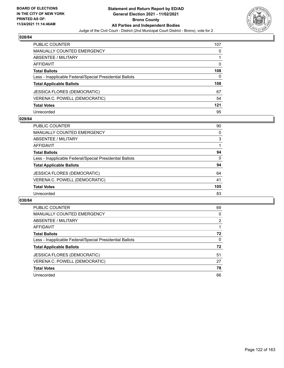

| <b>PUBLIC COUNTER</b>                                    | 107      |
|----------------------------------------------------------|----------|
| <b>MANUALLY COUNTED EMERGENCY</b>                        | 0        |
| ABSENTEE / MILITARY                                      |          |
| AFFIDAVIT                                                | $\Omega$ |
| <b>Total Ballots</b>                                     | 108      |
| Less - Inapplicable Federal/Special Presidential Ballots | 0        |
| <b>Total Applicable Ballots</b>                          | 108      |
| JESSICA FLORES (DEMOCRATIC)                              | 67       |
| VERENA C. POWELL (DEMOCRATIC)                            | 54       |
| <b>Total Votes</b>                                       | $121$    |
| Unrecorded                                               | 95       |

# **029/84**

| <b>PUBLIC COUNTER</b>                                    | 90       |
|----------------------------------------------------------|----------|
| <b>MANUALLY COUNTED EMERGENCY</b>                        | $\Omega$ |
| ABSENTEE / MILITARY                                      | 3        |
| AFFIDAVIT                                                |          |
| <b>Total Ballots</b>                                     | 94       |
| Less - Inapplicable Federal/Special Presidential Ballots | $\Omega$ |
| <b>Total Applicable Ballots</b>                          | 94       |
| <b>JESSICA FLORES (DEMOCRATIC)</b>                       | 64       |
| VERENA C. POWELL (DEMOCRATIC)                            | 41       |
| <b>Total Votes</b>                                       | 105      |
| Unrecorded                                               | 83       |

| <b>PUBLIC COUNTER</b>                                    | 69             |
|----------------------------------------------------------|----------------|
| <b>MANUALLY COUNTED EMERGENCY</b>                        | 0              |
| ABSENTEE / MILITARY                                      | $\overline{2}$ |
| <b>AFFIDAVIT</b>                                         |                |
| <b>Total Ballots</b>                                     | 72             |
| Less - Inapplicable Federal/Special Presidential Ballots | 0              |
| <b>Total Applicable Ballots</b>                          | 72             |
| JESSICA FLORES (DEMOCRATIC)                              | 51             |
| VERENA C. POWELL (DEMOCRATIC)                            | 27             |
| <b>Total Votes</b>                                       | 78             |
| Unrecorded                                               | 66             |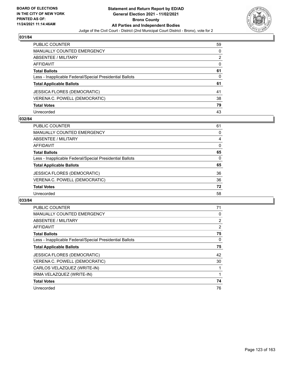

| PUBLIC COUNTER                                           | 59       |
|----------------------------------------------------------|----------|
| <b>MANUALLY COUNTED EMERGENCY</b>                        | 0        |
| ABSENTEE / MILITARY                                      | 2        |
| AFFIDAVIT                                                | $\Omega$ |
| <b>Total Ballots</b>                                     | 61       |
| Less - Inapplicable Federal/Special Presidential Ballots | 0        |
| <b>Total Applicable Ballots</b>                          | 61       |
| JESSICA FLORES (DEMOCRATIC)                              | 41       |
| VERENA C. POWELL (DEMOCRATIC)                            | 38       |
| <b>Total Votes</b>                                       | 79       |
| Unrecorded                                               | 43       |

# **032/84**

| <b>PUBLIC COUNTER</b>                                    | 61       |
|----------------------------------------------------------|----------|
| <b>MANUALLY COUNTED EMERGENCY</b>                        | 0        |
| ABSENTEE / MILITARY                                      | 4        |
| AFFIDAVIT                                                | $\Omega$ |
| <b>Total Ballots</b>                                     | 65       |
| Less - Inapplicable Federal/Special Presidential Ballots | $\Omega$ |
| <b>Total Applicable Ballots</b>                          | 65       |
| <b>JESSICA FLORES (DEMOCRATIC)</b>                       | 36       |
| VERENA C. POWELL (DEMOCRATIC)                            | 36       |
| <b>Total Votes</b>                                       | 72       |
| Unrecorded                                               | 58       |

| PUBLIC COUNTER                                           | 71 |
|----------------------------------------------------------|----|
| <b>MANUALLY COUNTED EMERGENCY</b>                        | 0  |
| ABSENTEE / MILITARY                                      | 2  |
| <b>AFFIDAVIT</b>                                         | 2  |
| <b>Total Ballots</b>                                     | 75 |
| Less - Inapplicable Federal/Special Presidential Ballots | 0  |
| <b>Total Applicable Ballots</b>                          | 75 |
| <b>JESSICA FLORES (DEMOCRATIC)</b>                       | 42 |
| VERENA C. POWELL (DEMOCRATIC)                            | 30 |
| CARLOS VELAZQUEZ (WRITE-IN)                              | 1  |
| IRMA VELAZQUEZ (WRITE-IN)                                | 1  |
| <b>Total Votes</b>                                       | 74 |
| Unrecorded                                               | 76 |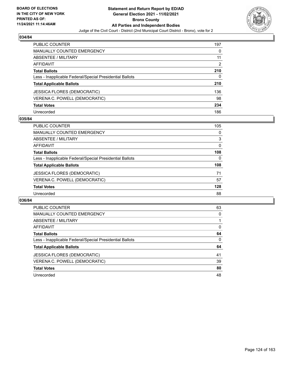

| <b>PUBLIC COUNTER</b>                                    | 197 |
|----------------------------------------------------------|-----|
| <b>MANUALLY COUNTED EMERGENCY</b>                        | 0   |
| ABSENTEE / MILITARY                                      | 11  |
| AFFIDAVIT                                                | 2   |
| <b>Total Ballots</b>                                     | 210 |
| Less - Inapplicable Federal/Special Presidential Ballots | 0   |
| <b>Total Applicable Ballots</b>                          | 210 |
| <b>JESSICA FLORES (DEMOCRATIC)</b>                       | 136 |
| VERENA C. POWELL (DEMOCRATIC)                            | 98  |
| <b>Total Votes</b>                                       | 234 |
| Unrecorded                                               | 186 |

# **035/84**

| <b>PUBLIC COUNTER</b>                                    | 105      |
|----------------------------------------------------------|----------|
| MANUALLY COUNTED EMERGENCY                               | 0        |
| ABSENTEE / MILITARY                                      | 3        |
| AFFIDAVIT                                                | $\Omega$ |
| <b>Total Ballots</b>                                     | 108      |
| Less - Inapplicable Federal/Special Presidential Ballots | $\Omega$ |
| <b>Total Applicable Ballots</b>                          | 108      |
| <b>JESSICA FLORES (DEMOCRATIC)</b>                       | 71       |
| VERENA C. POWELL (DEMOCRATIC)                            | 57       |
| <b>Total Votes</b>                                       | 128      |
| Unrecorded                                               | 88       |

| <b>PUBLIC COUNTER</b>                                    | 63       |
|----------------------------------------------------------|----------|
| <b>MANUALLY COUNTED EMERGENCY</b>                        | 0        |
| ABSENTEE / MILITARY                                      |          |
| AFFIDAVIT                                                | $\Omega$ |
| <b>Total Ballots</b>                                     | 64       |
| Less - Inapplicable Federal/Special Presidential Ballots | $\Omega$ |
| <b>Total Applicable Ballots</b>                          | 64       |
| <b>JESSICA FLORES (DEMOCRATIC)</b>                       | 41       |
| VERENA C. POWELL (DEMOCRATIC)                            | 39       |
| <b>Total Votes</b>                                       | 80       |
| Unrecorded                                               | 48       |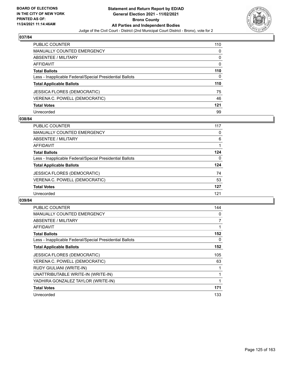

| <b>PUBLIC COUNTER</b>                                    | 110      |
|----------------------------------------------------------|----------|
| <b>MANUALLY COUNTED EMERGENCY</b>                        | 0        |
| ABSENTEE / MILITARY                                      | 0        |
| AFFIDAVIT                                                | $\Omega$ |
| <b>Total Ballots</b>                                     | 110      |
| Less - Inapplicable Federal/Special Presidential Ballots | 0        |
| <b>Total Applicable Ballots</b>                          | 110      |
| <b>JESSICA FLORES (DEMOCRATIC)</b>                       | 75       |
| VERENA C. POWELL (DEMOCRATIC)                            | 46       |
| <b>Total Votes</b>                                       | 121      |
| Unrecorded                                               | 99       |

# **038/84**

| PUBLIC COUNTER                                           | 117 |
|----------------------------------------------------------|-----|
| MANUALLY COUNTED EMERGENCY                               | 0   |
| <b>ABSENTEE / MILITARY</b>                               | 6   |
| AFFIDAVIT                                                |     |
| <b>Total Ballots</b>                                     | 124 |
| Less - Inapplicable Federal/Special Presidential Ballots | 0   |
| <b>Total Applicable Ballots</b>                          | 124 |
| <b>JESSICA FLORES (DEMOCRATIC)</b>                       | 74  |
| VERENA C. POWELL (DEMOCRATIC)                            | 53  |
| <b>Total Votes</b>                                       | 127 |
| Unrecorded                                               | 121 |

| <b>PUBLIC COUNTER</b>                                    | 144 |
|----------------------------------------------------------|-----|
| <b>MANUALLY COUNTED EMERGENCY</b>                        | 0   |
| ABSENTEE / MILITARY                                      | 7   |
| <b>AFFIDAVIT</b>                                         | 1   |
| <b>Total Ballots</b>                                     | 152 |
| Less - Inapplicable Federal/Special Presidential Ballots | 0   |
| <b>Total Applicable Ballots</b>                          | 152 |
| <b>JESSICA FLORES (DEMOCRATIC)</b>                       | 105 |
| VERENA C. POWELL (DEMOCRATIC)                            | 63  |
| RUDY GIULIANI (WRITE-IN)                                 | 1   |
| UNATTRIBUTABLE WRITE-IN (WRITE-IN)                       | 1   |
| YADHIRA GONZALEZ TAYLOR (WRITE-IN)                       | 1   |
|                                                          | 171 |
| <b>Total Votes</b>                                       |     |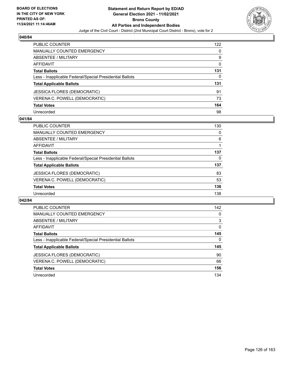

| <b>PUBLIC COUNTER</b>                                    | 122      |
|----------------------------------------------------------|----------|
| <b>MANUALLY COUNTED EMERGENCY</b>                        | 0        |
| ABSENTEE / MILITARY                                      | 9        |
| AFFIDAVIT                                                | $\Omega$ |
| <b>Total Ballots</b>                                     | 131      |
| Less - Inapplicable Federal/Special Presidential Ballots | 0        |
| <b>Total Applicable Ballots</b>                          | 131      |
| JESSICA FLORES (DEMOCRATIC)                              | 91       |
| VERENA C. POWELL (DEMOCRATIC)                            | 73       |
| <b>Total Votes</b>                                       | 164      |
| Unrecorded                                               | 98       |

# **041/84**

| PUBLIC COUNTER                                           | 130 |
|----------------------------------------------------------|-----|
| MANUALLY COUNTED EMERGENCY                               | 0   |
| ABSENTEE / MILITARY                                      | 6   |
| AFFIDAVIT                                                |     |
| <b>Total Ballots</b>                                     | 137 |
| Less - Inapplicable Federal/Special Presidential Ballots | 0   |
| <b>Total Applicable Ballots</b>                          | 137 |
| <b>JESSICA FLORES (DEMOCRATIC)</b>                       | 83  |
| VERENA C. POWELL (DEMOCRATIC)                            | 53  |
| <b>Total Votes</b>                                       | 136 |
| Unrecorded                                               | 138 |

| <b>PUBLIC COUNTER</b>                                    | 142      |
|----------------------------------------------------------|----------|
| <b>MANUALLY COUNTED EMERGENCY</b>                        | 0        |
| <b>ABSENTEE / MILITARY</b>                               | 3        |
| AFFIDAVIT                                                | $\Omega$ |
| <b>Total Ballots</b>                                     | 145      |
| Less - Inapplicable Federal/Special Presidential Ballots | $\Omega$ |
| <b>Total Applicable Ballots</b>                          | 145      |
| <b>JESSICA FLORES (DEMOCRATIC)</b>                       | 90       |
| VERENA C. POWELL (DEMOCRATIC)                            | 66       |
| <b>Total Votes</b>                                       | 156      |
| Unrecorded                                               | 134      |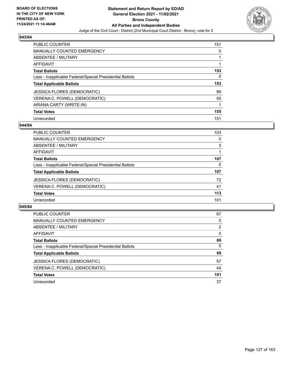

| <b>PUBLIC COUNTER</b>                                    | 151      |
|----------------------------------------------------------|----------|
| <b>MANUALLY COUNTED EMERGENCY</b>                        | $\Omega$ |
| ABSENTEE / MILITARY                                      |          |
| <b>AFFIDAVIT</b>                                         |          |
| <b>Total Ballots</b>                                     | 153      |
| Less - Inapplicable Federal/Special Presidential Ballots | 0        |
| <b>Total Applicable Ballots</b>                          | 153      |
| <b>JESSICA FLORES (DEMOCRATIC)</b>                       | 99       |
| VERENA C. POWELL (DEMOCRATIC)                            | 55       |
| ARIANA CARTY (WRITE-IN)                                  | 1        |
| <b>Total Votes</b>                                       | 155      |
| Unrecorded                                               | 151      |

### **044/84**

| PUBLIC COUNTER                                           | 103      |
|----------------------------------------------------------|----------|
| <b>MANUALLY COUNTED EMERGENCY</b>                        | 0        |
| ABSENTEE / MILITARY                                      | 3        |
| AFFIDAVIT                                                |          |
| <b>Total Ballots</b>                                     | 107      |
| Less - Inapplicable Federal/Special Presidential Ballots | $\Omega$ |
| <b>Total Applicable Ballots</b>                          | 107      |
| <b>JESSICA FLORES (DEMOCRATIC)</b>                       | 72       |
| VERENA C. POWELL (DEMOCRATIC)                            | 41       |
| <b>Total Votes</b>                                       | 113      |
| Unrecorded                                               | 101      |

| <b>PUBLIC COUNTER</b>                                    | 67       |
|----------------------------------------------------------|----------|
| <b>MANUALLY COUNTED EMERGENCY</b>                        | 0        |
| <b>ABSENTEE / MILITARY</b>                               | 2        |
| AFFIDAVIT                                                | $\Omega$ |
| <b>Total Ballots</b>                                     | 69       |
| Less - Inapplicable Federal/Special Presidential Ballots | $\Omega$ |
| <b>Total Applicable Ballots</b>                          | 69       |
| <b>JESSICA FLORES (DEMOCRATIC)</b>                       | 57       |
| VERENA C. POWELL (DEMOCRATIC)                            | 44       |
| <b>Total Votes</b>                                       | 101      |
| Unrecorded                                               | 37       |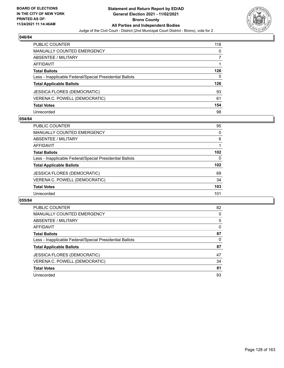

| <b>PUBLIC COUNTER</b>                                    | 118 |
|----------------------------------------------------------|-----|
| <b>MANUALLY COUNTED EMERGENCY</b>                        | 0   |
| ABSENTEE / MILITARY                                      |     |
| AFFIDAVIT                                                |     |
| <b>Total Ballots</b>                                     | 126 |
| Less - Inapplicable Federal/Special Presidential Ballots | 0   |
| <b>Total Applicable Ballots</b>                          | 126 |
| <b>JESSICA FLORES (DEMOCRATIC)</b>                       | 93  |
| VERENA C. POWELL (DEMOCRATIC)                            | 61  |
| <b>Total Votes</b>                                       | 154 |
| Unrecorded                                               | 98  |

# **054/84**

| PUBLIC COUNTER                                           | 95       |
|----------------------------------------------------------|----------|
| MANUALLY COUNTED EMERGENCY                               | $\Omega$ |
| ABSENTEE / MILITARY                                      | 6        |
| AFFIDAVIT                                                |          |
| <b>Total Ballots</b>                                     | 102      |
| Less - Inapplicable Federal/Special Presidential Ballots | $\Omega$ |
| <b>Total Applicable Ballots</b>                          | 102      |
| <b>JESSICA FLORES (DEMOCRATIC)</b>                       | 69       |
| VERENA C. POWELL (DEMOCRATIC)                            | 34       |
| <b>Total Votes</b>                                       | 103      |
| Unrecorded                                               | 101      |

| <b>PUBLIC COUNTER</b>                                    | 82 |
|----------------------------------------------------------|----|
| <b>MANUALLY COUNTED EMERGENCY</b>                        | 0  |
| ABSENTEE / MILITARY                                      | 5  |
| <b>AFFIDAVIT</b>                                         | 0  |
| <b>Total Ballots</b>                                     | 87 |
| Less - Inapplicable Federal/Special Presidential Ballots | 0  |
| <b>Total Applicable Ballots</b>                          | 87 |
| JESSICA FLORES (DEMOCRATIC)                              | 47 |
| VERENA C. POWELL (DEMOCRATIC)                            | 34 |
| <b>Total Votes</b>                                       | 81 |
| Unrecorded                                               | 93 |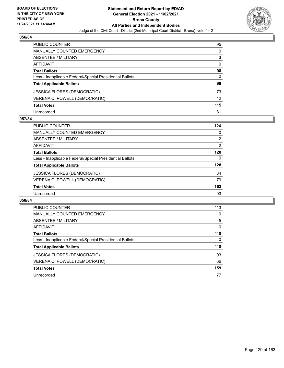

| <b>PUBLIC COUNTER</b>                                    | 95       |
|----------------------------------------------------------|----------|
| <b>MANUALLY COUNTED EMERGENCY</b>                        | 0        |
| <b>ABSENTEE / MILITARY</b>                               | 3        |
| AFFIDAVIT                                                | $\Omega$ |
| <b>Total Ballots</b>                                     | 98       |
| Less - Inapplicable Federal/Special Presidential Ballots | 0        |
| <b>Total Applicable Ballots</b>                          | 98       |
| JESSICA FLORES (DEMOCRATIC)                              | 73       |
| VERENA C. POWELL (DEMOCRATIC)                            | 42       |
| <b>Total Votes</b>                                       | 115      |
| Unrecorded                                               | 81       |

# **057/84**

| PUBLIC COUNTER                                           | 124            |
|----------------------------------------------------------|----------------|
| MANUALLY COUNTED EMERGENCY                               | 0              |
| ABSENTEE / MILITARY                                      | $\overline{2}$ |
| AFFIDAVIT                                                | 2              |
| <b>Total Ballots</b>                                     | 128            |
| Less - Inapplicable Federal/Special Presidential Ballots | 0              |
| <b>Total Applicable Ballots</b>                          | 128            |
| <b>JESSICA FLORES (DEMOCRATIC)</b>                       | 84             |
| VERENA C. POWELL (DEMOCRATIC)                            | 79             |
| <b>Total Votes</b>                                       | 163            |
| Unrecorded                                               | 93             |

| <b>PUBLIC COUNTER</b>                                    | 113 |
|----------------------------------------------------------|-----|
| <b>MANUALLY COUNTED EMERGENCY</b>                        | 0   |
| ABSENTEE / MILITARY                                      | 5   |
| <b>AFFIDAVIT</b>                                         | 0   |
| <b>Total Ballots</b>                                     | 118 |
| Less - Inapplicable Federal/Special Presidential Ballots | 0   |
| <b>Total Applicable Ballots</b>                          | 118 |
| <b>JESSICA FLORES (DEMOCRATIC)</b>                       | 93  |
| VERENA C. POWELL (DEMOCRATIC)                            | 66  |
| <b>Total Votes</b>                                       | 159 |
| Unrecorded                                               | 77  |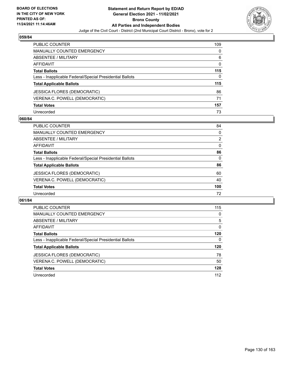

| <b>PUBLIC COUNTER</b>                                    | 109      |
|----------------------------------------------------------|----------|
| <b>MANUALLY COUNTED EMERGENCY</b>                        | 0        |
| ABSENTEE / MILITARY                                      | 6        |
| AFFIDAVIT                                                | $\Omega$ |
| <b>Total Ballots</b>                                     | 115      |
| Less - Inapplicable Federal/Special Presidential Ballots | 0        |
| <b>Total Applicable Ballots</b>                          | 115      |
| <b>JESSICA FLORES (DEMOCRATIC)</b>                       | 86       |
| VERENA C. POWELL (DEMOCRATIC)                            | 71       |
| <b>Total Votes</b>                                       | 157      |
| Unrecorded                                               | 73       |

# **060/84**

| <b>PUBLIC COUNTER</b>                                    | 84             |
|----------------------------------------------------------|----------------|
| <b>MANUALLY COUNTED EMERGENCY</b>                        | 0              |
| ABSENTEE / MILITARY                                      | $\overline{2}$ |
| AFFIDAVIT                                                | $\Omega$       |
| <b>Total Ballots</b>                                     | 86             |
| Less - Inapplicable Federal/Special Presidential Ballots | $\Omega$       |
| <b>Total Applicable Ballots</b>                          | 86             |
| JESSICA FLORES (DEMOCRATIC)                              | 60             |
| VERENA C. POWELL (DEMOCRATIC)                            | 40             |
| <b>Total Votes</b>                                       | 100            |
| Unrecorded                                               | 72             |

| <b>PUBLIC COUNTER</b>                                    | 115      |
|----------------------------------------------------------|----------|
| <b>MANUALLY COUNTED EMERGENCY</b>                        | 0        |
| ABSENTEE / MILITARY                                      | 5        |
| <b>AFFIDAVIT</b>                                         | $\Omega$ |
| <b>Total Ballots</b>                                     | 120      |
| Less - Inapplicable Federal/Special Presidential Ballots | 0        |
| <b>Total Applicable Ballots</b>                          | 120      |
| JESSICA FLORES (DEMOCRATIC)                              | 78       |
| VERENA C. POWELL (DEMOCRATIC)                            | 50       |
| <b>Total Votes</b>                                       | 128      |
| Unrecorded                                               | 112      |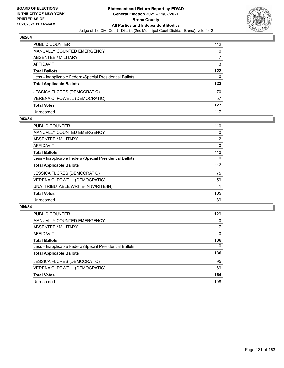

| PUBLIC COUNTER                                           | 112 |
|----------------------------------------------------------|-----|
| <b>MANUALLY COUNTED EMERGENCY</b>                        | 0   |
| <b>ABSENTEE / MILITARY</b>                               |     |
| AFFIDAVIT                                                | 3   |
| <b>Total Ballots</b>                                     | 122 |
| Less - Inapplicable Federal/Special Presidential Ballots | 0   |
| <b>Total Applicable Ballots</b>                          | 122 |
| JESSICA FLORES (DEMOCRATIC)                              | 70  |
| VERENA C. POWELL (DEMOCRATIC)                            | 57  |
| <b>Total Votes</b>                                       | 127 |
| Unrecorded                                               | 117 |

# **063/84**

| <b>PUBLIC COUNTER</b>                                    | 110      |
|----------------------------------------------------------|----------|
| MANUALLY COUNTED EMERGENCY                               | 0        |
| ABSENTEE / MILITARY                                      | 2        |
| AFFIDAVIT                                                | 0        |
| <b>Total Ballots</b>                                     | 112      |
| Less - Inapplicable Federal/Special Presidential Ballots | $\Omega$ |
| <b>Total Applicable Ballots</b>                          | $112$    |
| <b>JESSICA FLORES (DEMOCRATIC)</b>                       | 75       |
| VERENA C. POWELL (DEMOCRATIC)                            | 59       |
| UNATTRIBUTABLE WRITE-IN (WRITE-IN)                       |          |
| <b>Total Votes</b>                                       | 135      |
| Unrecorded                                               | 89       |

| <b>PUBLIC COUNTER</b>                                    | 129      |
|----------------------------------------------------------|----------|
| MANUALLY COUNTED EMERGENCY                               | 0        |
| ABSENTEE / MILITARY                                      | 7        |
| AFFIDAVIT                                                | $\Omega$ |
| <b>Total Ballots</b>                                     | 136      |
| Less - Inapplicable Federal/Special Presidential Ballots | $\Omega$ |
| <b>Total Applicable Ballots</b>                          | 136      |
| <b>JESSICA FLORES (DEMOCRATIC)</b>                       | 95       |
| VERENA C. POWELL (DEMOCRATIC)                            | 69       |
| <b>Total Votes</b>                                       | 164      |
| Unrecorded                                               | 108      |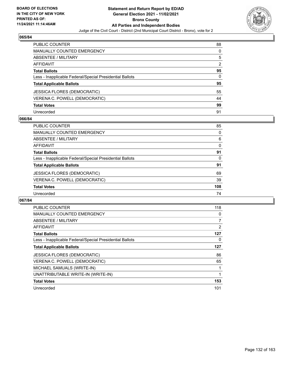

| <b>PUBLIC COUNTER</b>                                    | 88            |
|----------------------------------------------------------|---------------|
| <b>MANUALLY COUNTED EMERGENCY</b>                        | 0             |
| ABSENTEE / MILITARY                                      | 5             |
| <b>AFFIDAVIT</b>                                         | $\mathcal{P}$ |
| <b>Total Ballots</b>                                     | 95            |
| Less - Inapplicable Federal/Special Presidential Ballots | 0             |
| <b>Total Applicable Ballots</b>                          | 95            |
| <b>JESSICA FLORES (DEMOCRATIC)</b>                       | 55            |
| VERENA C. POWELL (DEMOCRATIC)                            | 44            |
| <b>Total Votes</b>                                       | 99            |
| Unrecorded                                               | 91            |

# **066/84**

| PUBLIC COUNTER                                           | 85       |
|----------------------------------------------------------|----------|
| <b>MANUALLY COUNTED EMERGENCY</b>                        | $\Omega$ |
| ABSENTEE / MILITARY                                      | 6        |
| AFFIDAVIT                                                | $\Omega$ |
| <b>Total Ballots</b>                                     | 91       |
| Less - Inapplicable Federal/Special Presidential Ballots | 0        |
| <b>Total Applicable Ballots</b>                          | 91       |
| <b>JESSICA FLORES (DEMOCRATIC)</b>                       | 69       |
| VERENA C. POWELL (DEMOCRATIC)                            | 39       |
| <b>Total Votes</b>                                       | 108      |
| Unrecorded                                               | 74       |

| <b>PUBLIC COUNTER</b>                                    | 118 |
|----------------------------------------------------------|-----|
| <b>MANUALLY COUNTED EMERGENCY</b>                        | 0   |
| <b>ABSENTEE / MILITARY</b>                               | 7   |
| AFFIDAVIT                                                | 2   |
| <b>Total Ballots</b>                                     | 127 |
| Less - Inapplicable Federal/Special Presidential Ballots | 0   |
| <b>Total Applicable Ballots</b>                          | 127 |
| <b>JESSICA FLORES (DEMOCRATIC)</b>                       | 86  |
| VERENA C. POWELL (DEMOCRATIC)                            | 65  |
| MICHAEL SAMUALS (WRITE-IN)                               | 1   |
| UNATTRIBUTABLE WRITE-IN (WRITE-IN)                       | 1   |
| <b>Total Votes</b>                                       | 153 |
| Unrecorded                                               | 101 |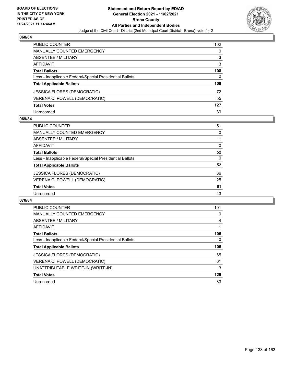

| <b>PUBLIC COUNTER</b>                                    | 102 <sub>1</sub> |
|----------------------------------------------------------|------------------|
| <b>MANUALLY COUNTED EMERGENCY</b>                        | 0                |
| <b>ABSENTEE / MILITARY</b>                               | 3                |
| AFFIDAVIT                                                | 3                |
| <b>Total Ballots</b>                                     | 108              |
| Less - Inapplicable Federal/Special Presidential Ballots | 0                |
| <b>Total Applicable Ballots</b>                          | 108              |
| <b>JESSICA FLORES (DEMOCRATIC)</b>                       | 72               |
| VERENA C. POWELL (DEMOCRATIC)                            | 55               |
| <b>Total Votes</b>                                       | 127              |
| Unrecorded                                               | 89               |

# **069/84**

| PUBLIC COUNTER                                           | 51       |
|----------------------------------------------------------|----------|
| <b>MANUALLY COUNTED EMERGENCY</b>                        | 0        |
| ABSENTEE / MILITARY                                      |          |
| AFFIDAVIT                                                | $\Omega$ |
| <b>Total Ballots</b>                                     | 52       |
| Less - Inapplicable Federal/Special Presidential Ballots | $\Omega$ |
| <b>Total Applicable Ballots</b>                          | 52       |
| <b>JESSICA FLORES (DEMOCRATIC)</b>                       | 36       |
| VERENA C. POWELL (DEMOCRATIC)                            | 25       |
| <b>Total Votes</b>                                       | 61       |
| Unrecorded                                               | 43       |

| <b>PUBLIC COUNTER</b>                                    | 101 |
|----------------------------------------------------------|-----|
| <b>MANUALLY COUNTED EMERGENCY</b>                        | 0   |
| ABSENTEE / MILITARY                                      | 4   |
| AFFIDAVIT                                                |     |
| <b>Total Ballots</b>                                     | 106 |
| Less - Inapplicable Federal/Special Presidential Ballots | 0   |
|                                                          |     |
| <b>Total Applicable Ballots</b>                          | 106 |
| <b>JESSICA FLORES (DEMOCRATIC)</b>                       | 65  |
| VERENA C. POWELL (DEMOCRATIC)                            | 61  |
| UNATTRIBUTABLE WRITE-IN (WRITE-IN)                       | 3   |
| <b>Total Votes</b>                                       | 129 |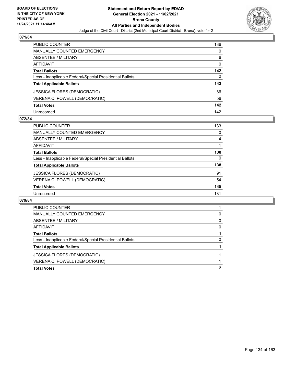

| PUBLIC COUNTER                                           | 136      |
|----------------------------------------------------------|----------|
| <b>MANUALLY COUNTED EMERGENCY</b>                        | 0        |
| <b>ABSENTEE / MILITARY</b>                               | 6        |
| <b>AFFIDAVIT</b>                                         | 0        |
| <b>Total Ballots</b>                                     | 142      |
| Less - Inapplicable Federal/Special Presidential Ballots | $\Omega$ |
| <b>Total Applicable Ballots</b>                          | 142      |
| <b>JESSICA FLORES (DEMOCRATIC)</b>                       | 86       |
| VERENA C. POWELL (DEMOCRATIC)                            | 56       |
| <b>Total Votes</b>                                       | 142      |
| Unrecorded                                               | 142      |

### **072/84**

| <b>PUBLIC COUNTER</b>                                    | 133 |
|----------------------------------------------------------|-----|
| <b>MANUALLY COUNTED EMERGENCY</b>                        | 0   |
| ABSENTEE / MILITARY                                      | 4   |
| AFFIDAVIT                                                |     |
| <b>Total Ballots</b>                                     | 138 |
| Less - Inapplicable Federal/Special Presidential Ballots | 0   |
| <b>Total Applicable Ballots</b>                          | 138 |
| <b>JESSICA FLORES (DEMOCRATIC)</b>                       | 91  |
| VERENA C. POWELL (DEMOCRATIC)                            | 54  |
| <b>Total Votes</b>                                       | 145 |
| Unrecorded                                               | 131 |

| <b>PUBLIC COUNTER</b>                                    |   |
|----------------------------------------------------------|---|
| MANUALLY COUNTED EMERGENCY                               | 0 |
| ABSENTEE / MILITARY                                      | 0 |
| AFFIDAVIT                                                | 0 |
| <b>Total Ballots</b>                                     |   |
| Less - Inapplicable Federal/Special Presidential Ballots | 0 |
| <b>Total Applicable Ballots</b>                          |   |
| JESSICA FLORES (DEMOCRATIC)                              |   |
| VERENA C. POWELL (DEMOCRATIC)                            |   |
| <b>Total Votes</b>                                       | 2 |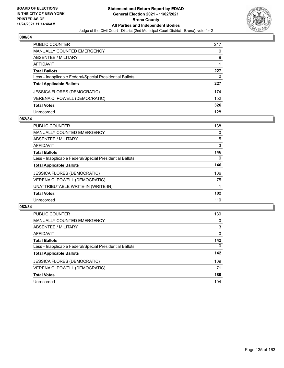

| <b>PUBLIC COUNTER</b>                                    | 217 |
|----------------------------------------------------------|-----|
| <b>MANUALLY COUNTED EMERGENCY</b>                        | 0   |
| ABSENTEE / MILITARY                                      | 9   |
| AFFIDAVIT                                                |     |
| <b>Total Ballots</b>                                     | 227 |
| Less - Inapplicable Federal/Special Presidential Ballots | 0   |
| <b>Total Applicable Ballots</b>                          | 227 |
| <b>JESSICA FLORES (DEMOCRATIC)</b>                       | 174 |
| VERENA C. POWELL (DEMOCRATIC)                            | 152 |
| <b>Total Votes</b>                                       | 326 |
| Unrecorded                                               | 128 |

# **082/84**

| <b>PUBLIC COUNTER</b>                                    | 138 |
|----------------------------------------------------------|-----|
| <b>MANUALLY COUNTED EMERGENCY</b>                        | 0   |
| ABSENTEE / MILITARY                                      | 5   |
| AFFIDAVIT                                                | 3   |
| <b>Total Ballots</b>                                     | 146 |
| Less - Inapplicable Federal/Special Presidential Ballots | 0   |
| <b>Total Applicable Ballots</b>                          | 146 |
| <b>JESSICA FLORES (DEMOCRATIC)</b>                       | 106 |
| VERENA C. POWELL (DEMOCRATIC)                            | 75  |
| UNATTRIBUTABLE WRITE-IN (WRITE-IN)                       |     |
| <b>Total Votes</b>                                       | 182 |
| Unrecorded                                               | 110 |

| <b>PUBLIC COUNTER</b>                                    | 139      |
|----------------------------------------------------------|----------|
| MANUALLY COUNTED EMERGENCY                               | $\Omega$ |
| ABSENTEE / MILITARY                                      | 3        |
| AFFIDAVIT                                                | $\Omega$ |
| <b>Total Ballots</b>                                     | 142      |
| Less - Inapplicable Federal/Special Presidential Ballots | $\Omega$ |
| <b>Total Applicable Ballots</b>                          | 142      |
| <b>JESSICA FLORES (DEMOCRATIC)</b>                       | 109      |
| VERENA C. POWELL (DEMOCRATIC)                            | 71       |
| <b>Total Votes</b>                                       | 180      |
| Unrecorded                                               | 104      |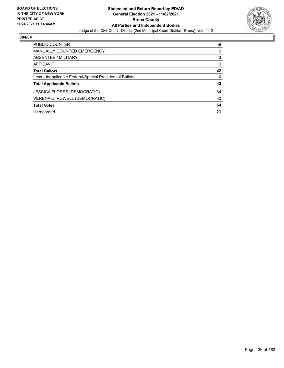

| <b>PUBLIC COUNTER</b>                                    | 39 |
|----------------------------------------------------------|----|
| <b>MANUALLY COUNTED EMERGENCY</b>                        | 0  |
| ABSENTEE / MILITARY                                      | 3  |
| AFFIDAVIT                                                | 0  |
| <b>Total Ballots</b>                                     | 42 |
| Less - Inapplicable Federal/Special Presidential Ballots | 0  |
| <b>Total Applicable Ballots</b>                          | 42 |
| <b>JESSICA FLORES (DEMOCRATIC)</b>                       | 34 |
| VERENA C. POWELL (DEMOCRATIC)                            | 30 |
| <b>Total Votes</b>                                       | 64 |
| Unrecorded                                               | 20 |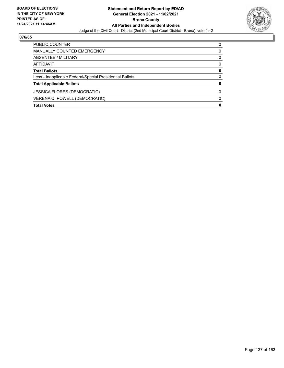

| PUBLIC COUNTER                                           | ŋ        |
|----------------------------------------------------------|----------|
| MANUALLY COUNTED EMERGENCY                               | 0        |
| ABSENTEE / MILITARY                                      | 0        |
| AFFIDAVIT                                                | $\Omega$ |
| <b>Total Ballots</b>                                     | 0        |
| Less - Inapplicable Federal/Special Presidential Ballots | 0        |
| <b>Total Applicable Ballots</b>                          | 0        |
| <b>JESSICA FLORES (DEMOCRATIC)</b>                       | 0        |
| VERENA C. POWELL (DEMOCRATIC)                            | O        |
| <b>Total Votes</b>                                       | 0        |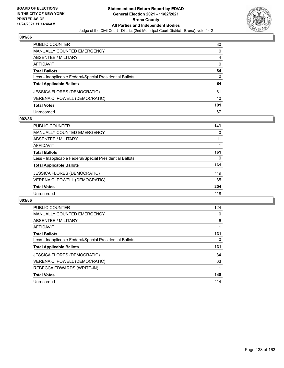

| PUBLIC COUNTER                                           | 80       |
|----------------------------------------------------------|----------|
| <b>MANUALLY COUNTED EMERGENCY</b>                        | 0        |
| <b>ABSENTEE / MILITARY</b>                               | 4        |
| AFFIDAVIT                                                | $\Omega$ |
| <b>Total Ballots</b>                                     | 84       |
| Less - Inapplicable Federal/Special Presidential Ballots | 0        |
| <b>Total Applicable Ballots</b>                          | 84       |
| JESSICA FLORES (DEMOCRATIC)                              | 61       |
| VERENA C. POWELL (DEMOCRATIC)                            | 40       |
| <b>Total Votes</b>                                       | 101      |
| Unrecorded                                               | 67       |

# **002/86**

| PUBLIC COUNTER                                           | 149 |
|----------------------------------------------------------|-----|
| <b>MANUALLY COUNTED EMERGENCY</b>                        | 0   |
| ABSENTEE / MILITARY                                      | 11  |
| AFFIDAVIT                                                |     |
| <b>Total Ballots</b>                                     | 161 |
| Less - Inapplicable Federal/Special Presidential Ballots | 0   |
| <b>Total Applicable Ballots</b>                          | 161 |
| JESSICA FLORES (DEMOCRATIC)                              | 119 |
| VERENA C. POWELL (DEMOCRATIC)                            | 85  |
| <b>Total Votes</b>                                       | 204 |
| Unrecorded                                               | 118 |

| <b>PUBLIC COUNTER</b>                                    | 124 |
|----------------------------------------------------------|-----|
| <b>MANUALLY COUNTED EMERGENCY</b>                        | 0   |
| ABSENTEE / MILITARY                                      | 6   |
| <b>AFFIDAVIT</b>                                         |     |
| <b>Total Ballots</b>                                     | 131 |
| Less - Inapplicable Federal/Special Presidential Ballots | 0   |
| <b>Total Applicable Ballots</b>                          | 131 |
| <b>JESSICA FLORES (DEMOCRATIC)</b>                       | 84  |
| VERENA C. POWELL (DEMOCRATIC)                            | 63  |
| REBECCA EDWARDS (WRITE-IN)                               |     |
| <b>Total Votes</b>                                       | 148 |
| Unrecorded                                               | 114 |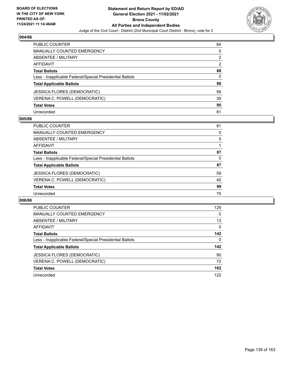

| PUBLIC COUNTER                                           | 84            |
|----------------------------------------------------------|---------------|
| <b>MANUALLY COUNTED EMERGENCY</b>                        | $\Omega$      |
| <b>ABSENTEE / MILITARY</b>                               | 2             |
| AFFIDAVIT                                                | $\mathcal{P}$ |
| <b>Total Ballots</b>                                     | 88            |
| Less - Inapplicable Federal/Special Presidential Ballots | 0             |
| <b>Total Applicable Ballots</b>                          | 88            |
| <b>JESSICA FLORES (DEMOCRATIC)</b>                       | 56            |
| VERENA C. POWELL (DEMOCRATIC)                            | 39            |
| <b>Total Votes</b>                                       | 95            |
| Unrecorded                                               | 81            |

### **005/86**

| <b>PUBLIC COUNTER</b>                                    | 81 |
|----------------------------------------------------------|----|
| <b>MANUALLY COUNTED EMERGENCY</b>                        | 0  |
| ABSENTEE / MILITARY                                      | 5  |
| AFFIDAVIT                                                |    |
| <b>Total Ballots</b>                                     | 87 |
| Less - Inapplicable Federal/Special Presidential Ballots | 0  |
| <b>Total Applicable Ballots</b>                          | 87 |
| JESSICA FLORES (DEMOCRATIC)                              | 59 |
| VERENA C. POWELL (DEMOCRATIC)                            | 40 |
| <b>Total Votes</b>                                       | 99 |
| Unrecorded                                               | 75 |

| <b>PUBLIC COUNTER</b>                                    | 129      |
|----------------------------------------------------------|----------|
| <b>MANUALLY COUNTED EMERGENCY</b>                        | 0        |
| ABSENTEE / MILITARY                                      | 13       |
| AFFIDAVIT                                                | $\Omega$ |
| <b>Total Ballots</b>                                     | 142      |
| Less - Inapplicable Federal/Special Presidential Ballots | $\Omega$ |
| <b>Total Applicable Ballots</b>                          | 142      |
| JESSICA FLORES (DEMOCRATIC)                              | 90       |
| VERENA C. POWELL (DEMOCRATIC)                            | 72       |
| <b>Total Votes</b>                                       | 162      |
| Unrecorded                                               | 122      |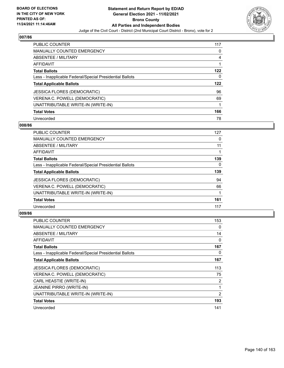

| <b>PUBLIC COUNTER</b>                                    | 117 |
|----------------------------------------------------------|-----|
| <b>MANUALLY COUNTED EMERGENCY</b>                        | 0   |
| ABSENTEE / MILITARY                                      | 4   |
| AFFIDAVIT                                                |     |
| <b>Total Ballots</b>                                     | 122 |
| Less - Inapplicable Federal/Special Presidential Ballots | 0   |
| <b>Total Applicable Ballots</b>                          | 122 |
|                                                          |     |
| <b>JESSICA FLORES (DEMOCRATIC)</b>                       | 96  |
| VERENA C. POWELL (DEMOCRATIC)                            | 69  |
| UNATTRIBUTABLE WRITE-IN (WRITE-IN)                       |     |
| <b>Total Votes</b>                                       | 166 |

### **008/86**

| <b>PUBLIC COUNTER</b>                                    | 127      |
|----------------------------------------------------------|----------|
| <b>MANUALLY COUNTED EMERGENCY</b>                        | 0        |
| ABSENTEE / MILITARY                                      | 11       |
| <b>AFFIDAVIT</b>                                         |          |
| <b>Total Ballots</b>                                     | 139      |
| Less - Inapplicable Federal/Special Presidential Ballots | $\Omega$ |
| <b>Total Applicable Ballots</b>                          | 139      |
| <b>JESSICA FLORES (DEMOCRATIC)</b>                       | 94       |
| VERENA C. POWELL (DEMOCRATIC)                            | 66       |
| UNATTRIBUTABLE WRITE-IN (WRITE-IN)                       |          |
| <b>Total Votes</b>                                       | 161      |
| Unrecorded                                               | 117      |

| <b>PUBLIC COUNTER</b>                                    | 153 |
|----------------------------------------------------------|-----|
| <b>MANUALLY COUNTED EMERGENCY</b>                        | 0   |
| ABSENTEE / MILITARY                                      | 14  |
| AFFIDAVIT                                                | 0   |
| <b>Total Ballots</b>                                     | 167 |
| Less - Inapplicable Federal/Special Presidential Ballots | 0   |
| <b>Total Applicable Ballots</b>                          | 167 |
| <b>JESSICA FLORES (DEMOCRATIC)</b>                       | 113 |
| VERENA C. POWELL (DEMOCRATIC)                            | 75  |
| CARL HEASTIE (WRITE-IN)                                  | 2   |
| <b>JEANINE PIRRO (WRITE-IN)</b>                          | 1   |
| UNATTRIBUTABLE WRITE-IN (WRITE-IN)                       | 2   |
| <b>Total Votes</b>                                       | 193 |
| Unrecorded                                               | 141 |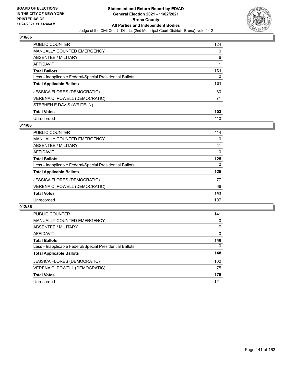

| <b>PUBLIC COUNTER</b>                                    | 124 |
|----------------------------------------------------------|-----|
| <b>MANUALLY COUNTED EMERGENCY</b>                        | 0   |
| ABSENTEE / MILITARY                                      | 6   |
| <b>AFFIDAVIT</b>                                         |     |
| <b>Total Ballots</b>                                     | 131 |
| Less - Inapplicable Federal/Special Presidential Ballots | 0   |
| <b>Total Applicable Ballots</b>                          | 131 |
| <b>JESSICA FLORES (DEMOCRATIC)</b>                       | 80  |
| VERENA C. POWELL (DEMOCRATIC)                            | 71  |
| STEPHEN E DAVIS (WRITE-IN)                               | 1   |
| <b>Total Votes</b>                                       | 152 |
|                                                          |     |

## **011/86**

| <b>PUBLIC COUNTER</b>                                    | 114      |
|----------------------------------------------------------|----------|
| <b>MANUALLY COUNTED EMERGENCY</b>                        | 0        |
| ABSENTEE / MILITARY                                      | 11       |
| AFFIDAVIT                                                | $\Omega$ |
| <b>Total Ballots</b>                                     | 125      |
| Less - Inapplicable Federal/Special Presidential Ballots | 0        |
| <b>Total Applicable Ballots</b>                          | 125      |
| <b>JESSICA FLORES (DEMOCRATIC)</b>                       | 77       |
| VERENA C. POWELL (DEMOCRATIC)                            | 66       |
| <b>Total Votes</b>                                       | 143      |
| Unrecorded                                               | 107      |

| <b>PUBLIC COUNTER</b>                                    | 141      |
|----------------------------------------------------------|----------|
| <b>MANUALLY COUNTED EMERGENCY</b>                        | 0        |
| ABSENTEE / MILITARY                                      | 7        |
| AFFIDAVIT                                                | $\Omega$ |
| <b>Total Ballots</b>                                     | 148      |
| Less - Inapplicable Federal/Special Presidential Ballots | $\Omega$ |
| <b>Total Applicable Ballots</b>                          | 148      |
| <b>JESSICA FLORES (DEMOCRATIC)</b>                       | 100      |
| VERENA C. POWELL (DEMOCRATIC)                            | 75       |
| <b>Total Votes</b>                                       | 175      |
| Unrecorded                                               | 121      |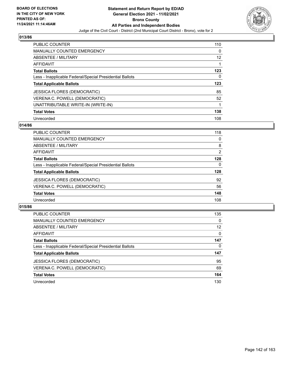

| <b>PUBLIC COUNTER</b>                                    | 110      |
|----------------------------------------------------------|----------|
| MANUALLY COUNTED EMERGENCY                               | $\Omega$ |
| ABSENTEE / MILITARY                                      | 12       |
| AFFIDAVIT                                                |          |
| <b>Total Ballots</b>                                     | 123      |
| Less - Inapplicable Federal/Special Presidential Ballots | 0        |
| <b>Total Applicable Ballots</b>                          | 123      |
| <b>JESSICA FLORES (DEMOCRATIC)</b>                       | 85       |
| VERENA C. POWELL (DEMOCRATIC)                            | 52       |
| UNATTRIBUTABLE WRITE-IN (WRITE-IN)                       | 1        |
| <b>Total Votes</b>                                       | 138      |
| Unrecorded                                               | 108      |

### **014/86**

| <b>PUBLIC COUNTER</b>                                    | 118      |
|----------------------------------------------------------|----------|
| MANUALLY COUNTED EMERGENCY                               | 0        |
| ABSENTEE / MILITARY                                      | 8        |
| AFFIDAVIT                                                | 2        |
| <b>Total Ballots</b>                                     | 128      |
| Less - Inapplicable Federal/Special Presidential Ballots | $\Omega$ |
| <b>Total Applicable Ballots</b>                          | 128      |
| <b>JESSICA FLORES (DEMOCRATIC)</b>                       | 92       |
| VERENA C. POWELL (DEMOCRATIC)                            | 56       |
| <b>Total Votes</b>                                       | 148      |
| Unrecorded                                               | 108      |

| <b>PUBLIC COUNTER</b>                                    | 135               |
|----------------------------------------------------------|-------------------|
| MANUALLY COUNTED EMERGENCY                               | $\Omega$          |
| ABSENTEE / MILITARY                                      | $12 \overline{ }$ |
| AFFIDAVIT                                                | $\Omega$          |
| <b>Total Ballots</b>                                     | 147               |
| Less - Inapplicable Federal/Special Presidential Ballots | 0                 |
| <b>Total Applicable Ballots</b>                          | 147               |
| <b>JESSICA FLORES (DEMOCRATIC)</b>                       | 95                |
| VERENA C. POWELL (DEMOCRATIC)                            | 69                |
| <b>Total Votes</b>                                       | 164               |
| Unrecorded                                               | 130               |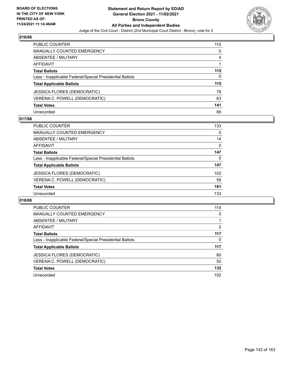

| <b>PUBLIC COUNTER</b>                                    | 110 |
|----------------------------------------------------------|-----|
| <b>MANUALLY COUNTED EMERGENCY</b>                        | 0   |
| <b>ABSENTEE / MILITARY</b>                               | 4   |
| AFFIDAVIT                                                |     |
| <b>Total Ballots</b>                                     | 115 |
| Less - Inapplicable Federal/Special Presidential Ballots | 0   |
| <b>Total Applicable Ballots</b>                          | 115 |
| JESSICA FLORES (DEMOCRATIC)                              | 78  |
| VERENA C. POWELL (DEMOCRATIC)                            | 63  |
| <b>Total Votes</b>                                       | 141 |
| Unrecorded                                               | 89  |

# **017/86**

| PUBLIC COUNTER                                           | 133      |
|----------------------------------------------------------|----------|
| MANUALLY COUNTED EMERGENCY                               | $\Omega$ |
| ABSENTEE / MILITARY                                      | 14       |
| AFFIDAVIT                                                | 0        |
| <b>Total Ballots</b>                                     | 147      |
| Less - Inapplicable Federal/Special Presidential Ballots | 0        |
| <b>Total Applicable Ballots</b>                          | 147      |
| <b>JESSICA FLORES (DEMOCRATIC)</b>                       | 102      |
| VERENA C. POWELL (DEMOCRATIC)                            | 59       |
| <b>Total Votes</b>                                       | 161      |
| Unrecorded                                               | 133      |

| <b>PUBLIC COUNTER</b>                                    | 114 |
|----------------------------------------------------------|-----|
| <b>MANUALLY COUNTED EMERGENCY</b>                        | 0   |
| <b>ABSENTEE / MILITARY</b>                               |     |
| AFFIDAVIT                                                | 2   |
| <b>Total Ballots</b>                                     | 117 |
| Less - Inapplicable Federal/Special Presidential Ballots | 0   |
| <b>Total Applicable Ballots</b>                          | 117 |
| <b>JESSICA FLORES (DEMOCRATIC)</b>                       | 80  |
| VERENA C. POWELL (DEMOCRATIC)                            | 52  |
| <b>Total Votes</b>                                       | 132 |
| Unrecorded                                               | 102 |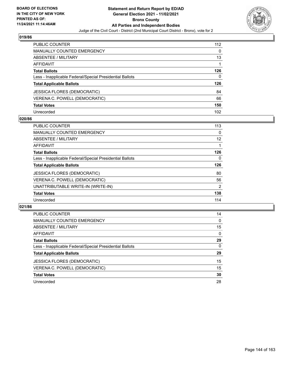

| <b>PUBLIC COUNTER</b>                                    | 112      |
|----------------------------------------------------------|----------|
| <b>MANUALLY COUNTED EMERGENCY</b>                        | $\Omega$ |
| <b>ABSENTEE / MILITARY</b>                               | 13       |
| AFFIDAVIT                                                |          |
| <b>Total Ballots</b>                                     | 126      |
| Less - Inapplicable Federal/Special Presidential Ballots | 0        |
| <b>Total Applicable Ballots</b>                          | 126      |
| <b>JESSICA FLORES (DEMOCRATIC)</b>                       | 84       |
| VERENA C. POWELL (DEMOCRATIC)                            | 66       |
| <b>Total Votes</b>                                       | 150      |
| Unrecorded                                               | 102      |

### **020/86**

| PUBLIC COUNTER                                           | 113            |
|----------------------------------------------------------|----------------|
| <b>MANUALLY COUNTED EMERGENCY</b>                        | $\Omega$       |
| ABSENTEE / MILITARY                                      | 12             |
| AFFIDAVIT                                                |                |
| <b>Total Ballots</b>                                     | 126            |
| Less - Inapplicable Federal/Special Presidential Ballots | 0              |
| <b>Total Applicable Ballots</b>                          | 126            |
| <b>JESSICA FLORES (DEMOCRATIC)</b>                       | 80             |
| VERENA C. POWELL (DEMOCRATIC)                            | 56             |
| UNATTRIBUTABLE WRITE-IN (WRITE-IN)                       | $\overline{2}$ |
| <b>Total Votes</b>                                       | 138            |
| Unrecorded                                               | 114            |

| <b>PUBLIC COUNTER</b>                                    | 14       |
|----------------------------------------------------------|----------|
| MANUALLY COUNTED EMERGENCY                               | $\Omega$ |
| ABSENTEE / MILITARY                                      | 15       |
| AFFIDAVIT                                                | $\Omega$ |
| <b>Total Ballots</b>                                     | 29       |
| Less - Inapplicable Federal/Special Presidential Ballots | $\Omega$ |
| <b>Total Applicable Ballots</b>                          | 29       |
| <b>JESSICA FLORES (DEMOCRATIC)</b>                       | 15       |
| VERENA C. POWELL (DEMOCRATIC)                            | 15       |
| <b>Total Votes</b>                                       | 30       |
| Unrecorded                                               | 28       |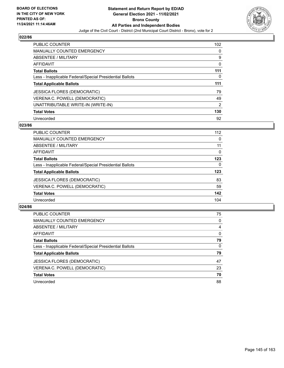

| <b>PUBLIC COUNTER</b>                                    | 102            |
|----------------------------------------------------------|----------------|
| <b>MANUALLY COUNTED EMERGENCY</b>                        | 0              |
| ABSENTEE / MILITARY                                      | 9              |
| <b>AFFIDAVIT</b>                                         | 0              |
| <b>Total Ballots</b>                                     | 111            |
| Less - Inapplicable Federal/Special Presidential Ballots | 0              |
| <b>Total Applicable Ballots</b>                          | 111            |
| <b>JESSICA FLORES (DEMOCRATIC)</b>                       | 79             |
| VERENA C. POWELL (DEMOCRATIC)                            | 49             |
| UNATTRIBUTABLE WRITE-IN (WRITE-IN)                       | $\overline{2}$ |
| <b>Total Votes</b>                                       | 130            |
| Unrecorded                                               | 92             |

#### **023/86**

| <b>PUBLIC COUNTER</b>                                    | 112      |
|----------------------------------------------------------|----------|
| MANUALLY COUNTED EMERGENCY                               | 0        |
| ABSENTEE / MILITARY                                      | 11       |
| <b>AFFIDAVIT</b>                                         | 0        |
| <b>Total Ballots</b>                                     | 123      |
| Less - Inapplicable Federal/Special Presidential Ballots | $\Omega$ |
| <b>Total Applicable Ballots</b>                          | 123      |
| <b>JESSICA FLORES (DEMOCRATIC)</b>                       | 83       |
| VERENA C. POWELL (DEMOCRATIC)                            | 59       |
| <b>Total Votes</b>                                       | 142      |
| Unrecorded                                               | 104      |

| <b>PUBLIC COUNTER</b>                                    | 75       |
|----------------------------------------------------------|----------|
| <b>MANUALLY COUNTED EMERGENCY</b>                        | $\Omega$ |
| ABSENTEE / MILITARY                                      | 4        |
| AFFIDAVIT                                                | 0        |
| <b>Total Ballots</b>                                     | 79       |
| Less - Inapplicable Federal/Special Presidential Ballots | $\Omega$ |
| <b>Total Applicable Ballots</b>                          | 79       |
| <b>JESSICA FLORES (DEMOCRATIC)</b>                       | 47       |
| VERENA C. POWELL (DEMOCRATIC)                            | 23       |
| <b>Total Votes</b>                                       | 70       |
| Unrecorded                                               | 88       |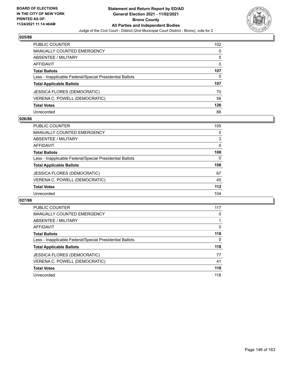

| <b>PUBLIC COUNTER</b>                                    | 102 <sub>2</sub> |
|----------------------------------------------------------|------------------|
| <b>MANUALLY COUNTED EMERGENCY</b>                        | 0                |
| ABSENTEE / MILITARY                                      | 5                |
| AFFIDAVIT                                                | $\Omega$         |
| <b>Total Ballots</b>                                     | 107              |
| Less - Inapplicable Federal/Special Presidential Ballots | 0                |
| <b>Total Applicable Ballots</b>                          | 107              |
| <b>JESSICA FLORES (DEMOCRATIC)</b>                       | 70               |
| VERENA C. POWELL (DEMOCRATIC)                            | 56               |
| <b>Total Votes</b>                                       | 126              |
| Unrecorded                                               | 88               |

# **026/86**

| <b>PUBLIC COUNTER</b>                                    | 105      |
|----------------------------------------------------------|----------|
| <b>MANUALLY COUNTED EMERGENCY</b>                        | 0        |
| ABSENTEE / MILITARY                                      | 3        |
| AFFIDAVIT                                                | $\Omega$ |
| <b>Total Ballots</b>                                     | 108      |
| Less - Inapplicable Federal/Special Presidential Ballots | $\Omega$ |
| <b>Total Applicable Ballots</b>                          | 108      |
| <b>JESSICA FLORES (DEMOCRATIC)</b>                       | 67       |
| VERENA C. POWELL (DEMOCRATIC)                            | 45       |
| <b>Total Votes</b>                                       | $112$    |
| Unrecorded                                               | 104      |

| PUBLIC COUNTER                                           | 117      |
|----------------------------------------------------------|----------|
| <b>MANUALLY COUNTED EMERGENCY</b>                        | 0        |
| ABSENTEE / MILITARY                                      |          |
| <b>AFFIDAVIT</b>                                         | $\Omega$ |
| <b>Total Ballots</b>                                     | 118      |
| Less - Inapplicable Federal/Special Presidential Ballots | 0        |
| <b>Total Applicable Ballots</b>                          | 118      |
| JESSICA FLORES (DEMOCRATIC)                              | 77       |
| VERENA C. POWELL (DEMOCRATIC)                            | 41       |
| <b>Total Votes</b>                                       | 118      |
| Unrecorded                                               | 118      |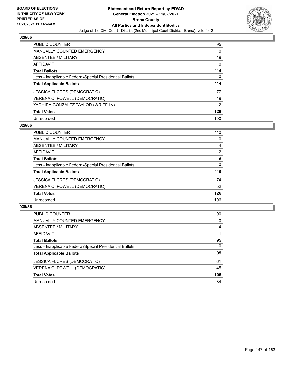

| <b>PUBLIC COUNTER</b>                                    | 95            |
|----------------------------------------------------------|---------------|
| <b>MANUALLY COUNTED EMERGENCY</b>                        | 0             |
| ABSENTEE / MILITARY                                      | 19            |
| AFFIDAVIT                                                | 0             |
| <b>Total Ballots</b>                                     | 114           |
| Less - Inapplicable Federal/Special Presidential Ballots | 0             |
| <b>Total Applicable Ballots</b>                          | 114           |
| <b>JESSICA FLORES (DEMOCRATIC)</b>                       | 77            |
|                                                          |               |
| VERENA C. POWELL (DEMOCRATIC)                            | 49            |
| YADHIRA GONZALEZ TAYLOR (WRITE-IN)                       | $\mathcal{P}$ |
| <b>Total Votes</b>                                       | 128           |

#### **029/86**

| <b>PUBLIC COUNTER</b>                                    | 110      |
|----------------------------------------------------------|----------|
| <b>MANUALLY COUNTED EMERGENCY</b>                        | $\Omega$ |
| ABSENTEE / MILITARY                                      | 4        |
| AFFIDAVIT                                                | 2        |
| <b>Total Ballots</b>                                     | 116      |
| Less - Inapplicable Federal/Special Presidential Ballots | $\Omega$ |
| <b>Total Applicable Ballots</b>                          | 116      |
| <b>JESSICA FLORES (DEMOCRATIC)</b>                       | 74       |
| VERENA C. POWELL (DEMOCRATIC)                            | 52       |
| <b>Total Votes</b>                                       | 126      |
| Unrecorded                                               | 106      |
|                                                          |          |

| <b>PUBLIC COUNTER</b>                                    | 90       |
|----------------------------------------------------------|----------|
| <b>MANUALLY COUNTED EMERGENCY</b>                        | $\Omega$ |
| <b>ABSENTEE / MILITARY</b>                               | 4        |
| AFFIDAVIT                                                |          |
| <b>Total Ballots</b>                                     | 95       |
| Less - Inapplicable Federal/Special Presidential Ballots | $\Omega$ |
| <b>Total Applicable Ballots</b>                          | 95       |
| <b>JESSICA FLORES (DEMOCRATIC)</b>                       | 61       |
| VERENA C. POWELL (DEMOCRATIC)                            | 45       |
| <b>Total Votes</b>                                       | 106      |
| Unrecorded                                               | 84       |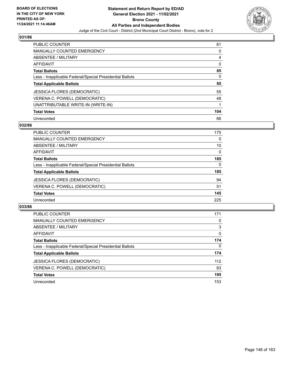

| <b>PUBLIC COUNTER</b>                                    | 81       |
|----------------------------------------------------------|----------|
| <b>MANUALLY COUNTED EMERGENCY</b>                        | $\Omega$ |
| ABSENTEE / MILITARY                                      | 4        |
| AFFIDAVIT                                                | 0        |
| <b>Total Ballots</b>                                     | 85       |
| Less - Inapplicable Federal/Special Presidential Ballots | 0        |
| <b>Total Applicable Ballots</b>                          | 85       |
| <b>JESSICA FLORES (DEMOCRATIC)</b>                       | 55       |
| VERENA C. POWELL (DEMOCRATIC)                            | 48       |
| UNATTRIBUTABLE WRITE-IN (WRITE-IN)                       |          |
| <b>Total Votes</b>                                       | 104      |
|                                                          |          |

#### **032/86**

| <b>PUBLIC COUNTER</b>                                    | 175 |
|----------------------------------------------------------|-----|
| <b>MANUALLY COUNTED EMERGENCY</b>                        | 0   |
| ABSENTEE / MILITARY                                      | 10  |
| <b>AFFIDAVIT</b>                                         | 0   |
| <b>Total Ballots</b>                                     | 185 |
| Less - Inapplicable Federal/Special Presidential Ballots | 0   |
| <b>Total Applicable Ballots</b>                          | 185 |
| <b>JESSICA FLORES (DEMOCRATIC)</b>                       | 94  |
| VERENA C. POWELL (DEMOCRATIC)                            | 51  |
| <b>Total Votes</b>                                       | 145 |
| Unrecorded                                               | 225 |

| <b>PUBLIC COUNTER</b>                                    | 171      |
|----------------------------------------------------------|----------|
| <b>MANUALLY COUNTED EMERGENCY</b>                        | 0        |
| ABSENTEE / MILITARY                                      | 3        |
| AFFIDAVIT                                                | $\Omega$ |
| <b>Total Ballots</b>                                     | 174      |
| Less - Inapplicable Federal/Special Presidential Ballots | $\Omega$ |
| <b>Total Applicable Ballots</b>                          | 174      |
| <b>JESSICA FLORES (DEMOCRATIC)</b>                       | 112      |
| VERENA C. POWELL (DEMOCRATIC)                            | 83       |
| <b>Total Votes</b>                                       | 195      |
| Unrecorded                                               | 153      |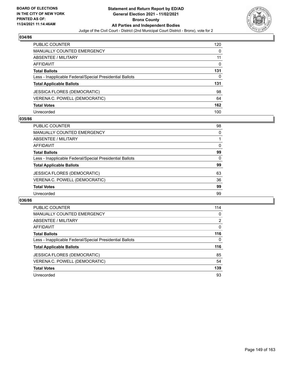

| PUBLIC COUNTER                                           | 120      |
|----------------------------------------------------------|----------|
| <b>MANUALLY COUNTED EMERGENCY</b>                        | 0        |
| ABSENTEE / MILITARY                                      | 11       |
| AFFIDAVIT                                                | $\Omega$ |
| <b>Total Ballots</b>                                     | 131      |
| Less - Inapplicable Federal/Special Presidential Ballots | 0        |
| <b>Total Applicable Ballots</b>                          | 131      |
| JESSICA FLORES (DEMOCRATIC)                              | 98       |
| VERENA C. POWELL (DEMOCRATIC)                            | 64       |
| <b>Total Votes</b>                                       | 162      |
| Unrecorded                                               | 100      |

# **035/86**

| <b>PUBLIC COUNTER</b>                                    | 98       |
|----------------------------------------------------------|----------|
| <b>MANUALLY COUNTED EMERGENCY</b>                        | $\Omega$ |
| ABSENTEE / MILITARY                                      |          |
| AFFIDAVIT                                                | 0        |
| <b>Total Ballots</b>                                     | 99       |
| Less - Inapplicable Federal/Special Presidential Ballots | $\Omega$ |
| <b>Total Applicable Ballots</b>                          | 99       |
| <b>JESSICA FLORES (DEMOCRATIC)</b>                       | 63       |
| VERENA C. POWELL (DEMOCRATIC)                            | 36       |
| <b>Total Votes</b>                                       | 99       |
| Unrecorded                                               | 99       |

| PUBLIC COUNTER                                           | 114            |
|----------------------------------------------------------|----------------|
| <b>MANUALLY COUNTED EMERGENCY</b>                        | 0              |
| ABSENTEE / MILITARY                                      | $\overline{2}$ |
| <b>AFFIDAVIT</b>                                         | $\Omega$       |
| <b>Total Ballots</b>                                     | 116            |
| Less - Inapplicable Federal/Special Presidential Ballots | 0              |
| <b>Total Applicable Ballots</b>                          | 116            |
| <b>JESSICA FLORES (DEMOCRATIC)</b>                       | 85             |
| VERENA C. POWELL (DEMOCRATIC)                            | 54             |
| <b>Total Votes</b>                                       | 139            |
| Unrecorded                                               | 93             |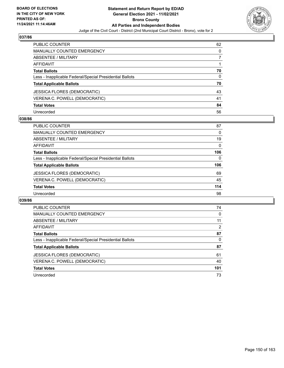

| PUBLIC COUNTER                                           | 62 |
|----------------------------------------------------------|----|
| <b>MANUALLY COUNTED EMERGENCY</b>                        | 0  |
| ABSENTEE / MILITARY                                      |    |
| AFFIDAVIT                                                |    |
| <b>Total Ballots</b>                                     | 70 |
| Less - Inapplicable Federal/Special Presidential Ballots | 0  |
| <b>Total Applicable Ballots</b>                          | 70 |
| JESSICA FLORES (DEMOCRATIC)                              | 43 |
| VERENA C. POWELL (DEMOCRATIC)                            | 41 |
| <b>Total Votes</b>                                       | 84 |
| Unrecorded                                               | 56 |

# **038/86**

| <b>PUBLIC COUNTER</b>                                    | 87  |
|----------------------------------------------------------|-----|
| <b>MANUALLY COUNTED EMERGENCY</b>                        | 0   |
| ABSENTEE / MILITARY                                      | 19  |
| AFFIDAVIT                                                | 0   |
| <b>Total Ballots</b>                                     | 106 |
| Less - Inapplicable Federal/Special Presidential Ballots | 0   |
| <b>Total Applicable Ballots</b>                          | 106 |
| JESSICA FLORES (DEMOCRATIC)                              | 69  |
| VERENA C. POWELL (DEMOCRATIC)                            | 45  |
| <b>Total Votes</b>                                       | 114 |
| Unrecorded                                               | 98  |

| <b>PUBLIC COUNTER</b>                                    | 74  |
|----------------------------------------------------------|-----|
| <b>MANUALLY COUNTED EMERGENCY</b>                        | 0   |
| ABSENTEE / MILITARY                                      | 11  |
| <b>AFFIDAVIT</b>                                         | 2   |
| <b>Total Ballots</b>                                     | 87  |
| Less - Inapplicable Federal/Special Presidential Ballots | 0   |
| <b>Total Applicable Ballots</b>                          | 87  |
| JESSICA FLORES (DEMOCRATIC)                              | 61  |
| VERENA C. POWELL (DEMOCRATIC)                            | 40  |
| <b>Total Votes</b>                                       | 101 |
| Unrecorded                                               | 73  |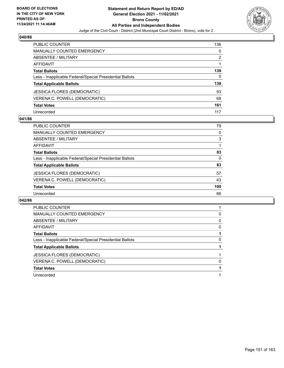

| PUBLIC COUNTER                                           | 136 |
|----------------------------------------------------------|-----|
| <b>MANUALLY COUNTED EMERGENCY</b>                        | 0   |
| ABSENTEE / MILITARY                                      | 2   |
| <b>AFFIDAVIT</b>                                         |     |
| <b>Total Ballots</b>                                     | 139 |
| Less - Inapplicable Federal/Special Presidential Ballots | 0   |
| <b>Total Applicable Ballots</b>                          | 139 |
| <b>JESSICA FLORES (DEMOCRATIC)</b>                       | 93  |
| VERENA C. POWELL (DEMOCRATIC)                            | 68  |
| <b>Total Votes</b>                                       | 161 |
| Unrecorded                                               | 117 |

#### **041/86**

| <b>PUBLIC COUNTER</b>                                    | 79  |
|----------------------------------------------------------|-----|
| <b>MANUALLY COUNTED EMERGENCY</b>                        | 0   |
| ABSENTEE / MILITARY                                      | 3   |
| AFFIDAVIT                                                |     |
| <b>Total Ballots</b>                                     | 83  |
| Less - Inapplicable Federal/Special Presidential Ballots | 0   |
| <b>Total Applicable Ballots</b>                          | 83  |
| <b>JESSICA FLORES (DEMOCRATIC)</b>                       | 57  |
| VERENA C. POWELL (DEMOCRATIC)                            | 43  |
| <b>Total Votes</b>                                       | 100 |
| Unrecorded                                               | 66  |

| PUBLIC COUNTER                                           |   |
|----------------------------------------------------------|---|
| MANUALLY COUNTED EMERGENCY                               | 0 |
| ABSENTEE / MILITARY                                      | 0 |
| <b>AFFIDAVIT</b>                                         | 0 |
| <b>Total Ballots</b>                                     |   |
| Less - Inapplicable Federal/Special Presidential Ballots | 0 |
| <b>Total Applicable Ballots</b>                          |   |
| <b>JESSICA FLORES (DEMOCRATIC)</b>                       |   |
|                                                          |   |
| VERENA C. POWELL (DEMOCRATIC)                            | 0 |
| <b>Total Votes</b>                                       |   |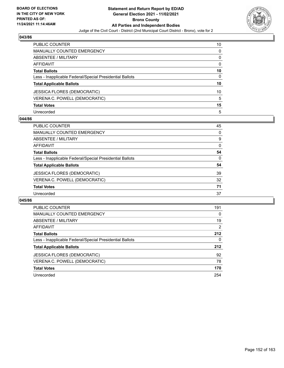

| PUBLIC COUNTER                                           | 10       |
|----------------------------------------------------------|----------|
| <b>MANUALLY COUNTED EMERGENCY</b>                        | 0        |
| ABSENTEE / MILITARY                                      | 0        |
| AFFIDAVIT                                                | $\Omega$ |
| <b>Total Ballots</b>                                     | 10       |
| Less - Inapplicable Federal/Special Presidential Ballots | 0        |
| <b>Total Applicable Ballots</b>                          | 10       |
| <b>JESSICA FLORES (DEMOCRATIC)</b>                       | 10       |
| VERENA C. POWELL (DEMOCRATIC)                            | 5        |
| <b>Total Votes</b>                                       | 15       |
| Unrecorded                                               | 5        |

# **044/86**

| <b>PUBLIC COUNTER</b>                                    | 45       |
|----------------------------------------------------------|----------|
| <b>MANUALLY COUNTED EMERGENCY</b>                        | $\Omega$ |
| ABSENTEE / MILITARY                                      | 9        |
| AFFIDAVIT                                                | $\Omega$ |
| <b>Total Ballots</b>                                     | 54       |
| Less - Inapplicable Federal/Special Presidential Ballots | $\Omega$ |
| <b>Total Applicable Ballots</b>                          | 54       |
| JESSICA FLORES (DEMOCRATIC)                              | 39       |
| VERENA C. POWELL (DEMOCRATIC)                            | 32       |
| <b>Total Votes</b>                                       | 71       |
| Unrecorded                                               | 37       |

| PUBLIC COUNTER                                           | 191 |
|----------------------------------------------------------|-----|
| <b>MANUALLY COUNTED EMERGENCY</b>                        | 0   |
| ABSENTEE / MILITARY                                      | 19  |
| <b>AFFIDAVIT</b>                                         | 2   |
| <b>Total Ballots</b>                                     | 212 |
| Less - Inapplicable Federal/Special Presidential Ballots | 0   |
| <b>Total Applicable Ballots</b>                          | 212 |
| JESSICA FLORES (DEMOCRATIC)                              | 92  |
| VERENA C. POWELL (DEMOCRATIC)                            | 78  |
| <b>Total Votes</b>                                       | 170 |
| Unrecorded                                               | 254 |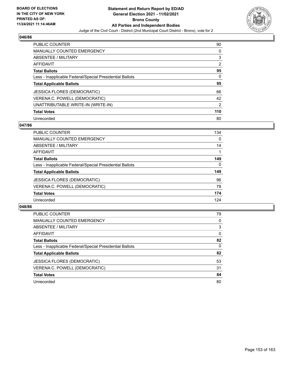

| <b>PUBLIC COUNTER</b>                                    | 90             |
|----------------------------------------------------------|----------------|
| <b>MANUALLY COUNTED EMERGENCY</b>                        | 0              |
| ABSENTEE / MILITARY                                      | 3              |
| <b>AFFIDAVIT</b>                                         | 2              |
| <b>Total Ballots</b>                                     | 95             |
| Less - Inapplicable Federal/Special Presidential Ballots | 0              |
| <b>Total Applicable Ballots</b>                          | 95             |
| JESSICA FLORES (DEMOCRATIC)                              | 66             |
| VERENA C. POWELL (DEMOCRATIC)                            | 42             |
| UNATTRIBUTABLE WRITE-IN (WRITE-IN)                       | $\overline{2}$ |
| <b>Total Votes</b>                                       | 110            |
|                                                          |                |

### **047/86**

| <b>PUBLIC COUNTER</b>                                    | 134      |
|----------------------------------------------------------|----------|
| MANUALLY COUNTED EMERGENCY                               | 0        |
| ABSENTEE / MILITARY                                      | 14       |
| <b>AFFIDAVIT</b>                                         |          |
| <b>Total Ballots</b>                                     | 149      |
| Less - Inapplicable Federal/Special Presidential Ballots | $\Omega$ |
| <b>Total Applicable Ballots</b>                          | 149      |
| <b>JESSICA FLORES (DEMOCRATIC)</b>                       | 96       |
| VERENA C. POWELL (DEMOCRATIC)                            | 78       |
| <b>Total Votes</b>                                       | 174      |
| Unrecorded                                               | 124      |

| <b>PUBLIC COUNTER</b>                                    | 79       |
|----------------------------------------------------------|----------|
| <b>MANUALLY COUNTED EMERGENCY</b>                        | 0        |
| <b>ABSENTEE / MILITARY</b>                               | 3        |
| AFFIDAVIT                                                | $\Omega$ |
| <b>Total Ballots</b>                                     | 82       |
| Less - Inapplicable Federal/Special Presidential Ballots | $\Omega$ |
| <b>Total Applicable Ballots</b>                          | 82       |
| <b>JESSICA FLORES (DEMOCRATIC)</b>                       | 53       |
| VERENA C. POWELL (DEMOCRATIC)                            | 31       |
| <b>Total Votes</b>                                       | 84       |
| Unrecorded                                               | 80       |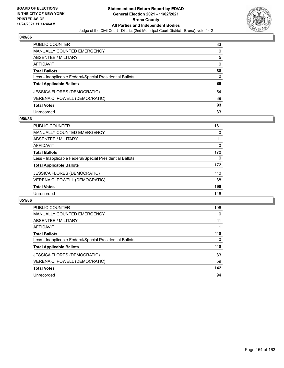

| <b>PUBLIC COUNTER</b>                                    | 83       |
|----------------------------------------------------------|----------|
| <b>MANUALLY COUNTED EMERGENCY</b>                        | 0        |
| ABSENTEE / MILITARY                                      | 5        |
| AFFIDAVIT                                                | $\Omega$ |
| <b>Total Ballots</b>                                     | 88       |
| Less - Inapplicable Federal/Special Presidential Ballots | 0        |
| <b>Total Applicable Ballots</b>                          | 88       |
| JESSICA FLORES (DEMOCRATIC)                              | 54       |
| VERENA C. POWELL (DEMOCRATIC)                            | 39       |
| <b>Total Votes</b>                                       | 93       |
| Unrecorded                                               | 83       |

# **050/86**

| PUBLIC COUNTER                                           | 161      |
|----------------------------------------------------------|----------|
| <b>MANUALLY COUNTED EMERGENCY</b>                        | 0        |
| ABSENTEE / MILITARY                                      | 11       |
| AFFIDAVIT                                                | 0        |
| <b>Total Ballots</b>                                     | 172      |
| Less - Inapplicable Federal/Special Presidential Ballots | $\Omega$ |
| <b>Total Applicable Ballots</b>                          | 172      |
| <b>JESSICA FLORES (DEMOCRATIC)</b>                       | 110      |
| VERENA C. POWELL (DEMOCRATIC)                            | 88       |
| <b>Total Votes</b>                                       | 198      |
| Unrecorded                                               | 146      |

| <b>PUBLIC COUNTER</b>                                    | 106 |
|----------------------------------------------------------|-----|
| <b>MANUALLY COUNTED EMERGENCY</b>                        | 0   |
| ABSENTEE / MILITARY                                      | 11  |
| AFFIDAVIT                                                |     |
| <b>Total Ballots</b>                                     | 118 |
| Less - Inapplicable Federal/Special Presidential Ballots | 0   |
| <b>Total Applicable Ballots</b>                          | 118 |
| <b>JESSICA FLORES (DEMOCRATIC)</b>                       | 83  |
| VERENA C. POWELL (DEMOCRATIC)                            | 59  |
| <b>Total Votes</b>                                       | 142 |
| Unrecorded                                               | 94  |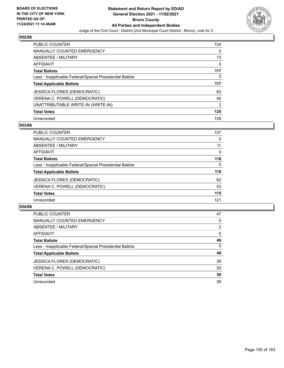

| <b>PUBLIC COUNTER</b>                                    | 104            |
|----------------------------------------------------------|----------------|
| MANUALLY COUNTED EMERGENCY                               | $\Omega$       |
| ABSENTEE / MILITARY                                      | 13             |
| <b>AFFIDAVIT</b>                                         | 0              |
| <b>Total Ballots</b>                                     | 117            |
| Less - Inapplicable Federal/Special Presidential Ballots | 0              |
| <b>Total Applicable Ballots</b>                          | 117            |
| <b>JESSICA FLORES (DEMOCRATIC)</b>                       | 83             |
| VERENA C. POWELL (DEMOCRATIC)                            | 40             |
| UNATTRIBUTABLE WRITE-IN (WRITE-IN)                       | $\overline{2}$ |
| <b>Total Votes</b>                                       | 125            |
| Unrecorded                                               | 109            |

#### **053/86**

| <b>PUBLIC COUNTER</b>                                    | 107      |
|----------------------------------------------------------|----------|
| MANUALLY COUNTED EMERGENCY                               | 0        |
| ABSENTEE / MILITARY                                      | 11       |
| <b>AFFIDAVIT</b>                                         | 0        |
| <b>Total Ballots</b>                                     | 118      |
| Less - Inapplicable Federal/Special Presidential Ballots | $\Omega$ |
| <b>Total Applicable Ballots</b>                          | 118      |
| <b>JESSICA FLORES (DEMOCRATIC)</b>                       | 62       |
| VERENA C. POWELL (DEMOCRATIC)                            | 53       |
| <b>Total Votes</b>                                       | 115      |
| Unrecorded                                               | 121      |

| <b>PUBLIC COUNTER</b>                                    | 47             |
|----------------------------------------------------------|----------------|
| <b>MANUALLY COUNTED EMERGENCY</b>                        | 0              |
| <b>ABSENTEE / MILITARY</b>                               | $\overline{2}$ |
| AFFIDAVIT                                                | $\Omega$       |
| <b>Total Ballots</b>                                     | 49             |
| Less - Inapplicable Federal/Special Presidential Ballots | $\Omega$       |
| <b>Total Applicable Ballots</b>                          | 49             |
| <b>JESSICA FLORES (DEMOCRATIC)</b>                       | 39             |
| VERENA C. POWELL (DEMOCRATIC)                            | 20             |
| <b>Total Votes</b>                                       | 59             |
| Unrecorded                                               | 39             |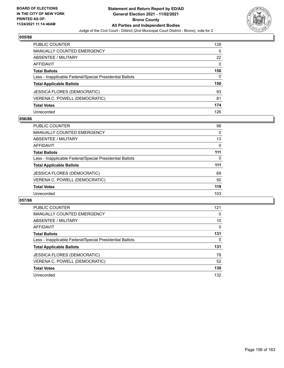

| PUBLIC COUNTER                                           | 128      |
|----------------------------------------------------------|----------|
| <b>MANUALLY COUNTED EMERGENCY</b>                        | 0        |
| ABSENTEE / MILITARY                                      | 22       |
| AFFIDAVIT                                                | $\Omega$ |
| <b>Total Ballots</b>                                     | 150      |
| Less - Inapplicable Federal/Special Presidential Ballots | 0        |
| <b>Total Applicable Ballots</b>                          | 150      |
| JESSICA FLORES (DEMOCRATIC)                              | 93       |
| VERENA C. POWELL (DEMOCRATIC)                            | 81       |
| <b>Total Votes</b>                                       | 174      |
| Unrecorded                                               | 126      |

# **056/86**

| <b>PUBLIC COUNTER</b>                                    | 98       |
|----------------------------------------------------------|----------|
| <b>MANUALLY COUNTED EMERGENCY</b>                        | 0        |
| ABSENTEE / MILITARY                                      | 13       |
| AFFIDAVIT                                                | 0        |
| <b>Total Ballots</b>                                     | 111      |
| Less - Inapplicable Federal/Special Presidential Ballots | $\Omega$ |
| <b>Total Applicable Ballots</b>                          | 111      |
| <b>JESSICA FLORES (DEMOCRATIC)</b>                       | 69       |
| VERENA C. POWELL (DEMOCRATIC)                            | 50       |
| <b>Total Votes</b>                                       | 119      |
| Unrecorded                                               | 103      |

| <b>PUBLIC COUNTER</b>                                    | 121 |
|----------------------------------------------------------|-----|
| <b>MANUALLY COUNTED EMERGENCY</b>                        | 0   |
| ABSENTEE / MILITARY                                      | 10  |
| <b>AFFIDAVIT</b>                                         | 0   |
| <b>Total Ballots</b>                                     | 131 |
| Less - Inapplicable Federal/Special Presidential Ballots | 0   |
| <b>Total Applicable Ballots</b>                          | 131 |
| JESSICA FLORES (DEMOCRATIC)                              | 78  |
| VERENA C. POWELL (DEMOCRATIC)                            | 52  |
| <b>Total Votes</b>                                       | 130 |
| Unrecorded                                               | 132 |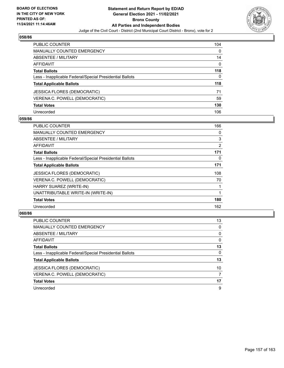

| <b>PUBLIC COUNTER</b>                                    | 104      |
|----------------------------------------------------------|----------|
| <b>MANUALLY COUNTED EMERGENCY</b>                        | 0        |
| ABSENTEE / MILITARY                                      | 14       |
| AFFIDAVIT                                                | $\Omega$ |
| <b>Total Ballots</b>                                     | 118      |
| Less - Inapplicable Federal/Special Presidential Ballots | 0        |
| <b>Total Applicable Ballots</b>                          | 118      |
| <b>JESSICA FLORES (DEMOCRATIC)</b>                       | 71       |
| VERENA C. POWELL (DEMOCRATIC)                            | 59       |
| <b>Total Votes</b>                                       | 130      |
| Unrecorded                                               | 106      |

# **059/86**

| <b>PUBLIC COUNTER</b>                                    | 166 |
|----------------------------------------------------------|-----|
| <b>MANUALLY COUNTED EMERGENCY</b>                        | 0   |
| ABSENTEE / MILITARY                                      | 3   |
| <b>AFFIDAVIT</b>                                         | 2   |
| <b>Total Ballots</b>                                     | 171 |
| Less - Inapplicable Federal/Special Presidential Ballots | 0   |
| <b>Total Applicable Ballots</b>                          | 171 |
| <b>JESSICA FLORES (DEMOCRATIC)</b>                       | 108 |
| VERENA C. POWELL (DEMOCRATIC)                            | 70  |
| HARRY SUAREZ (WRITE-IN)                                  |     |
| UNATTRIBUTABLE WRITE-IN (WRITE-IN)                       |     |
| <b>Total Votes</b>                                       | 180 |
| Unrecorded                                               | 162 |

| PUBLIC COUNTER                                           | 13       |
|----------------------------------------------------------|----------|
| <b>MANUALLY COUNTED EMERGENCY</b>                        | 0        |
| ABSENTEE / MILITARY                                      | 0        |
| AFFIDAVIT                                                | 0        |
| <b>Total Ballots</b>                                     | 13       |
| Less - Inapplicable Federal/Special Presidential Ballots | $\Omega$ |
| <b>Total Applicable Ballots</b>                          | 13       |
| <b>JESSICA FLORES (DEMOCRATIC)</b>                       | 10       |
| VERENA C. POWELL (DEMOCRATIC)                            |          |
| <b>Total Votes</b>                                       | 17       |
| Unrecorded                                               | 9        |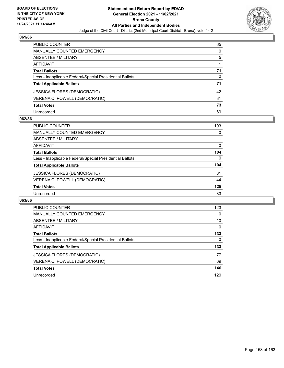

| PUBLIC COUNTER                                           | 65 |
|----------------------------------------------------------|----|
| <b>MANUALLY COUNTED EMERGENCY</b>                        | 0  |
| <b>ABSENTEE / MILITARY</b>                               | 5  |
| AFFIDAVIT                                                |    |
| <b>Total Ballots</b>                                     | 71 |
| Less - Inapplicable Federal/Special Presidential Ballots | 0  |
| <b>Total Applicable Ballots</b>                          | 71 |
| <b>JESSICA FLORES (DEMOCRATIC)</b>                       | 42 |
| VERENA C. POWELL (DEMOCRATIC)                            | 31 |
| <b>Total Votes</b>                                       | 73 |
| Unrecorded                                               | 69 |

# **062/86**

| <b>PUBLIC COUNTER</b>                                    | 103      |
|----------------------------------------------------------|----------|
| <b>MANUALLY COUNTED EMERGENCY</b>                        | 0        |
| ABSENTEE / MILITARY                                      |          |
| AFFIDAVIT                                                | 0        |
| <b>Total Ballots</b>                                     | 104      |
| Less - Inapplicable Federal/Special Presidential Ballots | $\Omega$ |
| <b>Total Applicable Ballots</b>                          | 104      |
| <b>JESSICA FLORES (DEMOCRATIC)</b>                       | 81       |
| VERENA C. POWELL (DEMOCRATIC)                            | 44       |
| <b>Total Votes</b>                                       | 125      |
| Unrecorded                                               | 83       |

| <b>PUBLIC COUNTER</b>                                    | 123      |
|----------------------------------------------------------|----------|
| <b>MANUALLY COUNTED EMERGENCY</b>                        | 0        |
| ABSENTEE / MILITARY                                      | 10       |
| AFFIDAVIT                                                | $\Omega$ |
| <b>Total Ballots</b>                                     | 133      |
| Less - Inapplicable Federal/Special Presidential Ballots | $\Omega$ |
| <b>Total Applicable Ballots</b>                          | 133      |
| JESSICA FLORES (DEMOCRATIC)                              | 77       |
| VERENA C. POWELL (DEMOCRATIC)                            | 69       |
| <b>Total Votes</b>                                       | 146      |
| Unrecorded                                               | 120      |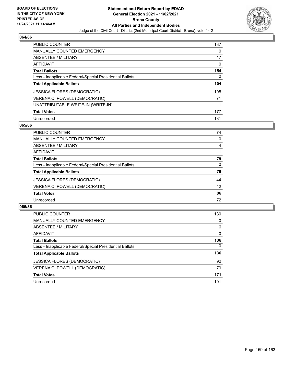

| <b>PUBLIC COUNTER</b>                                    | 137 |
|----------------------------------------------------------|-----|
| <b>MANUALLY COUNTED EMERGENCY</b>                        | 0   |
| ABSENTEE / MILITARY                                      | 17  |
| <b>AFFIDAVIT</b>                                         | 0   |
| <b>Total Ballots</b>                                     | 154 |
| Less - Inapplicable Federal/Special Presidential Ballots | 0   |
| <b>Total Applicable Ballots</b>                          | 154 |
| JESSICA FLORES (DEMOCRATIC)                              | 105 |
| VERENA C. POWELL (DEMOCRATIC)                            | 71  |
| UNATTRIBUTABLE WRITE-IN (WRITE-IN)                       |     |
| <b>Total Votes</b>                                       | 177 |
| Unrecorded                                               | 131 |

#### **065/86**

| PUBLIC COUNTER                                           | 74       |
|----------------------------------------------------------|----------|
| <b>MANUALLY COUNTED EMERGENCY</b>                        | 0        |
| ABSENTEE / MILITARY                                      | 4        |
| AFFIDAVIT                                                |          |
| <b>Total Ballots</b>                                     | 79       |
| Less - Inapplicable Federal/Special Presidential Ballots | $\Omega$ |
| <b>Total Applicable Ballots</b>                          | 79       |
| <b>JESSICA FLORES (DEMOCRATIC)</b>                       | 44       |
| VERENA C. POWELL (DEMOCRATIC)                            | 42       |
| <b>Total Votes</b>                                       | 86       |
| Unrecorded                                               | 72       |

| <b>PUBLIC COUNTER</b>                                    | 130      |
|----------------------------------------------------------|----------|
| <b>MANUALLY COUNTED EMERGENCY</b>                        | $\Omega$ |
| ABSENTEE / MILITARY                                      | 6        |
| AFFIDAVIT                                                | $\Omega$ |
| <b>Total Ballots</b>                                     | 136      |
| Less - Inapplicable Federal/Special Presidential Ballots | $\Omega$ |
| <b>Total Applicable Ballots</b>                          | 136      |
| <b>JESSICA FLORES (DEMOCRATIC)</b>                       | 92       |
| VERENA C. POWELL (DEMOCRATIC)                            | 79       |
| <b>Total Votes</b>                                       | 171      |
| Unrecorded                                               | 101      |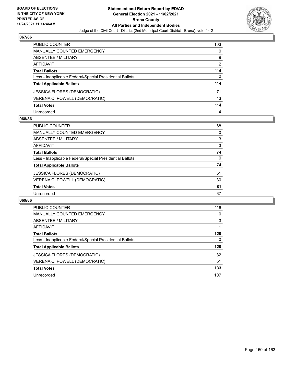

| <b>PUBLIC COUNTER</b>                                    | 103 |
|----------------------------------------------------------|-----|
| <b>MANUALLY COUNTED EMERGENCY</b>                        | 0   |
| ABSENTEE / MILITARY                                      | 9   |
| <b>AFFIDAVIT</b>                                         | 2   |
| <b>Total Ballots</b>                                     | 114 |
| Less - Inapplicable Federal/Special Presidential Ballots | 0   |
| <b>Total Applicable Ballots</b>                          | 114 |
| JESSICA FLORES (DEMOCRATIC)                              | 71  |
| VERENA C. POWELL (DEMOCRATIC)                            | 43  |
| <b>Total Votes</b>                                       | 114 |
| Unrecorded                                               | 114 |

# **068/86**

| <b>PUBLIC COUNTER</b>                                    | 68       |
|----------------------------------------------------------|----------|
| <b>MANUALLY COUNTED EMERGENCY</b>                        | 0        |
| ABSENTEE / MILITARY                                      | 3        |
| AFFIDAVIT                                                | 3        |
| <b>Total Ballots</b>                                     | 74       |
| Less - Inapplicable Federal/Special Presidential Ballots | $\Omega$ |
| <b>Total Applicable Ballots</b>                          | 74       |
| <b>JESSICA FLORES (DEMOCRATIC)</b>                       | 51       |
| VERENA C. POWELL (DEMOCRATIC)                            | 30       |
| <b>Total Votes</b>                                       | 81       |
| Unrecorded                                               | 67       |

| <b>PUBLIC COUNTER</b>                                    | 116      |
|----------------------------------------------------------|----------|
| <b>MANUALLY COUNTED EMERGENCY</b>                        | $\Omega$ |
| ABSENTEE / MILITARY                                      | 3        |
| AFFIDAVIT                                                |          |
| <b>Total Ballots</b>                                     | 120      |
| Less - Inapplicable Federal/Special Presidential Ballots | 0        |
| <b>Total Applicable Ballots</b>                          | 120      |
| JESSICA FLORES (DEMOCRATIC)                              | 82       |
| VERENA C. POWELL (DEMOCRATIC)                            | 51       |
| <b>Total Votes</b>                                       | 133      |
| Unrecorded                                               | 107      |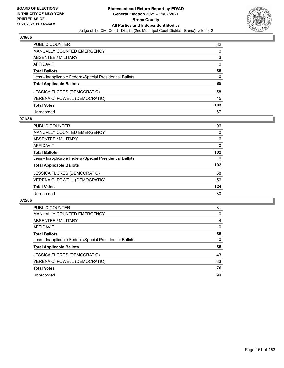

| <b>PUBLIC COUNTER</b>                                    | 82       |
|----------------------------------------------------------|----------|
| <b>MANUALLY COUNTED EMERGENCY</b>                        | 0        |
| ABSENTEE / MILITARY                                      | 3        |
| AFFIDAVIT                                                | $\Omega$ |
| <b>Total Ballots</b>                                     | 85       |
| Less - Inapplicable Federal/Special Presidential Ballots | 0        |
| <b>Total Applicable Ballots</b>                          | 85       |
| JESSICA FLORES (DEMOCRATIC)                              | 58       |
| VERENA C. POWELL (DEMOCRATIC)                            | 45       |
| <b>Total Votes</b>                                       | 103      |
| Unrecorded                                               | 67       |

# **071/86**

| <b>PUBLIC COUNTER</b>                                    | 96       |
|----------------------------------------------------------|----------|
| <b>MANUALLY COUNTED EMERGENCY</b>                        | 0        |
| ABSENTEE / MILITARY                                      | 6        |
| AFFIDAVIT                                                | 0        |
| <b>Total Ballots</b>                                     | 102      |
| Less - Inapplicable Federal/Special Presidential Ballots | $\Omega$ |
| <b>Total Applicable Ballots</b>                          | 102      |
| <b>JESSICA FLORES (DEMOCRATIC)</b>                       | 68       |
| VERENA C. POWELL (DEMOCRATIC)                            | 56       |
| <b>Total Votes</b>                                       | 124      |
| Unrecorded                                               | 80       |

| <b>PUBLIC COUNTER</b>                                    | 81       |
|----------------------------------------------------------|----------|
| <b>MANUALLY COUNTED EMERGENCY</b>                        | 0        |
| ABSENTEE / MILITARY                                      | 4        |
| <b>AFFIDAVIT</b>                                         | $\Omega$ |
| <b>Total Ballots</b>                                     | 85       |
| Less - Inapplicable Federal/Special Presidential Ballots | $\Omega$ |
| <b>Total Applicable Ballots</b>                          | 85       |
| JESSICA FLORES (DEMOCRATIC)                              | 43       |
| VERENA C. POWELL (DEMOCRATIC)                            | 33       |
| <b>Total Votes</b>                                       | 76       |
| Unrecorded                                               | 94       |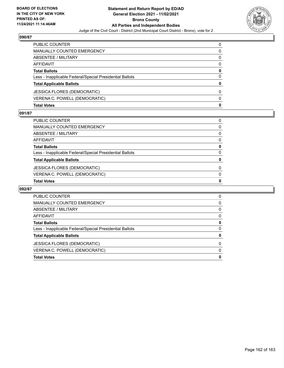

| <b>Total Votes</b>                                       | 0 |
|----------------------------------------------------------|---|
| VERENA C. POWELL (DEMOCRATIC)                            | 0 |
| <b>JESSICA FLORES (DEMOCRATIC)</b>                       | 0 |
| <b>Total Applicable Ballots</b>                          | 0 |
| Less - Inapplicable Federal/Special Presidential Ballots | 0 |
| <b>Total Ballots</b>                                     | 0 |
| AFFIDAVIT                                                | 0 |
| ABSENTEE / MILITARY                                      | 0 |
| <b>MANUALLY COUNTED EMERGENCY</b>                        | 0 |
| PUBLIC COUNTER                                           | 0 |

### **091/87**

| PUBLIC COUNTER                                           | 0            |
|----------------------------------------------------------|--------------|
| MANUALLY COUNTED EMERGENCY                               | 0            |
| ABSENTEE / MILITARY                                      | $\mathbf{0}$ |
| AFFIDAVIT                                                | $\Omega$     |
| Total Ballots                                            | 0            |
| Less - Inapplicable Federal/Special Presidential Ballots | $\Omega$     |
| <b>Total Applicable Ballots</b>                          | 0            |
| JESSICA FLORES (DEMOCRATIC)                              | $\Omega$     |
| VERENA C. POWELL (DEMOCRATIC)                            | $\Omega$     |
| <b>Total Votes</b>                                       | 0            |

| PUBLIC COUNTER                                           | 0 |
|----------------------------------------------------------|---|
| <b>MANUALLY COUNTED EMERGENCY</b>                        | 0 |
| ABSENTEE / MILITARY                                      | 0 |
| AFFIDAVIT                                                | 0 |
| <b>Total Ballots</b>                                     | 0 |
| Less - Inapplicable Federal/Special Presidential Ballots | 0 |
| <b>Total Applicable Ballots</b>                          | 0 |
| <b>JESSICA FLORES (DEMOCRATIC)</b>                       | 0 |
| VERENA C. POWELL (DEMOCRATIC)                            | 0 |
| <b>Total Votes</b>                                       | 0 |
|                                                          |   |